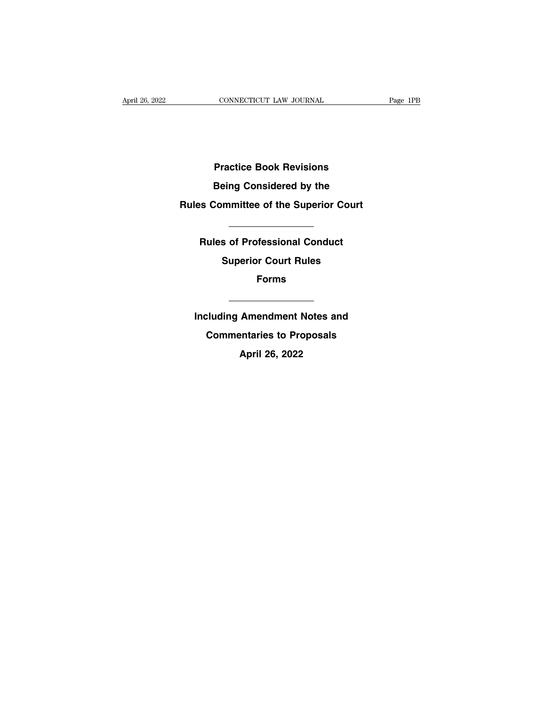**Practice Book Revisions Practice Book Revisions<br>Being Considered by the<br>Committee of the Superior Court** 

# **Practice Book Revisions<br>Being Considered by the<br>Rules Committee of the Superior Court**

**Rules Confidence by the<br>
Rules of Professional Conduct<br>
Superior Court Rules of Professional Conduct<br>
Superior Court Rules Superior Court munittee of the Superior Court<br>
Superior Court Rules<br>
Superior Court Rules<br>
Forms Forms Including Amendment Notes and<br>
Commentaries to Proposals** 

**Commentaries**<br> **Commentaries to Proposals<br>
April 26, 2022 Including Amendment Notes and<br>Commentaries to Proposals<br>April 26, 2022**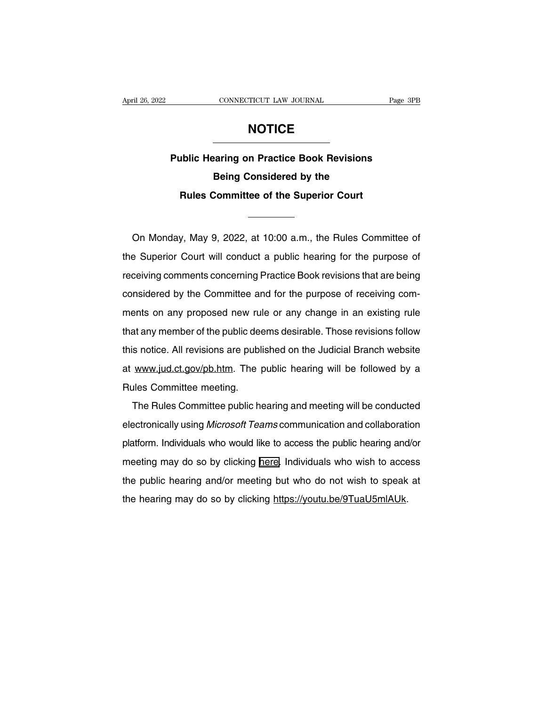### **NOTICE**

**Page 3PB**<br> **Public Hearing on Practice Book Revisions<br>
Being Considered by the BEFORUTE:**<br>
MOTICE<br>
Maring on Practice Book Revisions<br>
Being Considered by the<br>
Committee of the Superior Court **RULE ANDITICE**<br> **Rules Committee of the Superior Court**<br> **Rules Committee of the Superior Court** 

Being Considered by the<br>
Rules Committee of the Superior Court<br>
On Monday, May 9, 2022, at 10:00 a.m., the Rules Committee of<br>
E Superior Court will conduct a public hearing for the purpose of Rules Committee of the Superior Court<br>
On Monday, May 9, 2022, at 10:00 a.m., the Rules Committee of<br>
the Superior Court will conduct a public hearing for the purpose of<br>
receiving comments concerning Practice Book revisio On Monday, May 9, 2022, at 10:00 a.m., the Rules Committee of<br>the Superior Court will conduct a public hearing for the purpose of<br>receiving comments concerning Practice Book revisions that are being<br>considered by the Commi On Monday, May 9, 2022, at 10:00 a.m., the Rules Committee of<br>the Superior Court will conduct a public hearing for the purpose of<br>receiving comments concerning Practice Book revisions that are being<br>considered by the Commi on mentaly, may b, 2022, at 10.00 d.m., the rialed committed or<br>the Superior Court will conduct a public hearing for the purpose of<br>receiving comments concerning Practice Book revisions that are being<br>considered by the Com the depends coant will define the public metalling for the purpose of<br>receiving comments concerning Practice Book revisions that are being<br>considered by the Committee and for the purpose of receiving com-<br>ments on any prop cooking comments ochooking I radice Book revisions that are bong<br>considered by the Committee and for the purpose of receiving com-<br>ments on any proposed new rule or any change in an existing rule<br>that any member of the pub at which we have the public deems desirable. Those revisions follow<br>this notice. All revisions are published on the Judicial Branch website<br>at www.jud.ct.gov/pb.htm. The public hearing will be followed by a<br>Rules Committee that any member of the public deems desirable. Those revisions follow<br>this notice. All revisions are published on the Judicial Branch website<br>at www.jud.ct.gov/pb.htm. The public hearing will be followed by a<br>Rules Committ In the Rules Committee meeting.<br>The Rules Committee meeting.<br>The Rules Committee meeting.<br>The Rules Committee public hearing and meeting will be conducted<br>ectronically using *Microsoft Teams* communication and collaboratio

at www.jud.ct.gov/pb.htm. The public hearing will be followed by a<br>Rules Committee meeting.<br>The Rules Committee public hearing and meeting will be conducted<br>electronically using *Microsoft Teams* communication and collabor mateincomplementation in the passion is alleged will be conducted<br>Rules Committee meeting.<br>The Rules Committee public hearing and meeting will be conducted<br>electronically using *Microsoft Teams* communication and collabor The Rules Committee public hearing and meeting will be conducted<br>electronically using *Microsoft Teams* communication and collaboration<br>platform. Individuals who would like to access the public hearing and/or<br>meeting may d electronically using *Microsoft Teams* communication and collaboration<br>platform. Individuals who would like to access the public hearing and/or<br>meeting may do so by clicking <u>here</u>. Individuals who wish to access<br>the publi platform. Individuals who would like to access the public hearing and<br>meeting may do so by clicking here. Individuals who wish to acce<br>the public hearing and/or meeting but who do not wish to speak<br>the hearing may do so by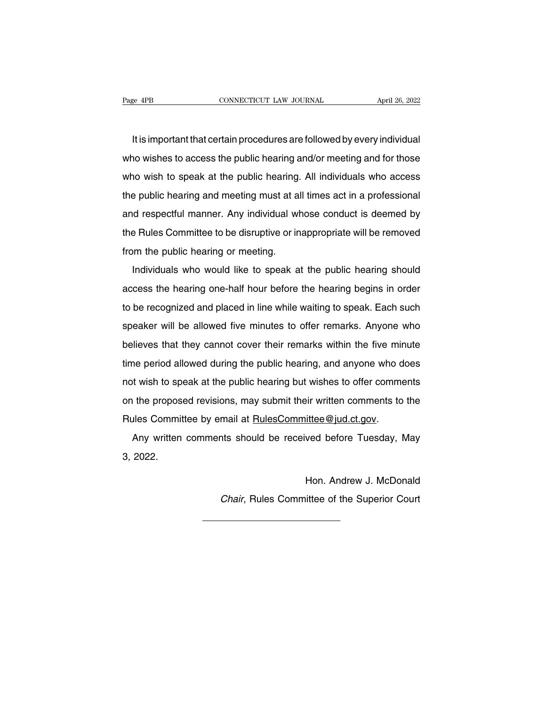It is important that certain procedures are followed by every individual<br>It is important that certain procedures are followed by every individual<br>In wishes to access the public hearing and/or meeting and for those Page 4PB CONNECTICUT LAW JOURNAL April 26, 2022<br>It is important that certain procedures are followed by every individual<br>who wishes to access the public hearing and/or meeting and for those<br>who wish to speak at the public It is important that certain procedures are followed by every individual<br>who wishes to access the public hearing and/or meeting and for those<br>who wish to speak at the public hearing. All individuals who access<br>the public h It is important that certain procedures are followed by every individual<br>who wishes to access the public hearing and/or meeting and for those<br>who wish to speak at the public hearing. All individuals who access<br>the public h and who wishes to access the public hearing and/or meeting and for those<br>who wish to speak at the public hearing. All individuals who access<br>the public hearing and meeting must at all times act in a professional<br>and respec who wish to speak at the public hearing and or incellig and ict inceed who wish to speak at the public hearing. All individuals who access the public hearing and meeting must at all times act in a professional and respectf who wish to speak at the pashs hearing.<br>the public hearing and meeting must at a<br>and respectful manner. Any individual wi<br>the Rules Committee to be disruptive or in<br>from the public hearing or meeting.<br>Individuals who would Individuals who would like to speak at the public hearing should cess the hearing or meeting.<br>Individuals who would like to speak at the public hearing should<br>cess the hearing one-half hour before the hearing begins in ord

the Rules Committee to be disruptive or inappropriate will be removed<br>from the public hearing or meeting.<br>Individuals who would like to speak at the public hearing should<br>access the hearing one-half hour before the hearing from the public hearing or meeting.<br>Individuals who would like to speak at the public hearing should<br>access the hearing one-half hour before the hearing begins in order<br>to be recognized and placed in line while waiting to Individuals who would like to speak at the public hearing should<br>access the hearing one-half hour before the hearing begins in order<br>to be recognized and placed in line while waiting to speak. Each such<br>speaker will be all harmadals who would like to opeak at the pashe hearing should<br>access the hearing one-half hour before the hearing begins in order<br>to be recognized and placed in line while waiting to speak. Each such<br>speaker will be allowe to be recognized and placed in line while waiting to speak. Each such<br>speaker will be allowed five minutes to offer remarks. Anyone who<br>believes that they cannot cover their remarks within the five minute<br>time period allow speaker will be allowed five minutes to offer remarks. Anyone who<br>believes that they cannot cover their remarks within the five minute<br>time period allowed during the public hearing, and anyone who does<br>not wish to speak at believes that they cannot cover their remarks within the five minute<br>time period allowed during the public hearing, and anyone who does<br>not wish to speak at the public hearing but wishes to offer comments<br>on the proposed r believes that they cannot cover their remarks within the five minute<br>time period allowed during the public hearing, and anyone who does<br>not wish to speak at the public hearing but wishes to offer comments<br>on the proposed r It wish to speak at the public hearing but wishes to offer comments<br>the proposed revisions, may submit their written comments to the<br>alles Committee by email at <u>RulesCommittee@jud.ct.gov</u>.<br>Any written comments should be r Fract Wish to up<br>
on the propos<br>
Rules Commit<br>
Any written<br>
3, 2022.

ittee@jud.ct.gov.<br>ved before Tuesday, May<br>Hon. Andrew J. McDonald<br>ittee of the Superior Court

Hon. Andrew J. McDonald<br>Chair, Rules Committee of the Superior Court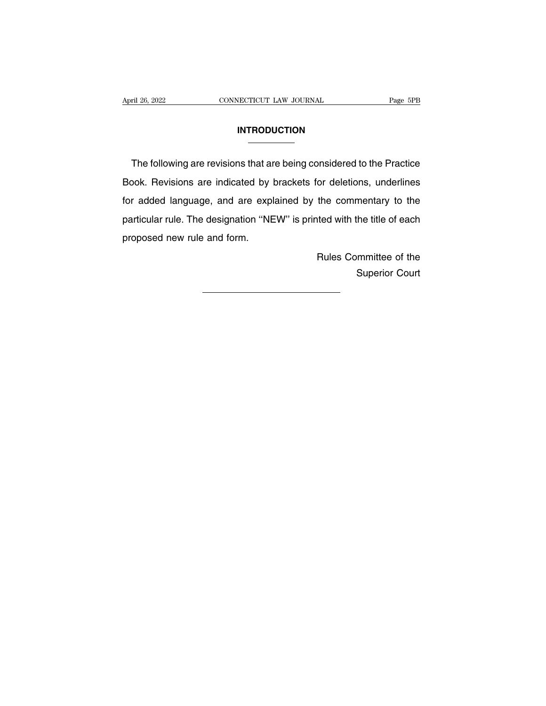### **INTRODUCTION**

The following are revisions that are being considered to the Practice<br>Dok. Revisions are indicated by brackets for deletions, underlines INTRODUCTION<br>
The following are revisions that are being considered to the Practice<br>
Book. Revisions are indicated by brackets for deletions, underlines<br>
for added language, and are explained by the commentary to the **Formally CONCYLOM**<br>The following are revisions that are being considered to the Practice<br>Book. Revisions are indicated by brackets for deletions, underlines<br>for added language, and are explained by the commentary to the<br>p The following are revisions that are being considered to the Practice<br>Book. Revisions are indicated by brackets for deletions, underlines<br>for added language, and are explained by the commentary to the<br>particular rule. The me remewing are revisions that all<br>Book. Revisions are indicated by<br>for added language, and are exp<br>particular rule. The designation "NE<br>proposed new rule and form. the commentary to the<br>ted with the title of each<br>Rules Committee of the<br>Superior Court nentary to the<br>the title of each<br>superior Court<br>Superior Court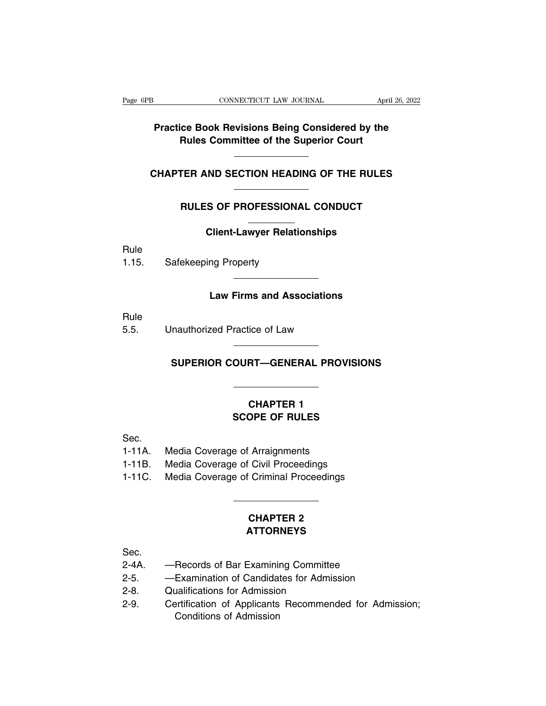## **Practice Book Revisions Being Considered by the<br>
Rules Committee of the Superior Court Rules CONNECTICUT LAW JOURNAL** *April 26, 2022*<br>**Practice Book Revisions Being Considered by the Rules Committee of the Superior Court Practice Book Revisions Being Considered by the<br>Rules Committee of the Superior Court<br>CHAPTER AND SECTION HEADING OF THE RULES** Rules Committee of the Superior Court<br>
TER AND SECTION HEADING OF THE RULES<br>
RULES OF PROFESSIONAL CONDUCT<br>
Client Louver Belationships

# **COLIGAT CONDUCT CONDUCT CONDUCT**<br>Client-Lawyer Relationships

Rule

RULES OF PROFESSIONA<br>Client-Lawyer Relation<br>1.15. Safekeeping Property

# **Client-Lawyer Relationships<br>mg Property<br>Law Firms and Associations**

Rule

1.15. Safekeeping Property<br>
Law Firms and Associations<br>
Rule<br>
5.5. Unauthorized Practice of Law

# **SUPERIOR COURT—GENERAL PROVISIONS**

## **CHAPTER 1<br>
CHAPTER 1<br>
CHAPTER 1<br>
OPE OF RULES SCOPE OF RULES**<br>CHAPTER 1<br>SCOPE OF RULES

Sec.

- 
- CHAPTER 1<br>
SCOPE OF RULES<br>
Sec.<br>
1-11A. Media Coverage of Arraignments<br>
1-11B. Media Coverage of Civil Proceedings<br>
1-11C. Media Coverage of Criminal Proceedings
- CHAPTER 1<br>
SCOPE OF RULES<br>
1-11A. Media Coverage of Arraignments<br>
1-11B. Media Coverage of Civil Proceedings<br>
1-11C. Media Coverage of Criminal Proceedings SECOPE OF RULES<br>
Sec.<br>
1-11A. Media Coverage of Arraignments<br>
1-11B. Media Coverage of Civil Proceedings<br>
1-11C. Media Coverage of Criminal Proceedings 1-11A. Media Coverage of Arraignments<br>1-11B. Media Coverage of Civil Proceedings<br>1-11C. Media Coverage of Criminal Proceedings<br>
CHAPTER 2

### **ATTORNEYS**

Sec.

- 
- CHAPTER 2<br>
CHAPTER 2<br>
Sec.<br>
2-4A. —Records of Bar Examining Committee<br>
2-5. —Examination of Candidates for Admission<br>
2.8 Qualifications for Admission CHAPTER 2<br>
2-4A. — Records of Bar Examining Committee<br>
2-5. — Examination of Candidates for Admission<br>
2-8. Qualifications for Admission<br>
2-8. Qualifications for Admission
- 
- CHAPTEN<br>
2-6. Records of Bar Examining Committe<br>
2-5. Examination of Candidates for Admis<br>
2-8. Qualifications for Admission<br>
2-9. Certification of Applicants Recommen EXECT:<br>
2-4A. — Records of Bar Examining Committee<br>
2-5. — Examination of Candidates for Admission<br>
2-8. Qualifications for Admission<br>
2-9. Certification of Applicants Recommended for Admission;<br>
Conditions of Admission --Records of Bar Examining Committee<br>
--Examination of Candidates for Admission<br>
Qualifications for Admission<br>
Certification of Applicants Recommended for Admission;<br>
Conditions of Admission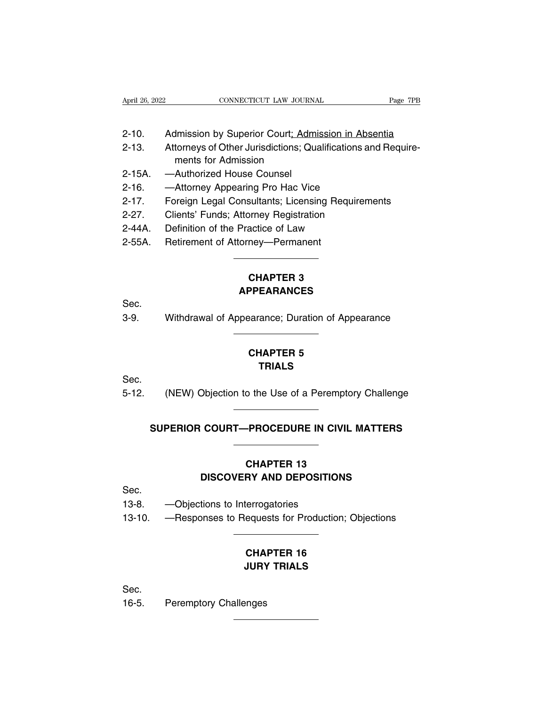| April 26, 2022 | CONNECTICUT LAW JOURNAL | Page 7PB |
|----------------|-------------------------|----------|

- 
- April 26, 2022<br>
2-10. Admission by Superior Court; Admission in Absentia<br>
2-13. Attorneys of Other Jurisdictions; Qualifications and Require-April 26, 2022<br>
2-10. Admission by Superior Court; Admission in Absentia<br>
2-13. Attorneys of Other Jurisdictions; Qualifications and Require-<br>
ments for Admission Admission by Superior Court; Admission in Absentia<br>Attorneys of Other Jurisdictions; Qualifications and Require-<br>ments for Admission<br>—Authorized House Counsel<br>—Attorney Appearing Pro Hac Vice 2-10. Admission by Superior Court: Admission 2-13. Attorneys of Other Jurisdictions; Q<br>2-13. Attorneys of Other Jurisdictions; Q<br>2-15A. —Authorized House Counsel<br>2-16. —Attorney Appearing Pro Hac Vie 2-10. Admission by Superior Court; Admission in Abs<br>2-13. Attorneys of Other Jurisdictions; Qualifications a<br>ments for Admission<br>2-15A. —Authorized House Counsel<br>2-16. —Attorney Appearing Pro Hac Vice<br>2-17. Foreign Legal C 2-10. Admission by Superior Court<u>; Admission in Absentia</u><br>2-13. Attorneys of Other Jurisdictions; Qualifications and Require-<br>ments for Admission<br>2-15A. —Authorized House Counsel<br>2-16. —Attorney Appearing Pro Hac Vice<br>2-1 2-13. Attorneys of Other Jurisdictions; Qualifications ar<br>
ments for Admission<br>
2-15A. —Authorized House Counsel<br>
2-16. —Attorney Appearing Pro Hac Vice<br>
2-17. Foreign Legal Consultants; Licensing Requirem<br>
2-27. Clients'
- 
- 
- ments for Admission<br>
2-15A. Authorized House Counsel<br>
2-16. Attorney Appearing Pro Hac Vice<br>
2-17. Foreign Legal Consultants; Licensing Requiren<br>
2-27. Clients' Funds; Attorney Registration<br>
2-44A. Definition 2-15A. — Authorized House Counsel<br>2-16. — Attorney Appearing Pro Hac Vice<br>2-17. Foreign Legal Consultants; Licensing Rec<br>2-27. Clients' Funds; Attorney Registration<br>2-44A. Definition of the Practice of Law<br>2-55A. Retiremen
- 
- 
- 

## Princy Registration<br>
actice of Law<br>
mey—Permanent<br> **CHAPTER 3<br>
PPEARANCES APPEARANCES**

### Sec.

CHAPTER 3<br>
Sec.<br>
3-9. Withdrawal of Appearance; Duration of Appearance

## PPEARANCES<br>
PPEARANCES<br>
earance; Duration of App<br> **CHAPTER 5<br>
TRIALS TRIALS**

Sec.

CHAPTER 5<br>
Sec.<br>
5-12. (NEW) Objection to the Use of a Peremptory Challenge TRIALS<br>
(NEW) Objection to the Use of a Peremptory Challenge<br>
SUPERIOR COURT—PROCEDURE IN CIVIL MATTERS

### **CHAPTER 13 COURT—PROCEDURE IN CIVIL MATTERS<br>
CHAPTER 13<br>
DISCOVERY AND DEPOSITIONS** CHAPTER 13<br>
DISCOVERY AND DEPOSITION<br>
Sec.<br>
13-8. —Objections to Interrogatories<br>
13-10. —Responses to Requests for Production CHAPTER 13<br>DISCOVERY AND DEPOSITIONS<br>13-8. — Objections to Interrogatories<br>13-10. — Responses to Requests for Production; Objections

- Sec.
- 
- 

## **CHAPTER 16**<br> **CHAPTER 16**<br> **CHAPTER 16**<br> **CHAPTER 16**<br> **CURY TRIALS The Sequests for Production; Obje <br>
<b>CHAPTER 16<br>
JURY TRIALS**

Sec.

CHA<br>
CHA<br>
JURY<br>
Sec.<br>
16-5. Peremptory Challenges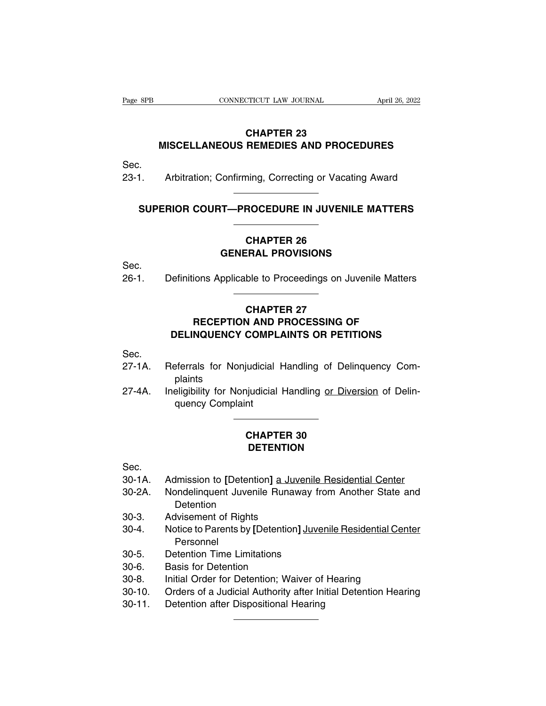### **CTICUT LAW JOURNAL<br>CHAPTER 23<br>REMEDIES AND PROCE MISCELLANEOUS REMEDIES AND PROCEDURES** CHAPTER 23<br>MISCELLANEOUS REMEDIES AND PROCEDURES<br>23-1. Arbitration; Confirming, Correcting or Vacating Award MISCELLANEOUS REMEDIES AND PROCEDURES<br>
Arbitration; Confirming, Correcting or Vacating Award<br>
SUPERIOR COURT—PROCEDURE IN JUVENILE MATTERS

Sec.

## 1. Arbitration; Confirming, Correcting or Vacating Award<br> **SUPERIOR COURT—PROCEDURE IN JUVENILE MATTERS<br>
CHAPTER 26<br>
GENERAL PROVISIONS**

# **CHAPTER 26**<br>
GENERAL PROVISIONS<br>
PRICEDURE IN JUVENILE MATT<br>
CHAPTER 26<br>
GENERAL PROVISIONS<br>
PRICEDIA to Proceedings on Juvenile M

Sec.

SUPERIOR COURT—PROCEDURE IN JUVENILE MATTERS<br>
CHAPTER 26<br>
GENERAL PROVISIONS<br>
26-1. Definitions Applicable to Proceedings on Juvenile Matters

### CHAPTER 26<br>ERAL PROVISIONS<br>ble to Proceedings on Ju<br>CHAPTER 27<br>V AND PROCESSING OI<br>COMPLAINTS OP PETIT **GENERAL PROVISIONS<br>
ions Applicable to Proceedings on Juvenile Matters<br>
CHAPTER 27<br>
RECEPTION AND PROCESSING OF<br>
NQUENCY COMPLAINTS OR PETITIONS DEFINITIONS Applicable to Proceedings on Juvenile Matters<br>
CHAPTER 27<br>
RECEPTION AND PROCESSING OF<br>
DELINQUENCY COMPLAINTS OR PETITIONS** CHAPTER 27<br>
RECEPTION AND PROCESSING OF<br>
DELINQUENCY COMPLAINTS OR PETITIONS<br>
Sec.<br>
27-1A. Referrals for Nonjudicial Handling of Delinquency Com-<br>
plaints

Sec.

- plaints
- RECEPTION AND PROCESSING OF<br>DELINQUENCY COMPLAINTS OR PETITIONS<br>Sec.<br>27-1A. Referrals for Nonjudicial Handling of Delinquency Com-<br>plaints<br>27-4A. Ineligibility for Nonjudicial Handling <u>or Diversion</u> of Delin-<br>quency Compl **DELINQUENCY COMPL<br>
Experiency for Nonjudicial<br>
plaints<br>
eligibility for Nonjudicial<br>
quency Complaint<br>
Allergy Complaint pudicial Handling of Delinople 1**<br> **CHAPTER 30**<br> **CHAPTER 30**<br> **CHAPTER 30**

### **DETENTION**

Sec.

- 
- **CHAPTER 30<br>
<b>CHAPTER 30**<br> **Sec.**<br>
30-1A. Admission to [Detention] <u>a Juvenile Residential Center</u><br>
30-2A. Nondelinquent Juvenile Runaway from Another State and<br>
Detention **CHAPTER 30<br>
DETENTION<br>
30-1A.** Admission to [Detention] <u>a Juvenile Residential Center</u><br>
30-2A. Nondelinquent Juvenile Runaway from Another State and<br>
Detention<br>
20.3 Advisement of Piebts **Detention DETENTION**<br>
Sec.<br>
30-1A. Admission to [Detention] a Juve<br>
30-2A. Nondelinquent Juvenile Runaw<br>
Detention<br>
30-3. Advisement of Rights<br>
30-4. Notice to Parents by [Detention]
- 
- Sec.<br>
30-1A. Admission to [Detention] <u>a Juvenile Residential Center</u><br>
30-2A. Nondelinquent Juvenile Runaway from Another State and<br>
Detention<br>
30-3. Advisement of Rights<br>
30-4. Notice to Parents by [Detention] Juvenile Re Personnel 30-2A. Mondelinquent Juvenile Runaway fro<br>30-2A. Nondelinquent Juvenile Runaway fro<br>30-3. Advisement of Rights<br>30-4. Notice to Parents by [Detention] Juver<br>Personnel<br>30-5. Detention Time Limitations<br>30-6. Basis for Detenti Detention<br>
Detention<br>
30-3. Advisement of Rights<br>
30-4. Notice to Parents by [Detention<br>
Personnel<br>
30-5. Detention Time Limitations<br>
30-6. Basis for Detention<br>
30-8. Initial Order for Detention; Wai<br>
30-10. Orders of a Ju 30-3. Advisement of Rights<br>
30-4. Notice to Parents by [Detention] Juvenile Residential Cent<br>
Personnel<br>
30-5. Detention Time Limitations<br>
30-6. Basis for Detention<br>
30-8. Initial Order for Detention; Waiver of Hearing<br>
30 30-4. Notice to Parents by [Detention] Juvenile Residential Center<br>
Personnel<br>
30-5. Detention Time Limitations<br>
30-6. Basis for Detention<br>
30-8. Initial Order for Detention; Waiver of Hearing<br>
30-10. Orders of a Judicial 30-5. Personnel<br>
20-5. Detention Time Limitations<br>
30-6. Basis for Detention<br>
30-8. Initial Order for Detention; Waiver of<br>
30-10. Orders of a Judicial Authority after Initial Orders of a Judicial Authority after Initial O
- 
- 
- 
- 
-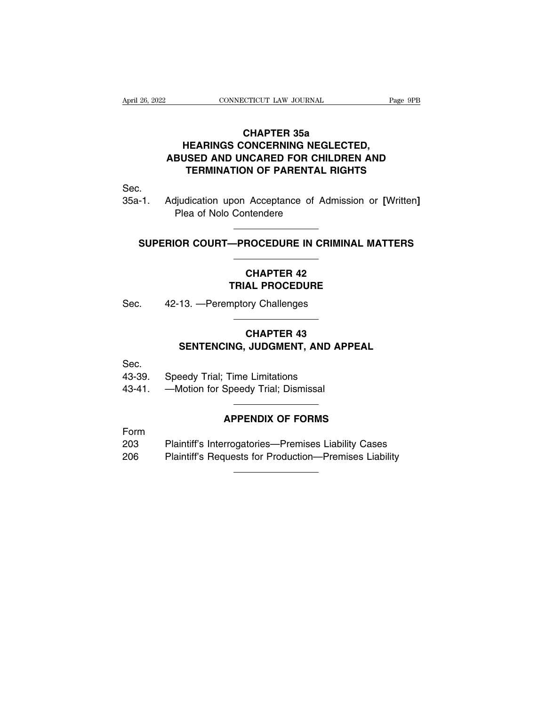### **CONNECTICUT LAW JOURNAL**<br>CHAPTER 35a<br>HEARINGS CONCERNING NEGLECTED,<br>ABUSED AND UNCARED FOR CHILDREN AND **EXAMPLE CONNECTICUT LAW JOURNAL**<br> **CHAPTER 35a<br>
HEARINGS CONCERNING NEGLECTED,<br>
JSED AND UNCARED FOR CHILDREN AND<br>
TEPMINATION OF PAPENTAL PIGHTS CONNECTICUT LAW JOURNAL** Page 9PB<br> **CHAPTER 35a<br>
HEARINGS CONCERNING NEGLECTED,<br>
ABUSED AND UNCARED FOR CHILDREN AND<br>
TERMINATION OF PARENTAL RIGHTS TEAM CONNECTICUT LAW JOURNAL** Page 9PB<br> **TEARINGS CONCERNING NEGLECTED,**<br> **TEARINGS CONCERNING NEGLECTED,**<br>
SED AND UNCARED FOR CHILDREN AND<br>
TERMINATION OF PARENTAL RIGHTS CHAPTER 35a<br>HEARINGS CONCERNING NEGLECTED,<br>ABUSED AND UNCARED FOR CHILDREN AND<br>TERMINATION OF PARENTAL RIGHTS<br>Sec.<br>Adjudication upon Acceptance of Admission or [Written]<br>Plea of Nolo Contendere

Sec.

TERMINATION OF PARENTAL RIGHTS<br>
Plea of Nolo Contendere<br>
SUPERIOR COURT—PROCEDURE IN CRIMINAL MATTERS FEHIMINATION OF PARENTAL RIGHTS<br>-1. Adjudication upon Acceptance of Admission or [Written]<br>Plea of Nolo Contendere<br>SUPERIOR COURT—PROCEDURE IN CRIMINAL MATTERS

### Acceptance of Admission<br>
Intendere<br> **CHAPTER 42<br>
CHAPTER 42<br>
AL PROCEDURE TRIAL PROCEDURE** SUPERIOR COURT—PROCEDURE IN CRIMINA<br>
CHAPTER 42<br>
TRIAL PROCEDURE<br>
Sec. 42-13. —Peremptory Challenges

### CHAPTER 42<br>
TRIAL PROCEDURE<br>
42-13. —Peremptory Challenges<br>
CHAPTER 43<br>
SENTENCING, JUDGMENT, AND APPEAL **SENTENCING TRIAL PROCEDURE<br>
SENTENCING, JUDGMENT, AND APPEAL** Gec. 42-13. — Feremptory Challenges<br>
CHAPTER 43<br>
SENTENCING, JUDGMENT, AND A<br>
Sec. 43-39. Speedy Trial; Time Limitations<br>
43-41. — Motion for Speedy Trial; Dismissal CHAPTER 43<br>
SENTENCING, JUDGMENT, AND AF<br>
Sec.<br>
43-39. Speedy Trial; Time Limitations<br>
43-41. —Motion for Speedy Trial; Dismissal

Sec.

# Time Limitations<br>
Speedy Trial; Dismissal<br> **APPENDIX OF FORMS**<br> **APPENDIX OF FORMS**

Form

203 Speedy Trial; Time Limitations<br>
203 Plaintiff's Interrogatories—Premises Liability Cases<br>
206 Plaintiff's Requests for Production—Premises Liability<br>
206 Plaintiff's Requests for Production—Premises Liability 206 Plaintiff's Requests for Production—Premises Liability<br>
206 Plaintiff's Requests for Production—Premises Liability<br>
206 Plaintiff's Requests for Production—Premises Liability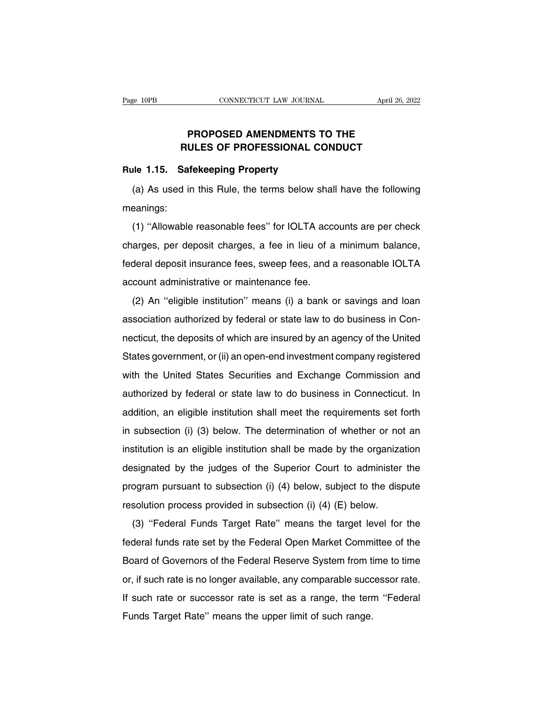## **PROPOSED AMENDMENTS TO THE<br>
ULES OF PROFESSIONAL CONDUCT EXAMPLE CONNECTICUT LAW JOURNAL** April 26, 202<br> **PROPOSED AMENDMENTS TO THE<br>
RULES OF PROFESSIONAL CONDUCT**<br>
Safekeeping Property Page 10PB<br> **RULES OF PROFESSIONAL CO**<br> **RULES OF PROFESSIONAL CO**<br> **RULES OF PROFESSIONAL CO**<br> **Rule 1.15. Safekeeping Property**<br>
(a) As used in this Rule, the terms below sh

PROPOSED AMENDMENTS TO THE<br>
RULES OF PROFESSIONAL CONDUCT<br>
Ile 1.15. Safekeeping Property<br>
(a) As used in this Rule, the terms below shall have the following<br>
eanings: meanings:

Ile 1.15. Safekeeping Property<br>(a) As used in this Rule, the terms below shall have the following<br>eanings:<br>(1) "Allowable reasonable fees" for IOLTA accounts are per check<br>arges, per deposit charges, a fee in lieu of a min (a) As used in this Rule, the terms below shall have the following<br>meanings:<br>(1) "Allowable reasonable fees" for IOLTA accounts are per check<br>charges, per deposit charges, a fee in lieu of a minimum balance,<br>federal deposi (a) As ascalin ans hate, the terms below shall have the following<br>meanings:<br>(1) "Allowable reasonable fees" for IOLTA accounts are per check<br>charges, per deposit charges, a fee in lieu of a minimum balance,<br>federal deposit (1) "Allowable reasonable fees" for IOLTA accordarges, per deposit charges, a fee in lieu of a federal deposit insurance fees, sweep fees, and a account administrative or maintenance fee.<br>(2) An "eligible institution" mean (1) Anowable reasonable recs for iOETM accounts are per cricial<br>arges, per deposit charges, a fee in lieu of a minimum balance,<br>deral deposit insurance fees, sweep fees, and a reasonable IOLTA<br>count administrative or maint

Federal deposit insurance fees, sweep fees, and a reasonable IOLTA<br>account administrative or maintenance fee.<br>(2) An "eligible institution" means (i) a bank or savings and loan<br>association authorized by federal or state la nection deposit insurance reces, sweep reces, and a reasonable recent administrative or maintenance fee.<br>
(2) An "eligible institution" means (i) a bank or savings and loan<br>
association authorized by federal or state law t (2) An "eligible institution" means (i) a bank or savings and loan<br>association authorized by federal or state law to do business in Con-<br>necticut, the deposits of which are insured by an agency of the United<br>States governm association authorized by federal or state law to do business in Connecticut, the deposits of which are insured by an agency of the United States government, or (ii) an open-end investment company registered with the Unit authorized by federal or state law to do business in Connecticut, the deposits of which are insured by an agency of the United<br>States government, or (ii) an open-end investment company registered<br>with the United States Sec States government, or (ii) an open-end investment company registered<br>with the United States Securities and Exchange Commission and<br>authorized by federal or state law to do business in Connecticut. In<br>addition, an eligible with the United States Securities and Exchange Commission and<br>authorized by federal or state law to do business in Connecticut. In<br>addition, an eligible institution shall meet the requirements set forth<br>in subsection (i) ( authorized by federal or state law to do business in Connecticut. In addition, an eligible institution shall meet the requirements set forth in subsection (i) (3) below. The determination of whether or not an institution i addition, an eligible institution shall meet the requirements set forth<br>in subsection (i) (3) below. The determination of whether or not an<br>institution is an eligible institution shall be made by the organization<br>designate in subsection (i) (3) below. The determination of whether or not an institution is an eligible institution shall be made by the organization designated by the judges of the Superior Court to administer the program pursuan in subsection (i) (b) below. The determination of whether of no<br>institution is an eligible institution shall be made by the organiza<br>designated by the judges of the Superior Court to administer<br>program pursuant to subsecti Signated by the judges of the Superior Court to administer the<br>ogram pursuant to subsection (i) (4) below, subject to the dispute<br>solution process provided in subsection (i) (4) (E) below.<br>(3) "Federal Funds Target Rate" m

program pursuant to subsection (i) (4) below, subject to the dispute<br>resolution process provided in subsection (i) (4) (E) below.<br>(3) "Federal Funds Target Rate" means the target level for the<br>federal funds rate set by the resolution process provided in subsection (i) (4) (E) below.<br>
(3) "Federal Funds Target Rate" means the target level for the<br>
federal funds rate set by the Federal Open Market Committee of the<br>
Board of Governors of the F (3) "Federal Funds Target Rate" means the target level for the federal funds rate set by the Federal Open Market Committee of the Board of Governors of the Federal Reserve System from time to time or, if such rate is no l If such a ranger rate incaris are targer fore the tederal funds rate set by the Federal Open Market Committee of the Board of Governors of the Federal Reserve System from time to time or, if such rate is no longer availabl Board of Governors of the Federal Reserve System from tior, if such rate is no longer available, any comparable success If such rate or successor rate is set as a range, the terr Funds Target Rate" means the upper limit of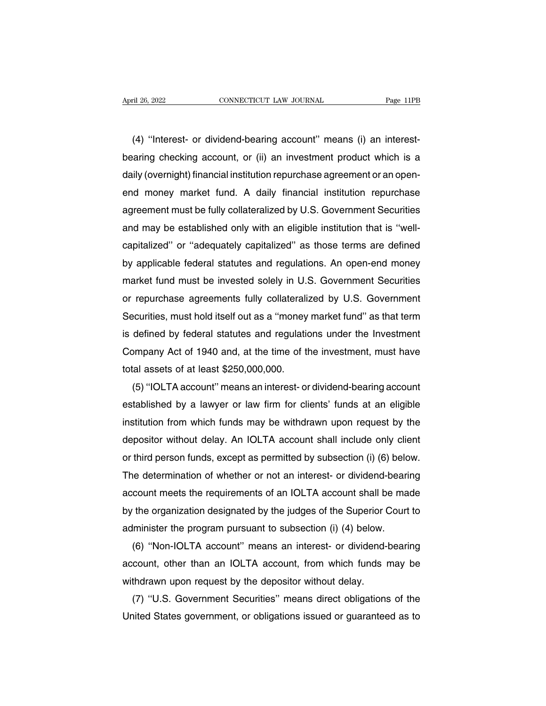(4) "Interest- or dividend-bearing account" means (i) an interest-<br>aring checking account, or (ii) an investment product which is a April 26, 2022 CONNECTICUT LAW JOURNAL Page 11PB<br>
(4) "Interest- or dividend-bearing account" means (i) an interest-<br>
bearing checking account, or (ii) an investment product which is a<br>
daily (overnight) financial institut data interest the contract of the contract of the contract of the contract of the contract of the contract bearing checking account, or (ii) an investment product which is a daily (overnight) financial institution repurcha (4) "Interest- or dividend-bearing account" means (i) an interest-<br>bearing checking account, or (ii) an investment product which is a<br>daily (overnight) financial institution repurchase agreement or an open-<br>end money marke (4) "Interest- or dividend-bearing account" means (i) an interest-<br>bearing checking account, or (ii) an investment product which is a<br>daily (overnight) financial institution repurchase agreement or an open-<br>end money marke bearing checking account, or (ii) an investment product which is a<br>daily (overnight) financial institution repurchase agreement or an open-<br>end money market fund. A daily financial institution repurchase<br>agreement must be daily (overnight) financial institution repurchase agreement or an open-<br>end money market fund. A daily financial institution repurchase<br>agreement must be fully collateralized by U.S. Government Securities<br>and may be estab end money market tund. A daily tinancial institution repurchase<br>agreement must be fully collateralized by U.S. Government Securities<br>and may be established only with an eligible institution that is "well-<br>capitalized" or " agreement must be tully collateralized by U.S. Government Securities<br>and may be established only with an eligible institution that is "well-<br>capitalized" or "adequately capitalized" as those terms are defined<br>by applicable and may be established only with an eligible institution that is "well-<br>capitalized" or "adequately capitalized" as those terms are defined<br>by applicable federal statutes and regulations. An open-end money<br>market fund must capitalized" or "adequately capitalized" as those terms are detined<br>by applicable federal statutes and regulations. An open-end money<br>market fund must be invested solely in U.S. Government Securities<br>or repurchase agreemen by applicable rederal statutes and regulations. An open-end money<br>market fund must be invested solely in U.S. Government Securities<br>or repurchase agreements fully collateralized by U.S. Government<br>Securities, must hold its market rund must be invested solely in U.S. Government Securities<br>or repurchase agreements fully collateralized by U.S. Government<br>Securities, must hold itself out as a "money market fund" as that term<br>is defined by federa or repurchase agreements tully collaterall:<br>Securities, must hold itself out as a "money<br>is defined by federal statutes and regulatio<br>Company Act of 1940 and, at the time of tl<br>total assets of at least \$250,000,000.<br>(5) "I ecurities, must hold itself out as a "money market fund" as that term<br>defined by federal statutes and regulations under the Investment<br>ompany Act of 1940 and, at the time of the investment, must have<br>tal assets of at least

is defined by federal statutes and regulations under the Investment<br>Company Act of 1940 and, at the time of the investment, must have<br>total assets of at least \$250,000,000.<br>(5) "IOLTA account" means an interest- or dividen Company Act of 1940 and, at the time of the investment, must have<br>total assets of at least \$250,000,000.<br>(5) "IOLTA account" means an interest- or dividend-bearing account<br>established by a lawyer or law firm for clients' f total assets of at least \$250,000,000.<br>
(5) "IOLTA account" means an interest- or dividend-bearing account<br>
established by a lawyer or law firm for clients' funds at an eligible<br>
institution from which funds may be withdra (5) "IOLTA account" means an interest- or dividend-bearing account<br>established by a lawyer or law firm for clients' funds at an eligible<br>institution from which funds may be withdrawn upon request by the<br>depositor without d established by a lawyer or law firm for clients' funds at an eligible<br>institution from which funds may be withdrawn upon request by the<br>depositor without delay. An IOLTA account shall include only client<br>or third person fu institution from which funds may be withdrawn upon request by the<br>depositor without delay. An IOLTA account shall include only client<br>or third person funds, except as permitted by subsection (i) (6) below.<br>The determinatio depositor without delay. An IOLTA account shall include only client<br>or third person funds, except as permitted by subsection (i) (6) below.<br>The determination of whether or not an interest- or dividend-bearing<br>account meets or third person tunds, except as permitted by subsection (i) (6) belo<br>The determination of whether or not an interest- or dividend-beari<br>account meets the requirements of an IOLTA account shall be ma<br>by the organization de ie determination of whether or not an interest- or dividend-bearing<br>
count meets the requirements of an IOLTA account shall be made<br>
the organization designated by the judges of the Superior Court to<br>
lminister the program

account meets the requirements of an IOLTA account shall be made<br>by the organization designated by the judges of the Superior Court to<br>administer the program pursuant to subsection (i) (4) below.<br>(6) "Non-IOLTA account" me by the organization designated by the judges of the Superior C<br>administer the program pursuant to subsection (i) (4) below.<br>(6) "Non-IOLTA account" means an interest- or dividend-<br>account, other than an IOLTA account, from Iminister the program pursuant to subsection (i) (4) below.<br>(6) "Non-IOLTA account" means an interest- or dividend-bearing<br>count, other than an IOLTA account, from which funds may be<br>thdrawn upon request by the depositor w (6) "Non-IOLTA account" means an interest- or dividend-bearing<br>account, other than an IOLTA account, from which funds may be<br>withdrawn upon request by the depositor without delay.<br>(7) "U.S. Government Securities" means dir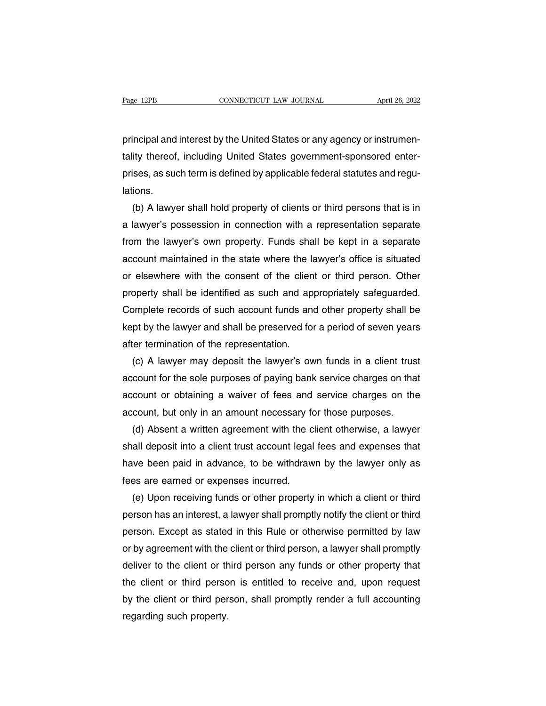Page 12PB CONNECTICUT LAW JOURNAL April 26, 2022<br>principal and interest by the United States or any agency or instrumen-<br>tality thereof, including United States government-sponsored enter-Trage 12PB<br>
Transform the CONNECTICUT LAW JOURNAL April 26, 2022<br>
principal and interest by the United States or any agency or instrumentality<br>
thereof, including United States government-sponsored enter-<br>
prises, as such principal and interest by the United States or any agency or instrumentality thereof, including United States government-sponsored enterprises, as such term is defined by applicable federal statutes and regu-<br>lations. lations. incipal and interest by the United States or any agency or instrumen-<br>ity thereof, including United States government-sponsored enter-<br>ises, as such term is defined by applicable federal statutes and regu-<br>ions.<br>(b) A lawy

tality thereof, including United States government-sponsored enter-<br>prises, as such term is defined by applicable federal statutes and regu-<br>lations.<br>(b) A lawyer shall hold property of clients or third persons that is in<br> prises, as such term is defined by applicable federal statutes and regulations.<br>
(b) A lawyer shall hold property of clients or third persons that is in<br>
a lawyer's possession in connection with a representation separate<br> lations.<br>
(b) A lawyer shall hold property of clients or third persons that is in<br>
a lawyer's possession in connection with a representation separate<br>
from the lawyer's own property. Funds shall be kept in a separate<br>
acco (b) A lawyer shall hold property of clients or third persons that is in<br>a lawyer's possession in connection with a representation separate<br>from the lawyer's own property. Funds shall be kept in a separate<br>account maintaine a lawyer's possession in connection with a representation separate<br>from the lawyer's own property. Funds shall be kept in a separate<br>account maintained in the state where the lawyer's office is situated<br>or elsewhere with t from the lawyer's own property. Funds shall be kept in a separate<br>account maintained in the state where the lawyer's office is situated<br>or elsewhere with the consent of the client or third person. Other<br>property shall be i account maintained in the state where the lawyer's office is situated<br>or elsewhere with the consent of the client or third person. Other<br>property shall be identified as such and appropriately safeguarded.<br>Complete records or elsewhere with the consent of the clien<br>property shall be identified as such and ap<br>Complete records of such account funds and<br>kept by the lawyer and shall be preserved for<br>after termination of the representation.<br>(c) A operty shall be identified as such and appropriately safeguarded.<br>
Sumplete records of such account funds and other property shall be<br>
pt by the lawyer and shall be preserved for a period of seven years<br>
ter termination of

Complete records of such account funds and other property shall be<br>kept by the lawyer and shall be preserved for a period of seven years<br>after termination of the representation.<br>(c) A lawyer may deposit the lawyer's own fu kept by the lawyer and shall be preserved for a period of seven years<br>after termination of the representation.<br>(c) A lawyer may deposit the lawyer's own funds in a client trust<br>account for the sole purposes of paying bank after termination of the representation.<br>
(c) A lawyer may deposit the lawyer's own funds in a client trus<br>
account for the sole purposes of paying bank service charges on tha<br>
account or obtaining a waiver of fees and ser (c) A lawyer may deposit the lawyer's own funds in a client trust<br>count for the sole purposes of paying bank service charges on that<br>count or obtaining a waiver of fees and service charges on the<br>count, but only in an amou

account for the sole purposes of paying bank service charges on that<br>account or obtaining a waiver of fees and service charges on the<br>account, but only in an amount necessary for those purposes.<br>(d) Absent a written agreem account or obtaining a waiver of fees and service charges on the<br>account, but only in an amount necessary for those purposes.<br>(d) Absent a written agreement with the client otherwise, a lawyer<br>shall deposit into a client t account, but only in an amount necessary fo<br>
(d) Absent a written agreement with the c<br>
shall deposit into a client trust account legal<br>
have been paid in advance, to be withdraw<br>
fees are earned or expenses incurred.<br>
(e) (d) Absent a written agreement with the client otherwise, a lawyer<br>all deposit into a client trust account legal fees and expenses that<br>we been paid in advance, to be withdrawn by the lawyer only as<br>sa are earned or expens

shall deposit into a client trust account legal fees and expenses that<br>have been paid in advance, to be withdrawn by the lawyer only as<br>fees are earned or expenses incurred.<br>(e) Upon receiving funds or other property in wh have been paid in advance, to be withdrawn by the lawyer only as<br>fees are earned or expenses incurred.<br>(e) Upon receiving funds or other property in which a client or third<br>person has an interest, a lawyer shall promptly n fees are earned or expenses incurred.<br>
(e) Upon receiving funds or other property in which a client or third<br>
person has an interest, a lawyer shall promptly notify the client or third<br>
person. Except as stated in this Rul (e) Upon receiving funds or other property in which a client or third<br>person has an interest, a lawyer shall promptly notify the client or third<br>person. Except as stated in this Rule or otherwise permitted by law<br>or by agr person has an interest, a lawyer shall promptly notify the client or third<br>person. Except as stated in this Rule or otherwise permitted by law<br>or by agreement with the client or third person, a lawyer shall promptly<br>delive person. Except as stated in this Rule or otherwise permitted by law<br>or by agreement with the client or third person, a lawyer shall promptly<br>deliver to the client or third person any funds or other property that<br>the client or by agreement with the client or third person, a lawyer shall promptly deliver to the client or third person any funds or other property that the client or third person is entitled to receive and, upon request by the cli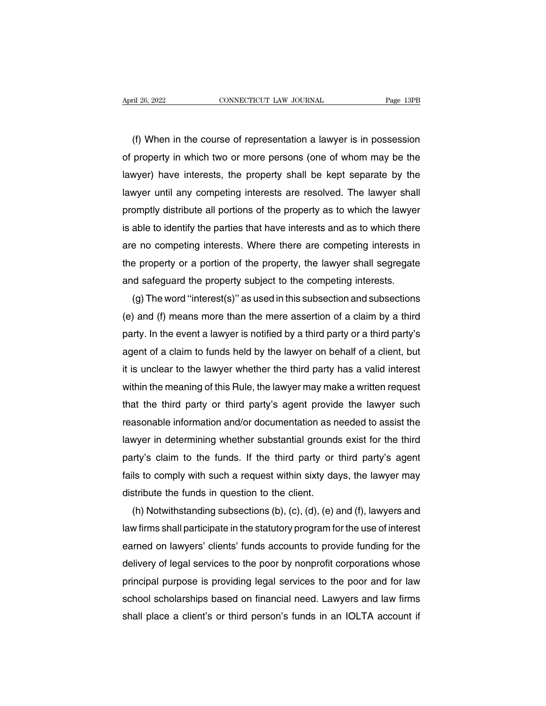(f) When in the course of representation a lawyer is in possession<br>property in which two or more persons (one of whom may be the April 26, 2022 CONNECTICUT LAW JOURNAL Page 13PB<br>
(f) When in the course of representation a lawyer is in possession<br>
of property in which two or more persons (one of whom may be the<br>
lawyer) have interests, the property s (f) When in the course of representation a lawyer is in possession<br>of property in which two or more persons (one of whom may be the<br>lawyer) have interests, the property shall be kept separate by the<br>lawyer until any compet (f) When in the course of representation a lawyer is in possession<br>of property in which two or more persons (one of whom may be the<br>lawyer) have interests, the property shall be kept separate by the<br>lawyer until any compet (r) When in the course of representation a lawyer is in possession<br>of property in which two or more persons (one of whom may be the<br>lawyer) have interests, the property shall be kept separate by the<br>lawyer until any compet of property in which two or more persons (one of whom may be the<br>lawyer) have interests, the property shall be kept separate by the<br>lawyer until any competing interests are resolved. The lawyer shall<br>promptly distribute al lawyer) have interests, the property shall be kept separate by the<br>lawyer until any competing interests are resolved. The lawyer shall<br>promptly distribute all portions of the property as to which the lawyer<br>is able to iden lawyer until any competing interests are resolved. The lawyer shall<br>promptly distribute all portions of the property as to which the lawyer<br>is able to identify the parties that have interests and as to which there<br>are no c promptly distribute all portions of the property as to which the lawyer<br>is able to identify the parties that have interests and as to which there<br>are no competing interests. Where there are competing interests in<br>the prope able to identity the parties that have interests and as to which there<br>e no competing interests. Where there are competing interests in<br>e property or a portion of the property, the lawyer shall segregate<br>id safeguard the p

are no competing interests. Where there are competing interests in<br>the property or a portion of the property, the lawyer shall segregate<br>and safeguard the property subject to the competing interests.<br>(g) The word "interest the property or a portion of the property, the lawyer shall segregate<br>and safeguard the property subject to the competing interests.<br>(g) The word "interest(s)" as used in this subsection and subsections<br>(e) and (f) means m and sateguard the property subject to the competing interests.<br>
(g) The word "interest(s)" as used in this subsection and subsections<br>
(e) and (f) means more than the mere assertion of a claim by a third<br>
party. In the eve (g) The word "interest(s)" as used in this subsection and subsections<br>(e) and (f) means more than the mere assertion of a claim by a third<br>party. In the event a lawyer is notified by a third party or a third party's<br>agent (e) and (f) means more than the mere assertion of a claim by a third<br>party. In the event a lawyer is notified by a third party or a third party's<br>agent of a claim to funds held by the lawyer on behalf of a client, but<br>it i party. In the event a lawyer is notitied by a third party or a third party's<br>agent of a claim to funds held by the lawyer on behalf of a client, but<br>it is unclear to the lawyer whether the third party has a valid interest<br> agent of a claim to tunds held by the lawyer on behalf of a client, but<br>it is unclear to the lawyer whether the third party has a valid interest<br>within the meaning of this Rule, the lawyer may make a written request<br>that t it is unclear to the lawyer whether the third party has a valid interest<br>within the meaning of this Rule, the lawyer may make a written request<br>that the third party or third party's agent provide the lawyer such<br>reasonable within the meaning of this Rule, the lawyer may make a written request<br>that the third party or third party's agent provide the lawyer such<br>reasonable information and/or documentation as needed to assist the<br>lawyer in deter that the third party or third party's agent provide the lawyer such<br>reasonable information and/or documentation as needed to assist the<br>lawyer in determining whether substantial grounds exist for the third<br>party's claim to reasonable information and/or documentation as n<br>lawyer in determining whether substantial ground<br>party's claim to the funds. If the third party or<br>fails to comply with such a request within sixty da<br>distribute the funds i wyer in determining whether substantial grounds exist for the third<br>irty's claim to the funds. If the third party or third party's agent<br>Is to comply with such a request within sixty days, the lawyer may<br>stribute the funds

party's claim to the tunds. If the third party or third party's agent<br>fails to comply with such a request within sixty days, the lawyer may<br>distribute the funds in question to the client.<br>(h) Notwithstanding subsections (b talls to comply with such a request within sixty days, the lawyer may<br>distribute the funds in question to the client.<br>(h) Notwithstanding subsections (b), (c), (d), (e) and (f), lawyers and<br>law firms shall participate in t distribute the tunds in question to the client.<br>
(h) Notwithstanding subsections (b), (c), (d), (e) and (f), lawyers and<br>
law firms shall participate in the statutory program for the use of interest<br>
earned on lawyers' cli (h) Notwithstanding subsections (b), (c), (d), (e) and (f), lawyers and<br>law firms shall participate in the statutory program for the use of interest<br>earned on lawyers' clients' funds accounts to provide funding for the<br>de law tirms shall participate in the statutory program for the use of interest<br>earned on lawyers' clients' funds accounts to provide funding for the<br>delivery of legal services to the poor by nonprofit corporations whose<br>prin earned on lawyers' clients' funds accounts to provide funding for the delivery of legal services to the poor by nonprofit corporations whose principal purpose is providing legal services to the poor and for law school scho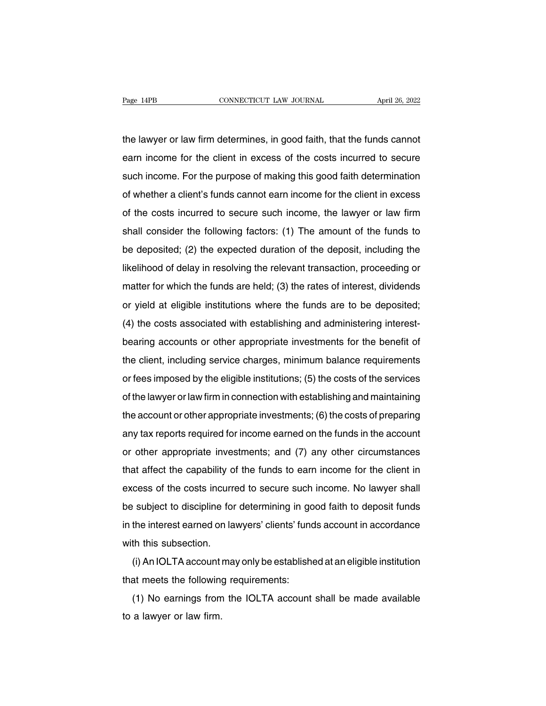Page 14PB<br>
CONNECTICUT LAW JOURNAL<br>
the lawyer or law firm determines, in good faith, that the funds cannot<br>
earn income for the client in excess of the costs incurred to secure Page 14PB CONNECTICUT LAW JOURNAL April 26, 2022<br>the lawyer or law firm determines, in good faith, that the funds cannot<br>earn income for the client in excess of the costs incurred to secure<br>such income. For the purpose of the lawyer or law firm determines, in good faith, that the funds cannot<br>earn income for the client in excess of the costs incurred to secure<br>such income. For the purpose of making this good faith determination<br>of whether a the lawyer or law firm determines, in good faith, that the funds cannot<br>earn income for the client in excess of the costs incurred to secure<br>such income. For the purpose of making this good faith determination<br>of whether a earn income for the client in excess of the costs incurred to secure<br>such income. For the purpose of making this good faith determination<br>of whether a client's funds cannot earn income for the client in excess<br>of the costs such income for the cherit in excess of the costs incurred to secure<br>such income. For the purpose of making this good faith determination<br>of whether a client's funds cannot earn income for the client in excess<br>of the costs be dependence of the costs incurred to secure such income for the client in excess<br>of the costs incurred to secure such income, the lawyer or law firm<br>shall consider the following factors: (1) The amount of the funds to<br>be of the costs incurred to secure such income, the lawyer or law firm<br>shall consider the following factors: (1) The amount of the funds to<br>be deposited; (2) the expected duration of the deposit, including the<br>likelihood of d of the costs incurred to secure such income, the lawyer of law limit<br>shall consider the following factors: (1) The amount of the funds to<br>be deposited; (2) the expected duration of the deposit, including the<br>likelihood of Shall consider the following factors. (1) The amount of the funds to<br>be deposited; (2) the expected duration of the deposit, including the<br>likelihood of delay in resolving the relevant transaction, proceeding or<br>matter for dikelihood of delay in resolving the relevant transaction, proceeding or<br>dikelihood of delay in resolving the relevant transaction, proceeding or<br>matter for which the funds are held; (3) the rates of interest, dividends<br>o methrood of delay in resolving the relevant transaction, proceeding or<br>matter for which the funds are held; (3) the rates of interest, dividends<br>or yield at eligible institutions where the funds are to be deposited;<br>(4) th that the client intertunity are netal, (b) the rates of interest, dividents<br>or yield at eligible institutions where the funds are to be deposited;<br>(4) the costs associated with establishing and administering interest-<br>bear or yield at eligible institutions where the funds are to be deposited,<br>(4) the costs associated with establishing and administering interest-<br>bearing accounts or other appropriate investments for the benefit of<br>the client, (+) the costs associated with establishing and administently interest-<br>bearing accounts or other appropriate investments for the benefit of<br>the client, including service charges, minimum balance requirements<br>or fees impose the client, including service charges, minimum balance requirements<br>or fees imposed by the eligible institutions; (5) the costs of the services<br>of the lawyer or law firm in connection with establishing and maintaining<br>the any tax reports required for income earned on the funds in the account or other appropriate investments; (6) the costs of preparing any tax reports required for income earned on the funds in the account or other appropriat or rees imposed by the engible institutions, (3) the costs or the services<br>of the lawyer or law firm in connection with establishing and maintaining<br>the account or other appropriate investments; (6) the costs of preparing<br> the account or other appropriate investments; (6) the costs of preparing<br>any tax reports required for income earned on the funds in the account<br>or other appropriate investments; and (7) any other circumstances<br>that affect any tax reports required for income earned on the funds in the account<br>or other appropriate investments; and (7) any other circumstances<br>that affect the capability of the funds to earn income for the client in<br>excess of th be subject to discipline investments; and (7) any other circumstances<br>that affect the capability of the funds to earn income for the client in<br>excess of the costs incurred to secure such income. No lawyer shall<br>be subject In the impropriate investments, and (7) any other chedinstances<br>that affect the capability of the funds to earn income for the client in<br>excess of the costs incurred to secure such income. No lawyer shall<br>be subject to dis excess of the costs incurre<br>be subject to discipline for<br>in the interest earned on la<br>with this subsection.<br>(i) An IOLTA account ma (i) An IOLTA account may only be established at an eligible institution<br>at meets the following requirements:<br>i) An IOLTA account may only be established at an eligible institution<br>at meets the following requirements: that meets that meets the following requirements:<br>
that meets the following requirements:<br>
(a) No earnings from the IOLTA account<br>
(b) No earnings from the IOLTA account

(i) An IOLTA account may only be established at an eligible institution<br>at meets the following requirements:<br>(1) No earnings from the IOLTA account shall be made available<br>a lawyer or law firm. with this subsection.<br>
(i) An IOLTA account<br>
that meets the following<br>
(1) No earnings from<br>
to a lawyer or law firm.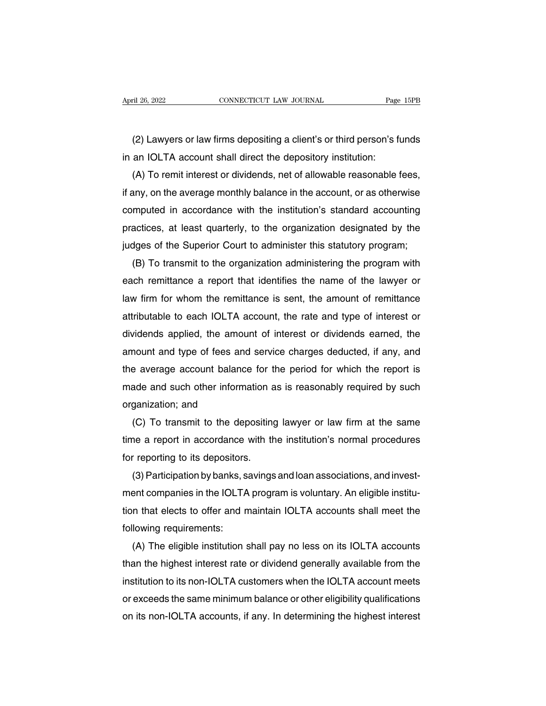(2) Lawyers or law firms depositing a client's or third person's funds<br>an IOLTA account shall direct the depository institution: April 26, 2022<br>
CONNECTICUT LAW JOURNAL<br>
(2) Lawyers or law firms depositing a client's or third person's fi<br>
in an IOLTA account shall direct the depository institution:<br>
(A) To remit interest or dividends, net of allowab

(2) Lawyers or law firms depositing a client's or third person's funds<br>an IOLTA account shall direct the depository institution:<br>(A) To remit interest or dividends, net of allowable reasonable fees,<br>any, on the average mon (2) Lawyers or law firms depositing a client's or third person's funds<br>in an IOLTA account shall direct the depository institution:<br>(A) To remit interest or dividends, net of allowable reasonable fees,<br>if any, on the avera (2) Lawyers or law firms depositing a client's or third person's funds<br>in an IOLTA account shall direct the depository institution:<br>(A) To remit interest or dividends, net of allowable reasonable fees,<br>if any, on the avera in an IOLTA account shall direct the depository institution:<br>
(A) To remit interest or dividends, net of allowable reasonable fees,<br>
if any, on the average monthly balance in the account, or as otherwise<br>
computed in accor (A) To remit interest or dividends, net of allowable reasonable tees,<br>if any, on the average monthly balance in the account, or as otherwise<br>computed in accordance with the institution's standard accounting<br>practices, at l any, on the average monthly balance in the account, or as otherwise<br>mputed in accordance with the institution's standard accounting<br>actices, at least quarterly, to the organization designated by the<br>dges of the Superior Co

computed in accordance with the institution's standard accounting<br>practices, at least quarterly, to the organization designated by the<br>judges of the Superior Court to administer this statutory program;<br>(B) To transmit to t practices, at least quarterly, to the organization designated by the<br>judges of the Superior Court to administer this statutory program;<br>(B) To transmit to the organization administering the program with<br>each remittance a r judges of the Superior Court to administer this statutory program;<br>
(B) To transmit to the organization administering the program with<br>
each remittance a report that identifies the name of the lawyer or<br>
law firm for whom (B) To transmit to the organization administering the program with<br>each remittance a report that identifies the name of the lawyer or<br>law firm for whom the remittance is sent, the amount of remittance<br>attributable to each each remittance a report that identifies the name of the lawyer or<br>law firm for whom the remittance is sent, the amount of remittance<br>attributable to each IOLTA account, the rate and type of interest or<br>dividends applied, law firm for whom the remittance is sent, the amount of remittance<br>attributable to each IOLTA account, the rate and type of interest or<br>dividends applied, the amount of interest or dividends earned, the<br>amount and type of attributable to each IOLTA account, the rate and type of interest or<br>dividends applied, the amount of interest or dividends earned, the<br>amount and type of fees and service charges deducted, if any, and<br>the average account dividends applied, the amount of interest or dividends earned, the<br>amount and type of fees and service charges deducted, if any, and<br>the average account balance for the period for which the report is<br>made and such other in mount and type of fees and service charges deducted, if any, and<br>e average account balance for the period for which the report is<br>ade and such other information as is reasonably required by such<br>ganization; and<br>(C) To tran

the average account balance for the period for which the report is<br>made and such other information as is reasonably required by such<br>organization; and<br>(C) To transmit to the depositing lawyer or law firm at the same<br>time a made and such other information a<br>organization; and<br>(C) To transmit to the depositing<br>time a report in accordance with th<br>for reporting to its depositors.<br>(3) Participation by banks, savings ganization; and<br>(C) To transmit to the depositing lawyer or law firm at the same<br>ne a report in accordance with the institution's normal procedures<br>reporting to its depositors.<br>(3) Participation by banks, savings and loan

(C) To transmit to the depositing lawyer or law firm at the same<br>time a report in accordance with the institution's normal procedures<br>for reporting to its depositors.<br>(3) Participation by banks, savings and loan associati time a report in accordance with the institution's normal procedures<br>for reporting to its depositors.<br>(3) Participation by banks, savings and loan associations, and invest-<br>ment companies in the IOLTA program is voluntary. for reporting to its depositors<br>(3) Participation by banks, s<br>ment companies in the IOLTA<br>tion that elects to offer and n<br>following requirements:<br>(A) The eligible institution s (3) Participation by banks, savings and loan associations, and invest-<br>ent companies in the IOLTA program is voluntary. An eligible institu-<br>in that elects to offer and maintain IOLTA accounts shall meet the<br>lowing require

ment companies in the IOLTA program is voluntary. An eligible institution that elects to offer and maintain IOLTA accounts shall meet the following requirements:<br>(A) The eligible institution shall pay no less on its IOLTA tion that elects to offer and maintain IOLTA accounts shall meet the<br>following requirements:<br>(A) The eligible institution shall pay no less on its IOLTA accounts<br>than the highest interest rate or dividend generally availab following requirements:<br>
(A) The eligible institution shall pay no less on its IOLTA accounts<br>
than the highest interest rate or dividend generally available from the<br>
institution to its non-IOLTA customers when the IOLTA (A) The eligible institution shall pay no less on its IOLTA accounts<br>than the highest interest rate or dividend generally available from the<br>institution to its non-IOLTA customers when the IOLTA account meets<br>or exceeds th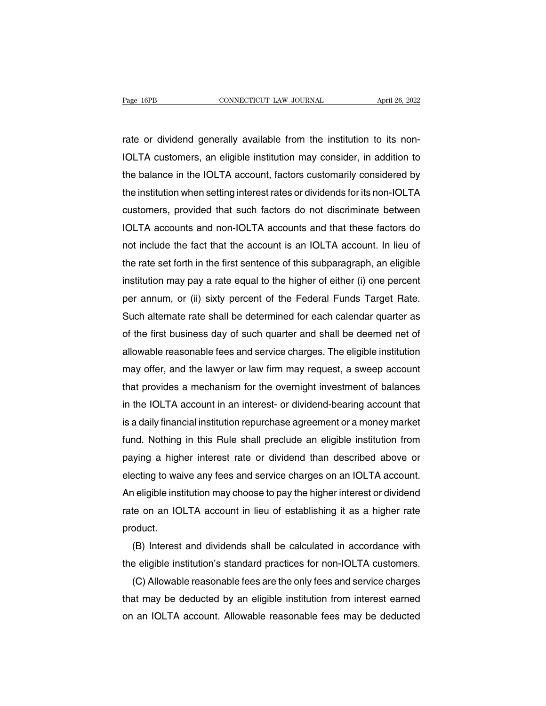Page 16PB<br>
CONNECTICUT LAW JOURNAL April 26, 2022<br>
rate or dividend generally available from the institution to its non-<br>
IOLTA customers, an eligible institution may consider, in addition to Page 16PB CONNECTICUT LAW JOURNAL April 26, 2022<br>
Internation of dividend generally available from the institution to its non-<br>
IOLTA customers, an eligible institution may consider, in addition to<br>
the balance in the IOLT The balance in the IOLTA account, factors customarily considered by<br>IOLTA customers, an eligible institution may consider, in addition to<br>the balance in the IOLTA account, factors customarily considered by<br>the institution rate or dividend generally available from the institution to its non-<br>IOLTA customers, an eligible institution may consider, in addition to<br>the balance in the IOLTA account, factors customarily considered by<br>the institutio rate or dividend generally available from the institution to its non-<br>IOLTA customers, an eligible institution may consider, in addition to<br>the balance in the IOLTA account, factors customarily considered by<br>the institutio IOLTA customers, an eligible institution may consider, in addition to<br>the balance in the IOLTA account, factors customarily considered by<br>the institution when setting interest rates or dividends for its non-IOLTA<br>customers the balance in the IOLTA account, factors customarily considered by<br>the institution when setting interest rates or dividends for its non-IOLTA<br>customers, provided that such factors do not discriminate between<br>IOLTA account the institution when setting interest rates or dividends for its non-IOLTA<br>customers, provided that such factors do not discriminate between<br>IOLTA accounts and non-IOLTA accounts and that these factors do<br>not include the f customers, provided that such tactors do not discriminate between<br>IOLTA accounts and non-IOLTA accounts and that these factors do<br>not include the fact that the account is an IOLTA account. In lieu of<br>the rate set forth in IOLTA accounts and non-IOLTA accounts and that these tactors do<br>not include the fact that the account is an IOLTA account. In lieu of<br>the rate set forth in the first sentence of this subparagraph, an eligible<br>institution m not include the fact that the account is an IOLTA account. In lieu of<br>the rate set forth in the first sentence of this subparagraph, an eligible<br>institution may pay a rate equal to the higher of either (i) one percent<br>per the rate set forth in the first sentence of this subparagraph, an eligible<br>institution may pay a rate equal to the higher of either (i) one percent<br>per annum, or (ii) sixty percent of the Federal Funds Target Rate.<br>Such al institution may pay a rate equal to the higher of either (i) one percent<br>per annum, or (ii) sixty percent of the Federal Funds Target Rate.<br>Such alternate rate shall be determined for each calendar quarter as<br>of the first per annum, or (ii) sixty percent of the Federal Funds Target Hate.<br>Such alternate rate shall be determined for each calendar quarter as<br>of the first business day of such quarter and shall be deemed net of<br>allowable reasona Such alternate rate shall be determined tor each calendar quarter as<br>of the first business day of such quarter and shall be deemed net of<br>allowable reasonable fees and service charges. The eligible institution<br>may offer, a of the first business day of such quarter and shall be deemed net of<br>allowable reasonable fees and service charges. The eligible institution<br>may offer, and the lawyer or law firm may request, a sweep account<br>that provides allowable reasonable tees and service charges. The eligible institution<br>may offer, and the lawyer or law firm may request, a sweep account<br>that provides a mechanism for the overnight investment of balances<br>in the IOLTA acc may offer, and the lawyer or law firm may request, a sweep account<br>that provides a mechanism for the overnight investment of balances<br>in the IOLTA account in an interest- or dividend-bearing account that<br>is a daily financi that provides a mechanism for the overnight investment of balances<br>in the IOLTA account in an interest- or dividend-bearing account that<br>is a daily financial institution repurchase agreement or a money market<br>fund. Nothing in the IOLTA account in an interest- or dividend-bearing account that<br>is a daily financial institution repurchase agreement or a money market<br>fund. Nothing in this Rule shall preclude an eligible institution from<br>paying a is a daily financial institution repurchase agreement or a money market<br>fund. Nothing in this Rule shall preclude an eligible institution from<br>paying a higher interest rate or dividend than described above or<br>electing to w rund. Nothing in this Hule shall preclude an eligible institution from<br>paying a higher interest rate or dividend than described above or<br>electing to waive any fees and service charges on an IOLTA account.<br>An eligible insti product. ecting to waive any tees and service charges on an IOLTA account.<br>
I eligible institution may choose to pay the higher interest or dividend<br>
te on an IOLTA account in lieu of establishing it as a higher rate<br>
oduct.<br>
(B) I An eligible institution may choose to pay the higher interest or dividend<br>rate on an IOLTA account in lieu of establishing it as a higher rate<br>product.<br>(B) Interest and dividends shall be calculated in accordance with<br>the

te on an IOLTA account in lieu of establishing it as a higher rate<br>oduct.<br>(B) Interest and dividends shall be calculated in accordance with<br>e eligible institution's standard practices for non-IOLTA customers.<br>(C) Allowable product.<br>
(B) Interest and dividends shall be calculated in accordance with<br>
the eligible institution's standard practices for non-IOLTA customers.<br>
(C) Allowable reasonable fees are the only fees and service charges<br>
that (B) Interest and dividends shall be calculated in accordance with<br>the eligible institution's standard practices for non-IOLTA customers.<br>(C) Allowable reasonable fees are the only fees and service charges<br>that may be deduc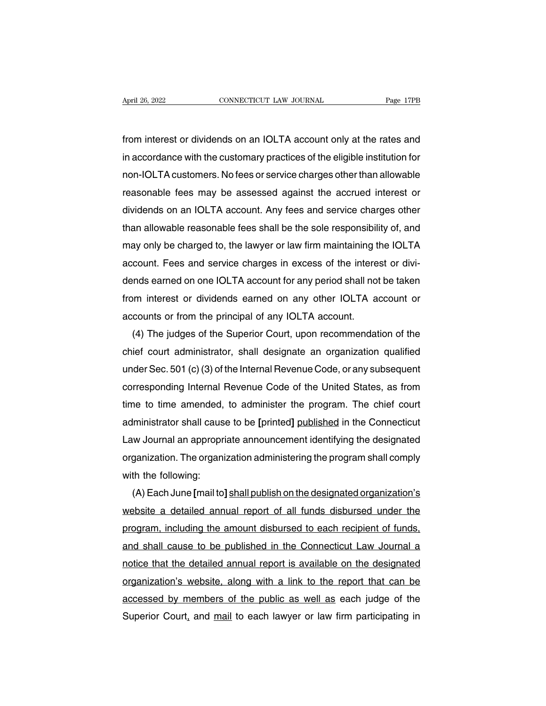Fage 17PB<br>from interest or dividends on an IOLTA account only at the rates and<br>in accordance with the customary practices of the eligible institution for April 26, 2022 CONNECTICUT LAW JOURNAL Page 17PB<br>from interest or dividends on an IOLTA account only at the rates and<br>in accordance with the customary practices of the eligible institution for<br>non-IOLTA customers. No fees non-Iolas of dividends on an IOLTA account only at the rates and<br>in accordance with the customary practices of the eligible institution for<br>non-IOLTA customers. No fees or service charges other than allowable<br>reasonable fe from interest or dividends on an IOLTA account only at the rates and<br>in accordance with the customary practices of the eligible institution for<br>non-IOLTA customers. No fees or service charges other than allowable<br>reasonabl from interest or dividends on an IOLTA account only at the rates and<br>in accordance with the customary practices of the eligible institution for<br>non-IOLTA customers. No fees or service charges other than allowable<br>reasonabl in accordance with the customary practices of the eligible institution for<br>non-IOLTA customers. No fees or service charges other than allowable<br>reasonable fees may be assessed against the accrued interest or<br>dividends on a non-IOLTA customers. No tees or service charges other than allowable<br>reasonable fees may be assessed against the accrued interest or<br>dividends on an IOLTA account. Any fees and service charges other<br>than allowable reasonab reasonable fees may be assessed against the accrued interest or dividends on an IOLTA account. Any fees and service charges other than allowable reasonable fees shall be the sole responsibility of, and may only be charged dividends on an IOLTA account. Any tees and service charges other<br>than allowable reasonable fees shall be the sole responsibility of, and<br>may only be charged to, the lawyer or law firm maintaining the IOLTA<br>account. Fees a than allowable reasonable tees shall be the sole responsibility of, and<br>may only be charged to, the lawyer or law firm maintaining the IOLTA<br>account. Fees and service charges in excess of the interest or divi-<br>dends earned may only be charged to, the lawyer or law firm maintaining t<br>account. Fees and service charges in excess of the intere<br>dends earned on one IOLTA account for any period shall not<br>from interest or dividends earned on any oth count. Fees and service charges in excess of the interest or divi-<br>inds earned on one IOLTA account for any period shall not be taken<br>im interest or dividends earned on any other IOLTA account or<br>counts or from the princip

dends earned on one IOLTA account for any period shall not be taken<br>from interest or dividends earned on any other IOLTA account or<br>accounts or from the principal of any IOLTA account.<br>(4) The judges of the Superior Court, rrom interest or dividends earned on any other IOLTA account or<br>accounts or from the principal of any IOLTA account.<br>(4) The judges of the Superior Court, upon recommendation of the<br>chief court administrator, shall designa accounts or from the principal of any IOLTA account.<br>
(4) The judges of the Superior Court, upon recommendation of the<br>
chief court administrator, shall designate an organization qualified<br>
under Sec. 501 (c) (3) of the In (4) The judges of the Superior Court, upon recommendation of the<br>chief court administrator, shall designate an organization qualified<br>under Sec. 501 (c) (3) of the Internal Revenue Code, or any subsequent<br>corresponding Int chief court administrator, shall designate an organization qualitied<br>under Sec. 501 (c) (3) of the Internal Revenue Code, or any subsequent<br>corresponding Internal Revenue Code of the United States, as from<br>time to time ame under Sec. 501 (c) (3) of the Internal Hevenue Code, or any subsequent<br>corresponding Internal Revenue Code of the United States, as from<br>time to time amended, to administer the program. The chief court<br>administrator shall corresponding Internal Hevenue Code of the United States, as from<br>time to time amended, to administer the program. The chief court<br>administrator shall cause to be [printed] published in the Connecticut<br>Law Journal an appro time to time amended,<br>administrator shall caus<br>Law Journal an appropr<br>organization. The organi<br>with the following:<br>(A) Each June [mail to] ministrator shall cause to be [printed] <u>published</u> in the Connecticut<br>(w Journal an appropriate announcement identifying the designated<br>ganization. The organization administering the program shall comply<br>(A) Each June [ma

Law Journal an appropriate announcement identifying the designated<br>organization. The organization administering the program shall comply<br>with the following:<br>(A) Each June [mail to] shall publish on the designated organizat organization. The organization administering the program shall comply<br>with the following:<br>(A) Each June [mail to] shall publish on the designated organization's<br>website a detailed annual report of all funds disbursed under with the tollowing:<br>
(A) Each June [mail to] shall publish on the designated organization's<br>
website a detailed annual report of all funds disbursed under the<br>
program, including the amount disbursed to each recipient of f (A) Each June [mail to] shall publish on the designated organization's<br>website a detailed annual report of all funds disbursed under the<br>program, including the amount disbursed to each recipient of funds,<br>and shall cause t website a detailed annual report of all funds disbursed under the<br>program, including the amount disbursed to each recipient of funds,<br>and shall cause to be published in the Connecticut Law Journal a<br>notice that the detaile program, including the amount disbursed to each recipient of tunds,<br>and shall cause to be published in the Connecticut Law Journal a<br>notice that the detailed annual report is available on the designated<br>organization's webs and shall cause to be published in the Connecticut Law Journal a notice that the detailed annual report is available on the designated organization's website, along with a link to the report that can be accessed by members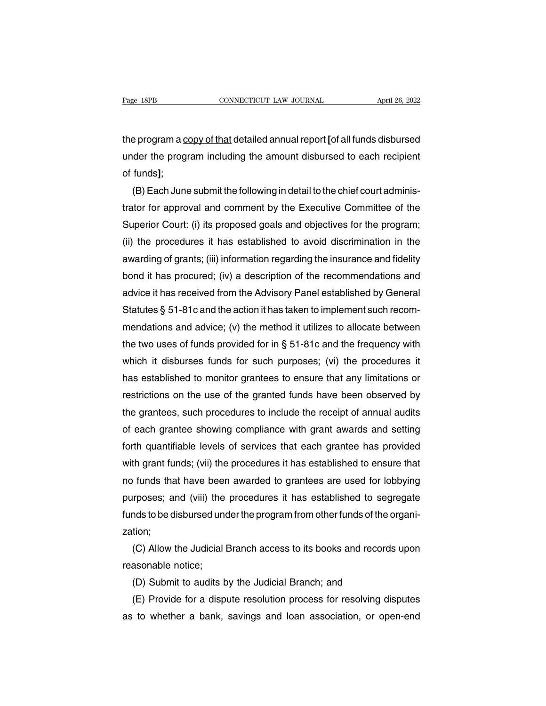Trage 18PB<br>
the program a <u>copy of that</u> detailed annual report **[**of all funds disbursed<br>
under the program including the amount disbursed to each recipient Page 18PB CONNECTICUT LAW JOURNAL April 26, 2022<br>the program a copy of that detailed annual report [of all funds disbursed<br>under the program including the amount disbursed to each recipient<br>of funds]; rage forb<br>the program a <u>c</u><br>under the prog<br>of funds];<br>(B) Each Juno e program a <u>copy of that</u> detailed annual report [of all funds disbursed<br>der the program including the amount disbursed to each recipient<br>funds];<br>(B) Each June submit the following in detail to the chief court adminis-<br>to

the program a <u>copy of that</u> detailed annual report [of all funds disbursed<br>under the program including the amount disbursed to each recipient<br>of funds];<br>(B) Each June submit the following in detail to the chief court admi under the program including the amount disbursed to each recipient<br>of funds];<br>(B) Each June submit the following in detail to the chief court adminis-<br>trator for approval and comment by the Executive Committee of the<br>Super of funds];<br>
(B) Each June submit the following in detail to the chief court adminis-<br>
trator for approval and comment by the Executive Committee of the<br>
Superior Court: (i) its proposed goals and objectives for the program (B) Each June submit the following in detail to the chief court adminis-<br>trator for approval and comment by the Executive Committee of the<br>Superior Court: (i) its proposed goals and objectives for the program;<br>(ii) the pro trator for approval and comment by the Executive Committee of the<br>Superior Court: (i) its proposed goals and objectives for the program;<br>(ii) the procedures it has established to avoid discrimination in the<br>awarding of gra Superior Court: (i) its proposed goals and objectives for the program;<br>(ii) the procedures it has established to avoid discrimination in the<br>awarding of grants; (iii) information regarding the insurance and fidelity<br>bond i (ii) the procedures it has established to avoid discrimination in the awarding of grants; (iii) information regarding the insurance and fidelity bond it has procured; (iv) a description of the recommendations and advice i awarding of grants; (iii) information regarding the insurance and fidelity<br>bond it has procured; (iv) a description of the recommendations and<br>advice it has received from the Advisory Panel established by General<br>Statutes bond it has procured; (iv) a description of the recommendations and<br>advice it has received from the Advisory Panel established by General<br>Statutes § 51-81c and the action it has taken to implement such recom-<br>mendations an advice it has received from the Advisory Panel established by General<br>Statutes § 51-81c and the action it has taken to implement such recom-<br>mendations and advice; (v) the method it utilizes to allocate between<br>the two use Statutes § 51-81c and the action it has taken to implement such recommendations and advice; (v) the method it utilizes to allocate between<br>the two uses of funds provided for in § 51-81c and the frequency with<br>which it dis mendations and advice; (v) the method it utilizes to allocate between<br>the two uses of funds provided for in § 51-81c and the frequency with<br>which it disburses funds for such purposes; (vi) the procedures it<br>has established the two uses of funds provided for in § 51-81c and the frequency with<br>which it disburses funds for such purposes; (vi) the procedures it<br>has established to monitor grantees to ensure that any limitations or<br>restrictions on which it disburses funds for such purposes; (vi) the procedures it<br>has established to monitor grantees to ensure that any limitations or<br>restrictions on the use of the granted funds have been observed by<br>the grantees, such has established to monitor grantees to ensure that any limitations or<br>restrictions on the use of the granted funds have been observed by<br>the grantees, such procedures to include the receipt of annual audits<br>of each grantee restrictions on the use of the granted funds have been observed by<br>the grantees, such procedures to include the receipt of annual audits<br>of each grantee showing compliance with grant awards and setting<br>forth quantifiable l the grantees, such procedures to include the receipt of annual audits<br>of each grantee showing compliance with grant awards and setting<br>forth quantifiable levels of services that each grantee has provided<br>with grant funds; of each grantee showing compliance with grant awards and setting<br>forth quantifiable levels of services that each grantee has provided<br>with grant funds; (vii) the procedures it has established to ensure that<br>no funds that h forth quantifiable levels of services that each grantee has provided<br>with grant funds; (vii) the procedures it has established to ensure that<br>no funds that have been awarded to grantees are used for lobbying<br>purposes; and zation; of funds that have been awarded to grantees are used for lobbying<br>proses; and (viii) the procedures it has established to segregate<br>nds to be disbursed under the program from other funds of the organi-<br>tion;<br>(C) Allow the purposes; and (viii) the<br>funds to be disbursed uno<br>zation;<br>(C) Allow the Judicial l<br>reasonable notice;<br>(D) Submit to audits b nds to be disbursed under the program from other funds of the value of the stion;<br>(C) Allow the Judicial Branch access to its books and record<br>asonable notice;<br>(D) Submit to audits by the Judicial Branch; and<br>(E) Provide f

tion;<br>(C) Allow the Judicial Branch access to its books and records upon<br>asonable notice;<br>(D) Submit to audits by the Judicial Branch; and<br>(E) Provide for a dispute resolution process for resolving disputes<br>to whether a ba (C) Allow the Judicial Branch access to its books and records upon<br>reasonable notice;<br>(D) Submit to audits by the Judicial Branch; and<br>(E) Provide for a dispute resolution process for resolving disputes<br>as to whether a ban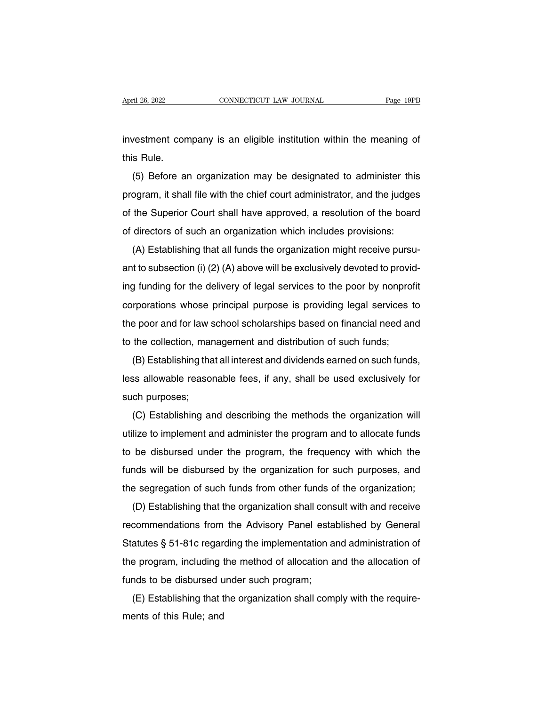April 26, 2022<br>investment company is an eligible institution within the meaning of<br>this Rule. April 26, 2022<br>investment con<br>this Rule.<br>(5) Before al

(15) before an organization may be designated to administer this ogram, it shall file with the chief court administrator, and the judges investment company is an eligible institution within the meaning of<br>this Rule.<br>(5) Before an organization may be designated to administer this<br>program, it shall file with the chief court administrator, and the judges<br>of th This Rule.<br>
(5) Before an organization may be designated to administer this<br>
program, it shall file with the chief court administrator, and the judges<br>
of the Superior Court shall have approved, a resolution of the board<br> (5) Before an organization may be designated to administer this<br>program, it shall file with the chief court administrator, and the judges<br>of the Superior Court shall have approved, a resolution of the boarc<br>of directors of (5) Before an organization may be designated to administer this program, it shall file with the chief court administrator, and the judges of the Superior Court shall have approved, a resolution of the board of directors o

program, it shall he will the chief court administrator, and the judges<br>of the Superior Court shall have approved, a resolution of the board<br>of directors of such an organization which includes provisions:<br>(A) Establishing of directors of such an organization which includes provisions:<br>
(A) Establishing that all funds the organization might receive pursu-<br>
ant to subsection (i) (2) (A) above will be exclusively devoted to provid-<br>
ing fundin (A) Establishing that all funds the organization might receive pursu-<br>ant to subsection (i) (2) (A) above will be exclusively devoted to provid-<br>ing funding for the delivery of legal services to the poor by nonprofit<br>corpo (A) Establishing that an idities the organization imight receive pursu-<br>ant to subsection (i) (2) (A) above will be exclusively devoted to provid-<br>ing funding for the delivery of legal services to the poor by nonprofit<br>co ing funding for the delivery of legal services to the poor by nonprofit<br>corporations whose principal purpose is providing legal services to<br>the poor and for law school scholarships based on financial need and<br>to the collec The services to the poor by horipront<br>rporations whose principal purpose is providing legal services to<br>a poor and for law school scholarships based on financial need and<br>the collection, management and distribution of such

Less allowable reasonable fees, if any, shall be used exclusively for such purposes;<br>
(B) Establishing that all interest and distribution of such funds;<br>
(B) Establishing that all interest and dividends earned on such fund to the collection, mar<br>(B) Establishing tha<br>less allowable reasor<br>such purposes;<br>(C) Establishing ar (B) Establishing that all interest and dividends earned on such funds,<br>ss allowable reasonable fees, if any, shall be used exclusively for<br>ch purposes;<br>(C) Establishing and describing the methods the organization will<br>lize

(b) Establishing that all linerest and dividends earlied ori such runds,<br>less allowable reasonable fees, if any, shall be used exclusively for<br>such purposes;<br>(C) Establishing and describing the methods the organization wil these anomalisms and describing the methods the organization will<br>such purposes;<br>(C) Establishing and describing the methods the organization will<br>utilize to implement and administer the program and to allocate funds<br>to be full purposes,<br>(C) Establishing and describing the methods the organization will<br>utilize to implement and administer the program and to allocate funds<br>to be disbursed under the program, the frequency with which the<br>funds w tilize to implement and administer the program and to allocate funds<br>to be disbursed under the program, the frequency with which the<br>funds will be disbursed by the organization for such purposes, and<br>the segregation of su hall be disbursed under the program, the frequency with which the<br>hals will be disbursed by the organization for such purposes, and<br>e segregation of such funds from other funds of the organization;<br>(D) Establishing that th

funds will be disbursed by the organization for such purposes, and<br>funds will be disbursed by the organization for such purposes, and<br>the segregation of such funds from other funds of the organization;<br>(D) Establishing tha The segregation of such funds from other funds of the organization;<br>the segregation of such funds from other funds of the organization;<br>(D) Establishing that the organization shall consult with and receive<br>recommendations the segregation of such funds from other funds of the organization,<br>(D) Establishing that the organization shall consult with and receive<br>recommendations from the Advisory Panel established by General<br>Statutes § 51-81c reg (D) Establishing that the organization shall consere<br>frecommendations from the Advisory Panel estal<br>Statutes § 51-81c regarding the implementation a<br>the program, including the method of allocation a<br>funds to be disbursed Extending that the molecular shall complementation and administration of<br>a program, including the method of allocation and the allocation of<br>nds to be disbursed under such program;<br>(E) Establishing that the organization sh Statutes y 51-610 regar<br>the program, including t<br>funds to be disbursed u<br>(E) Establishing that t<br>ments of this Rule; and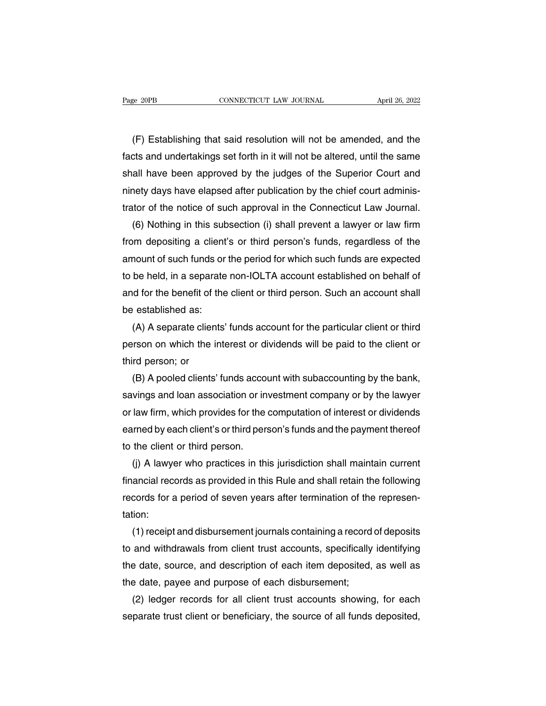EXEMBED THE CONNECTICUT CAW JOURNAL THE SET APTIL 26, 2022<br>(F) Establishing that said resolution will not be amended, and the<br>cts and undertakings set forth in it will not be altered, until the same Fage 20PB CONNECTICUT LAW JOURNAL April 26, 2022<br>
(F) Establishing that said resolution will not be amended, and the<br>
facts and undertakings set forth in it will not be altered, until the same<br>
shall have been approved by Fage 2015<br>(F) Establishing that said resolution will not be amended, and the<br>facts and undertakings set forth in it will not be altered, until the same<br>shall have been approved by the judges of the Superior Court and<br>ninet (F) Establishing that said resolution will not be amended, and the facts and undertakings set forth in it will not be altered, until the same shall have been approved by the judges of the Superior Court and ninety days hav (F) Establishing that said resolution will not be amended, and the facts and undertakings set forth in it will not be altered, until the same shall have been approved by the judges of the Superior Court and ninety days hav cts and undertakings set forth in it will not be altered, until the same<br>all have been approved by the judges of the Superior Court and<br>nety days have elapsed after publication by the chief court adminis-<br>tor of the notice

shall have been approved by the judges of the Superior Court and<br>ninety days have elapsed after publication by the chief court adminis-<br>trator of the notice of such approval in the Connecticut Law Journal.<br>(6) Nothing in t minety days have elapsed after publication by the chief court adminis-<br>trator of the notice of such approval in the Connecticut Law Journal.<br>(6) Nothing in this subsection (i) shall prevent a lawyer or law firm<br>from deposi trator of the notice of such approval in the Connecticut Law Journal.<br>
(6) Nothing in this subsection (i) shall prevent a lawyer or law firm<br>
from depositing a client's or third person's funds, regardless of the<br>
amount of (6) Nothing in this subsection (i) shall prevent a lawyer or law firm<br>from depositing a client's or third person's funds, regardless of the<br>amount of such funds or the period for which such funds are expected<br>to be held, i from depositing a client<br>amount of such funds or<br>to be held, in a separate<br>and for the benefit of the<br>be established as:<br>(A) A separate clients' mount of such funds or the period for which such funds are expected<br>be held, in a separate non-IOLTA account established on behalf of<br>id for the benefit of the client or third person. Such an account shall<br>established as:<br> to be held, in a separate non-IOLTA account established on behalf of<br>and for the benefit of the client or third person. Such an account shall<br>be established as:<br>(A) A separate clients' funds account for the particular clie

and for the benefit of the<br>be established as:<br>(A) A separate client<br>person on which the in<br>third person; or<br>(B) A pooled clients' established as:<br>(A) A separate clients' funds account for the particular client or third<br>rson on which the interest or dividends will be paid to the client or<br>rd person; or<br>(B) A pooled clients' funds account with subaccou

(A) A separate clients' funds account for the particular client or third<br>person on which the interest or dividends will be paid to the client or<br>third person; or<br>(B) A pooled clients' funds account with subaccounting by th person on which the interest or dividends will be paid to the client or<br>third person; or<br>(B) A pooled clients' funds account with subaccounting by the bank,<br>savings and loan association or investment company or by the lawy third person; or<br>(B) A pooled clients' funds account with subaccounting by the bank,<br>savings and loan association or investment company or by the lawyer<br>or law firm, which provides for the computation of interest or divide (B) A pooled clients' funds accom<br>savings and loan association or in<br>or law firm, which provides for the<br>earned by each client's or third person.<br>to the client or third person.<br>(j) A lawyer who practices in th vings and loan association or investment company or by the lawyer<br>law firm, which provides for the computation of interest or dividends<br>rned by each client's or third person's funds and the payment thereof<br>the client or th

or law firm, which provides for the computation of interest or dividends<br>earned by each client's or third person's funds and the payment thereof<br>to the client or third person.<br>(j) A lawyer who practices in this jurisdictio earned by each client's or third person's funds and the payment thereof<br>to the client or third person.<br>(j) A lawyer who practices in this jurisdiction shall maintain current<br>financial records as provided in this Rule and s tation: (j) A lawyer who practices in this jurisdiction shall maintain current<br>ancial records as provided in this Rule and shall retain the following<br>cords for a period of seven years after termination of the represen-<br>ion:<br>(1) re

financial records as provided in this Rule and shall retain the following<br>records for a period of seven years after termination of the represen-<br>tation:<br>(1) receipt and disbursement journals containing a record of deposits records for a period of seven years after termination of the representation:<br>
(1) receipt and disbursement journals containing a record of deposits<br>
to and withdrawals from client trust accounts, specifically identifying<br> tation:<br>
(1) receipt and disbursement journals containing a record<br>
to and withdrawals from client trust accounts, specifically<br>
the date, source, and description of each disbursement;<br>
(2) ledger records for all client tr (1) receipt and disbursement journals containing a record of deposits<br>and withdrawals from client trust accounts, specifically identifying<br>e date, source, and description of each item deposited, as well as<br>e date, payee an to and withdrawals from client trust accounts, specifically identifying<br>the date, source, and description of each item deposited, as well as<br>the date, payee and purpose of each disbursement;<br>(2) ledger records for all clie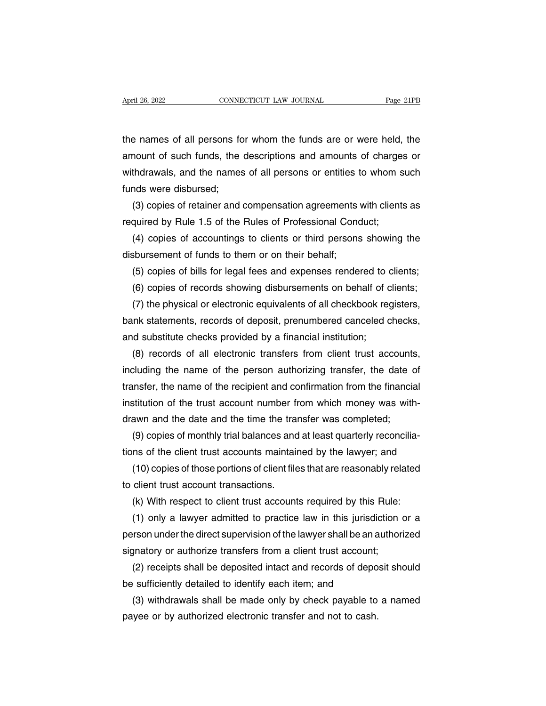April 26, 2022 CONNECTICUT LAW JOURNAL Page 21PB<br>the names of all persons for whom the funds are or were held, the<br>amount of such funds, the descriptions and amounts of charges or April 26, 2022 CONNECTICUT LAW JOURNAL Page 21PB<br>the names of all persons for whom the funds are or were held, the<br>amount of such funds, the descriptions and amounts of charges or<br>withdrawals, and the names of all persons When 26, 2022<br>the names of all persons for whom the funds are or were held, the<br>amount of such funds, the descriptions and amounts of charges or<br>withdrawals, and the names of all persons or entities to whom such<br>funds were the names of all persons fo<br>amount of such funds, the<br>withdrawals, and the names<br>funds were disbursed;<br>(3) copies of retainer and e names of all persons for whom the funds are or were held, the<br>nount of such funds, the descriptions and amounts of charges or<br>thdrawals, and the names of all persons or entities to whom such<br>nds were disbursed;<br>(3) copie amount of such funds, the descriptions and amounts of charge<br>withdrawals, and the names of all persons or entities to whom s<br>funds were disbursed;<br>(3) copies of retainer and compensation agreements with client:<br>required by thdrawals, and the names of all persons or entities to whom such<br>nds were disbursed;<br>(3) copies of retainer and compensation agreements with clients as<br>quired by Rule 1.5 of the Rules of Professional Conduct;<br>(4) copies of

funds were disbursed;<br>
(3) copies of retainer and compensation agreements<br>
required by Rule 1.5 of the Rules of Professional Conc<br>
(4) copies of accountings to clients or third persons<br>
disbursement of funds to them or on (3) copies of retainer and compensation agreements with clients as<br>quired by Rule 1.5 of the Rules of Professional Conduct;<br>(4) copies of accountings to clients or third persons showing the<br>sbursement of funds to them or o

quired by Rule 1.5 of the Rules of Professional Conduct;<br>(4) copies of accountings to clients or third persons showing the<br>sbursement of funds to them or on their behalf;<br>(5) copies of bills for legal fees and expenses ren

(4) copies of accountings to clients or third persons showing the<br>sbursement of funds to them or on their behalf;<br>(5) copies of bills for legal fees and expenses rendered to clients;<br>(6) copies of records showing disbursem disbursement of funds to them or on their behalf;<br>
(5) copies of bills for legal fees and expenses rendered to clients;<br>
(6) copies of records showing disbursements on behalf of clients;<br>
(7) the physical or electronic equ (5) copies of bills for legal fees and expenses rendered to (6) copies of records showing disbursements on behalf of c<br>(7) the physical or electronic equivalents of all checkbook reg<br>bank statements, records of deposit, pr (6) copies of records showing disbursements on behalf of clients;<br>(7) the physical or electronic equivalents of all checkbook registers,<br>nk statements, records of deposit, prenumbered canceled checks,<br>d substitute checks p

(7) the physical or electronic equivalents of all checkbook registers,<br>bank statements, records of deposit, prenumbered canceled checks,<br>and substitute checks provided by a financial institution;<br>(8) records of all electro bank statements, records of deposit, prenumbered canceled checks,<br>and substitute checks provided by a financial institution;<br>(8) records of all electronic transfers from client trust accounts,<br>including the name of the per and substitute checks provided by a financial institution;<br>
(8) records of all electronic transfers from client trust accounts,<br>
including the name of the person authorizing transfer, the date of<br>
transfer, the name of the (8) records of all electronic transfers from client trust accounts<br>including the name of the person authorizing transfer, the date of<br>transfer, the name of the recipient and confirmation from the financia<br>institution of th cluding the name of the person authorizing transfer, the date of<br>unsfer, the name of the recipient and confirmation from the financial<br>stitution of the trust account number from which money was with-<br>awn and the date and t transfer, the name of the recipient and confirmation from the financial<br>institution of the trust account number from which money was with-<br>drawn and the date and the time the transfer was completed;<br>(9) copies of monthly t stitution of the trust account number from which money was with-<br>awn and the date and the time the transfer was completed;<br>(9) copies of monthly trial balances and at least quarterly reconcilia-<br>ns of the client trust acco

drawn and the date and the time the tran<br>(9) copies of monthly trial balances and<br>tions of the client trust accounts maintair<br>(10) copies of those portions of client file<br>to client trust account transactions.<br>(k) With resp (9) copies of monthly trial balances and at least quarterly reconcilia-<br>ns of the client trust accounts maintained by the lawyer; and<br>(10) copies of those portions of client files that are reasonably related<br>client trust a

ms of the client trust accounts maintained by the lawyer; and<br>(10) copies of those portions of client files that are reasonably related<br>client trust account transactions.<br>(k) With respect to client trust accounts required (10) copies of those portions of client files that are reasonably related<br>to client trust account transactions.<br>(k) With respect to client trust accounts required by this Rule:<br>(1) only a lawyer admitted to practice law in to client trust account transactions.<br>
(k) With respect to client trust accounts required by this Rule:<br>
(1) only a lawyer admitted to practice law in this jurisdiction<br>
person under the direct supervision of the lawyer sh (k) With respect to client trust accounts required by this Rule:<br>
(1) only a lawyer admitted to practice law in this jurisdiction or a<br>
rson under the direct supervision of the lawyer shall be an authorized<br>
gnatory or au (1) only a lawyer admitted to practice law in this jurisdic<br>person under the direct supervision of the lawyer shall be an at<br>signatory or authorize transfers from a client trust account;<br>(2) receipts shall be deposited in Freson under the direct supervision of the lawyer shall be an authorized<br>gnatory or authorize transfers from a client trust account;<br>(2) receipts shall be deposited intact and records of deposit should<br>exufficiently detail

signatory or authorize transfers from a client trust account;<br>(2) receipts shall be deposited intact and records of depo<br>be sufficiently detailed to identify each item; and<br>(3) withdrawals shall be made only by check payab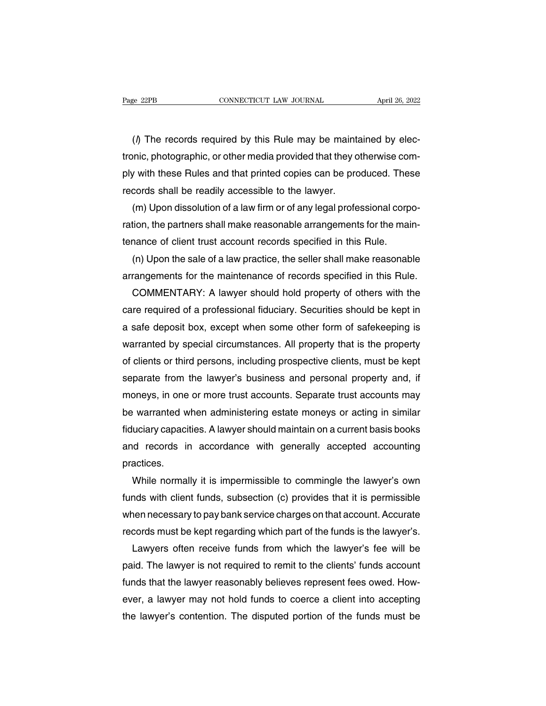(e 22PB CONNECTICUT LAW JOURNAL April 26, 2022<br>
(d) The records required by this Rule may be maintained by elec-<br>
(h) The records required by this Rule may be maintained by elec-<br>
inic, photographic, or other media provide Trage 22PB<br>
CONNECTICUT LAW JOURNAL April 26, 2022<br>
(*l*) The records required by this Rule may be maintained by electronic, photographic, or other media provided that they otherwise com-<br>
ply with these Rules and that pri ( $\beta$ ) The records required by this Rule may be maintained by electronic, photographic, or other media provided that they otherwise comply with these Rules and that printed copies can be produced. These records shall be r (*l*) The records required by this Rule may be maintatronic, photographic, or other media provided that they o<br>ply with these Rules and that printed copies can be pro<br>records shall be readily accessible to the lawyer.<br>(m) (*l*) The records required by this Rule may be maintained by electoric, photographic, or other media provided that they otherwise comply with these Rules and that printed copies can be produced. These cords shall be readi

tronic, photographic, or other media provided that they otherwise comply with these Rules and that printed copies can be produced. These records shall be readily accessible to the lawyer.<br>(m) Upon dissolution of a law firm ply with these Rules and that printed copies can be produced. These records shall be readily accessible to the lawyer.<br>
(m) Upon dissolution of a law firm or of any legal professional corp<br>
ration, the partners shall make cords shall be readily accessible to the lawyer.<br>(m) Upon dissolution of a law firm or of any legal professional corpo-<br>tion, the partners shall make reasonable arrangements for the main-<br>nance of client trust account reco (m) Upon dissolution of a law firm or of any legal professional corporation, the partners shall make reasonable arrangements for the main-<br>tenance of client trust account records specified in this Rule.<br>(n) Upon the sale o

tion, the partners shall make reasonable arrangements for the main-<br>nance of client trust account records specified in this Rule.<br>(n) Upon the sale of a law practice, the seller shall make reasonable<br>rangements for the mai tenance of client trust account records specified in this Rule.<br>
(n) Upon the sale of a law practice, the seller shall make reasonable<br>
arrangements for the maintenance of records specified in this Rule.<br>
COMMENTARY: A law (n) Upon the sale of a law practice, the seller shall make reasonable<br>arrangements for the maintenance of records specified in this Rule.<br>COMMENTARY: A lawyer should hold property of others with the<br>care required of a prof arrangements for the maintenance of records specified in this Rule.<br>COMMENTARY: A lawyer should hold property of others with the<br>care required of a professional fiduciary. Securities should be kept in<br>a safe deposit box, e COMMENTARY: A lawyer should hold property of others with the<br>care required of a professional fiduciary. Securities should be kept in<br>a safe deposit box, except when some other form of safekeeping is<br>warranted by special ci care required of a professional fiduciary. Securities should be kept in<br>a safe deposit box, except when some other form of safekeeping is<br>warranted by special circumstances. All property that is the property<br>of clients or a safe deposit box, except when some other form of safekeeping is<br>warranted by special circumstances. All property that is the property<br>of clients or third persons, including prospective clients, must be kept<br>separate from warranted by special circumstances. All property that is the property<br>of clients or third persons, including prospective clients, must be kept<br>separate from the lawyer's business and personal property and, if<br>moneys, in on of clients or third persons, including prospective clients, must be kept<br>separate from the lawyer's business and personal property and, if<br>moneys, in one or more trust accounts. Separate trust accounts may<br>be warranted whe separate from the lawyer's business and personal property and, if<br>moneys, in one or more trust accounts. Separate trust accounts may<br>be warranted when administering estate moneys or acting in similar<br>fiduciary capacities. practices. warranted when administering estate moneys or acting in similar<br>uciary capacities. A lawyer should maintain on a current basis books<br>d records in accordance with generally accepted accounting<br>actices.<br>While normally it is

fiduciary capacities. A lawyer should maintain on a current basis books<br>and records in accordance with generally accepted accounting<br>practices.<br>While normally it is impermissible to commingle the lawyer's own<br>funds with cl and records in accordance with generally accepted accounting<br>practices.<br>While normally it is impermissible to commingle the lawyer's own<br>funds with client funds, subsection (c) provides that it is permissible<br>when necessar practices.<br>While normally it is impermissible to commingle the lawyer's own<br>funds with client funds, subsection (c) provides that it is permissible<br>when necessary to pay bank service charges on that account. Accurate<br>recor While normally it is impermissible to commingle the lawyer's own<br>nds with client funds, subsection (c) provides that it is permissible<br>nen necessary to pay bank service charges on that account. Accurate<br>cords must be kept

funds with client funds, subsection (c) provides that it is permissible<br>when necessary to pay bank service charges on that account. Accurate<br>records must be kept regarding which part of the funds is the lawyer's.<br>Lawyers o when necessary to pay bank service charges on that account. Accurate<br>records must be kept regarding which part of the funds is the lawyer's.<br>Lawyers often receive funds from which the lawyer's fee will be<br>paid. The lawyer records must be kept regarding which part of the funds is the lawyer's.<br>Lawyers often receive funds from which the lawyer's fee will be<br>paid. The lawyer is not required to remit to the clients' funds account<br>funds that the Lawyers often receive funds from which the lawyer's fee will be<br>paid. The lawyer is not required to remit to the clients' funds account<br>funds that the lawyer reasonably believes represent fees owed. How-<br>ever, a lawyer may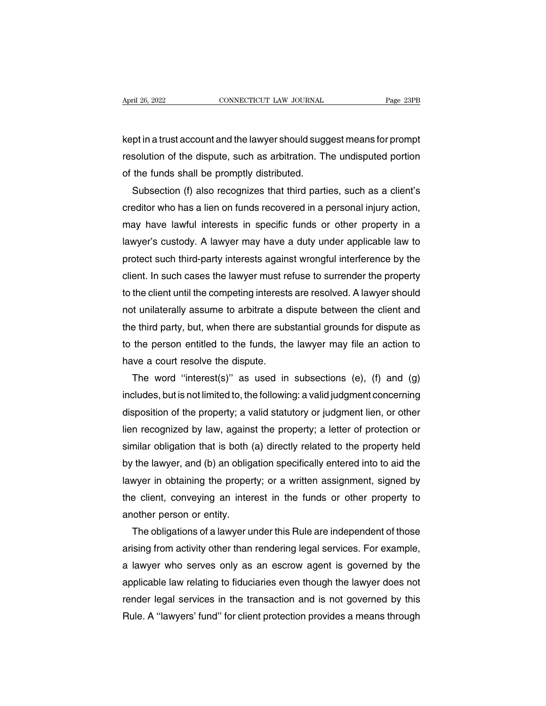April 26, 2022<br> **EXECUTE CONNECTICUT LAW JOURNAL**<br>
Kept in a trust account and the lawyer should suggest means for prompt<br>
resolution of the dispute, such as arbitration. The undisputed portion April 26, 2022 CONNECTICUT LAW JOURNAL Page 23PB<br>
Rept in a trust account and the lawyer should suggest means for prompt<br>
resolution of the dispute, such as arbitration. The undisputed portion<br>
of the funds shall be prompt EONNECTICT LAW JOOKNALTERT 20, 2022<br>
Rept in a trust account and the lawyer should suggeresolution of the dispute, such as arbitration. The<br>
of the funds shall be promptly distributed.<br>
Subsection (f) also recognizes that pt in a trust account and the lawyer should suggest means for prompt<br>solution of the dispute, such as arbitration. The undisputed portion<br>the funds shall be promptly distributed.<br>Subsection (f) also recognizes that third p

kept in a trust account and the lawyer should suggest means for prompt<br>resolution of the dispute, such as arbitration. The undisputed portion<br>of the funds shall be promptly distributed.<br>Subsection (f) also recognizes that resolution of the dispute, such as arbitration. The undisputed portion<br>of the funds shall be promptly distributed.<br>Subsection (f) also recognizes that third parties, such as a client's<br>creditor who has a lien on funds reco of the funds shall be promptly distributed.<br>
Subsection (f) also recognizes that third parties, such as a client's<br>
creditor who has a lien on funds recovered in a personal injury action,<br>
may have lawful interests in spec Subsection (f) also recognizes that third parties, such as a client's<br>creditor who has a lien on funds recovered in a personal injury action,<br>may have lawful interests in specific funds or other property in a<br>lawyer's cust creditor who has a lien on funds recovered in a personal injury action,<br>may have lawful interests in specific funds or other property in a<br>lawyer's custody. A lawyer may have a duty under applicable law to<br>protect such thi may have lawful interests in specific funds or other property in a<br>lawyer's custody. A lawyer may have a duty under applicable law to<br>protect such third-party interests against wrongful interference by the<br>client. In such lawyer's custody. A lawyer may have a duty under applicable law to<br>protect such third-party interests against wrongful interference by the<br>client. In such cases the lawyer must refuse to surrender the property<br>to the clien protect such third-party interests against wrongful interference by the client. In such cases the lawyer must refuse to surrender the property to the client until the competing interests are resolved. A lawyer should not u client. In such cases the lawyer must refuse to surrender the property<br>to the client until the competing interests are resolved. A lawyer should<br>not unilaterally assume to arbitrate a dispute between the client and<br>the thi to the client until the competing interests are resolved. A lawyer should<br>not unilaterally assume to arbitrate a dispute between the client and<br>the third party, but, when there are substantial grounds for dispute as<br>to the is unilaterally assume to arbitrate a dispute between the client and<br>
a third party, but, when there are substantial grounds for dispute as<br>
the person entitled to the funds, the lawyer may file an action to<br>
ve a court re

the third party, but, when there are substantial grounds for dispute as<br>to the person entitled to the funds, the lawyer may file an action to<br>have a court resolve the dispute.<br>The word "interest(s)" as used in subsections to the person entitled to the funds, the lawyer may file an action to<br>have a court resolve the dispute.<br>The word "interest(s)" as used in subsections (e), (f) and (g)<br>includes, but is not limited to, the following: a valid have a court resolve the dispute.<br>
The word "interest(s)" as used in subsections (e), (f) and (g)<br>
includes, but is not limited to, the following: a valid judgment concerning<br>
disposition of the property; a valid statutory The word "interest(s)" as used in subsections (e), (f) and (g)<br>includes, but is not limited to, the following: a valid judgment concerning<br>disposition of the property; a valid statutory or judgment lien, or other<br>lien reco includes, but is not limited to, the following: a valid judgment concerning<br>disposition of the property; a valid statutory or judgment lien, or other<br>lien recognized by law, against the property; a letter of protection or<br> disposition of the property; a valid statutory or judgment lien, or other<br>lien recognized by law, against the property; a letter of protection or<br>similar obligation that is both (a) directly related to the property held<br>by lien recognized by law, against the property; a letter of protection or similar obligation that is both (a) directly related to the property held by the lawyer, and (b) an obligation specifically entered into to aid the la similar obligation that is both (<br>by the lawyer, and (b) an obliga<br>lawyer in obtaining the proper<br>the client, conveying an inter<br>another person or entity.<br>The obligations of a lawyer u the lawyer, and (b) an obligation specifically entered into to aid the wyer in obtaining the property; or a written assignment, signed by a client, conveying an interest in the funds or other property to other person or en

lawyer in obtaining the property; or a written assignment, signed by<br>the client, conveying an interest in the funds or other property to<br>another person or entity.<br>The obligations of a lawyer under this Rule are independent the client, conveying an interest in the funds or other property to<br>another person or entity.<br>The obligations of a lawyer under this Rule are independent of those<br>arising from activity other than rendering legal services. another person or entity.<br>The obligations of a lawyer under this Rule are independent of those<br>arising from activity other than rendering legal services. For example,<br>a lawyer who serves only as an escrow agent is governed The obligations of a lawyer under this Rule are independent of those<br>arising from activity other than rendering legal services. For example,<br>a lawyer who serves only as an escrow agent is governed by the<br>applicable law rel arising from activity other than rendering legal services. For example,<br>a lawyer who serves only as an escrow agent is governed by the<br>applicable law relating to fiduciaries even though the lawyer does not<br>render legal ser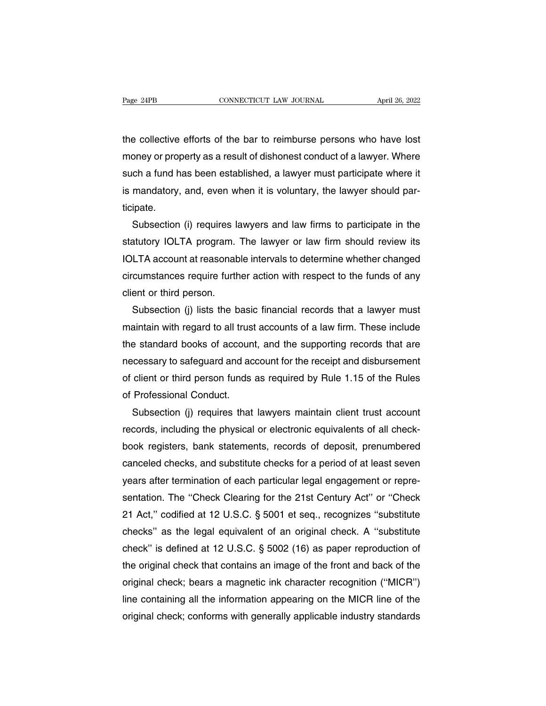The collective efforts of the bar to reimburse persons who have lost<br>the collective efforts of the bar to reimburse persons who have lost<br>money or property as a result of dishonest conduct of a lawyer. Where monthly are example. The collective efforts of the bar to reimburse persons who have lost<br>the collective efforts of the bar to reimburse persons who have lost<br>money or property as a result of dishonest conduct of a lawyer. such a fund the collective efforts of the bar to reimburse persons who have lost<br>the collective efforts of the bar to reimburse persons who have lost<br>money or property as a result of dishonest conduct of a lawyer. Where<br>su the collective efforts of the bar to reimburse persons who have lost<br>money or property as a result of dishonest conduct of a lawyer. Where<br>such a fund has been established, a lawyer must participate where it<br>is mandatory, ticipate. oney or property as a result of dishonest conduct of a lawyer. Where<br>ch a fund has been established, a lawyer must participate where it<br>mandatory, and, even when it is voluntary, the lawyer should par-<br>ipate.<br>Subsection (i

such a fund has been established, a lawyer must participate where it<br>is mandatory, and, even when it is voluntary, the lawyer should par-<br>ticipate.<br>Subsection (i) requires lawyers and law firms to participate in the<br>statut is mandatory, and, even when it is voluntary, the lawyer should par-<br>ticipate.<br>Subsection (i) requires lawyers and law firms to participate in the<br>statutory IOLTA program. The lawyer or law firm should review its<br>IOLTA acc ticipate.<br>Subsection (i) requires lawyers and law firms to participate in the<br>statutory IOLTA program. The lawyer or law firm should review its<br>IOLTA account at reasonable intervals to determine whether changed<br>circumstanc Subsection (i) requires landstatutory IOLTA program.<br>IOLTA account at reasonab<br>circumstances require furth<br>client or third person.<br>Subsection (j) lists the b atutory IOLTA program. The lawyer or law firm should review its<br>LTA account at reasonable intervals to determine whether changed<br>cumstances require further action with respect to the funds of any<br>ent or third person.<br>Subse

IOLTA account at reasonable intervals to determine whether changed<br>circumstances require further action with respect to the funds of any<br>client or third person.<br>Subsection (j) lists the basic financial records that a lawye circumstances require further action with respect to the funds of any<br>client or third person.<br>Subsection (j) lists the basic financial records that a lawyer must<br>maintain with regard to all trust accounts of a law firm. Th client or third person.<br>Subsection (j) lists the basic financial records that a lawyer must<br>maintain with regard to all trust accounts of a law firm. These include<br>the standard books of account, and the supporting records Subsection (j) lists the basic financial records that a lawyer must<br>maintain with regard to all trust accounts of a law firm. These include<br>the standard books of account, and the supporting records that are<br>necessary to sa maintain with regard to all trus<br>the standard books of accoun<br>necessary to safeguard and ac<br>of client or third person funds<br>of Professional Conduct.<br>Subsection (j) requires that Example is standard books of account, and the supporting records that are cessary to safeguard and account for the receipt and disbursement client or third person funds as required by Rule 1.15 of the Rules Professional Co

recessary to safeguard and account for the receipt and disbursement<br>of client or third person funds as required by Rule 1.15 of the Rules<br>of Professional Conduct.<br>Subsection (j) requires that lawyers maintain client trust of client or third person funds as required by Rule 1.15 of the Rules<br>of Professional Conduct.<br>Subsection (j) requires that lawyers maintain client trust account<br>records, including the physical or electronic equivalents of of Professional Conduct.<br>Subsection (j) requires that lawyers maintain client trust account<br>records, including the physical or electronic equivalents of all check-<br>book registers, bank statements, records of deposit, prenu Subsection (j) requires that lawyers maintain client trust account<br>records, including the physical or electronic equivalents of all check-<br>book registers, bank statements, records of deposit, prenumbered<br>canceled checks, a records, including the physical or electronic equivalents of all check-<br>book registers, bank statements, records of deposit, prenumbered<br>canceled checks, and substitute checks for a period of at least seven<br>years after ter book registers, bank statements, records of deposit, prenumbered<br>canceled checks, and substitute checks for a period of at least seven<br>years after termination of each particular legal engagement or repre-<br>sentation. The "C canceled checks, and substitute checks for a period of at least seven<br>years after termination of each particular legal engagement or repre-<br>sentation. The "Check Clearing for the 21st Century Act" or "Check<br>21 Act," codifi years after termination of each particular legal engagement or representation. The "Check Clearing for the 21st Century Act" or "Check<br>21 Act," codified at 12 U.S.C. § 5001 et seq., recognizes "substitute<br>checks" as the le sentation. The "Check Clearing for the 21st Century Act" or "Check<br>21 Act," codified at 12 U.S.C. § 5001 et seq., recognizes "substitute<br>checks" as the legal equivalent of an original check. A "substitute<br>check" is defined 21 Act," codified at 12 U.S.C. § 5001 et seq., recognizes "substitute<br>checks" as the legal equivalent of an original check. A "substitute<br>check" is defined at 12 U.S.C. § 5002 (16) as paper reproduction of<br>the original che checks" as the legal equivalent of an original check. A "substitute<br>check" is defined at 12 U.S.C. § 5002 (16) as paper reproduction of<br>the original check that contains an image of the front and back of the<br>original check; check" is defined at 12 U.S.C.  $\S$  5002 (16) as paper reproduction of the original check that contains an image of the front and back of the original check; bears a magnetic ink character recognition ("MICR") line contain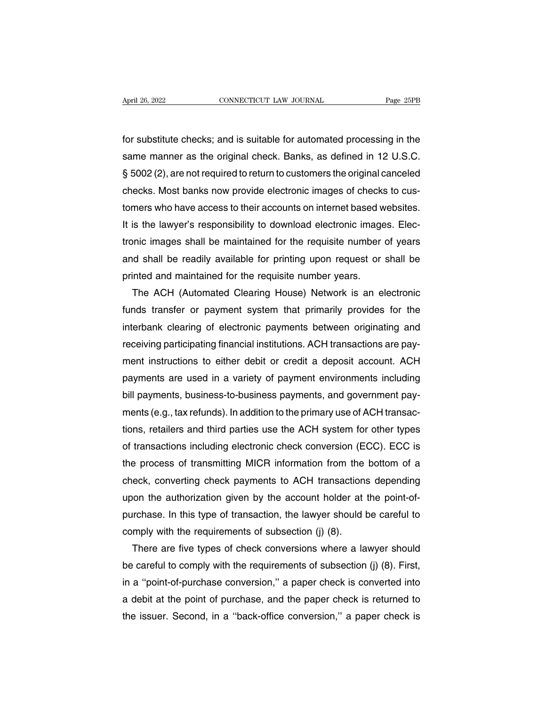For substitute checks; and is suitable for automated processing in the<br>same manner as the original check. Banks, as defined in 12 U.S.C. Same manner as the original check. Banks, as defined in 12 U.S.C.<br>Stame manner as the original check. Banks, as defined in 12 U.S.C.<br>Stame manner as the original check. Banks, as defined in 12 U.S.C. Fage 23FB<br>for substitute checks; and is suitable for automated processing in the<br>same manner as the original check. Banks, as defined in 12 U.S.C.<br>§ 5002 (2), are not required to return to customers the original canceled<br> for substitute checks; and is suitable for automated processing in the<br>same manner as the original check. Banks, as defined in 12 U.S.C.<br>§ 5002 (2), are not required to return to customers the original canceled<br>checks. Mos for substitute checks; and is suitable for automated processing in the<br>same manner as the original check. Banks, as defined in 12 U.S.C.<br>§ 5002 (2), are not required to return to customers the original canceled<br>checks. Mos same manner as the original check. Banks, as defined in 12 U.S.C.<br>§ 5002 (2), are not required to return to customers the original canceled<br>checks. Most banks now provide electronic images of checks to cus-<br>tomers who have § 5002 (2), are not required to return to customers the original canceled<br>checks. Most banks now provide electronic images of checks to cus-<br>tomers who have access to their accounts on internet based websites.<br>It is the la checks. Most banks now provide electronic images of checks to cus-<br>tomers who have access to their accounts on internet based websites.<br>It is the lawyer's responsibility to download electronic images. Elec-<br>tronic images s tomers who have access to their accounts on internet based w<br>It is the lawyer's responsibility to download electronic image<br>tronic images shall be maintained for the requisite number<br>and shall be readily available for prin is the lawyer's responsibility to download electronic images. Electronic images shall be maintained for the requisite number of years<br>and shall be readily available for printing upon request or shall be<br>inted and maintaine

tronic images shall be maintained for the requisite number of years<br>and shall be readily available for printing upon request or shall be<br>printed and maintained for the requisite number years.<br>The ACH (Automated Clearing Ho and shall be readily available for printing upon request or shall be<br>printed and maintained for the requisite number years.<br>The ACH (Automated Clearing House) Network is an electronic<br>funds transfer or payment system that printed and maintained for the requisite number years.<br>The ACH (Automated Clearing House) Network is an electronic<br>funds transfer or payment system that primarily provides for the<br>interbank clearing of electronic payments The ACH (Automated Clearing House) Network is an electronic<br>funds transfer or payment system that primarily provides for the<br>interbank clearing of electronic payments between originating and<br>receiving participating financi funds transfer or payment system that primarily provides for the<br>interbank clearing of electronic payments between originating and<br>receiving participating financial institutions. ACH transactions are pay-<br>ment instructions interbank clearing of electronic payments between originating and<br>receiving participating financial institutions. ACH transactions are pay-<br>ment instructions to either debit or credit a deposit account. ACH<br>payments are us receiving participating financial institutions. ACH transactions are payment instructions to either debit or credit a deposit account. ACH payments are used in a variety of payment environments including bill payments, bus ment instructions to either debit or credit a deposit account. ACH<br>payments are used in a variety of payment environments including<br>bill payments, business-to-business payments, and government pay-<br>ments (e.g., tax refunds payments are used in a variety of payment environments including<br>bill payments, business-to-business payments, and government pay-<br>ments (e.g., tax refunds). In addition to the primary use of ACH transac-<br>tions, retailers bill payments, business-to-business payments, and government payments (e.g., tax refunds). In addition to the primary use of ACH transactions, retailers and third parties use the ACH system for other types of transactions ments (e.g., tax refunds). In addition to the primary use of ACH transactions, retailers and third parties use the ACH system for other types<br>of transactions including electronic check conversion (ECC). ECC is<br>the process tions, retailers and third parties use the ACH system for other types<br>of transactions including electronic check conversion (ECC). ECC is<br>the process of transmitting MICR information from the bottom of a<br>check, converting of transactions including electronic check conversion (ECC). ECC is<br>the process of transmitting MICR information from the bottom of a<br>check, converting check payments to ACH transactions depending<br>upon the authorization gi the process of transmitting MICR information from the check, converting check payments to ACH transactions<br>upon the authorization given by the account holder at<br>purchase. In this type of transaction, the lawyer should l<br>co eck, converting check payments to ACH transactions depending<br>on the authorization given by the account holder at the point-of-<br>rchase. In this type of transaction, the lawyer should be careful to<br>mply with the requirements

upon the authorization given by the account holder at the point-of-<br>purchase. In this type of transaction, the lawyer should be careful to<br>comply with the requirements of subsection (j) (8).<br>There are five types of check c purchase. In this type of transaction, the lawyer should be careful to<br>comply with the requirements of subsection (j) (8).<br>There are five types of check conversions where a lawyer should<br>be careful to comply with the requi comply with the requirements of subsection (j) (8).<br>There are five types of check conversions where a lawyer should<br>be careful to comply with the requirements of subsection (j) (8). First,<br>in a "point-of-purchase conversio There are five types of check conversions where a lawyer should<br>be careful to comply with the requirements of subsection (j) (8). First,<br>in a "point-of-purchase conversion," a paper check is converted into<br>a debit at the p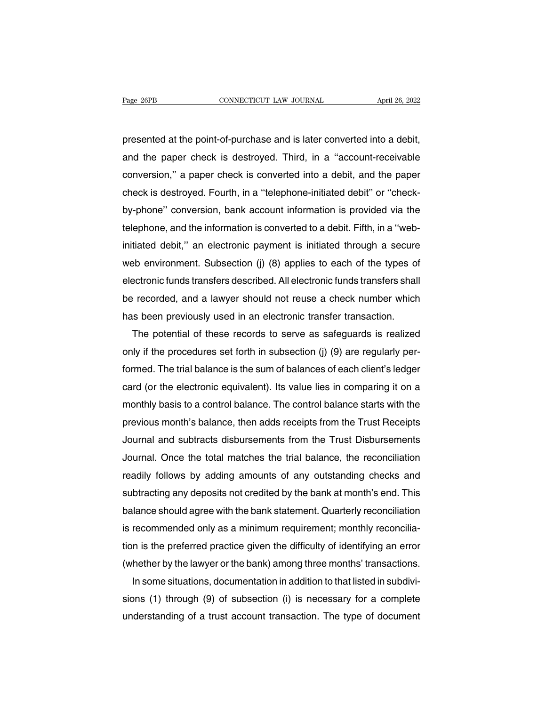Page 26PB<br>
connecticut LAW JOURNAL<br>
presented at the point-of-purchase and is later converted into a debit,<br>
and the paper check is destroyed. Third, in a "account-receivable Page 26PB CONNECTICUT LAW JOURNAL April 26, 2022<br>presented at the point-of-purchase and is later converted into a debit,<br>and the paper check is destroyed. Third, in a "account-receivable<br>conversion," a paper check is conve presented at the point-of-purchase and is later converted into a debit,<br>and the paper check is destroyed. Third, in a "account-receivable<br>conversion," a paper check is converted into a debit, and the paper<br>check is destroy presented at the point-of-purchase and is later converted into a debit,<br>and the paper check is destroyed. Third, in a "account-receivable<br>conversion," a paper check is converted into a debit, and the paper<br>check is destroy presented at the point-or-purchase and is later converted into a debit,<br>and the paper check is destroyed. Third, in a "account-receivable<br>conversion," a paper check is converted into a debit, and the paper<br>check is destroy and the paper check is destroyed. Third, in a "account-receivable conversion," a paper check is converted into a debit, and the paper check is destroyed. Fourth, in a "telephone-initiated debit" or "check-<br>by-phone" conver conversion," a paper check is converted into a debit, and the paper<br>check is destroyed. Fourth, in a "telephone-initiated debit" or "check-<br>by-phone" conversion, bank account information is provided via the<br>telephone, and check is destroyed. Fourth, in a "telephone-initiated debit" or "check-<br>by-phone" conversion, bank account information is provided via the<br>telephone, and the information is converted to a debit. Fifth, in a "web-<br>initiated by-phone" conversion, bank account information is provided via the<br>telephone, and the information is converted to a debit. Fifth, in a "web-<br>initiated debit," an electronic payment is initiated through a secure<br>web environ telephone, and the information is converted to a debit. Fifth, in a "web-<br>initiated debit," an electronic payment is initiated through a secure<br>web environment. Subsection (j) (8) applies to each of the types of<br>electronic initiated debit," an electronic payment is initiated through a secure<br>web environment. Subsection (j) (8) applies to each of the types of<br>electronic funds transfers described. All electronic funds transfers shall<br>be record Bo environment. Subsection (j) (8) applies to each of the types of<br>ectronic funds transfers described. All electronic funds transfers shall<br>recorded, and a lawyer should not reuse a check number which<br>is been previously us

electronic tunds transfers described. All electronic tunds transfers shall<br>be recorded, and a lawyer should not reuse a check number which<br>has been previously used in an electronic transfer transaction.<br>The potential of th be recorded, and a lawyer should not reuse a check number which<br>has been previously used in an electronic transfer transaction.<br>The potential of these records to serve as safeguards is realized<br>only if the procedures set f has been previously used in an electronic transfer transaction.<br>The potential of these records to serve as safeguards is realized<br>only if the procedures set forth in subsection (j) (9) are regularly per-<br>formed. The trial The potential of these records to serve as sateguards is realized<br>only if the procedures set forth in subsection (j) (9) are regularly per-<br>formed. The trial balance is the sum of balances of each client's ledger<br>card (or only if the procedures set forth in subsection (j) (9) are regularly per-<br>formed. The trial balance is the sum of balances of each client's ledger<br>card (or the electronic equivalent). Its value lies in comparing it on a<br>mo formed. The trial balance is the sum of balances of each client's ledger<br>card (or the electronic equivalent). Its value lies in comparing it on a<br>monthly basis to a control balance. The control balance starts with the<br>prev card (or the electronic equivalent). Its value lies in comparing it on a<br>monthly basis to a control balance. The control balance starts with the<br>previous month's balance, then adds receipts from the Trust Receipts<br>Journal monthly basis to a control balance. The control balance starts with the<br>previous month's balance, then adds receipts from the Trust Receipts<br>Journal and subtracts disbursements from the Trust Disbursements<br>Journal. Once th previous month's balance, then adds recelpts from the Trust Hecelpts<br>Journal and subtracts disbursements from the Trust Disbursements<br>Journal. Once the total matches the trial balance, the reconciliation<br>readily follows by Journal and subtracts disbursements from the Trust Disbursements<br>Journal. Once the total matches the trial balance, the reconciliation<br>readily follows by adding amounts of any outstanding checks and<br>subtracting any deposit Journal. Once the total matches the trial balance, the reconciliation<br>readily follows by adding amounts of any outstanding checks and<br>subtracting any deposits not credited by the bank at month's end. This<br>balance should ag readily follows by adding amounts of any outstanding checks and<br>subtracting any deposits not credited by the bank at month's end. This<br>balance should agree with the bank statement. Quarterly reconciliation<br>is recommended o subtracting any deposits not credited by the bank at month's end. I his<br>balance should agree with the bank statement. Quarterly reconciliation<br>is recommended only as a minimum requirement; monthly reconcilia-<br>tion is the p Ilance should agree with the bank statement. Quarterly reconciliation<br>recommended only as a minimum requirement; monthly reconcilia-<br>n is the preferred practice given the difficulty of identifying an error<br>hether by the la

is recommended only as a minimum requirement; monthly reconciliation is the preferred practice given the difficulty of identifying an error (whether by the lawyer or the bank) among three months' transactions.<br>In some situ tion is the preterred practice given the difficulty of identifying an error<br>(whether by the lawyer or the bank) among three months' transactions.<br>In some situations, documentation in addition to that listed in subdivi-<br>sio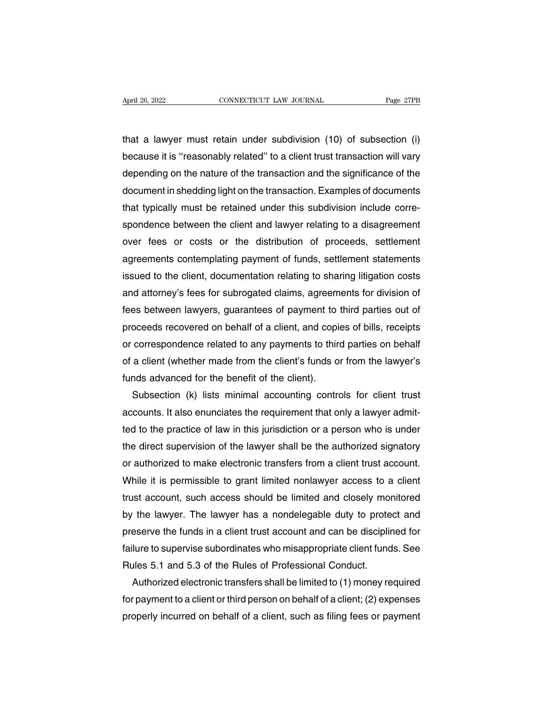that a lawyer must retain under subdivision (10) of subsection (i) because it is ''reasonably related'' to a client trust transaction (i)<br>because it is ''reasonably related'' to a client trust transaction will vary<br>depending on the nature of the transaction and the significance of the  $\frac{1}{\text{age } 2fB}$ <br>that a lawyer must retain under subdivision (10) of subsection (i)<br>because it is "reasonably related" to a client trust transaction will vary<br>depending on the nature of the transaction and the significan that a lawyer must retain under subdivision (10) of subsection (i)<br>because it is "reasonably related" to a client trust transaction will vary<br>depending on the nature of the transaction and the significance of the<br>document that a lawyer must retain under subdivision (10) of subsection (i)<br>because it is "reasonably related" to a client trust transaction will vary<br>depending on the nature of the transaction and the significance of the<br>document because it is "reasonably related" to a client trust transaction will vary<br>depending on the nature of the transaction and the significance of the<br>document in shedding light on the transaction. Examples of documents<br>that ty depending on the nature of the transaction and the significance of the<br>document in shedding light on the transaction. Examples of documents<br>that typically must be retained under this subdivision include corre-<br>spondence be document in shedding light on the transaction. Examples of documents<br>that typically must be retained under this subdivision include corre-<br>spondence between the client and lawyer relating to a disagreement<br>over fees or cos that typically must be retained under this subdivision include corre-<br>spondence between the client and lawyer relating to a disagreement<br>over fees or costs or the distribution of proceeds, settlement<br>agreements contemplati spondence between the client and lawyer relating to a disagreement<br>over fees or costs or the distribution of proceeds, settlement<br>agreements contemplating payment of funds, settlement statements<br>issued to the client, docum over fees or costs or the distribution of proceeds, settlement<br>agreements contemplating payment of funds, settlement statements<br>issued to the client, documentation relating to sharing litigation costs<br>and attorney's fees f agreements contemplating payment of funds, settlement statements<br>issued to the client, documentation relating to sharing litigation costs<br>and attorney's fees for subrogated claims, agreements for division of<br>fees between l issued to the client, documentation relating to sharing litigation costs<br>and attorney's fees for subrogated claims, agreements for division of<br>fees between lawyers, guarantees of payment to third parties out of<br>proceeds re and attorney's fees for subrogated claims, agreements for division of<br>fees between lawyers, guarantees of payment to third parties out of<br>proceeds recovered on behalf of a client, and copies of bills, receipts<br>or correspon fees between lawyers, guarantees of payment to<br>proceeds recovered on behalf of a client, and copic<br>or correspondence related to any payments to thire<br>of a client (whether made from the client's funds of<br>funds advanced for oceeds recovered on behalf of a client, and copies of bills, receipts<br>correspondence related to any payments to third parties on behalf<br>a client (whether made from the client's funds or from the lawyer's<br>nds advanced for t

or correspondence related to any payments to third parties on behalf<br>of a client (whether made from the client's funds or from the lawyer's<br>funds advanced for the benefit of the client).<br>Subsection (k) lists minimal accoun of a client (whether made from the client's funds or from the lawyer's<br>funds advanced for the benefit of the client).<br>Subsection (k) lists minimal accounting controls for client trust<br>accounts. It also enunciates the requi funds advanced for the benefit of the client).<br>Subsection (k) lists minimal accounting controls for client trust<br>accounts. It also enunciates the requirement that only a lawyer admit-<br>ted to the practice of law in this jur Subsection (k) lists minimal accounting controls for client trust<br>accounts. It also enunciates the requirement that only a lawyer admit-<br>ted to the practice of law in this jurisdiction or a person who is under<br>the direct s accounts. It also enunciates the requirement that only a lawyer admitted to the practice of law in this jurisdiction or a person who is under the direct supervision of the lawyer shall be the authorized signatory or author ted to the practice of law in this jurisdiction or a person who is under<br>the direct supervision of the lawyer shall be the authorized signatory<br>or authorized to make electronic transfers from a client trust account.<br>While the direct supervision of the lawyer shall be the authorized signatory<br>or authorized to make electronic transfers from a client trust account.<br>While it is permissible to grant limited nonlawyer access to a client<br>trust acc or authorized to make electronic transfers from a client trust account.<br>While it is permissible to grant limited nonlawyer access to a client<br>trust account, such access should be limited and closely monitored<br>by the lawyer While it is permissible to grant limited nonlawyer access to a client<br>trust account, such access should be limited and closely monitored<br>by the lawyer. The lawyer has a nondelegable duty to protect and<br>preserve the funds i trust account, such access should be limited and closely mor<br>by the lawyer. The lawyer has a nondelegable duty to prote<br>preserve the funds in a client trust account and can be disciplin<br>failure to supervise subordinates wh The lawyer. The lawyer has a nondelegable duty to protect and<br>eserve the funds in a client trust account and can be disciplined for<br>lure to supervise subordinates who misappropriate client funds. See<br>ules 5.1 and 5.3 of th preserve the funds in a client trust account and can be disciplined for<br>failure to supervise subordinates who misappropriate client funds. See<br>Rules 5.1 and 5.3 of the Rules of Professional Conduct.<br>Authorized electronic t

failure to supervise subordinates who misappropriate client funds. See<br>Rules 5.1 and 5.3 of the Rules of Professional Conduct.<br>Authorized electronic transfers shall be limited to (1) money required<br>for payment to a client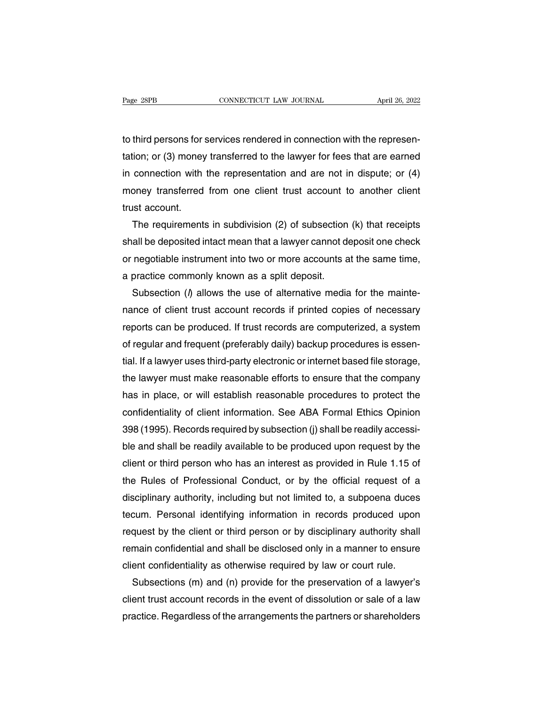to third persons for services rendered in connection with the represen-The Page 28PB<br>to third persons for services rendered in connection with the represen-<br>tation; or (3) money transferred to the lawyer for fees that are earned<br>in connection with the representation and are not in dispute; or Figure 2015<br>to third persons for services rendered in connection with the represen-<br>tation; or (3) money transferred to the lawyer for fees that are earned<br>in connection with the representation and are not in dispute; or ( to third persons for services rendered in connection with the representation; or (3) money transferred to the lawyer for fees that are earned in connection with the representation and are not in dispute; or (4) money trans to third persons for :<br>tation; or (3) money<br>in connection with<br>money transferred<br>trust account.<br>The requirements ion; or (3) money transferred to the lawyer for fees that are earned<br>connection with the representation and are not in dispute; or (4)<br>oney transferred from one client trust account to another client<br>ist account.<br>The requi

in connection with the representation and are not in dispute; or (4)<br>money transferred from one client trust account to another client<br>trust account.<br>The requirements in subdivision (2) of subsection (k) that receipts<br>shal money transferred from one client trust account to another client<br>trust account.<br>The requirements in subdivision (2) of subsection (k) that receipts<br>shall be deposited intact mean that a lawyer cannot deposit one check<br>or trust account.<br>The requirements in subdivision (2) of subsection<br>shall be deposited intact mean that a lawyer cannot do<br>or negotiable instrument into two or more accounts a<br>a practice commonly known as a split deposit.<br>Sub The requirements in subdivision (2) of subsection (k) that receipts<br>all be deposited intact mean that a lawyer cannot deposit one check<br>negotiable instrument into two or more accounts at the same time,<br>practice commonly k

shall be deposited intact mean that a lawyer cannot deposit one check<br>or negotiable instrument into two or more accounts at the same time,<br>a practice commonly known as a split deposit.<br>Subsection (*I*) allows the use of al or negotiable instrument into two or more accounts at the same time,<br>a practice commonly known as a split deposit.<br>Subsection ( $\beta$  allows the use of alternative media for the mainte-<br>nance of client trust account records a practice commonly known as a split deposit.<br>Subsection (*l*) allows the use of alternative media for the mainte-<br>nance of client trust account records if printed copies of necessary<br>reports can be produced. If trust reco Subsection ( $\eta$ ) allows the use of alternative media for the mainte-<br>nance of client trust account records if printed copies of necessary<br>reports can be produced. If trust records are computerized, a system<br>of regular an nance of client trust account records if printed copies of necessary<br>reports can be produced. If trust records are computerized, a system<br>of regular and frequent (preferably daily) backup procedures is essen-<br>tial. If a la reports can be produced. If trust records are computerized, a system<br>of regular and frequent (preferably daily) backup procedures is essen-<br>tial. If a lawyer uses third-party electronic or internet based file storage,<br>the of regular and frequent (preferably daily) backup procedures is essential. If a lawyer uses third-party electronic or internet based file storage, the lawyer must make reasonable efforts to ensure that the company has in p tial. If a lawyer uses third-party electronic or internet based file storage,<br>the lawyer must make reasonable efforts to ensure that the company<br>has in place, or will establish reasonable procedures to protect the<br>confiden the lawyer must make reasonable efforts to ensure that the company<br>has in place, or will establish reasonable procedures to protect the<br>confidentiality of client information. See ABA Formal Ethics Opinion<br>398 (1995). Recor has in place, or will establish reasonable procedures to protect the<br>confidentiality of client information. See ABA Formal Ethics Opinion<br>398 (1995). Records required by subsection (j) shall be readily accessi-<br>ble and sha confidentiality of client information. See ABA Formal Ethics Opinion<br>398 (1995). Records required by subsection (j) shall be readily accessi-<br>ble and shall be readily available to be produced upon request by the<br>client or 398 (1995). Records required by subsection (j) shall be readily accessi-<br>ble and shall be readily available to be produced upon request by the<br>client or third person who has an interest as provided in Rule 1.15 of<br>the Rule ble and shall be readily available to be produced upon request by the client or third person who has an interest as provided in Rule 1.15 of the Rules of Professional Conduct, or by the official request of a disciplinary a client or third person who has an interest as provided in Rule 1.15 of<br>the Rules of Professional Conduct, or by the official request of a<br>disciplinary authority, including but not limited to, a subpoena duces<br>tecum. Person the Rules of Professional Conduct, or by the official request of a<br>disciplinary authority, including but not limited to, a subpoena duces<br>tecum. Personal identifying information in records produced upon<br>request by the clie disciplinary authority, including but not limited to, a subpoena duces<br>tecum. Personal identifying information in records produced upon<br>request by the client or third person or by disciplinary authority shall<br>remain confid cum. Personal identifying information in records produced upon<br>quest by the client or third person or by disciplinary authority shall<br>main confidential and shall be disclosed only in a manner to ensure<br>ent confidentiality request by the client or third person or by disciplinary authority shall<br>remain confidential and shall be disclosed only in a manner to ensure<br>client confidentiality as otherwise required by law or court rule.<br>Subsections

remain confidential and shall be disclosed only in a manner to ensure<br>client confidentiality as otherwise required by law or court rule.<br>Subsections (m) and (n) provide for the preservation of a lawyer's<br>client trust accou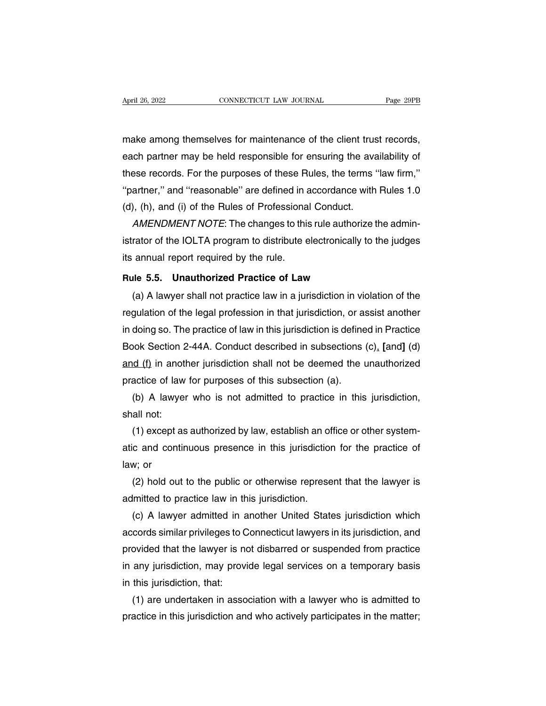April 26, 2022<br>
CONNECTICUT LAW JOURNAL<br>
make among themselves for maintenance of the client trust records,<br>
each partner may be held responsible for ensuring the availability of April 26, 2022 CONNECTICUT LAW JOURNAL Page 29PB<br>make among themselves for maintenance of the client trust records,<br>each partner may be held responsible for ensuring the availability of<br>these records. For the purposes of t these records. For the purposes of the client trust records,<br>each partner may be held responsible for ensuring the availability of<br>these records. For the purposes of these Rules, the terms "law firm,"<br>"partner," and "reaso make among themselves for maintenance of the client trust records,<br>each partner may be held responsible for ensuring the availability of<br>these records. For the purposes of these Rules, the terms "law firm,"<br>"partner," and make among themselves for maintenance of the client trus<br>each partner may be held responsible for ensuring the ava<br>these records. For the purposes of these Rules, the terms<br>"partner," and "reasonable" are defined in accord ich partner may be held responsible for ensuring the availability of<br>ese records. For the purposes of these Rules, the terms "law firm,"<br>artner," and "reasonable" are defined in accordance with Rules 1.0<br>), (h), and (i) of these records. For the purposes of these Rules, the terms "law firm,"<br>"partner," and "reasonable" are defined in accordance with Rules 1.0<br>(d), (h), and (i) of the Rules of Professional Conduct.<br>AMENDMENT NOTE: The changes

"partner," and "reasonable" are defined in a<br>(d), (h), and (i) of the Rules of Professiona<br> $AMENDMENT^\dagger$ . The changes to this<br>istrator of the IOLTA program to distribute e<br>its annual report required by the rule.<br>Rule 5.5. Unau (d), (h), and (i) of the Rules of Professional Conduct.<br>
AMENDMENT NOTE: The changes to this rule authorize the<br>
istrator of the IOLTA program to distribute electronically to the<br>
its annual report required by the rule.<br> (a) A law ENDIMENT NOTE: The changes to this rule authorize the admini-<br>
rator of the IOLTA program to distribute electronically to the judges<br>
annual report required by the rule.<br> **ILE 5.5.** Unauthorized Practice of Law<br>

regulation of the lock is a program to distribute electronically to the judges<br>its annual report required by the rule.<br>**Rule 5.5. Unauthorized Practice of Law**<br>(a) A lawyer shall not practice law in a jurisdiction in viola Its annual report required by the rule.<br> **Rule 5.5. Unauthorized Practice of Law**<br>
(a) A lawyer shall not practice law in a jurisdiction in violation of the<br>
regulation of the legal profession in that jurisdiction, or assi Rule 5.5. Unauthorized Practice of Law<br>
(a) A lawyer shall not practice law in a jurisdiction in violation of the<br>
regulation of the legal profession in that jurisdiction, or assist another<br>
in doing so. The practice of la (a) A lawyer shall not practice law in a jurisdiction in violation of the regulation of the legal profession in that jurisdiction, or assist another in doing so. The practice of law in this jurisdiction is defined in Prac regulation of the legal profession in that jurisdiction, or as<br>in doing so. The practice of law in this jurisdiction is define<br>Book Section 2-44A. Conduct described in subsections<br>and (f) in another jurisdiction shall not doing so. The practice of law in this jurisdiction is defined in Practice<br>pok Section 2-44A. Conduct described in subsections (c), [and] (d)<br>d (f) in another jurisdiction shall not be deemed the unauthorized<br>actice of law Book Section 2<br>
<u>and (f</u>) in anot<br>
practice of law<br>
(b) A lawyer<br>
shall not:<br>
(1) except as

(1) in another jurisdiction shall not be deemed the unauthorized<br>actice of law for purposes of this subsection (a).<br>(b) A lawyer who is not admitted to practice in this jurisdiction,<br>all not:<br>(1) except as authorized by l practice of law for purposes of this subsection (a).<br>
(b) A lawyer who is not admitted to practice in this jurisdiction,<br>
shall not:<br>
(1) except as authorized by law, establish an office or other system-<br>
atic and continuo (b) A lawy<br>shall not:<br>(1) except  $\varepsilon$ <br>atic and cont<br>law; or<br>(2) hold ou all not:<br>(1) except as authorized by law, establish an office or other system-<br>c and continuous presence in this jurisdiction for the practice of<br>w; or<br>(2) hold out to the public or otherwise represent that the lawyer is<br>l (1) except as authorized by law, establish an of<br>atic and continuous presence in this jurisdiction<br>law; or<br>(2) hold out to the public or otherwise represe<br>admitted to practice law in this jurisdiction.<br>(c) A lawyer admitt

c and continuous presence in this jurisdiction for the practice of<br>w; or<br>(2) hold out to the public or otherwise represent that the lawyer is<br>lmitted to practice law in this jurisdiction.<br>(c) A lawyer admitted in another U law; or<br>
(2) hold out to the public or otherwise represent that the lawyer is<br>
admitted to practice law in this jurisdiction.<br>
(c) A lawyer admitted in another United States jurisdiction which<br>
accords similar privileges t (2) hold out to the public or otherwise represent that the lawyer is<br>admitted to practice law in this jurisdiction.<br>(c) A lawyer admitted in another United States jurisdiction which<br>accords similar privileges to Connecticu admitted to practice law in this jurisdiction.<br>
(c) A lawyer admitted in another United States jurisdiction which<br>
accords similar privileges to Connecticut lawyers in its jurisdiction, and<br>
provided that the lawyer is not (c) A lawyer admitted in a<br>accords similar privileges to C<br>provided that the lawyer is no<br>in any jurisdiction, may provi<br>in this jurisdiction, that:<br>(1) are undertaken in asso cords similar privileges to Connecticut lawyers in its jurisdiction, and<br>ovided that the lawyer is not disbarred or suspended from practice<br>any jurisdiction, may provide legal services on a temporary basis<br>this jurisdictio provided that the lawyer is not disbarred or suspended from practice<br>in any jurisdiction, may provide legal services on a temporary basis<br>in this jurisdiction, that:<br>(1) are undertaken in association with a lawyer who is a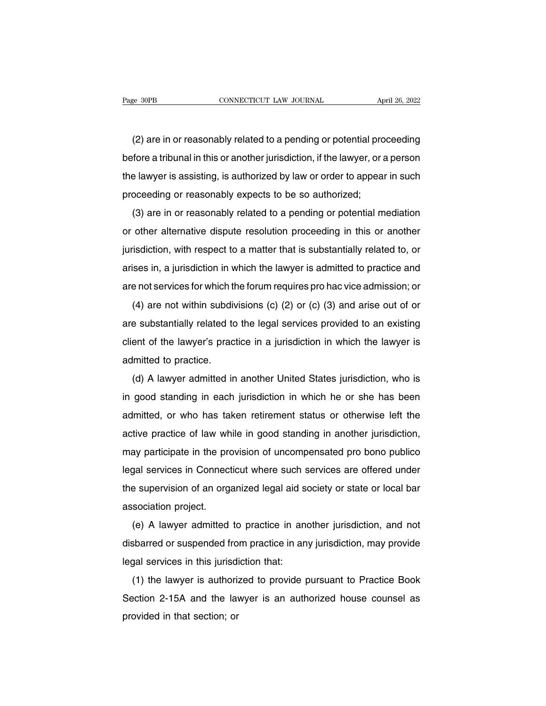EXEMBER APRIL 26, 2022<br>
(2) are in or reasonably related to a pending or potential proceeding<br>
fore a tribunal in this or another jurisdiction, if the lawyer, or a person before a tribunal in this or another jurisdiction, if the lawyer, or a person<br>the lawyer is assisting, is authorized by law or order to appear in such<br>the lawyer is assisting, is authorized by law or order to appear in suc (2) are in or reasonably related to a pending or potential proceeding<br>before a tribunal in this or another jurisdiction, if the lawyer, or a person<br>the lawyer is assisting, is authorized by law or order to appear in such<br>p (2) are in or reasonably related to a pending or potential pro<br>before a tribunal in this or another jurisdiction, if the lawyer, or a<br>the lawyer is assisting, is authorized by law or order to appear<br>proceeding or reasonabl ( $\angle$ ) are in or reasonably related to a pending or potential proceeding<br>fore a tribunal in this or another jurisdiction, if the lawyer, or a person<br>e lawyer is assisting, is authorized by law or order to appear in such<br>o

before a mburian in this of another jurisdiction, if the lawyer, or a person<br>the lawyer is assisting, is authorized by law or order to appear in such<br>proceeding or reasonably expects to be so authorized;<br>(3) are in or reas proceeding or reasonably expects to be so authorized;<br>(3) are in or reasonably related to a pending or potential mediation<br>or other alternative dispute resolution proceeding in this or another<br>jurisdiction, with respect to (3) are in or reasonably related to a pending or potential mediation<br>or other alternative dispute resolution proceeding in this or another<br>jurisdiction, with respect to a matter that is substantially related to, or<br>arises or other alternative dispute resolution proceeding in this or another<br>jurisdiction, with respect to a matter that is substantially related to, or<br>arises in, a jurisdiction in which the lawyer is admitted to practice and<br>a isdiction, with respect to a matter that is substantially related to, or<br>ises in, a jurisdiction in which the lawyer is admitted to practice and<br>e not services for which the forum requires pro hac vice admission; or<br>(4) ar

arises in, a jurisdiction in which the lawyer is admitted to practice and<br>are not services for which the forum requires pro hac vice admission; or<br>(4) are not within subdivisions (c) (2) or (c) (3) and arise out of or<br>are arises in, a jurisdiction in which the lawyer's admitted to practice and<br>are not services for which the forum requires pro hac vice admission; or<br>(4) are not within subdivisions (c) (2) or (c) (3) and arise out of or<br>are s (4) are not within subdivare substantially related to<br>client of the lawyer's practional different of the lawyer's practice.<br>(d) A lawyer admitted in (4) are not within subdivisions (c) (2) or (c) (3) and anse out or or<br>e substantially related to the legal services provided to an existing<br>ent of the lawyer's practice in a jurisdiction in which the lawyer is<br>lmitted to

in good standary related to the legal services provided to an existing<br>client of the lawyer's practice in a jurisdiction in which the lawyer is<br>admitted to practice.<br>(d) A lawyer admitted in another United States jurisdict admitted to practice.<br>
(d) A lawyer admitted in another United States jurisdiction, who is<br>
in good standing in each jurisdiction in which he or she has been<br>
admitted, or who has taken retirement status or otherwise left admitted to practice.<br>
(d) A lawyer admitted in another United States jurisdiction, who is<br>
in good standing in each jurisdiction in which he or she has been<br>
admitted, or who has taken retirement status or otherwise left (a) A lawyer admitted in another officed states jurisdiction, who is<br>in good standing in each jurisdiction in which he or she has been<br>admitted, or who has taken retirement status or otherwise left the<br>active practice of l In good standing in each jurisdiction in which he of she has been<br>admitted, or who has taken retirement status or otherwise left the<br>active practice of law while in good standing in another jurisdiction,<br>may participate in admitted, of who has taken retirement status of otherwise left the<br>active practice of law while in good standing in another jurisdiction,<br>may participate in the provision of uncompensated pro bono publico<br>legal services in active practice of law with<br>may participate in the pro<br>legal services in Connect<br>the supervision of an org<br>association project.<br>(e) A lawyer admitted (e) a lawyer admitted to practice in another jurisdiction, and not<br>be supervision of an organized legal aid society or state or local bar<br>sociation project.<br>(e) A lawyer admitted to practice in another jurisdiction, and no

disparsion of an organized legal aid society or state or local bar<br>association project.<br>(e) A lawyer admitted to practice in another jurisdiction, and not<br>disbarred or suspended from practice in any jurisdiction, may provi Intersupervision of an organized legal aid s<br>association project.<br>(e) A lawyer admitted to practice in an<br>disbarred or suspended from practice in an<br>legal services in this jurisdiction that:<br>(1) the lawyer is authorized to (e) A lawyer admitted to practice in another jurisdiction, and not<br>sbarred or suspended from practice in any jurisdiction, may provide<br>gal services in this jurisdiction that:<br>(1) the lawyer is authorized to provide pursuan

(e) A lawyer admitted to plactice in another jurisdiction, and not<br>disbarred or suspended from practice in any jurisdiction, may provide<br>legal services in this jurisdiction that:<br>(1) the lawyer is authorized to provide pur disbarred or suspended from practice in any jurisdiction, may provide<br>legal services in this jurisdiction that:<br>(1) the lawyer is authorized to provide pursuant to Practice Book<br>Section 2-15A and the lawyer is an authorize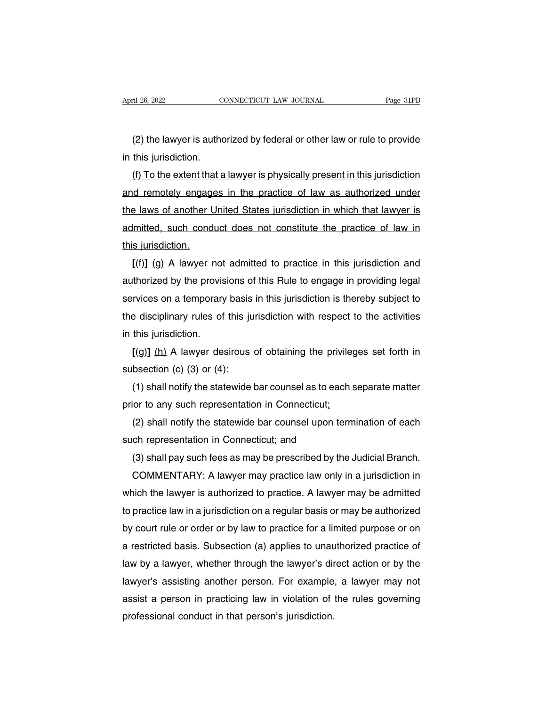(2) the lawyer is authorized by federal or other law or rule to provide<br>this jurisdiction. April 26, 2022<br>
(2) the lawyer is author<br>
in this jurisdiction.<br>
(f) To the extent that a

(2) the lawyer is authorized by federal or other law or rule to provide<br>this jurisdiction.<br>(f) To the extent that a lawyer is physically present in this jurisdiction<br>d remotely engages in the practice of law as authorized (2) the lawyer is authorized by federal or other law or rule to provide<br>in this jurisdiction.<br>(f) To the extent that a lawyer is physically present in this jurisdiction<br>and remotely engages in the practice of law as author (2) the lawyer is authorized by federal or other law or rule to provide<br>in this jurisdiction.<br>(f) To the extent that a lawyer is physically present in this jurisdiction<br>and remotely engages in the practice of law as author in this jurisdiction.<br>
(f) To the extent that a lawyer is physically present in this jurisdiction<br>
and remotely engages in the practice of law as authorized under<br>
the laws of another United States jurisdiction in which th (f) To the extent that a lawyer is physically present in this jurisdiction<br>and remotely engages in the practice of law as authorized under<br>the laws of another United States jurisdiction in which that lawyer is<br>admitted, s **Example 13 and The State States in the practice of law as authorized under**<br>**Example 18 and State in the practice in that lawyer is**<br>**[(f)]** (g) A lawyer not admitted to practice in this jurisdiction and<br>**[(f)]** (g) A law

the laws of another United States jurisdiction in which that lawyer is<br>admitted, such conduct does not constitute the practice of law in<br>this jurisdiction.<br>[(f)] (g) A lawyer not admitted to practice in this jurisdiction a admitted, such conduct does not constitute the practice of law in<br>this jurisdiction.<br>[(f)] (g) A lawyer not admitted to practice in this jurisdiction and<br>authorized by the provisions of this Rule to engage in providing leg this jurisdiction.<br>
[(f)] (g) A lawyer not admitted to practice in this jurisdiction and<br>
authorized by the provisions of this Rule to engage in providing legal<br>
services on a temporary basis in this jurisdiction is thereb  $\lbrack (1) \rbrack$  (g) A lawyer not<br>authorized by the provis<br>services on a temporary<br>the disciplinary rules of<br>in this jurisdiction.<br> $\lbrack (g) \rbrack$  (h) A lawyer des **EXECUTE:** The provisions of this Hule to engage in providing legal rvices on a temporary basis in this jurisdiction is thereby subject to edisciplinary rules of this jurisdiction with respect to the activities this jurisd services on a temporary basis<br>the disciplinary rules of this ju<br>in this jurisdiction.<br> $[(9)] (h)$  A lawyer desirous<br>subsection (c) (3) or (4):<br>(1) shall notify the statewide

(1) shall notify rules of this jurisdiction with respect to the activities<br>
this jurisdiction.<br>
(1) shall notify the statewide bar counsel as to each separate matter<br>
(1) shall notify the statewide bar counsel as to each s in this jurisdiction.<br>  $[(9)] (h)$  A lawyer desirous of obtaining the privile<br>
subsection (c) (3) or (4):<br>
(1) shall notify the statewide bar counsel as to each s<br>
prior to any such representation in Connecticut;<br>
(2) shall

subsection (c) (3) or (4):<br>
(1) shall notify the statewide bar counsel as to eac<br>
prior to any such representation in Connecticut;<br>
(2) shall notify the statewide bar counsel upon te<br>
such representation in Connecticut; an

[(g)] (h) A lawyer desirous of obtaining the privileges set forth in<br>bsection (c) (3) or (4):<br>(1) shall notify the statewide bar counsel as to each separate matter<br>ior to any such representation in Connecticut;<br>(2) shall (1) shall notify the statewide bar counsel as to each separate matter<br>ior to any such representation in Connecticut<u>:</u><br>(2) shall notify the statewide bar counsel upon termination of each<br>ch representation in Connecticut; a

or to any such representation in Connecticut;<br>(2) shall notify the statewide bar counsel upon termination of each<br>ch representation in Connecticut; and<br>(3) shall pay such fees as may be prescribed by the Judicial Branch.<br>C (2) shall notify the statewide bar counsel upon termination of each<br>such representation in Connecticut; and<br>(3) shall pay such fees as may be prescribed by the Judicial Branch.<br>COMMENTARY: A lawyer may practice law only in such representation in Connecticut; and<br>
(3) shall pay such fees as may be prescribed by the Judicial Branch.<br>
COMMENTARY: A lawyer may practice law only in a jurisdiction in<br>
which the lawyer is authorized to practice. A (3) shall pay such tees as may be prescribed by the Judicial Branch.<br>COMMENTARY: A lawyer may practice law only in a jurisdiction in<br>which the lawyer is authorized to practice. A lawyer may be admitted<br>to practice law in a COMMENTARY: A lawyer may practice law only in a jurisdiction in<br>which the lawyer is authorized to practice. A lawyer may be admitted<br>to practice law in a jurisdiction on a regular basis or may be authorized<br>by court rule o which the lawyer is authorized to practice. A lawyer may be admitted<br>to practice law in a jurisdiction on a regular basis or may be authorized<br>by court rule or order or by law to practice for a limited purpose or on<br>a rest to practice law in a jurisdiction on a regular basis or may be authorized<br>by court rule or order or by law to practice for a limited purpose or on<br>a restricted basis. Subsection (a) applies to unauthorized practice of<br>law by court rule or order or by law to practice for a limited purpose or on<br>a restricted basis. Subsection (a) applies to unauthorized practice of<br>law by a lawyer, whether through the lawyer's direct action or by the<br>lawyer's a restricted basis. Subsection (a) applies to unauthorized practice of law by a lawyer, whether through the lawyer's direct action or by the lawyer's assisting another person. For example, a lawyer may not assist a person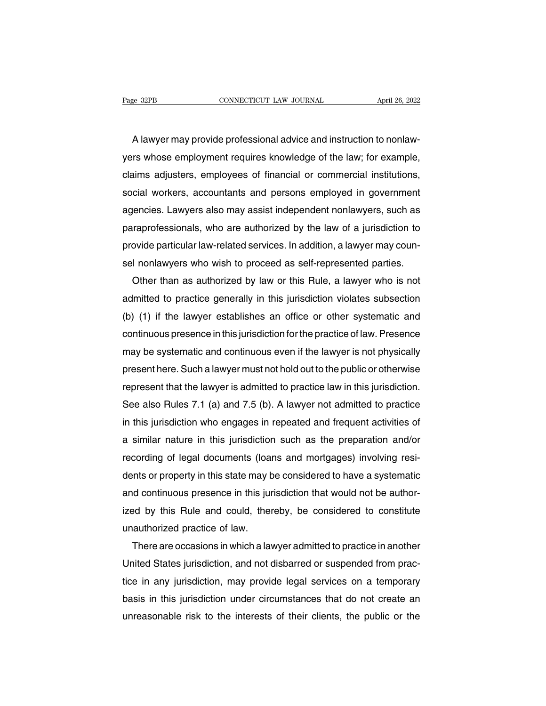EXEM CONNECTICUT LAW JOURNAL April 26, 2022<br>A lawyer may provide professional advice and instruction to nonlaw-<br>A lawyer may provide professional advice and instruction to nonlaw-<br>A lawyer may provide professional advice a Page 32PB CONNECTICUT LAW JOURNAL April 26, 2022<br>A lawyer may provide professional advice and instruction to nonlaw-<br>yers whose employment requires knowledge of the law; for example,<br>claims adjusters, employees of financia A lawyer may provide professional advice and instruction to nonlaw-<br>yers whose employment requires knowledge of the law; for example,<br>claims adjusters, employees of financial or commercial institutions,<br>social workers, acc A lawyer may provide professional advice and instruction to nonlaw-<br>yers whose employment requires knowledge of the law; for example,<br>claims adjusters, employees of financial or commercial institutions,<br>social workers, acc A lawyer may provide protessional advice and instruction to nonlaw-<br>yers whose employment requires knowledge of the law; for example,<br>claims adjusters, employees of financial or commercial institutions,<br>social workers, acc yers whose employment requires knowledge of the law; for example,<br>claims adjusters, employees of financial or commercial institutions,<br>social workers, accountants and persons employed in government<br>agencies. Lawyers also m claims adjusters, employees of financial or commercial institutions,<br>social workers, accountants and persons employed in government<br>agencies. Lawyers also may assist independent nonlawyers, such as<br>paraprofessionals, who a social workers, accountants and persons employed in government<br>agencies. Lawyers also may assist independent nonlawyers, such as<br>paraprofessionals, who are authorized by the law of a jurisdiction to<br>provide particular lawrencies. Lawyers also may assist independent nonlawyers, such as<br>raprofessionals, who are authorized by the law of a jurisdiction to<br>ovide particular law-related services. In addition, a lawyer may coun-<br>I nonlawyers who w

paraprotessionals, who are authorized by the law of a jurisdiction to<br>provide particular law-related services. In addition, a lawyer may coun-<br>sel nonlawyers who wish to proceed as self-represented parties.<br>Other than as a provide particular law-related services. In addition, a lawyer may counsel nonlawyers who wish to proceed as self-represented parties.<br>
Other than as authorized by law or this Rule, a lawyer who is not<br>
admitted to practic sel nonlawyers who wish to proceed as self-represented parties.<br>
Other than as authorized by law or this Rule, a lawyer who is not<br>
admitted to practice generally in this jurisdiction violates subsection<br>
(b) (1) if the la Other than as authorized by law or this Hule, a lawyer who is not<br>admitted to practice generally in this jurisdiction violates subsection<br>(b) (1) if the lawyer establishes an office or other systematic and<br>continuous prese admitted to practice generally in this jurisdiction violates subsection<br>(b) (1) if the lawyer establishes an office or other systematic and<br>continuous presence in this jurisdiction for the practice of law. Presence<br>may be (b) (1) if the lawyer establishes an office or other systematic and<br>continuous presence in this jurisdiction for the practice of law. Presence<br>may be systematic and continuous even if the lawyer is not physically<br>present continuous presence in this jurisdiction for the practice of law. Presence<br>may be systematic and continuous even if the lawyer is not physically<br>present here. Such a lawyer must not hold out to the public or otherwise<br>repr may be systematic and continuous even if the lawyer is not physically<br>present here. Such a lawyer must not hold out to the public or otherwise<br>represent that the lawyer is admitted to practice law in this jurisdiction.<br>See present here. Such a lawyer must not hold out to the public or otherwise<br>represent that the lawyer is admitted to practice law in this jurisdiction.<br>See also Rules 7.1 (a) and 7.5 (b). A lawyer not admitted to practice<br>in represent that the lawyer is admitted to practice law in this jurisdiction.<br>See also Rules 7.1 (a) and 7.5 (b). A lawyer not admitted to practice<br>in this jurisdiction who engages in repeated and frequent activities of<br>a si See also Hules 7.1 (a) and 7.5 (b). A lawyer not admitted to practice<br>in this jurisdiction who engages in repeated and frequent activities of<br>a similar nature in this jurisdiction such as the preparation and/or<br>recording o in this jurisdiction who engages in repeated and frequent activities of<br>a similar nature in this jurisdiction such as the preparation and/or<br>recording of legal documents (loans and mortgages) involving resi-<br>dents or prope a similar nature in this jurisdiction such as the preparation and/or<br>recording of legal documents (loans and mortgages) involving resi-<br>dents or property in this state may be considered to have a systematic<br>and continuous recording of legal documents (loaid<br>dents or property in this state may b<br>and continuous presence in this jure<br>ized by this Rule and could, ther<br>unauthorized practice of law.<br>There are occasions in which a lay Ints or property in this state may be considered to have a systematic<br>d continuous presence in this jurisdiction that would not be author-<br>ed by this Rule and could, thereby, be considered to constitute<br>authorized practice

and continuous presence in this jurisdiction that would not be author-<br>ized by this Rule and could, thereby, be considered to constitute<br>unauthorized practice of law.<br>There are occasions in which a lawyer admitted to pract ized by this Rule and could, thereby, be considered to constitute<br>unauthorized practice of law.<br>There are occasions in which a lawyer admitted to practice in another<br>United States jurisdiction, and not disbarred or suspend unauthorized practice of law.<br>
There are occasions in which a lawyer admitted to practice in another<br>
United States jurisdiction, and not disbarred or suspended from prac-<br>
tice in any jurisdiction, may provide legal servi I here are occasions in which a lawyer admitted to practice in another<br>United States jurisdiction, and not disbarred or suspended from prac-<br>tice in any jurisdiction, may provide legal services on a temporary<br>basis in this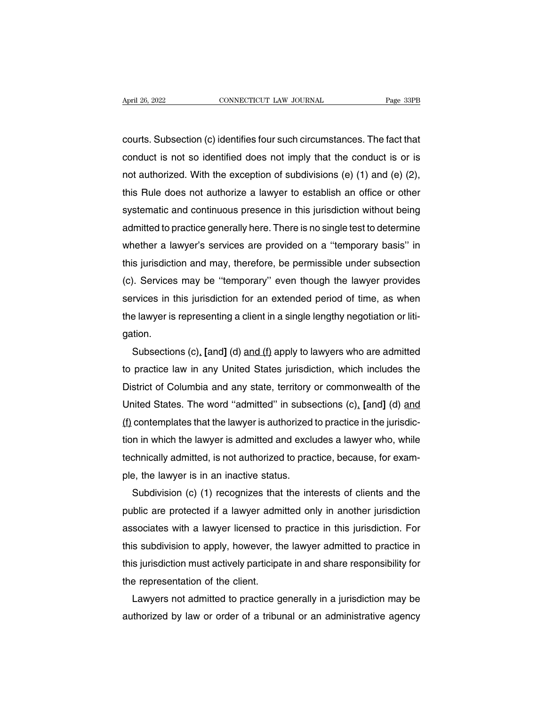April 26, 2022<br>
connecticut LAW JOURNAL<br>
courts. Subsection (c) identifies four such circumstances. The fact that<br>
conduct is not so identified does not imply that the conduct is or is April 26, 2022 CONNECTICUT LAW JOURNAL Page 33PB<br>courts. Subsection (c) identifies four such circumstances. The fact that<br>conduct is not so identified does not imply that the conduct is or is<br>not authorized. With the excep not all the exception and solutions are the fact that<br>courts. Subsection (c) identifies four such circumstances. The fact that<br>conduct is not so identified does not imply that the conduct is or is<br>not authorized. With the courts. Subsection (c) identifies four such circumstances. The fact that<br>conduct is not so identified does not imply that the conduct is or is<br>not authorized. With the exception of subdivisions (e) (1) and (e) (2),<br>this Ru courts. Subsection (c) identifies four such circumstances. The fact that<br>conduct is not so identified does not imply that the conduct is or is<br>not authorized. With the exception of subdivisions (e) (1) and (e) (2),<br>this Ru conduct is not so identified does not imply that the conduct is or is<br>not authorized. With the exception of subdivisions (e) (1) and (e) (2),<br>this Rule does not authorize a lawyer to establish an office or other<br>systematic not authorized. With the exception of subdivisions (e) (1) and (e) (2),<br>this Rule does not authorize a lawyer to establish an office or other<br>systematic and continuous presence in this jurisdiction without being<br>admitted t this Rule does not authorize a lawyer to establish an office or other<br>systematic and continuous presence in this jurisdiction without being<br>admitted to practice generally here. There is no single test to determine<br>whether systematic and continuous presence in this jurisdiction without being<br>admitted to practice generally here. There is no single test to determine<br>whether a lawyer's services are provided on a "temporary basis" in<br>this jurisd admitted to practice generally here. There is no single test to determine<br>whether a lawyer's services are provided on a "temporary basis" in<br>this jurisdiction and may, therefore, be permissible under subsection<br>(c). Servic whether a lawyer's services are provided on a "temporary basis" in<br>this jurisdiction and may, therefore, be permissible under subsection<br>(c). Services may be "temporary" even though the lawyer provides<br>services in this jur gation. Subsections (c), **[and]** (d) and (f) apply to lawyers which includes the player is representing a client in a single lengthy negotiation or litition.<br>Subsections (c), **[and]** (d) and (f) apply to lawyers who are admitted p

services in this jurisdiction for an extended period of time, as when<br>the lawyer is representing a client in a single lengthy negotiation or liti-<br>gation.<br>Subsections (c), [and] (d) and (f) apply to lawyers who are admitte the lawyer is representing a client in a single lengthy negotiation or litigation.<br>
Subsections (c), [and] (d) and (f) apply to lawyers who are admitted<br>
to practice law in any United States jurisdiction, which includes th gation.<br>
Subsections (c), [and] (d) and (f) apply to lawyers who are admitted<br>
to practice law in any United States jurisdiction, which includes the<br>
District of Columbia and any state, territory or commonwealth of the<br>
Un Subsections (c), [and] (d) and (f) apply to lawyers who are admitted<br>to practice law in any United States jurisdiction, which includes the<br>District of Columbia and any state, territory or commonwealth of the<br>United States to practice law in any United States jurisdiction, which includes the<br>District of Columbia and any state, territory or commonwealth of the<br>United States. The word "admitted" in subsections (c), [and] (d) and<br>(f) contemplat District of Columbia and any state, territory or commonwealth of the<br>United States. The word "admitted" in subsections (c), [and] (d) <u>and</u><br>(f) contemplates that the lawyer is authorized to practice in the jurisdic-<br>tion i United States. The word "admitted" in subse<br>(f) contemplates that the lawyer is authorized<br>tion in which the lawyer is admitted and exclu<br>technically admitted, is not authorized to prac<br>ple, the lawyer is in an inactive st contemplates that the lawyer is authorized to practice in the jurisdic-<br>n in which the lawyer is admitted and excludes a lawyer who, while<br>chnically admitted, is not authorized to practice, because, for exam-<br>e, the lawyer

tion in which the lawyer is admitted and excludes a lawyer who, while<br>technically admitted, is not authorized to practice, because, for exam-<br>ple, the lawyer is in an inactive status.<br>Subdivision (c) (1) recognizes that th technically admitted, is not authorized to practice, because, for example, the lawyer is in an inactive status.<br>Subdivision (c) (1) recognizes that the interests of clients and the public are protected if a lawyer admitted ple, the lawyer is in an inactive status.<br>Subdivision (c) (1) recognizes that the interests of clients and the<br>public are protected if a lawyer admitted only in another jurisdiction<br>associates with a lawyer licensed to pra Subdivision (c) (1) recognizes that the interests of clients and the<br>public are protected if a lawyer admitted only in another jurisdiction<br>associates with a lawyer licensed to practice in this jurisdiction. For<br>this subdi public are protected if a lawyer adm<br>associates with a lawyer licensed to<br>this subdivision to apply, however, th<br>this jurisdiction must actively participa<br>the representation of the client.<br>Lawyers not admitted to practice sociates with a lawyer licensed to practice in this jurisdiction. For<br>s subdivision to apply, however, the lawyer admitted to practice in<br>s jurisdiction must actively participate in and share responsibility for<br>e represent this subdivision to apply, however, the lawyer admitted to practice in<br>this jurisdiction must actively participate in and share responsibility for<br>the representation of the client.<br>Lawyers not admitted to practice generall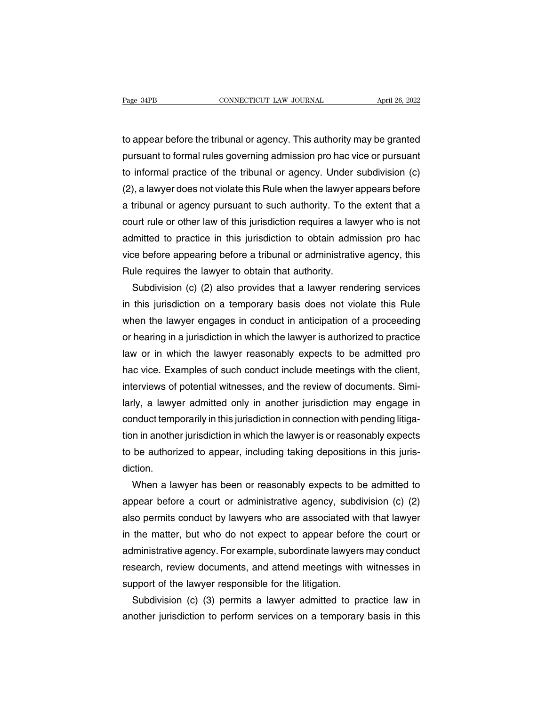The Bage 34PB<br>to appear before the tribunal or agency. This authority may be granted<br>pursuant to formal rules governing admission pro hac vice or pursuant Page 34PB CONNECTICUT LAW JOURNAL April 26, 2022<br>to appear before the tribunal or agency. This authority may be granted<br>pursuant to formal rules governing admission pro hac vice or pursuant<br>to informal practice of the trib Fage 34PB<br>to appear before the tribunal or agency. This authority may be granted<br>pursuant to formal rules governing admission pro hac vice or pursuant<br>to informal practice of the tribunal or agency. Under subdivision (c)<br>( to appear before the tribunal or agency. This authority may be granted<br>pursuant to formal rules governing admission pro hac vice or pursuant<br>to informal practice of the tribunal or agency. Under subdivision (c)<br>(2), a lawy to appear before the tribunal or agency. This authority may be granted<br>pursuant to formal rules governing admission pro hac vice or pursuant<br>to informal practice of the tribunal or agency. Under subdivision (c)<br>(2), a lawy pursuant to formal rules governing admission pro hac vice or pursuant<br>to informal practice of the tribunal or agency. Under subdivision (c)<br>(2), a lawyer does not violate this Rule when the lawyer appears before<br>a tribunal to informal practice of the tribunal or agency. Under subdivision (c)<br>(2), a lawyer does not violate this Rule when the lawyer appears before<br>a tribunal or agency pursuant to such authority. To the extent that a<br>court rule (2), a lawyer does not violate this Rule when the lawyer appears before<br>a tribunal or agency pursuant to such authority. To the extent that a<br>court rule or other law of this jurisdiction requires a lawyer who is not<br>admitt a tribunal or agency pursuant to such authority. To the extent that a court rule or other law of this jurisdiction requires a lawyer who is not admitted to practice in this jurisdiction to obtain admission pro hac vice bef urt rule or other law of this jurisdiction requires a lawyer who is not<br>Imitted to practice in this jurisdiction to obtain admission pro hac<br>ce before appearing before a tribunal or administrative agency, this<br>Ile requires

in this jurisdiction to obtain admission pro hadronice before appearing before a tribunal or administrative agency, this Rule requires the lawyer to obtain that authority.<br>Subdivision (c) (2) also provides that a lawyer re vice before appearing before a tribunal or administrative agency, this<br>Rule requires the lawyer to obtain that authority.<br>Subdivision (c) (2) also provides that a lawyer rendering services<br>in this jurisdiction on a tempora Rule requires the lawyer to obtain that authority.<br>
Subdivision (c) (2) also provides that a lawyer rendering services<br>
in this jurisdiction on a temporary basis does not violate this Rule<br>
when the lawyer engages in condu Subdivision (c) (2) also provides that a lawyer rendering services<br>in this jurisdiction on a temporary basis does not violate this Rule<br>when the lawyer engages in conduct in anticipation of a proceeding<br>or hearing in a jur in this jurisdiction on a temporary basis does not violate this Rule<br>when the lawyer engages in conduct in anticipation of a proceeding<br>or hearing in a jurisdiction in which the lawyer is authorized to practice<br>law or in w when the lawyer engages in conduct in anticipation of a proceeding<br>or hearing in a jurisdiction in which the lawyer is authorized to practice<br>law or in which the lawyer reasonably expects to be admitted pro<br>hac vice. Examp or hearing in a jurisdiction in which the lawyer is authorized to practice<br>law or in which the lawyer reasonably expects to be admitted pro<br>hac vice. Examples of such conduct include meetings with the client,<br>interviews of law or in which the lawyer reasonably expects to be admitted pro<br>hac vice. Examples of such conduct include meetings with the client,<br>interviews of potential witnesses, and the review of documents. Simi-<br>larly, a lawyer ad hac vice. Examples of such conduct include meetings with the client,<br>interviews of potential witnesses, and the review of documents. Simi-<br>larly, a lawyer admitted only in another jurisdiction may engage in<br>conduct tempora interviews of potential witnesses, and the review of documents. Similarly, a lawyer admitted only in another jurisdiction may engage in conduct temporarily in this jurisdiction in connection with pending litigation in anot diction. multiproperarily in this jurisdiction in connection with pending litiga-<br>in another jurisdiction in which the lawyer is or reasonably expects<br>be authorized to appear, including taking depositions in this juris-<br>tion.<br>When

tion in another jurisdiction in which the lawyer is or reasonably expects<br>to be authorized to appear, including taking depositions in this juris-<br>diction.<br>When a lawyer has been or reasonably expects to be admitted to<br>appe to be authorized to appear, including taking depositions in this juris-<br>diction.<br>When a lawyer has been or reasonably expects to be admitted to<br>appear before a court or administrative agency, subdivision (c) (2)<br>also permi diction.<br>When a lawyer has been or reasonably expects to be admitted to<br>appear before a court or administrative agency, subdivision (c) (2)<br>also permits conduct by lawyers who are associated with that lawyer<br>in the matter, When a lawyer has been or reasonably expects to be admitted to<br>appear before a court or administrative agency, subdivision (c) (2)<br>also permits conduct by lawyers who are associated with that lawyer<br>in the matter, but who appear before a court or administrative agency, subdivision (c) (2)<br>also permits conduct by lawyers who are associated with that lawyer<br>in the matter, but who do not expect to appear before the court or<br>administrative agen also permits conduct by lawyers who are associated with<br>in the matter, but who do not expect to appear before<br>administrative agency. For example, subordinate lawyers<br>research, review documents, and attend meetings with<br>sup the matter, but who do not expect to appear before the court or<br>Iministrative agency. For example, subordinate lawyers may conduct<br>search, review documents, and attend meetings with witnesses in<br>pport of the lawyer respons administrative agency. For example, subordinate lawyers may conduct<br>research, review documents, and attend meetings with witnesses in<br>support of the lawyer responsible for the litigation.<br>Subdivision (c) (3) permits a lawy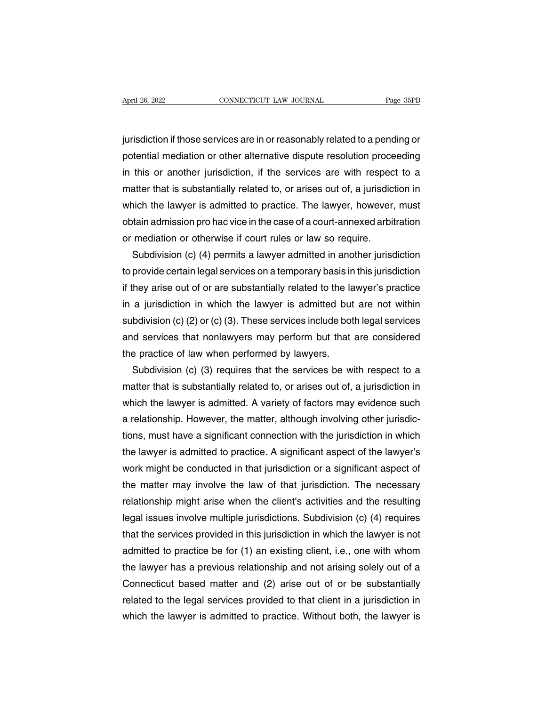April 26, 2022<br>
CONNECTICUT LAW JOURNAL<br>
Fage 35PB<br>
jurisdiction if those services are in or reasonably related to a pending or<br>
potential mediation or other alternative dispute resolution proceeding April 26, 2022 CONNECTICUT LAW JOURNAL Page 35PB<br>jurisdiction if those services are in or reasonably related to a pending or<br>potential mediation or other alternative dispute resolution proceeding<br>in this or another jurisdi in this or another jurisdiction if those services are in or reasonably related to a pending or<br>potential mediation or other alternative dispute resolution proceeding<br>in this or another jurisdiction, if the services are wit jurisdiction if those services are in or reasonably related to a pending or<br>potential mediation or other alternative dispute resolution proceeding<br>in this or another jurisdiction, if the services are with respect to a<br>matt jurisdiction if those services are in or reasonably related to a pending or<br>potential mediation or other alternative dispute resolution proceeding<br>in this or another jurisdiction, if the services are with respect to a<br>matt potential mediation or other alternative dispute resolution proceeding<br>in this or another jurisdiction, if the services are with respect to a<br>matter that is substantially related to, or arises out of, a jurisdiction in<br>whi in this or another jurisdiction, if the services are with respect to a matter that is substantially related to, or arises out of, a jurisdiction in which the lawyer is admitted to practice. The lawyer, however, must obtain atter that is substantially related to, or arises out of, a jurisdiction in<br>nich the lawyer is admitted to practice. The lawyer, however, must<br>tain admission pro hac vice in the case of a court-annexed arbitration<br>mediatio

which the lawyer is admitted to practice. The lawyer, however, must<br>obtain admission pro hac vice in the case of a court-annexed arbitration<br>or mediation or otherwise if court rules or law so require.<br>Subdivision (c) (4) p if they are sof a court-annexed arbitration<br>or mediation or otherwise if court rules or law so require.<br>Subdivision (c) (4) permits a lawyer admitted in another jurisdiction<br>to provide certain legal services on a temporary or mediation or otherwise if court rules or law so require.<br>
Subdivision (c) (4) permits a lawyer admitted in another jurisdiction<br>
to provide certain legal services on a temporary basis in this jurisdiction<br>
if they arise Subdivision (c) (4) permits a lawyer admitted in another jurisdiction<br>to provide certain legal services on a temporary basis in this jurisdiction<br>if they arise out of or are substantially related to the lawyer's practice<br>i to provide certain legal services on a temporary basis in this jurisdiction<br>if they arise out of or are substantially related to the lawyer's practice<br>in a jurisdiction in which the lawyer is admitted but are not within<br>su if they arise out of or are substantially related to the lawyer's practice<br>in a jurisdiction in which the lawyer is admitted but are not within<br>subdivision (c) (2) or (c) (3). These services include both legal services<br>an a jurisdiction in which the lawyer is admitted but are not within<br>bdivision (c) (2) or (c) (3). These services include both legal services<br>d services that nonlawyers may perform but that are considered<br>e practice of law w subdivision (c) (2) or (c) (3). These services include both legal services<br>and services that nonlawyers may perform but that are considered<br>the practice of law when performed by lawyers.<br>Subdivision (c) (3) requires that t

and services that nonlawyers may perform but that are considered<br>the practice of law when performed by lawyers.<br>Subdivision (c) (3) requires that the services be with respect to a<br>matter that is substantially related to, o the practice of law when performed by lawyers.<br>Subdivision (c) (3) requires that the services be with respect to a<br>matter that is substantially related to, or arises out of, a jurisdiction in<br>which the lawyer is admitted. Subdivision (c) (3) requires that the services be with respect to a<br>matter that is substantially related to, or arises out of, a jurisdiction in<br>which the lawyer is admitted. A variety of factors may evidence such<br>a relati matter that is substantially related to, or arises out of, a jurisdiction in<br>which the lawyer is admitted. A variety of factors may evidence such<br>a relationship. However, the matter, although involving other jurisdic-<br>tion which the lawyer is admitted. A variety of factors may evidence such<br>a relationship. However, the matter, although involving other jurisdic-<br>tions, must have a significant connection with the jurisdiction in which<br>the lawy a relationship. However, the matter, although involving other jurisdictions, must have a significant connection with the jurisdiction in which<br>the lawyer is admitted to practice. A significant aspect of the lawyer's<br>work m tions, must have a significant connection with the jurisdiction in which<br>the lawyer is admitted to practice. A significant aspect of the lawyer's<br>work might be conducted in that jurisdiction or a significant aspect of<br>the the lawyer is admitted to practice. A significant aspect of the lawyer's<br>work might be conducted in that jurisdiction or a significant aspect of<br>the matter may involve the law of that jurisdiction. The necessary<br>relationsh work might be conducted in that jurisdiction or a significant aspect of<br>the matter may involve the law of that jurisdiction. The necessary<br>relationship might arise when the client's activities and the resulting<br>legal issue the matter may involve the law of that jurisdiction. The necessary<br>relationship might arise when the client's activities and the resulting<br>legal issues involve multiple jurisdictions. Subdivision (c) (4) requires<br>that the relationship might arise when the client's activities and the resulting<br>legal issues involve multiple jurisdictions. Subdivision (c) (4) requires<br>that the services provided in this jurisdiction in which the lawyer is not<br>a legal issues involve multiple jurisdictions. Subdivision (c) (4) requires<br>that the services provided in this jurisdiction in which the lawyer is not<br>admitted to practice be for (1) an existing client, i.e., one with whom<br>t that the services provided in this jurisdiction in which the lawyer is not<br>admitted to practice be for (1) an existing client, i.e., one with whom<br>the lawyer has a previous relationship and not arising solely out of a<br>Conn admitted to practice be for (1) an existing client, i.e., one with whom<br>the lawyer has a previous relationship and not arising solely out of a<br>Connecticut based matter and (2) arise out of or be substantially<br>related to th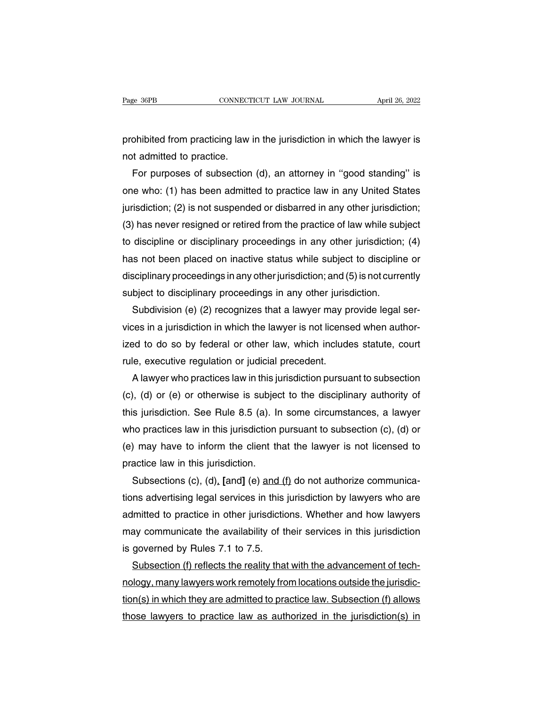Page 36PB CONNECTICUT LAW JOURNAL April 26, 2022<br>prohibited from practicing law in the jurisdiction in which the lawyer is<br>not admitted to practice. Page 36PB<br>prohibited from practicing law<br>not admitted to practice.<br>For purposes of subsection

For purposes of subsection (d), an attorney in "good standing" is<br>t admitted to practice.<br>For purposes of subsection (d), an attorney in "good standing" is<br>te who: (1) has been admitted to practice law in any United States prohibited from practicing law in the jurisdiction in which the lawyer is<br>not admitted to practice.<br>For purposes of subsection (d), an attorney in "good standing" is<br>one who: (1) has been admitted to practice law in any Un prohibited from practicing law in the jurisdiction in which the lawyer is<br>not admitted to practice.<br>For purposes of subsection (d), an attorney in "good standing" is<br>one who: (1) has been admitted to practice law in any Un not admitted to practice.<br>
For purposes of subsection (d), an attorney in "good standing" is<br>
one who: (1) has been admitted to practice law in any United States<br>
jurisdiction; (2) is not suspended or disbarred in any othe For purposes of subsection (d), an attorney in "good standing" is<br>one who: (1) has been admitted to practice law in any United States<br>jurisdiction; (2) is not suspended or disbarred in any other jurisdiction;<br>(3) has never one who: (1) has been admitted to practice law in any United States<br>jurisdiction; (2) is not suspended or disbarred in any other jurisdiction;<br>(3) has never resigned or retired from the practice of law while subject<br>to dis jurisdiction; (2) is not suspended or disbarred in any other jurisdiction;<br>(3) has never resigned or retired from the practice of law while subject<br>to discipline or disciplinary proceedings in any other jurisdiction; (4)<br>h (3) has never resigned or retired from the practice of law while sub<br>to discipline or disciplinary proceedings in any other jurisdiction;<br>has not been placed on inactive status while subject to discipline<br>disciplinary pro discipline or disciplinary proceedings in any other jurisdiction; (4)<br>is not been placed on inactive status while subject to discipline or<br>sciplinary proceedings in any other jurisdiction; and (5) is not currently<br>bject to

has not been placed on inactive status while subject to discipline or<br>disciplinary proceedings in any other jurisdiction; and (5) is not currently<br>subject to disciplinary proceedings in any other jurisdiction.<br>Subdivision disciplinary proceedings in any other jurisdiction; and (5) is not currently<br>subject to disciplinary proceedings in any other jurisdiction.<br>Subdivision (e) (2) recognizes that a lawyer may provide legal ser-<br>vices in a jur subject to disciplinary proceedings in any other jurise<br>Subdivision (e) (2) recognizes that a lawyer may p<br>vices in a jurisdiction in which the lawyer is not license<br>ized to do so by federal or other law, which include<br>rul Subdivision (e) (2) recognizes that a lawyer may provide legal ser-<br>ces in a jurisdiction in which the lawyer is not licensed when author-<br>ed to do so by federal or other law, which includes statute, court<br>le, executive re

vices in a jurisdiction in which the lawyer is not licensed when author-<br>ized to do so by federal or other law, which includes statute, court<br>rule, executive regulation or judicial precedent.<br>A lawyer who practices law in ized to do so by federal or other law, which includes statute, court<br>rule, executive regulation or judicial precedent.<br>A lawyer who practices law in this jurisdiction pursuant to subsection<br>(c), (d) or (e) or otherwise is rule, executive regulation or judicial precedent.<br>A lawyer who practices law in this jurisdiction pursuant to subsection<br>(c), (d) or (e) or otherwise is subject to the disciplinary authority of<br>this jurisdiction. See Rule A lawyer who practices law in this jurisdiction pursuant to subsection (c), (d) or (e) or otherwise is subject to the disciplinary authority of this jurisdiction. See Rule 8.5 (a). In some circumstances, a lawyer who pract (c), (d) or (e) or otherwise is subject<br>this jurisdiction. See Rule 8.5 (a). In<br>who practices law in this jurisdiction<br>(e) may have to inform the client th<br>practice law in this jurisdiction.<br>Subsections (c), (d), [and] (e this jurisdiction. See Rule 8.5 (a). In some circumstances, a lawyer who practices law in this jurisdiction pursuant to subsection (c), (d) or (e) may have to inform the client that the lawyer is not licensed to practice

who practices law in this jurisdiction pursuant to subsection (c), (d) or<br>
(e) may have to inform the client that the lawyer is not licensed to<br>
practice law in this jurisdiction.<br>
Subsections (c), (d), [and] (e) and (f) (e) may have to inform the client that the lawyer is not licensed to practice law in this jurisdiction.<br>
Subsections (c), (d), [and] (e) and (f) do not authorize communica-<br>
tions advertising legal services in this jurisd practice law in this jurisdiction.<br>Subsections (c), (d), [and] (e) and (f) do not authorize communica-<br>tions advertising legal services in this jurisdiction by lawyers who are<br>admitted to practice in other jurisdictions. W Subsections (c), (d), [and] (e) and (f<br>tions advertising legal services in this<br>admitted to practice in other jurisdictic<br>may communicate the availability of th<br>is governed by Rules 7.1 to 7.5.<br>Subsection (f) reflects the In a advertising legal services in this jurisdiction by lawyers who are<br>Imitted to practice in other jurisdictions. Whether and how lawyers<br>ay communicate the availability of their services in this jurisdiction<br>governed by

admitted to practice in other jurisdictions. Whether and how lawyers<br>may communicate the availability of their services in this jurisdiction<br>is governed by Rules 7.1 to 7.5.<br>Subsection (f) reflects the reality that with th may communicate the availability of their services in this jurisdiction<br>is governed by Rules 7.1 to 7.5.<br>Subsection (f) reflects the reality that with the advancement of tech-<br>nology, many lawyers work remotely from locati is governed by Rules 7.1 to 7.5.<br>Subsection (f) reflects the reality that with the advancement of tech-<br>nology, many lawyers work remotely from locations outside the jurisdic-<br>tion(s) in which they are admitted to practice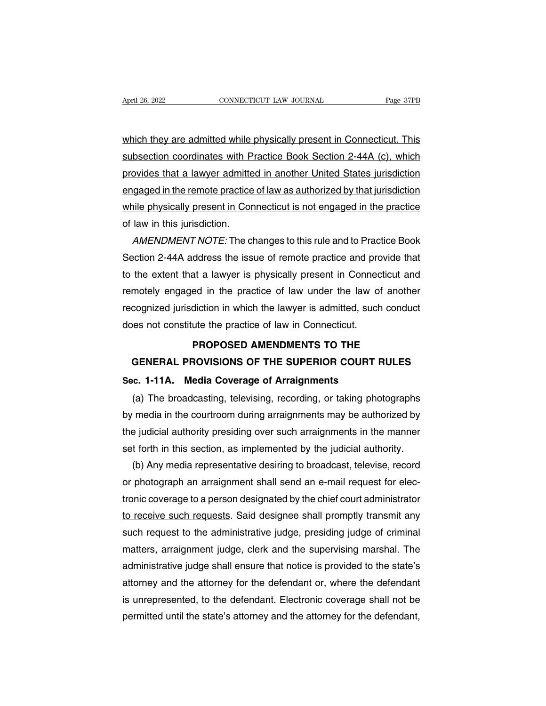April 26, 2022<br>
CONNECTICUT LAW JOURNAL<br>
Which they are admitted while physically present in Connecticut. This<br>
subsection coordinates with Practice Book Section 2-44A (c), which Subsection coordinates with Practice Book Section 2-44A (c), which provides that a lawyer admitted in another United States jurisdiction provides that a lawyer admitted in another United States jurisdiction<br>gubsection coordinates with Practice Book Section 2-44A (c), which<br>provides that a lawyer admitted in another United States jurisdiction<br>engaged in the which they are admitted while physically present in Connecticut. This<br>subsection coordinates with Practice Book Section 2-44A (c), which<br>provides that a lawyer admitted in another United States jurisdiction<br>engaged in the which they are admitted while physically present in Connecticut. This<br>subsection coordinates with Practice Book Section 2-44A (c), which<br>provides that a lawyer admitted in another United States jurisdiction<br>engaged in the subsection coordinates with Practice Book Section 2-44A (c), which<br>provides that a lawyer admitted in another United States jurisdiction<br>engaged in the remote practice of law as authorized by that jurisdiction<br>while physic ovides that a lawyer admitted in another United States jurisdiction<br>gaged in the remote practice of law as authorized by that jurisdiction<br>nile physically present in Connecticut is not engaged in the practice<br>law in this j

engaged in the remote practice of law as authorized by that jurisdiction<br>while physically present in Connecticut is not engaged in the practice<br>of law in this jurisdiction.<br>AMENDMENT NOTE: The changes to this rule and to P while physically present in Connecticut is not engaged in the practice<br>of law in this jurisdiction.<br>AMENDMENT NOTE: The changes to this rule and to Practice Book<br>Section 2-44A address the issue of remote practice and provi of law in this jurisdiction.<br>
AMENDMENT NOTE: The changes to this rule and to Practice Book<br>
Section 2-44A address the issue of remote practice and provide that<br>
to the extent that a lawyer is physically present in Connect AMENDMENT NOTE: The changes to this rule and to Practice Book<br>Section 2-44A address the issue of remote practice and provide that<br>to the extent that a lawyer is physically present in Connecticut and<br>remotely engaged in the Section 2-44A address the issue of remote practice and provide that<br>to the extent that a lawyer is physically present in Connecticut and<br>remotely engaged in the practice of law under the law of another<br>recognized jurisdict remotely engaged in the practice of law under the law of another<br>recognized jurisdiction in which the lawyer is admitted, such conduct<br>does not constitute the practice of law in Connecticut.<br>**PROPOSED AMENDMENTS TO THE**<br>GE motely engaged in the practice of law under the law of another<br>cognized jurisdiction in which the lawyer is admitted, such conduct<br>les not constitute the practice of law in Connecticut.<br>**PROPOSED AMENDMENTS TO THE<br>GENERAL** 

# recognized jurisdiction in which the lawyer is admitted, such a<br>does not constitute the practice of law in Connecticut.<br>**PROPOSED AMENDMENTS TO THE**<br>**GENERAL PROVISIONS OF THE SUPERIOR COURT RI**<br>Sec. 1-11A. Media Coverage FROPOSED AMENDMENTS TO THE<br>
GENERAL PROVISIONS OF THE SUPERIOR COURT RULES<br>
c. 1-11A. Media Coverage of Arraignments<br>
(a) The broadcasting, televising, recording, or taking photographs<br>
media in the courtroom during arraig

PROPOSED AMENDMENTS TO THE<br>GENERAL PROVISIONS OF THE SUPERIOR COURT RULES<br>Sec. 1-11A. Media Coverage of Arraignments<br>(a) The broadcasting, televising, recording, or taking photographs<br>by media in the courtroom during arrai GENERAL PROVISIONS OF THE SUPERIOR COURT RULES<br>Sec. 1-11A. Media Coverage of Arraignments<br>(a) The broadcasting, televising, recording, or taking photographs<br>by media in the courtroom during arraignments may be authorized b Sec. 1-11A. Media Coverage of Arraignments<br>
(a) The broadcasting, televising, recording, or taking photographs<br>
by media in the courtroom during arraignments may be authorized by<br>
the judicial authority presiding over such (a) The broadcasting, televising, recording, or taking photographs<br>media in the courtroom during arraignments may be authorized by<br>e judicial authority presiding over such arraignments in the manner<br>t forth in this section

by media in the courtroom during arraignments may be authorized by<br>the judicial authority presiding over such arraignments in the manner<br>set forth in this section, as implemented by the judicial authority.<br>(b) Any media re the judicial authority presiding over such arraignments in the manner<br>set forth in this section, as implemented by the judicial authority.<br>(b) Any media representative desiring to broadcast, televise, record<br>or photograph set forth in this section, as implemented by the judicial authority.<br>
(b) Any media representative desiring to broadcast, televise, record<br>
or photograph an arraignment shall send an e-mail request for elec-<br>
tronic covera (b) Any media representative desiring to broadcast, televise, record<br>or photograph an arraignment shall send an e-mail request for elec-<br>tronic coverage to a person designated by the chief court administrator<br>to receive su or photograph an arraignment shall send an e-mail request for electronic coverage to a person designated by the chief court administrator<br>to receive such requests. Said designee shall promptly transmit any<br>such request to tronic coverage to a person designated by the chief court administrator<br>to receive such requests. Said designee shall promptly transmit any<br>such request to the administrative judge, presiding judge of criminal<br>matters, arr to receive such requests. Said designee shall promptly transmit any<br>such request to the administrative judge, presiding judge of criminal<br>matters, arraignment judge, clerk and the supervising marshal. The<br>administrative ju such request to the administrative judge, presiding judge of criminal<br>matters, arraignment judge, clerk and the supervising marshal. The<br>administrative judge shall ensure that notice is provided to the state's<br>attorney and matters, arraignment judge, clerk and the supervising marshal. The administrative judge shall ensure that notice is provided to the state's attorney and the attorney for the defendant or, where the defendant is unrepresent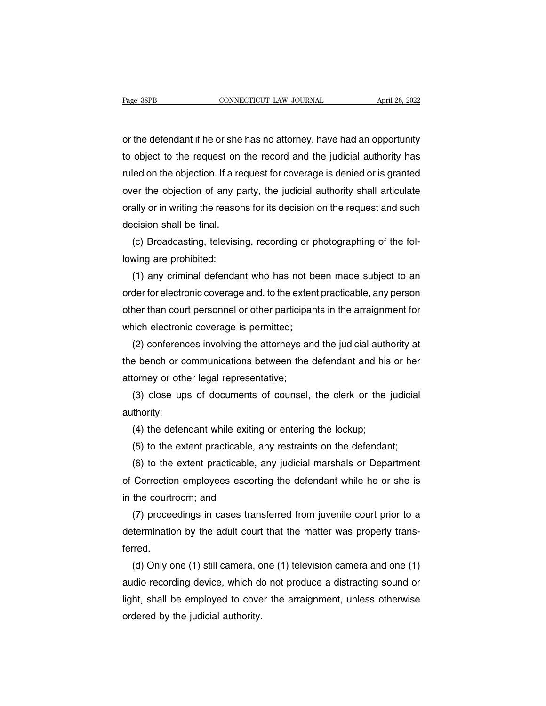Page 38PB<br>
cONNECTICUT LAW JOURNAL<br>
or the defendant if he or she has no attorney, have had an opportunity<br>
to object to the request on the record and the judicial authority has The same to connect to the defendant if he or she has no attorney, have had an opportunity<br>to object to the request on the record and the judicial authority has<br>ruled on the objection. If a request for coverage is denied o Fage 38rB<br>
or the defendant if he or she has no attorney, have had an opportunity<br>
to object to the request on the record and the judicial authority has<br>
ruled on the objection. If a request for coverage is denied or is gr or the defendant if he or she has no attorney, have had an opportunity<br>to object to the request on the record and the judicial authority has<br>ruled on the objection. If a request for coverage is denied or is granted<br>over th or the defendant if he or she has no attorney, have had an opportunity<br>to object to the request on the record and the judicial authority has<br>ruled on the objection. If a request for coverage is denied or is granted<br>over th to object to the request on<br>ruled on the objection. If a re<br>over the objection of any pa<br>orally or in writing the reason<br>decision shall be final.<br>(c) Broadcasting, televisin (ed on the objection. If a request for coverage is denied or is granted<br>er the objection of any party, the judicial authority shall articulate<br>ally or in writing the reasons for its decision on the request and such<br>cision over the objection of any p<br>orally or in writing the reaso<br>decision shall be final.<br>(c) Broadcasting, televisii<br>lowing are prohibited:<br>(1) any criminal defendal

ally or in writing the reasons for its decision on the request and such<br>cision shall be final.<br>(c) Broadcasting, televising, recording or photographing of the fol-<br>wing are prohibited:<br>(1) any criminal defendant who has no decision shall be final.<br>
(c) Broadcasting, televising, recording or photographing of the fol-<br>
lowing are prohibited:<br>
(1) any criminal defendant who has not been made subject to an<br>
order for electronic coverage and, to (c) Broadcasting, televising, recording or photographing of the fol-<br>lowing are prohibited:<br>(1) any criminal defendant who has not been made subject to an<br>order for electronic coverage and, to the extent practicable, any p lowing are prohibited:<br>
(1) any criminal defendant who has not be<br>
order for electronic coverage and, to the extent<br>
other than court personnel or other participan<br>
which electronic coverage is permitted;<br>
(2) conferences (1) any criminal defendant who has not been made subject to an<br>der for electronic coverage and, to the extent practicable, any person<br>ner than court personnel or other participants in the arraignment for<br>nich electronic co order for electronic coverage and, to the extent practicable, any person<br>other than court personnel or other participants in the arraignment for<br>which electronic coverage is permitted;<br>(2) conferences involving the attorne

other than court personnel or other participa<br>which electronic coverage is permitted;<br>(2) conferences involving the attorneys ar<br>the bench or communications between the<br>attorney or other legal representative;<br>(3) close ups ich electronic coverage is permitted;<br>(2) conferences involving the attorneys and the judicial authority at<br>e bench or communications between the defendant and his or her<br>torney or other legal representative;<br>(3) close ups Exteed bench or communications between the defendant and historney or other legal representative;<br>
(3) close ups of documents of counsel, the clerk or the lithority;<br>
(4) the defendant while exiting or entering the lockup;

authority; torney or other legal representative;<br>(3) close ups of documents of counsel, the clerk or the judicial<br>thority;<br>(4) the defendant while exiting or entering the lockup;<br>(5) to the extent practicable, any restraints on the d

(3) close ups of documents of counsel, the clerk or the judicial thority;<br>
(4) the defendant while exiting or entering the lockup;<br>
(5) to the extent practicable, any restraints on the defendant;<br>
(6) to the extent practi authority;<br>
(4) the defendant while exiting or entering the lockup;<br>
(5) to the extent practicable, any restraints on the defendant;<br>
(6) to the extent practicable, any judicial marshals or Department<br>
of Correction employ (4) the defendant while exiting<br>
(5) to the extent practicable, a<br>
(6) to the extent practicable, a<br>
of Correction employees escortir<br>
in the courtroom; and<br>
(7) proceedings in cases trans (5) to the extent practicable, any restraints on the defendant;<br>(6) to the extent practicable, any judicial marshals or Department<br>Correction employees escorting the defendant while he or she is<br>the courtroom; and<br>(7) proc

(6) to the extent practicable, any judicial marshals or Department<br>of Correction employees escorting the defendant while he or she is<br>in the courtroom; and<br>(7) proceedings in cases transferred from juvenile court prior to ferred. the courtroom; and<br>
(7) proceedings in cases transferred from juvenile court prior to a<br>
termination by the adult court that the matter was properly trans-<br>
rred.<br>
(d) Only one (1) still camera, one (1) television camera a

(7) proceedings in cases transferred from juvenile court prior to a determination by the adult court that the matter was properly transferred.<br>
(d) Only one (1) still camera, one (1) television camera and one (1) audio rec determination by the adult court that the matter was properly transferred.<br>
(d) Only one (1) still camera, one (1) television camera and one (1)<br>
audio recording device, which do not produce a distracting sound or<br>
light, ferred.<br>
(d) Only one (1) still camera, o<br>
audio recording device, which de<br>
light, shall be employed to cove<br>
ordered by the judicial authority.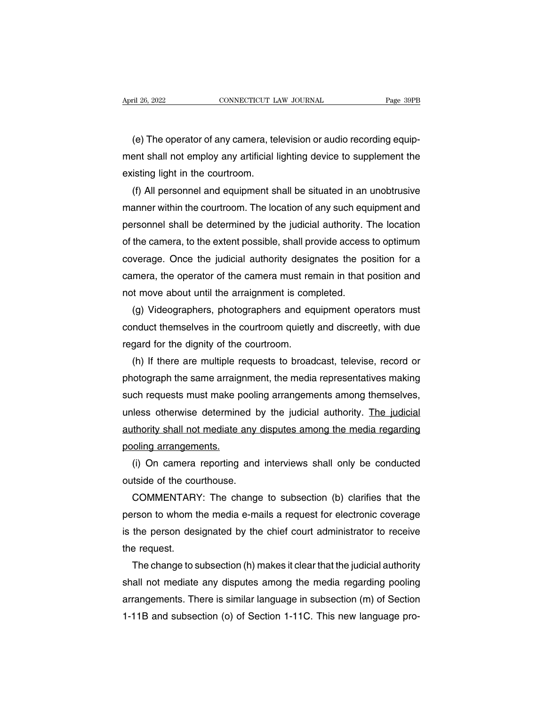(e) The operator of any camera, television or audio recording equip-<br>The operator of any camera, television or audio recording equip-<br>ent shall not employ any artificial lighting device to supplement the ment shall not employ any artificial lighting device to supplement the existing light in the courtroom. explored to the convection  $\frac{1}{2}$ <br>
(e) The operator of any camera, te<br>
ment shall not employ any artificial l<br>
existing light in the courtroom.<br>
(f) All personnel and equipment sh (e) The operator of any camera, television or audio recording equipent shall not employ any artificial lighting device to supplement the isting light in the courtroom.<br>(f) All personnel and equipment shall be situated in a

(e) The operator of any camera, television or audio recording equip-<br>ment shall not employ any artificial lighting device to supplement the<br>existing light in the courtroom.<br>(f) All personnel and equipment shall be situated ment shall not employ any artificial lighting device to supplement the<br>existing light in the courtroom.<br>(f) All personnel and equipment shall be situated in an unobtrusive<br>manner within the courtroom. The location of any s existing light in the courtroom.<br>
(f) All personnel and equipment shall be situated in an unobtrusive<br>
manner within the courtroom. The location of any such equipment and<br>
personnel shall be determined by the judicial auth (f) All personnel and equipment shall be situated in an unobtrusive<br>manner within the courtroom. The location of any such equipment and<br>personnel shall be determined by the judicial authority. The location<br>of the camera, t manner within the courtroom. The location of any such equipment and<br>personnel shall be determined by the judicial authority. The location<br>of the camera, to the extent possible, shall provide access to optimum<br>coverage. Onc personnel shall be determined by the judicial authority. Tof the camera, to the extent possible, shall provide access coverage. Once the judicial authority designates the pc camera, the operator of the camera must remain i the camera, to the extent possible, shall provide access to optimum<br>verage. Once the judicial authority designates the position for a<br>mera, the operator of the camera must remain in that position and<br>t move about until the

coverage. Once the judicial authority designates the position for a<br>camera, the operator of the camera must remain in that position and<br>not move about until the arraignment is completed.<br>(g) Videographers, photographers an camera, the operator of the camera must renot move about until the arraignment is com<br>(g) Videographers, photographers and eq<br>conduct themselves in the courtroom quietly<br>regard for the dignity of the courtroom.<br>(h) If ther It move about until the arraignment is completed.<br>
(g) Videographers, photographers and equipment operators must<br>
nduct themselves in the courtroom quietly and discreetly, with due<br>
gard for the dignity of the courtroom.<br>

(g) Videographers, photographers and equipment operators must<br>conduct themselves in the courtroom quietly and discreetly, with due<br>regard for the dignity of the courtroom.<br>(h) If there are multiple requests to broadcast, t conduct themselves in the courtroom quietly and discreetly, with due<br>regard for the dignity of the courtroom.<br>(h) If there are multiple requests to broadcast, televise, record or<br>photograph the same arraignment, the media regard for the dignity of the courtroom.<br>
(h) If there are multiple requests to broadcast, televise, record or<br>
photograph the same arraignment, the media representatives making<br>
such requests must make pooling arrangement (h) If there are multiple requests to broadcast, televise, record or<br>photograph the same arraignment, the media representatives making<br>such requests must make pooling arrangements among themselves,<br>unless otherwise determi photograph the same arraigr<br>such requests must make po<br>unless otherwise determine<br>authority shall not mediate a<br>pooling arrangements.<br>(i) On camera reporting ch requests must make pooling arrangements among themselves,<br>less otherwise determined by the judicial authority. The judicial<br>thority shall not mediate any disputes among the media regarding<br>oling arrangements.<br>(i) On cam unless otherwise determined b<br>authority shall not mediate any<br>pooling arrangements.<br>(i) On camera reporting and<br>outside of the courthouse.<br>COMMENTARY: The change

thority shall not mediate any disputes among the media regarding<br>oling arrangements.<br>(i) On camera reporting and interviews shall only be conducted<br>tside of the courthouse.<br>COMMENTARY: The change to subsection (b) clarifie pooling arrangements.<br>
(i) On camera reporting and interviews shall only be conducted<br>
outside of the courthouse.<br>
COMMENTARY: The change to subsection (b) clarifies that the<br>
person to whom the media e-mails a request for (i) On camera reporting and interviews shall only be conducted<br>outside of the courthouse.<br>COMMENTARY: The change to subsection (b) clarifies that the<br>person to whom the media e-mails a request for electronic coverage<br>is th outside of the cou<br>COMMENTARY<br>person to whom t<br>is the person des<br>the request.<br>The change to s COMMENTARY: The change to subsection (b) clarifies that the<br>rson to whom the media e-mails a request for electronic coverage<br>the person designated by the chief court administrator to receive<br>e request.<br>The change to subsec

person to whom the media e-mails a request for electronic coverage<br>is the person designated by the chief court administrator to receive<br>the request.<br>The change to subsection (h) makes it clear that the judicial authority<br>s is the person designated by the chief court administrator to receive<br>the request.<br>The change to subsection (h) makes it clear that the judicial authority<br>shall not mediate any disputes among the media regarding pooling<br>arr the request.<br>The change to subsection (h) makes it clear that the judicial authority<br>shall not mediate any disputes among the media regarding pooling<br>arrangements. There is similar language in subsection (m) of Section<br>1-1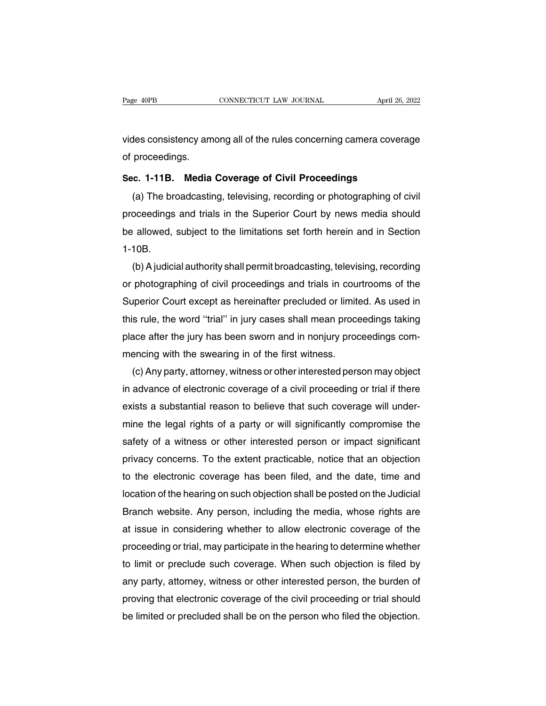Page 40PB CONNECTICUT LAW JOURNAL April 26, 2022<br>vides consistency among all of the rules concerning camera coverage<br>of proceedings. Page 40PB<br>vides consistency am<br>of proceedings.<br>Sec. 1-11B. Media vides consistency among all of the rules concerning camera coverant of proceedings.<br>**Sec. 1-11B. Media Coverage of Civil Proceedings**<br>(a) The broadcasting, televising, recording or photographing of o

des consistency among all of the rules concerning camera coverage<br>proceedings.<br>c. 1-11B. Media Coverage of Civil Proceedings<br>(a) The broadcasting, televising, recording or photographing of civil<br>oceedings and trials in the proceedings.<br>Sec. 1-11B. Media Coverage of Civil Proceedings<br>(a) The broadcasting, televising, recording or photographing of civil<br>proceedings and trials in the Superior Court by news media should<br>be allowed, subject to th Sec. 1-11B. Media Coverage of Civil Proceedings<br>
(a) The broadcasting, televising, recording or photographing of civil<br>
proceedings and trials in the Superior Court by news media should<br>
be allowed, subject to the limitati 1-10B. (a) The broadcasting, televising, recording or photographing of civil<br>oceedings and trials in the Superior Court by news media should<br>allowed, subject to the limitations set forth herein and in Section<br>10B.<br>(b) A judicial

proceedings and trials in the Superior Court by news media should<br>be allowed, subject to the limitations set forth herein and in Section<br>1-10B.<br>(b) A judicial authority shall permit broadcasting, televising, recording<br>or p be allowed, subject to the limitations set forth herein and in Section<br>1-10B.<br>(b) A judicial authority shall permit broadcasting, televising, recording<br>or photographing of civil proceedings and trials in courtrooms of the<br> 1-10B.<br>
(b) A judicial authority shall permit broadcasting, televising, recording<br>
or photographing of civil proceedings and trials in courtrooms of the<br>
Superior Court except as hereinafter precluded or limited. As used i (b) A judicial authority shall permit broadcasting, televising, recording<br>or photographing of civil proceedings and trials in courtrooms of the<br>Superior Court except as hereinafter precluded or limited. As used in<br>this rul or photographing of civil proceedings and trials in cour<br>Superior Court except as hereinafter precluded or limite<br>this rule, the word "trial" in jury cases shall mean proce<br>place after the jury has been sworn and in nonjur perior Court except as hereinafter precluded or limited. As used in<br>s rule, the word "trial" in jury cases shall mean proceedings taking<br>ace after the jury has been sworn and in nonjury proceedings com-<br>encing with the swe

this rule, the word "trial" in jury cases shall mean proceedings taking<br>place after the jury has been sworn and in nonjury proceedings com-<br>mencing with the swearing in of the first witness.<br>(c) Any party, attorney, witnes place after the jury has been sworn and in nonjury proceedings com-<br>mencing with the swearing in of the first witness.<br>(c) Any party, attorney, witness or other interested person may object<br>in advance of electronic coverag mencing with the swearing in of the first witness.<br>
(c) Any party, attorney, witness or other interested person may object<br>
in advance of electronic coverage of a civil proceeding or trial if there<br>
exists a substantial re (c) Any party, attorney, witness or other interested person may object<br>in advance of electronic coverage of a civil proceeding or trial if there<br>exists a substantial reason to believe that such coverage will under-<br>mine th in advance of electronic coverage of a civil proceeding or trial if there<br>exists a substantial reason to believe that such coverage will under-<br>mine the legal rights of a party or will significantly compromise the<br>safety o exists a substantial reason to believe that such coverage will under-<br>mine the legal rights of a party or will significantly compromise the<br>safety of a witness or other interested person or impact significant<br>privacy conce mine the legal rights of a party or will significantly compromise the<br>safety of a witness or other interested person or impact significant<br>privacy concerns. To the extent practicable, notice that an objection<br>to the electr safety of a witness or other interested person or impact significant<br>privacy concerns. To the extent practicable, notice that an objection<br>to the electronic coverage has been filed, and the date, time and<br>location of the h privacy concerns. To the extent practicable, notice that an objection<br>to the electronic coverage has been filed, and the date, time and<br>location of the hearing on such objection shall be posted on the Judicial<br>Branch websi to the electronic coverage has been filed, and the date, time and<br>location of the hearing on such objection shall be posted on the Judicial<br>Branch website. Any person, including the media, whose rights are<br>at issue in cons location of the hearing on such objection shall be posted on the Judicial<br>Branch website. Any person, including the media, whose rights are<br>at issue in considering whether to allow electronic coverage of the<br>proceeding or Branch website. Any person, including the media, whose rights are<br>at issue in considering whether to allow electronic coverage of the<br>proceeding or trial, may participate in the hearing to determine whether<br>to limit or pre at issue in considering whether to allow electronic coverage of the<br>proceeding or trial, may participate in the hearing to determine whether<br>to limit or preclude such coverage. When such objection is filed by<br>any party, at proceeding or trial, may participate in the hearing to determine whether<br>to limit or preclude such coverage. When such objection is filed by<br>any party, attorney, witness or other interested person, the burden of<br>proving th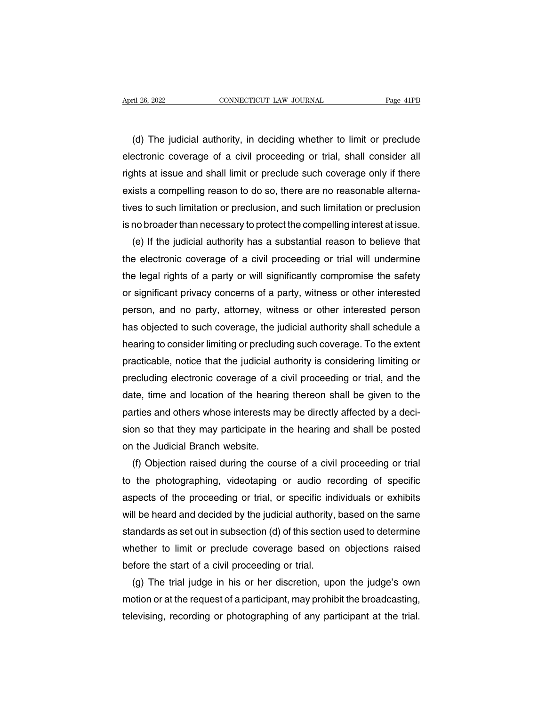(d) The judicial authority, in deciding whether to limit or preclude<br>ectronic coverage of a civil proceeding or trial, shall consider all April 26, 2022 CONNECTICUT LAW JOURNAL Page 41PB<br>
(d) The judicial authority, in deciding whether to limit or preclude<br>
electronic coverage of a civil proceeding or trial, shall consider all<br>
rights at issue and shall limi rage 4th rage 4th rage 4th rage 4th rage 4th rage 4th rage 4th rage 4th rage 4th rage 4th rage 4th rage 4th rage 4th rage 4th rage 4th rage 4th rage and shall authority, in deciding whether to limit or preclude electronic (d) The judicial authority, in deciding whether to limit or preclude<br>electronic coverage of a civil proceeding or trial, shall consider all<br>rights at issue and shall limit or preclude such coverage only if there<br>exists a c (d) The judicial authority, in deciding whether to limit or preclude<br>electronic coverage of a civil proceeding or trial, shall consider all<br>rights at issue and shall limit or preclude such coverage only if there<br>exists a c electronic coverage of a civil proceeding or trial, shall consider all<br>rights at issue and shall limit or preclude such coverage only if there<br>exists a compelling reason to do so, there are no reasonable alterna-<br>tives to Ints at issue and shall limit or preclude such coverage only if there<br>ists a compelling reason to do so, there are no reasonable alterna-<br>es to such limitation or preclusion, and such limitation or preclusion<br>no broader th

exists a compelling reason to do so, there are no reasonable alternatives to such limitation or preclusion, and such limitation or preclusion<br>is no broader than necessary to protect the compelling interest at issue.<br>(e) If tives to such limitation or preclusion, and such limitation or preclusion<br>is no broader than necessary to protect the compelling interest at issue.<br>(e) If the judicial authority has a substantial reason to believe that<br>the is no broader than necessary to protect the compelling interest at issue.<br>
(e) If the judicial authority has a substantial reason to believe that<br>
the electronic coverage of a civil proceeding or trial will undermine<br>
the (e) If the judicial authority has a substantial reason to believe that<br>the electronic coverage of a civil proceeding or trial will undermine<br>the legal rights of a party or will significantly compromise the safety<br>or signif the electronic coverage of a civil proceeding or trial will undermine<br>the legal rights of a party or will significantly compromise the safety<br>or significant privacy concerns of a party, witness or other interested<br>person, the legal rights of a party or will significantly compromise the safety<br>or significant privacy concerns of a party, witness or other interested<br>person, and no party, attorney, witness or other interested person<br>has objecte or significant privacy concerns of a party, witness or other interested<br>person, and no party, attorney, witness or other interested person<br>has objected to such coverage, the judicial authority shall schedule a<br>hearing to c person, and no party, attorney, witness or other interested person<br>has objected to such coverage, the judicial authority shall schedule a<br>hearing to consider limiting or precluding such coverage. To the extent<br>practicable, has objected to such coverage, the judicial authority shall schedule a<br>hearing to consider limiting or precluding such coverage. To the extent<br>practicable, notice that the judicial authority is considering limiting or<br>prec hearing to consider limiting or precluding such coverage. To the extent practicable, notice that the judicial authority is considering limiting or precluding electronic coverage of a civil proceeding or trial, and the date practicable, notice that the judicial authority is considering limiting or<br>precluding electronic coverage of a civil proceeding or trial, and the<br>date, time and location of the hearing thereon shall be given to the<br>parties precluding electronic coverage of a d<br>date, time and location of the hearin<br>parties and others whose interests ma<br>sion so that they may participate in t<br>on the Judicial Branch website.<br>(f) Objection raised during the cou te, time and location of the hearing thereon shall be given to the urties and others whose interests may be directly affected by a deci-<br>on so that they may participate in the hearing and shall be posted<br>i the Judicial Bra

parties and others whose interests may be directly affected by a decision so that they may participate in the hearing and shall be posted<br>on the Judicial Branch website.<br>(f) Objection raised during the course of a civil pr sion so that they may participate in the hearing and shall be posted<br>on the Judicial Branch website.<br>(f) Objection raised during the course of a civil proceeding or trial<br>to the photographing, videotaping or audio recordin on the Judicial Branch website.<br>
(f) Objection raised during the course of a civil proceeding or trial<br>
to the photographing, videotaping or audio recording of specific<br>
aspects of the proceeding or trial, or specific indi (f) Objection raised during the course of a civil proceeding or trial<br>to the photographing, videotaping or audio recording of specific<br>aspects of the proceeding or trial, or specific individuals or exhibits<br>will be heard a to the photographing, videotaping or audio recording of specific<br>aspects of the proceeding or trial, or specific individuals or exhibits<br>will be heard and decided by the judicial authority, based on the same<br>standards as s aspects of the proceeding or trial, or specific individuals or exhibits<br>will be heard and decided by the judicial authority, based on the same<br>standards as set out in subsection (d) of this section used to determine<br>whethe II be heard and decided by the judicial authority, based on the same<br>andards as set out in subsection (d) of this section used to determine<br>nether to limit or preclude coverage based on objections raised<br>fore the start of standards as set out in subsection (d) of this section used to determine<br>whether to limit or preclude coverage based on objections raised<br>before the start of a civil proceeding or trial.<br>(g) The trial judge in his or her d

whether to limit or preclude coverage based on objections raised<br>before the start of a civil proceeding or trial.<br>(g) The trial judge in his or her discretion, upon the judge's own<br>motion or at the request of a participant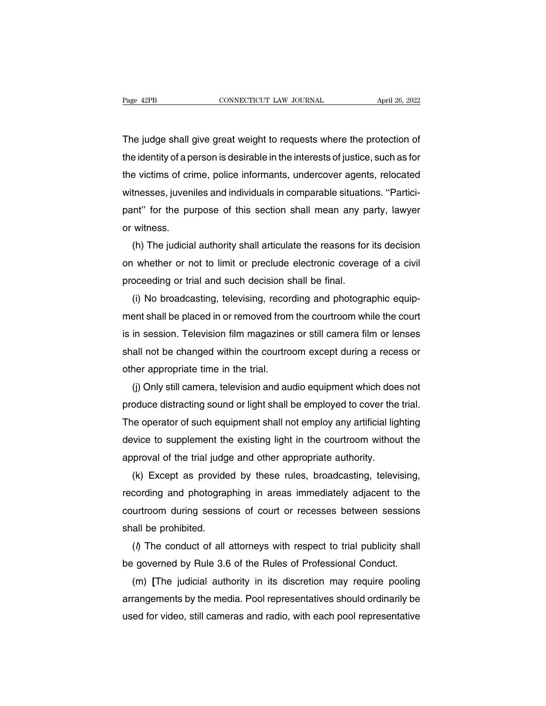Page 42PB CONNECTICUT LAW JOURNAL April 26, 2022<br>The judge shall give great weight to requests where the protection of<br>the identity of a person is desirable in the interests of justice, such as for The judge shall give great weight to requests where the protection of<br>the identity of a person is desirable in the interests of justice, such as for<br>the victims of crime, police informants, undercover agents, relocated The judge shall give great weight to requests where the protection of<br>the identity of a person is desirable in the interests of justice, such as for<br>the victims of crime, police informants, undercover agents, relocated<br>wit The judge shall give great weight to requests where the protection of<br>the identity of a person is desirable in the interests of justice, such as for<br>the victims of crime, police informants, undercover agents, relocated<br>wit The judge shall give great weight to requests where the protection of<br>the identity of a person is desirable in the interests of justice, such as for<br>the victims of crime, police informants, undercover agents, relocated<br>wit the identity of a portion<br>the victims of crivitnesses, juven<br>pant'' for the purent vitness.<br>(h) The judicia e victims of crime, police informants, undercover agents, relocated<br>thesses, juveniles and individuals in comparable situations. "Partici-<br>int" for the purpose of this section shall mean any party, lawyer<br>witness.<br>(h) The

witnesses, juveniles and individuals in comparable situations. "Partici-<br>pant" for the purpose of this section shall mean any party, lawyer<br>or witness.<br>(h) The judicial authority shall articulate the reasons for its decisi pant" for the purpose of this section shall mean any part witness.<br>
(h) The judicial authority shall articulate the reasons for<br>
on whether or not to limit or preclude electronic coverage<br>
proceeding or trial and such deci witness.<br>(h) The judicial authority shall articulate the reasons for its decision<br>under the protocolor whether or not to limit or preclude electronic coverage of a civil<br>oceeding or trial and such decision shall be final.<br>

(h) The judicial authority shall articulate the reasons for its decision<br>on whether or not to limit or preclude electronic coverage of a civil<br>proceeding or trial and such decision shall be final.<br>(i) No broadcasting, tele on whether or not to limit or preclude electronic coverage of a civil<br>proceeding or trial and such decision shall be final.<br>(i) No broadcasting, televising, recording and photographic equip-<br>ment shall be placed in or remo proceeding or trial and such decision shall be final.<br>
(i) No broadcasting, televising, recording and photographic equip-<br>
ment shall be placed in or removed from the courtroom while the court<br>
is in session. Television fi (i) No broadcasting, televising, record<br>ment shall be placed in or removed from<br>is in session. Television film magazines<br>shall not be changed within the courtro-<br>other appropriate time in the trial.<br>(j) Only still camera, ent shall be placed in or removed from the courtroom while the court<br>in session. Television film magazines or still camera film or lenses<br>all not be changed within the courtroom except during a recess or<br>her appropriate ti

is in session. Television film magazines or still camera film or lenses<br>shall not be changed within the courtroom except during a recess or<br>other appropriate time in the trial.<br>(i) Only still camera, television and audio e shall not be changed within the courtroom except during a recess or<br>other appropriate time in the trial.<br>(i) Only still camera, television and audio equipment which does not<br>produce distracting sound or light shall be empl other appropriate time in the trial.<br>
(j) Only still camera, television and audio equipment which does not<br>
produce distracting sound or light shall be employed to cover the trial.<br>
The operator of such equipment shall not (j) Only still camera, television and audio equipment which doe<br>produce distracting sound or light shall be employed to cover the<br>The operator of such equipment shall not employ any artificial lig<br>device to supplement the oduce distracting sound or light shall be employed to cover the trial.<br>le operator of such equipment shall not employ any artificial lighting<br>vice to supplement the existing light in the courtroom without the<br>proval of the

The operator of such equipment shall not employ any artificial lighting<br>device to supplement the existing light in the courtroom without the<br>approval of the trial judge and other appropriate authority.<br>(k) Except as provid device to supplement the existing light in the courtroom without the<br>approval of the trial judge and other appropriate authority.<br>(k) Except as provided by these rules, broadcasting, televising,<br>recording and photographing approval of the trial judge<br>
(k) Except as provide<br>
recording and photograp<br>
courtroom during sessio<br>
shall be prohibited.<br>
(*l*) The conduct of all (k) Except as provided by these rules, broadcasting, televising,<br>cording and photographing in areas immediately adjacent to the<br>urtroom during sessions of court or recesses between sessions<br>all be prohibited.<br>(i) The cond recording and photographing in areas immediately adjacent to the<br>courtroom during sessions of court or recesses between sessions<br>shall be prohibited.<br>() The conduct of all attorneys with respect to trial publicity shall<br>be

urtroom during sessions of court or recesses between sessions<br>all be prohibited.<br>() The conduct of all attorneys with respect to trial publicity shall<br>governed by Rule 3.6 of the Rules of Professional Conduct.<br>(m) [The jud shall be prohibited.<br>
(*l*) The conduct of all attorneys with respect to trial publicity shall<br>
be governed by Rule 3.6 of the Rules of Professional Conduct.<br>
(m) [The judicial authority in its discretion may require pooli (*I*) The conduct of all attorneys with respect to trial publicity shall<br>be governed by Rule 3.6 of the Rules of Professional Conduct.<br>(m) [The judicial authority in its discretion may require pooling<br>arrangements by the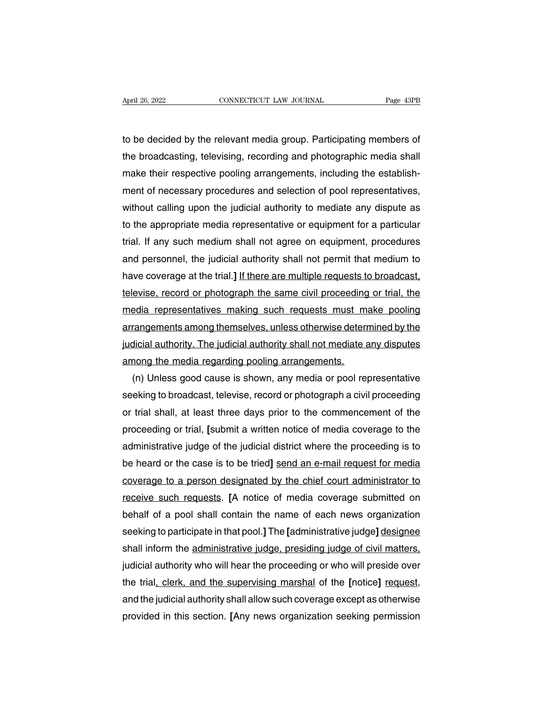April 26, 2022<br>
CONNECTICUT LAW JOURNAL<br>
to be decided by the relevant media group. Participating members of<br>
the broadcasting, televising, recording and photographic media shall April 26, 2022 CONNECTICUT LAW JOURNAL Page 43PB<br>to be decided by the relevant media group. Participating members of<br>the broadcasting, televising, recording and photographic media shall<br>make their respective pooling arrang April 26, 2022 CONNECTICUT LAW JOURNAL Page 43PB<br>to be decided by the relevant media group. Participating members of<br>the broadcasting, televising, recording and photographic media shall<br>make their respective pooling arrang to be decided by the relevant media group. Participating members of<br>the broadcasting, televising, recording and photographic media shall<br>make their respective pooling arrangements, including the establish-<br>ment of necessar to be decided by the relevant media group. Participating members of<br>the broadcasting, televising, recording and photographic media shall<br>make their respective pooling arrangements, including the establish-<br>ment of necessar the broadcasting, televising, recording and photographic media shall<br>make their respective pooling arrangements, including the establish-<br>ment of necessary procedures and selection of pool representatives,<br>without calling make their respective pooling arrangements, including the establish-<br>ment of necessary procedures and selection of pool representatives,<br>without calling upon the judicial authority to mediate any dispute as<br>to the appropri ment of necessary procedures and selection of pool representatives,<br>without calling upon the judicial authority to mediate any dispute as<br>to the appropriate media representative or equipment for a particular<br>trial. If any without calling upon the judicial authority to mediate any dispute as<br>to the appropriate media representative or equipment for a particular<br>trial. If any such medium shall not agree on equipment, procedures<br>and personnel, to the appropriate media representative or equipment for a particular<br>trial. If any such medium shall not agree on equipment, procedures<br>and personnel, the judicial authority shall not permit that medium to<br>have coverage a trial. If any such medium shall not agree on equipment, procedures<br>and personnel, the judicial authority shall not permit that medium to<br>have coverage at the trial.] <u>If there are multiple requests to broadcast,</u><br>televise, and personnel, the judicial authority shall not permit that medium to<br>have coverage at the trial.] <u>If there are multiple requests to broadcast,</u><br>televise, record or photograph the same civil proceeding or trial, the<br>media have coverage at the trial.] If there are multiple requests to broadcast,<br>televise, record or photograph the same civil proceeding or trial, the<br>media representatives making such requests must make pooling<br>arrangements amo televise, record or photograph the same civil proceeding<br>media representatives making such requests must ma<br>arrangements among themselves, unless otherwise deterr<br>judicial authority. The judicial authority shall not mediat edia representatives making such requests must make pooling<br>rangements among themselves, unless otherwise determined by the<br>dicial authority. The judicial authority shall not mediate any disputes<br>nong the media regarding p

arrangements among themselves, unless otherwise determined by the<br>judicial authority. The judicial authority shall not mediate any disputes<br>among the media regarding pooling arrangements.<br>(n) Unless good cause is shown, an judicial authority. The judicial authority shall not mediate any disputes<br>among the media regarding pooling arrangements.<br>(n) Unless good cause is shown, any media or pool representative<br>seeking to broadcast, televise, rec among the media regarding pooling arrangements.<br>
(n) Unless good cause is shown, any media or pool representative<br>
seeking to broadcast, televise, record or photograph a civil proceeding<br>
or trial shall, at least three day (n) Unless good cause is shown, any media or pool representative<br>seeking to broadcast, televise, record or photograph a civil proceeding<br>or trial shall, at least three days prior to the commencement of the<br>proceeding or tr seeking to broadcast, televise, record or photograph a civil proceeding<br>or trial shall, at least three days prior to the commencement of the<br>proceeding or trial, [submit a written notice of media coverage to the<br>administra or trial shall, at least three days prior to the commencement of the<br>proceeding or trial, [submit a written notice of media coverage to the<br>administrative judge of the judicial district where the proceeding is to<br>be heard proceeding or trial, [submit a written notice of media coverage to the<br>administrative judge of the judicial district where the proceeding is to<br>be heard or the case is to be tried] <u>send an e-mail request for media</u><br>covera administrative judge of the judicial district where the proceeding is to<br>be heard or the case is to be tried] <u>send an e-mail request for media</u><br>coverage to a person designated by the chief court administrator to<br>receive s be heard or the case is to be tried] <u>send an e-mail request for media</u><br>coverage to a person designated by the chief court administrator to<br>receive such requests. [A notice of media coverage submitted on<br>behalf of a pool s coverage to a person designated by the chief court administrator to<br>receive such requests. [A notice of media coverage submitted on<br>behall of a pool shall contain the name of each news organization<br>seeking to participate i receive such requests. [A notice of media coverage submitted on<br>behalf of a pool shall contain the name of each news organization<br>seeking to participate in that pool.] The [administrative judge] <u>designee</u><br>shall inform the behalf of a pool shall contain the name of each news organization<br>seeking to participate in that pool.] The [administrative judge] <u>designee</u><br>shall inform the <u>administrative judge, presiding judge of civil matters,</u><br>judic seeking to participate in that pool.] The [administrative judge] <u>designee</u><br>shall inform the <u>administrative judge, presiding judge of civil matters,</u><br>judicial authority who will hear the proceeding or who will preside ove shall inform the administrative judge, presiding judge of civil matters, judicial authority who will hear the proceeding or who will preside over the trial, clerk, and the supervising marshal of the [notice] request, and t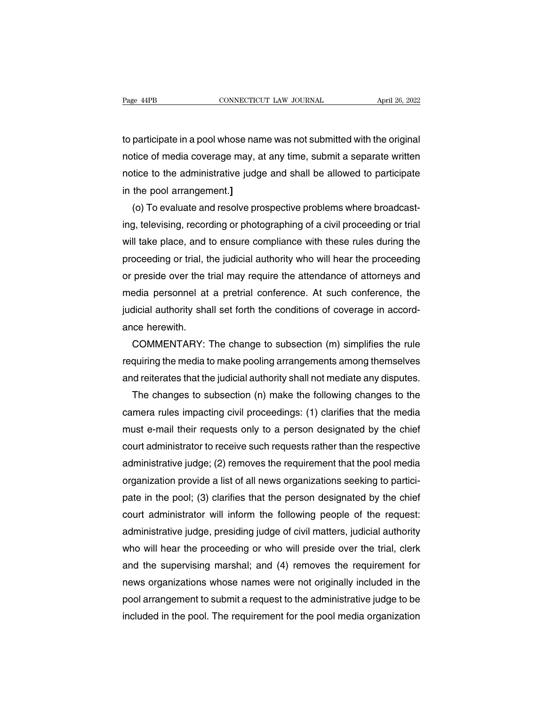Page 44PB<br>
cONNECTICUT LAW JOURNAL<br>
to participate in a pool whose name was not submitted with the original<br>
notice of media coverage may, at any time, submit a separate written notice of media coverage may, at any time, submitted with the original<br>notice of media coverage may, at any time, submit a separate written<br>notice to the administrative judge and shall be allowed to participate notice to participate in a pool whose name was not submitted with the original<br>notice of media coverage may, at any time, submit a separate written<br>notice to the administrative judge and shall be allowed to participate<br>in to participate in a pool whose nan<br>notice of media coverage may, a<br>notice to the administrative judg<br>in the pool arrangement.]<br>(o) To evaluate and resolve pro participate in a pool whose name was not submitted with the original<br>tice of media coverage may, at any time, submit a separate written<br>tice to the administrative judge and shall be allowed to participate<br>the pool arrangem

notice of media coverage may, at any time, submit a separate written<br>notice to the administrative judge and shall be allowed to participate<br>in the pool arrangement.]<br>(o) To evaluate and resolve prospective problems where b notice to the administrative judge and shall be allowed to participate<br>in the pool arrangement.]<br>(o) To evaluate and resolve prospective problems where broadcast-<br>ing, televising, recording or photographing of a civil proc in the pool arrangement.]<br>
(o) To evaluate and resolve prospective problems where broadcast-<br>
ing, televising, recording or photographing of a civil proceeding or trial<br>
will take place, and to ensure compliance with these (o) To evaluate and resolve prospective problems where broadcasting, televising, recording or photographing of a civil proceeding or trial will take place, and to ensure compliance with these rules during the proceeding or ing, televising, recording or photographing of a civil proceeding or trial<br>will take place, and to ensure compliance with these rules during the<br>proceeding or trial, the judicial authority who will hear the proceeding<br>or p will take place, and to ensure compliance with these rules during the proceeding or trial, the judicial authority who will hear the proceeding or preside over the trial may require the attendance of attorneys and media per proceeding or trial, tl<br>or preside over the t<br>media personnel at<br>judicial authority sha<br>ance herewith.<br>COMMENTARY: preside over the trial may require the attendance of attorneys and<br>edia personnel at a pretrial conference. At such conference, the<br>dicial authority shall set forth the conditions of coverage in accord-<br>ce herewith.<br>COMMEN media personnel at a pretrial conference. At such conference, the<br>judicial authority shall set forth the conditions of coverage in accord-<br>ance herewith.<br>COMMENTARY: The change to subsection (m) simplifies the rule<br>requiri

indicial authority shall set forth the conditions of coverage in accord-<br>ance herewith.<br>COMMENTARY: The change to subsection (m) simplifies the rule<br>requiring the media to make pooling arrangements among themselves<br>and rei ice herewith.<br>COMMENTARY: The change to subsection (m) simplifies the rule<br>quiring the media to make pooling arrangements among themselves<br>id reiterates that the judicial authority shall not mediate any disputes.<br>The chang

COMMENTARY: The change to subsection (m) simplifies the rule<br>requiring the media to make pooling arrangements among themselves<br>and reiterates that the judicial authority shall not mediate any disputes.<br>The changes to subse requiring the media to make pooling arrangements among themselves<br>and reiterates that the judicial authority shall not mediate any disputes.<br>The changes to subsection (n) make the following changes to the<br>camera rules impa and reiterates that the judicial authority shall not mediate any disputes.<br>The changes to subsection (n) make the following changes to the<br>camera rules impacting civil proceedings: (1) clarifies that the media<br>must e-mail The changes to subsection (n) make the following changes to the<br>camera rules impacting civil proceedings: (1) clarifies that the media<br>must e-mail their requests only to a person designated by the chief<br>court administrator camera rules impacting civil proceedings: (1) clarifies that the media<br>must e-mail their requests only to a person designated by the chief<br>court administrator to receive such requests rather than the respective<br>administrat must e-mail their requests only to a person designated by the chief<br>court administrator to receive such requests rather than the respective<br>administrative judge; (2) removes the requirement that the pool media<br>organization court administrator to receive such requests rather than the respective<br>administrative judge; (2) removes the requirement that the pool media<br>organization provide a list of all news organizations seeking to partici-<br>pate i administrative judge; (2) removes the requirement that the pool media<br>organization provide a list of all news organizations seeking to partici-<br>pate in the pool; (3) clarifies that the person designated by the chief<br>court organization provide a list of all news organizations seeking to partici-<br>pate in the pool; (3) clarifies that the person designated by the chief<br>court administrator will inform the following people of the request:<br>adminis pate in the pool; (3) clarifies that the person designated by the chief<br>court administrator will inform the following people of the request:<br>administrative judge, presiding judge of civil matters, judicial authority<br>who wi court administrator will inform the following people of the request:<br>administrative judge, presiding judge of civil matters, judicial authority<br>who will hear the proceeding or who will preside over the trial, clerk<br>and the administrative judge, presiding judge of civil matters, judicial authority<br>who will hear the proceeding or who will preside over the trial, clerk<br>and the supervising marshal; and (4) removes the requirement for<br>news organi who will hear the proceeding or who will preside over the trial, clerk<br>and the supervising marshal; and (4) removes the requirement for<br>news organizations whose names were not originally included in the<br>pool arrangement to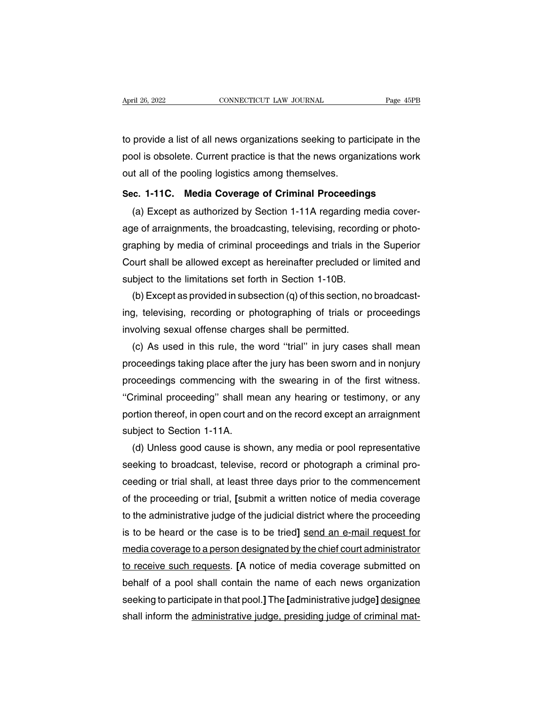April 26, 2022 CONNECTICUT LAW JOURNAL Page 45PB<br>to provide a list of all news organizations seeking to participate in the<br>pool is obsolete. Current practice is that the news organizations work April 26, 2022 CONNECTICUT LAW JOURNAL Page 45PB<br>to provide a list of all news organizations seeking to participate in the<br>pool is obsolete. Current practice is that the news organizations work<br>out all of the pooling logis method is the provide a list of all news organizations seeking to par<br>pool is obsolete. Current practice is that the news organ<br>out all of the pooling logistics among themselves.<br>Sec. 1-11C. Media Coverage of Criminal Proc to provide a list of all news organizations seeking to participate in the<br>pool is obsolete. Current practice is that the news organizations work<br>out all of the pooling logistics among themselves.<br>**Sec. 1-11C. Media Coverag** provide a list of all riews organizations seeking to participate in the<br>ol is obsolete. Current practice is that the news organizations work<br>it all of the pooling logistics among themselves.<br>c. 1-11C. Media Coverage of Cri

poor is obsolete. Current practice is that the news organizations work<br>out all of the pooling logistics among themselves.<br>Sec. 1-11C. Media Coverage of Criminal Proceedings<br>(a) Except as authorized by Section 1-11A regardi Sec. 1-11C. Media Coverage of Criminal Proceedings<br>
(a) Except as authorized by Section 1-11A regarding media cover-<br>
age of arraignments, the broadcasting, televising, recording or photo-<br>
graphing by media of criminal pr Sec. 1-11C. Media Coverage of Criminal Proceedings<br>
(a) Except as authorized by Section 1-11A regarding media cover-<br>
age of arraignments, the broadcasting, televising, recording or photo-<br>
graphing by media of criminal pr (a) Except as authorized by Section 1-11A regarding m<br>age of arraignments, the broadcasting, televising, recording<br>raphing by media of criminal proceedings and trials in th<br>Court shall be allowed except as hereinafter pre (b) e of arraignments, the broadcasting, televising, recording or photo-<br>aphing by media of criminal proceedings and trials in the Superior<br>burt shall be allowed except as hereinafter precluded or limited and<br>bject to the graphing by media of criminal proceedings and trials in the Superior<br>Court shall be allowed except as hereinafter precluded or limited and<br>subject to the limitations set forth in Section 1-10B.<br>(b) Except as provided in su

Court shall be allowed except as hereinafter precluded or<br>subject to the limitations set forth in Section 1-10B.<br>(b) Except as provided in subsection (q) of this section, no<br>ing, televising, recording or photographing of t bject to the limitations set forth in Section 1-10B.<br>(b) Except as provided in subsection (q) of this section, no broadcast-<br>g, televising, recording or photographing of trials or proceedings<br>volving sexual offense charges

(b) Except as provided in subsection (q) of this section, no broadcasting, televising, recording or photographing of trials or proceedings<br>involving sexual offense charges shall be permitted.<br>(c) As used in this rule, the ing, televising, recording or photographing of trials or proceedings<br>involving sexual offense charges shall be permitted.<br>(c) As used in this rule, the word "trial" in jury cases shall mean<br>proceedings taking place after t involving sexual offense charges shall be permitted.<br>
(c) As used in this rule, the word "trial" in jury cases shall mean<br>
proceedings taking place after the jury has been sworn and in nonjury<br>
proceedings commencing with (c) As used in this rule, the word "trial" in jury cases shall mean<br>proceedings taking place after the jury has been sworn and in nonjury<br>proceedings commencing with the swearing in of the first witness.<br>"Criminal proceedi proceedings taking place after t<br>proceedings commencing with<br>"Criminal proceeding" shall me<br>portion thereof, in open court an<br>subject to Section 1-11A.<br>(d) Unless good cause is sho oceedings commencing with the swearing in of the first witness.<br>
Criminal proceeding" shall mean any hearing or testimony, or any<br>
ortion thereof, in open court and on the record except an arraignment<br>
bject to Section 1-1

"Criminal proceeding" shall mean any hearing or testimony, or any<br>portion thereof, in open court and on the record except an arraignment<br>subject to Section 1-11A.<br>(d) Unless good cause is shown, any media or pool represent portion thereof, in open court and on the record except an arraignment<br>subject to Section 1-11A.<br>(d) Unless good cause is shown, any media or pool representative<br>seeking to broadcast, televise, record or photograph a crimi subject to Section 1-11A.<br>
(d) Unless good cause is shown, any media or pool representative<br>
seeking to broadcast, televise, record or photograph a criminal pro-<br>
ceeding or trial shall, at least three days prior to the co (d) Unless good cause is shown, any media or pool representative<br>seeking to broadcast, televise, record or photograph a criminal pro-<br>ceeding or trial shall, at least three days prior to the commencement<br>of the proceeding seeking to broadcast, televise, record or photograph a criminal pro-<br>ceeding or trial shall, at least three days prior to the commencement<br>of the proceeding or trial, [submit a written notice of media coverage<br>to the admin ceeding or trial shall, at least three days prior to the commencement<br>of the proceeding or trial, [submit a written notice of media coverage<br>to the administrative judge of the judicial district where the proceeding<br>is to b of the proceeding or trial, [submit a written notice of media coverage<br>to the administrative judge of the judicial district where the proceeding<br>is to be heard or the case is to be tried] <u>send an e-mail request for</u><br>media to the administrative judge of the judicial district where the proceeding<br>is to be heard or the case is to be tried] <u>send an e-mail request for</u><br>media coverage to a person designated by the chief court administrator<br>to re is to be heard or the case is to be tried] <u>send an e-mail request for</u><br>media coverage to a person designated by the chief court administrator<br>to receive such requests. [A notice of media coverage submitted on<br>behalf of a media coverage to a person designated by the chief court administrator<br>to receive such requests. [A notice of media coverage submitted on<br>behalf of a pool shall contain the name of each news organization<br>seeking to partici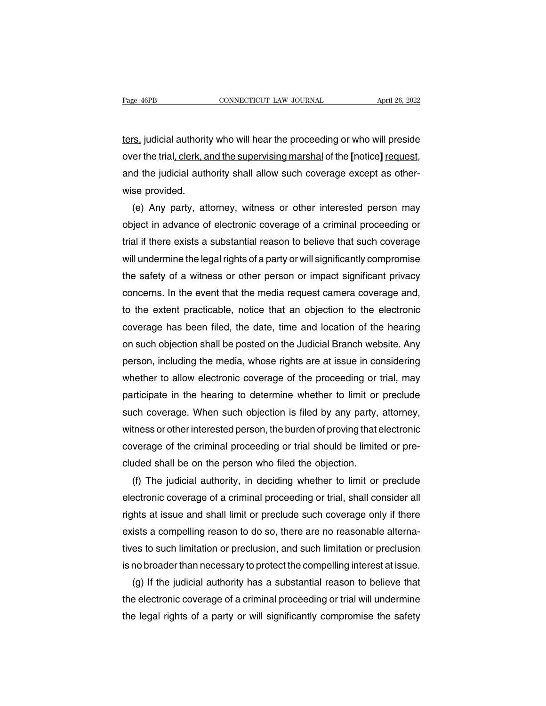The Fage 46PB<br>ters, judicial authority who will hear the proceeding or who will preside<br>over the trial<u>, clerk, and the supervising marshal</u> of the [notice] <u>request,</u> over the trial, clerk, and the supervising marshal of the **[**notice**]** request, rage 40rb<br>ters, judicial authority who will hear the proceeding or who will preside<br>over the trial, clerk, and the supervising marshal of the [notice] request,<br>and the judicial authority shall allow such coverage except as <u>ters,</u> judicial authorit<br>over the trial<u>, clerk, a</u><br>and the judicial auth<br>wise provided.<br>(e) Any party, att (e) any party, attorney who will hear the proceeding or who will preside<br>
er the trial, clerk, and the supervising marshal of the [notice] <u>request</u>,<br>
d the judicial authority shall allow such coverage except as other-<br>
se

over the trial<u>, clerk, and the supervising marshal</u> of the [notice] <u>request,</u><br>and the judicial authority shall allow such coverage except as other-<br>wise provided.<br>(e) Any party, attorney, witness or other interested pers and the judicial authority shall allow such coverage except as other-<br>wise provided.<br>(e) Any party, attorney, witness or other interested person may<br>object in advance of electronic coverage of a criminal proceeding or<br>tria wise provided.<br>
(e) Any party, attorney, witness or other interested person may<br>
object in advance of electronic coverage of a criminal proceeding or<br>
trial if there exists a substantial reason to believe that such coverag (e) Any party, attorney, witness or other interested person may<br>object in advance of electronic coverage of a criminal proceeding or<br>trial if there exists a substantial reason to believe that such coverage<br>will undermine t object in advance of electronic coverage of a criminal proceeding or<br>trial if there exists a substantial reason to believe that such coverage<br>will undermine the legal rights of a party or will significantly compromise<br>the trial if there exists a substantial reason to believe that such coverage<br>will undermine the legal rights of a party or will significantly compromise<br>the safety of a witness or other person or impact significant privacy<br>con will undermine the legal rights of a party or will significantly compromise<br>the safety of a witness or other person or impact significant privacy<br>concerns. In the event that the media request camera coverage and,<br>to the ex the safety of a witness or other person or impact significant privacy<br>concerns. In the event that the media request camera coverage and,<br>to the extent practicable, notice that an objection to the electronic<br>coverage has be concerns. In the event that the media request camera coverage and,<br>to the extent practicable, notice that an objection to the electronic<br>coverage has been filed, the date, time and location of the hearing<br>on such objection to the extent practicable, notice that an objection to the electronic<br>coverage has been filed, the date, time and location of the hearing<br>on such objection shall be posted on the Judicial Branch website. Any<br>person, includ coverage has been filed, the date, time and location of the hearing<br>on such objection shall be posted on the Judicial Branch website. Any<br>person, including the media, whose rights are at issue in considering<br>whether to all on such objection shall be posted on the Judicial Branch website. Any<br>person, including the media, whose rights are at issue in considering<br>whether to allow electronic coverage of the proceeding or trial, may<br>participate i person, including the media, whose rights are at issue in considering<br>whether to allow electronic coverage of the proceeding or trial, may<br>participate in the hearing to determine whether to limit or preclude<br>such coverage. whether to allow electronic coverage of the proceeding or trial, may<br>participate in the hearing to determine whether to limit or preclude<br>such coverage. When such objection is filed by any party, attorney,<br>witness or other participate in the hearing to determine whether to limit or<br>such coverage. When such objection is filed by any party,<br>witness or other interested person, the burden of proving that  $\epsilon$ <br>coverage of the criminal proceeding ch coverage. When such objection is filed by any party, attorney,<br>tness or other interested person, the burden of proving that electronic<br>verage of the criminal proceeding or trial should be limited or pre-<br>uded shall be o

witness or other interested person, the burden of proving that electronic<br>coverage of the criminal proceeding or trial should be limited or pre-<br>cluded shall be on the person who filed the objection.<br>(f) The judicial autho coverage of the criminal proceeding or trial should be limited or pre-<br>cluded shall be on the person who filed the objection.<br>(f) The judicial authority, in deciding whether to limit or preclude<br>electronic coverage of a cr cluded shall be on the person who filed the objection.<br>
(f) The judicial authority, in deciding whether to limit or preclude<br>
electronic coverage of a criminal proceeding or trial, shall consider all<br>
rights at issue and s (f) The judicial authority, in deciding whether to limit or preclude<br>electronic coverage of a criminal proceeding or trial, shall consider all<br>rights at issue and shall limit or preclude such coverage only if there<br>exists electronic coverage of a criminal proceeding or trial, shall consider all<br>rights at issue and shall limit or preclude such coverage only if there<br>exists a compelling reason to do so, there are no reasonable alterna-<br>tives Ints at issue and shall limit or preclude such coverage only if there<br>ists a compelling reason to do so, there are no reasonable alterna-<br>es to such limitation or preclusion, and such limitation or preclusion<br>no broader th exists a compelling reason to do so, there are no reasonable alternatives to such limitation or preclusion, and such limitation or preclusion<br>is no broader than necessary to protect the compelling interest at issue.<br>(g) If

tives to such limitation or preclusion, and such limitation or preclusion<br>is no broader than necessary to protect the compelling interest at issue.<br>(g) If the judicial authority has a substantial reason to believe that<br>the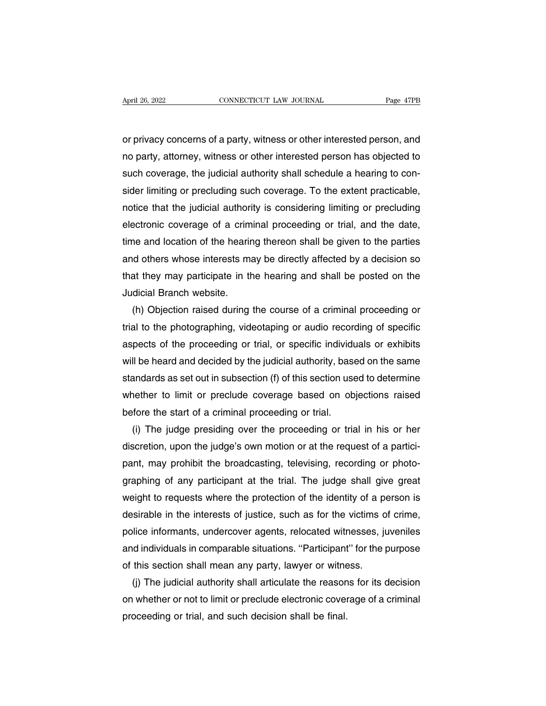April 26, 2022 CONNECTICUT LAW JOURNAL Page 47PB<br>
or privacy concerns of a party, witness or other interested person, and<br>
no party, attorney, witness or other interested person has objected to April 26, 2022 CONNECTICUT LAW JOURNAL Page 47PB<br>
or privacy concerns of a party, witness or other interested person, and<br>
no party, attorney, witness or other interested person has objected to<br>
such coverage, the judicial such all the visibility of the interested person, and<br>or privacy concerns of a party, witness or other interested person, and<br>no party, attorney, witness or other interested person has objected to<br>such coverage, the judici or privacy concerns of a party, witness or other interested person, and<br>no party, attorney, witness or other interested person has objected to<br>such coverage, the judicial authority shall schedule a hearing to con-<br>sider li or privacy concerns of a party, witness or other interested person, and<br>no party, attorney, witness or other interested person has objected to<br>such coverage, the judicial authority shall schedule a hearing to con-<br>sider li no party, attorney, witness or other interested person has objected to<br>such coverage, the judicial authority shall schedule a hearing to con-<br>sider limiting or precluding such coverage. To the extent practicable,<br>notice th such coverage, the judicial authority shall schedule a hearing to consider limiting or precluding such coverage. To the extent practicable, notice that the judicial authority is considering limiting or precluding electroni sider limiting or precluding such coverage. To the extent practicable,<br>notice that the judicial authority is considering limiting or precluding<br>electronic coverage of a criminal proceeding or trial, and the date,<br>time and notice that the judicial authority is considering limiting or precluding<br>electronic coverage of a criminal proceeding or trial, and the date,<br>time and location of the hearing thereon shall be given to the parties<br>and other electronic coverage of a crim<br>time and location of the hearir<br>and others whose interests ma<br>that they may participate in th<br>Judicial Branch website.<br>(h) Objection raised during The and location of the hearing thereon shall be given to the parties<br>id others whose interests may be directly affected by a decision so<br>at they may participate in the hearing and shall be posted on the<br>dicial Branch webs

and others whose interests may be directly affected by a decision so<br>that they may participate in the hearing and shall be posted on the<br>Judicial Branch website.<br>(h) Objection raised during the course of a criminal proceed that they may participate in the hearing and shall be posted on the<br>Judicial Branch website.<br>(h) Objection raised during the course of a criminal proceeding or<br>trial to the photographing, videotaping or audio recording of Judicial Branch website.<br>
(h) Objection raised during the course of a criminal proceeding or<br>
trial to the photographing, videotaping or audio recording of specific<br>
aspects of the proceeding or trial, or specific individu (h) Objection raised during the course of a criminal proceeding or<br>trial to the photographing, videotaping or audio recording of specific<br>aspects of the proceeding or trial, or specific individuals or exhibits<br>will be hear trial to the photographing, videotaping or audio recording of specific<br>aspects of the proceeding or trial, or specific individuals or exhibits<br>will be heard and decided by the judicial authority, based on the same<br>standard aspects of the proceeding or trial, or specific individum<br>will be heard and decided by the judicial authority, base<br>standards as set out in subsection (f) of this section use<br>whether to limit or preclude coverage based on II be heard and decided by the judicial authority, based on the same<br>andards as set out in subsection (f) of this section used to determine<br>nether to limit or preclude coverage based on objections raised<br>fore the start of

standards as set out in subsection (f) of this section used to determine<br>whether to limit or preclude coverage based on objections raised<br>before the start of a criminal proceeding or trial.<br>(i) The judge presiding over the before the start of a criminal proceeding or trial.<br>
(i) The judge presiding over the proceeding or trial in his or her<br>
discretion, upon the judge's own motion or at the request of a partici-<br>
pant, may prohibit the broad before the start of a criminal proceeding or trial.<br>
(i) The judge presiding over the proceeding or trial in his or her<br>
discretion, upon the judge's own motion or at the request of a partici-<br>
pant, may prohibit the broad (i) The judge presiding over the proceeding or trial in his or her discretion, upon the judge's own motion or at the request of a participant, may prohibit the broadcasting, televising, recording or photographing of any pa discretion, upon the judge's own motion or at the request of a partici-<br>pant, may prohibit the broadcasting, televising, recording or photo-<br>graphing of any participant at the trial. The judge shall give great<br>weight to re pant, may prohibit the broadcasting, televising, recording or photo-<br>graphing of any participant at the trial. The judge shall give great<br>weight to requests where the protection of the identity of a person is<br>desirable in graphing of any participant at the trial. The judge shall give great<br>weight to requests where the protection of the identity of a person is<br>desirable in the interests of justice, such as for the victims of crime,<br>police in weight to requests where the protection of the identity of a police in the interests of justice, such as for the victims of police informants, undercover agents, relocated witnesses, ju and individuals in comparable situat isirable in the interests of justice, such as for the victims of crime,<br>lice informants, undercover agents, relocated witnesses, juveniles<br>id individuals in comparable situations. "Participant" for the purpose<br>this section police informants, undercover agents, relocated witnesses, juveniles<br>and individuals in comparable situations. "Participant" for the purpose<br>of this section shall mean any party, lawyer or witness.<br>(j) The judicial authori

and individuals in comparable situations. "Participant<br>of this section shall mean any party, lawyer or witne<br>(j) The judicial authority shall articulate the reason<br>on whether or not to limit or preclude electronic cover<br>pr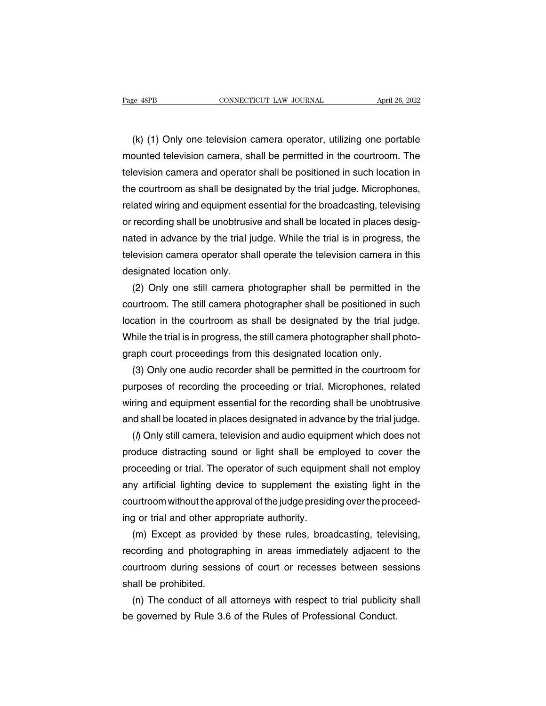(k) (1) Only one television camera operator, utilizing one portable<br>
unted television camera, shall be permitted in the courtroom. The mounted television camera, shall be permitted in the courtroom. The delevision camera, shall be permitted in the courtroom. The television camera and operator shall be positioned in such location in the dispersion camera and operator shall be permitted in the courtroom. The delevision camera and operator shall be positioned in such location in the courtroom as shall be designated by the trial judge. Microphones, (k) (1) Only one television camera operator, utilizing one portable<br>mounted television camera, shall be permitted in the courtroom. The<br>television camera and operator shall be positioned in such location in<br>the courtroom a (k) (1) Only one television camera operator, utilizing one portable<br>mounted television camera, shall be permitted in the courtroom. The<br>television camera and operator shall be positioned in such location in<br>the courtroom a mounted television camera, shall be permitted in the courtroom. The television camera and operator shall be positioned in such location in the courtroom as shall be designated by the trial judge. Microphones, related wirin television camera and operator shall be positioned in such location in<br>the courtroom as shall be designated by the trial judge. Microphones,<br>related wiring and equipment essential for the broadcasting, televising<br>or record the courtroom as shall be designated by the trial judge. Microphones,<br>related wiring and equipment essential for the broadcasting, televising<br>or recording shall be unobtrusive and shall be located in places desig-<br>nated in related wiring and equipment es<br>or recording shall be unobtrusiv<br>nated in advance by the trial ju<br>television camera operator sha<br>designated location only.<br>(2) Only one still camera pl recording shall be unobtrusive and shall be located in places desig-<br>ted in advance by the trial judge. While the trial is in progress, the<br>evision camera operator shall operate the television camera in this<br>signated locat

nated in advance by the trial judge. While the trial is in progress, the<br>television camera operator shall operate the television camera in this<br>designated location only.<br>(2) Only one still camera photographer shall be perm television camera operator shall operate the television camera in this<br>designated location only.<br>(2) Only one still camera photographer shall be permitted in the<br>courtroom. The still camera photographer shall be positioned designated location only.<br>
(2) Only one still camera photographer shall be permitted in the<br>
courtroom. The still camera photographer shall be positioned in such<br>
location in the courtroom as shall be designated by the tri (2) Only one still camera photographer shall be permitted in courtroom. The still camera photographer shall be positioned in sulocation in the courtroom as shall be designated by the trial jud While the trial is in progres urtroom. The still camera photographer shall be positioned in such<br>cation in the courtroom as shall be designated by the trial judge.<br>hile the trial is in progress, the still camera photographer shall photo-<br>aph court proc

location in the courtroom as shall be designated by the trial judge.<br>While the trial is in progress, the still camera photographer shall photograph court proceedings from this designated location only.<br>(3) Only one audio r While the trial is in progress, the still camera photographer shall photograph court proceedings from this designated location only.<br>
(3) Only one audio recorder shall be permitted in the courtroom for<br>
purposes of recordi graph court proceedings from this designated location only.<br>
(3) Only one audio recorder shall be permitted in the courtroom for<br>
purposes of recording the proceeding or trial. Microphones, related<br>
wiring and equipment es (3) Only one audio recorder shall be permitted in the courtroom for rrposes of recording the proceeding or trial. Microphones, related ring and equipment essential for the recording shall be unobtrusive d shall be located

purposes of recording the proceeding or trial. Microphones, related<br>wiring and equipment essential for the recording shall be unobtrusive<br>and shall be located in places designated in advance by the trial judge.<br>() Only sti wiring and equipment essential for the recording shall be unobtrusive<br>and shall be located in places designated in advance by the trial judge.<br>(*l*) Only still camera, television and audio equipment which does not<br>produce and shall be located in places designated in advance by the trial judge.<br>() Only still camera, television and audio equipment which does not<br>produce distracting sound or light shall be employed to cover the<br>proceeding or t  $($ ) Only still camera, television and audio equipment which does not produce distracting sound or light shall be employed to cover the proceeding or trial. The operator of such equipment shall not employ any artificial l produce distracting sound or light shall be em<br>proceeding or trial. The operator of such equipm<br>any artificial lighting device to supplement the<br>courtroom without the approval of the judge presid<br>ing or trial and other app oceeding or trial. The operator of such equipment shall not employ<br>y artificial lighting device to supplement the existing light in the<br>urtroom without the approval of the judge presiding over the proceed-<br>g or trial and o

any artificial lighting device to supplement the existing light in the courtroom without the approval of the judge presiding over the proceeding or trial and other appropriate authority.<br>
(m) Except as provided by these ru courtroom without the approval of the judge presiding over the proceed-<br>ing or trial and other appropriate authority.<br>(m) Except as provided by these rules, broadcasting, televising,<br>recording and photographing in areas im ing or trial and other app<br>
(m) Except as provide<br>
recording and photograp<br>
courtroom during sessio<br>
shall be prohibited.<br>
(n) The conduct of all (m) Except as provided by these rules, broadcasting, televising, cording and photographing in areas immediately adjacent to the urtroom during sessions of court or recesses between sessions all be prohibited.<br>(n) The condu recording and photographing in areas immediately adjacent to the courtroom during sessions of court or recesses between sessions shall be prohibited.<br>
(n) The conduct of all attorneys with respect to trial publicity shall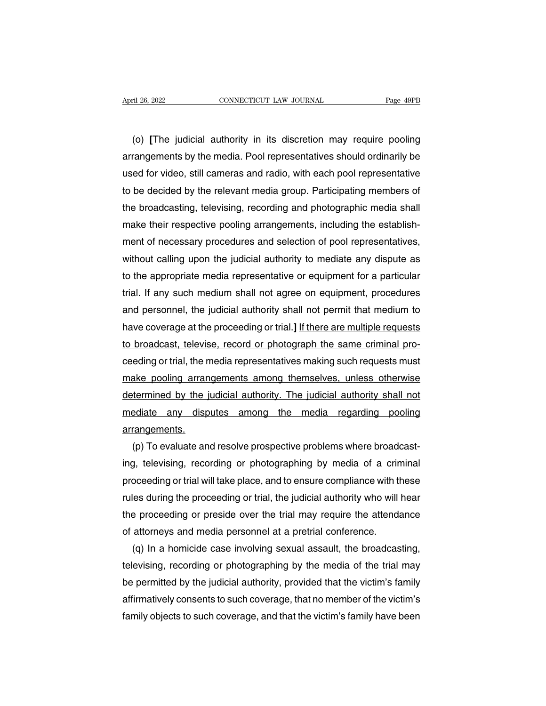(o) **[**The judicial authority in its discretion may require pooling April 26, 2022 CONNECTICUT LAW JOURNAL Page 49PB<br>
(o) [The judicial authority in its discretion may require pooling<br>
arrangements by the media. Pool representatives should ordinarily be<br>
used for video, still cameras and r used for video, solution of the medial convention that solution that the set of the pooling<br>arrangements by the media. Pool representatives should ordinarily be<br>used for video, still cameras and radio, with each pool repre (o) [The judicial authority in its discretion may require pooling<br>arrangements by the media. Pool representatives should ordinarily be<br>used for video, still cameras and radio, with each pool representative<br>to be decided by (o) [The judicial authority in its discretion may require pooling<br>arrangements by the media. Pool representatives should ordinarily be<br>used for video, still cameras and radio, with each pool representative<br>to be decided by arrangements by the media. Pool representatives should ordinarily be used for video, still cameras and radio, with each pool representative to be decided by the relevant media group. Participating members of the broadcasti used for video, still cameras and radio, with each pool representative<br>to be decided by the relevant media group. Participating members of<br>the broadcasting, televising, recording and photographic media shall<br>make their res to be decided by the relevant media group. Participating members of<br>the broadcasting, televising, recording and photographic media shall<br>make their respective pooling arrangements, including the establish-<br>ment of necessar the broadcasting, televising, recording and photographic media shall<br>make their respective pooling arrangements, including the establish-<br>ment of necessary procedures and selection of pool representatives,<br>without calling make their respective pooling arrangements, including the establish-<br>ment of necessary procedures and selection of pool representatives,<br>without calling upon the judicial authority to mediate any dispute as<br>to the appropri ment of necessary procedures and selection of pool representatives,<br>without calling upon the judicial authority to mediate any dispute as<br>to the appropriate media representative or equipment for a particular<br>trial. If any without calling upon the judicial authority to mediate any dispute as<br>to the appropriate media representative or equipment for a particular<br>trial. If any such medium shall not agree on equipment, procedures<br>and personnel, to the appropriate media representative or equipment for a particular<br>trial. If any such medium shall not agree on equipment, procedures<br>and personnel, the judicial authority shall not permit that medium to<br>have coverage a trial. If any such medium shall not agree on equipment, procedures<br>and personnel, the judicial authority shall not permit that medium to<br>have coverage at the proceeding or trial.] <u>If there are multiple requests</u><br>to broadc and personnel, the judicial authority shall not permit that medium to<br>have coverage at the proceeding or trial.] <u>If there are multiple requests</u><br>to broadcast, televise, record or photograph the same criminal pro-<br>ceeding have coverage at the proceeding or trial.] <u>If there are multiple requests</u><br>to broadcast, televise, record or photograph the same criminal pro-<br>ceeding or trial, the media representatives making such requests must<br>make poo to broadcast, televise, record or photograph the same criminal pro-<br>ceeding or trial, the media representatives making such requests must<br>make pooling arrangements among themselves, unless otherwise<br>determined by the judic arrangements. ake pooling arrangements among themselves, unless otherwise<br>
termined by the judicial authority. The judicial authority shall not<br>
ediate any disputes among the media regarding pooling<br>
rangements.<br>
(p) To evaluate and res

determined by the judicial authority. The judicial authority shall not<br>mediate any disputes among the media regarding pooling<br>arrangements.<br>(p) To evaluate and resolve prospective problems where broadcast-<br>ing, televising, mediate any disputes among the media regarding pooling<br>arrangements.<br>(p) To evaluate and resolve prospective problems where broadcast-<br>ing, televising, recording or photographing by media of a criminal<br>proceeding or trial arrangements.<br>
(p) To evaluate and resolve prospective problems where broadcast-<br>
ing, televising, recording or photographing by media of a criminal<br>
proceeding or trial will take place, and to ensure compliance with these (p) To evaluate and resolve prospective problems where broadcasting, televising, recording or photographing by media of a criminal proceeding or trial will take place, and to ensure compliance with these rules during the p ing, televising, recording or photographing by media of a crin<br>proceeding or trial will take place, and to ensure compliance with th<br>rules during the proceeding or trial, the judicial authority who will<br>the proceeding or p oceeding or trial will take place, and to ensure compliance with these<br>les during the proceeding or trial, the judicial authority who will hear<br>e proceeding or preside over the trial may require the attendance<br>attorneys an

rules during the proceeding or trial, the judicial authority who will hear<br>the proceeding or preside over the trial may require the attendance<br>of attorneys and media personnel at a pretrial conference.<br>(q) In a homicide ca the proceeding or preside over the trial may require the attendance<br>of attorneys and media personnel at a pretrial conference.<br>(q) In a homicide case involving sexual assault, the broadcasting,<br>televising, recording or pho of attorneys and media personnel at a pretrial conference.<br>
(q) In a homicide case involving sexual assault, the broadcasting,<br>
televising, recording or photographing by the media of the trial may<br>
be permitted by the judi (q) In a homicide case involving sexual assault, the broadcasting,<br>televising, recording or photographing by the media of the trial may<br>be permitted by the judicial authority, provided that the victim's family<br>affirmativel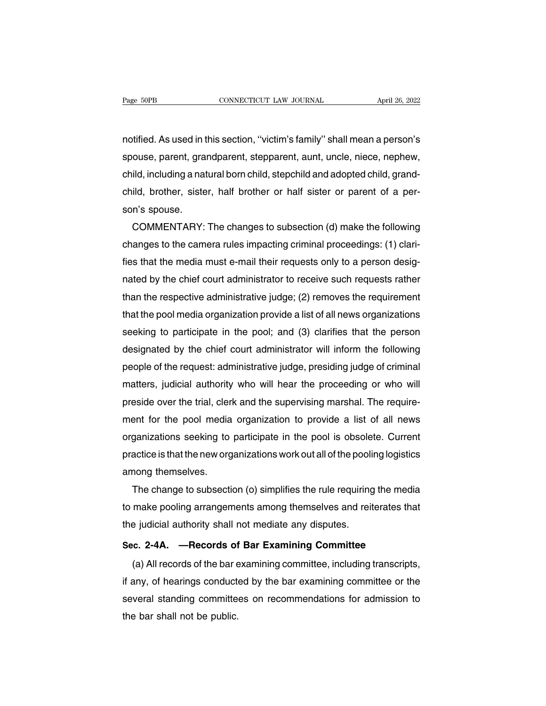Page 50PB CONNECTICUT LAW JOURNAL April 26, 2022<br>notified. As used in this section, "victim's family" shall mean a person's<br>spouse, parent, grandparent, stepparent, aunt, uncle, niece, nephew, spouse, parent, grandparent, stepparent, aunt, uncle, niece, nephew, conductive trains sociality. The conduct of the conduction of the conduction of the conduction of the child, including a natural born child, stepchild and adopted child, grand-child, brother, sister, half brother or half s notified. As used in this section, "victim's family" shall mean a person's<br>spouse, parent, grandparent, stepparent, aunt, uncle, niece, nephew,<br>child, including a natural born child, stepchild and adopted child, grand-<br>chi notified. As used in t<br>spouse, parent, gra<br>child, including a nat<br>child, brother, siste<br>son's spouse.<br>COMMENTARY: ouse, parent, grandparent, stepparent, aunt, uncle, niece, nephew,<br>ild, including a natural born child, stepchild and adopted child, grand-<br>ild, brother, sister, half brother or half sister or parent of a per-<br>n's spouse.<br>

child, including a natural born child, stepchild and adopted child, grand-<br>child, brother, sister, half brother or half sister or parent of a per-<br>son's spouse.<br>COMMENTARY: The changes to subsection (d) make the following<br> child, brother, sister, half brother or half sister or parent of a per-<br>son's spouse.<br>COMMENTARY: The changes to subsection (d) make the following<br>changes to the camera rules impacting criminal proceedings: (1) clari-<br>fies son's spouse.<br>COMMENTARY: The changes to subsection (d) make the following<br>changes to the camera rules impacting criminal proceedings: (1) clari-<br>fies that the media must e-mail their requests only to a person desig-<br>nated COMMENTARY: The changes to subsection (d) make the tollowing<br>changes to the camera rules impacting criminal proceedings: (1) clari-<br>fies that the media must e-mail their requests only to a person desig-<br>nated by the chief changes to the camera rules impacting criminal proceedings: (1) clari-<br>fies that the media must e-mail their requests only to a person desig-<br>nated by the chief court administrator to receive such requests rather<br>than the fies that the media must e-mail their requests only to a person desig-<br>nated by the chief court administrator to receive such requests rather<br>than the respective administrative judge; (2) removes the requirement<br>that the p nated by the chief court administrator to receive such requests rather<br>than the respective administrative judge; (2) removes the requirement<br>that the pool media organization provide a list of all news organizations<br>seeking than the respective administrative judge; (2) removes the requirement<br>that the pool media organization provide a list of all news organizations<br>seeking to participate in the pool; and (3) clarifies that the person<br>designat that the pool media organization provide a list of all news organizations<br>seeking to participate in the pool; and (3) clarifies that the person<br>designated by the chief court administrator will inform the following<br>people o seeking to participate in the pool; and (3) clarifies that the person<br>designated by the chief court administrator will inform the following<br>people of the request: administrative judge, presiding judge of criminal<br>matters, designated by the chief court administrator will inform the following<br>people of the request: administrative judge, presiding judge of criminal<br>matters, judicial authority who will hear the proceeding or who will<br>preside ov people of the request: administrative judge, presiding judge of criminal<br>matters, judicial authority who will hear the proceeding or who will<br>preside over the trial, clerk and the supervising marshal. The require-<br>ment for matters, judicial authority who will hear the proceeding or who will<br>preside over the trial, clerk and the supervising marshal. The require-<br>ment for the pool media organization to provide a list of all news<br>organizations preside over the trial, cler<br>ment for the pool media<br>organizations seeking to<br>practice is that the new org<br>among themselves.<br>The change to subsecti ent for the pool media organization to provide a list of all news<br>ganizations seeking to participate in the pool is obsolete. Current<br>actice is that the new organizations work out all of the pooling logistics<br>nong themselv

organizations seeking to participate in the pool is obsolete. Current<br>practice is that the new organizations work out all of the pooling logistics<br>among themselves.<br>The change to subsection (o) simplifies the rule requirin practice is that the new organizations work out all of the pooli<br>among themselves.<br>The change to subsection (o) simplifies the rule requiring<br>to make pooling arrangements among themselves and reit<br>the judicial authority sh The change to subsection (o) simplifies the rule requiring the medito make pooling arrangements among themselves and reiterates that<br>the judicial authority shall not mediate any disputes.<br>Sec. 2-4A. —Records of Bar Examini me onarge to subsection (c) simplified the rate requiring the modular<br>make pooling arrangements among themselves and reiterates that<br>e judicial authority shall not mediate any disputes.<br>c. 2-4A. —Records of Bar Examining C

the judicial authority shall not mediate any disputes.<br>Sec. 2-4A. —Records of Bar Examining Committee<br>(a) All records of the bar examining committee, including transcripts,<br>if any, of hearings conducted by the bar examinin Sec. 2-4A. — Records of Bar Examining Committee<br>
(a) All records of the bar examining committee, including transcripts,<br>
if any, of hearings conducted by the bar examining committee or the<br>
several standing committees on r Sec. 2-4A. — Records of<br>(a) All records of the bar e<br>if any, of hearings conduct<br>several standing committe<br>the bar shall not be public.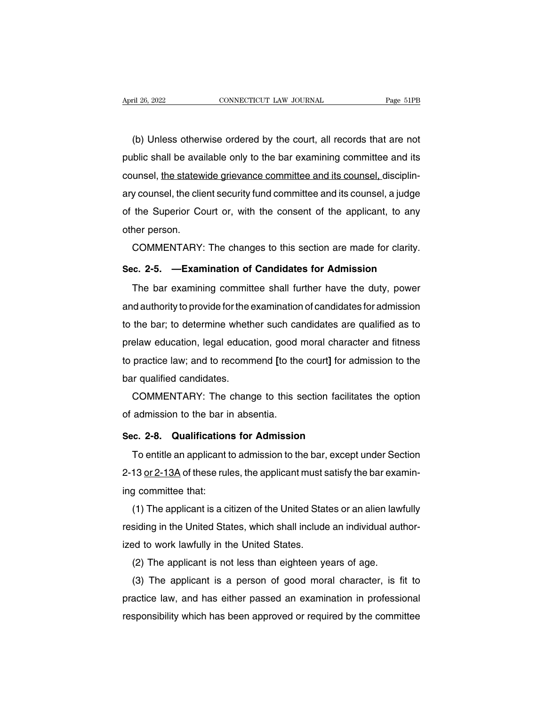(b) Unless otherwise ordered by the court, all records that are not<br>blic shall be available only to the bar examining committee and its April 26, 2022 CONNECTICUT LAW JOURNAL Page 51PB<br>
(b) Unless otherwise ordered by the court, all records that are not<br>
public shall be available only to the bar examining committee and its<br>
counsel, the statewide grievance (b) Unless otherwise ordered by the court, all records that are not<br>public shall be available only to the bar examining committee and its<br>counsel, the statewide grievance committee and its counsel, disciplin-<br>ary counsel, (b) Unless otherwise ordered by the court, all records that are not public shall be available only to the bar examining committee and its counsel, the statewide grievance committee and its counsel, disciplinary counsel, th (b) Orliess offerwise ordered by the court, an records that are not<br>public shall be available only to the bar examining committee and its<br>counsel, the statewide grievance committee and its counsel, disciplin-<br>ary counsel, public shall be avail<br>counsel, <u>the statew</u><br>ary counsel, the clie<br>of the Superior Co<br>other person.<br>COMMENTARY: The state wide grievance committee and its counsel, disciplin-<br>y counsel, the client security fund committee and its counsel, a judge<br>the Superior Court or, with the consent of the applicant, to any<br>ner person.<br>COMMENTARY: Examples of the Superior Court or, with the consent of the applicant, to any other person.<br> **COMMENTARY:** The changes to this section are made for clarity.<br> **Sec. 2-5.** —**Examination of Candidates for Admission**<br>
The bar e

The person.<br>The bar examination of Candidates for Admission<br>The bar examining committee shall further have the duty, power<br>The bar examining committee shall further have the duty, power<br>dauthority to provide for the examin COMMENTARY: The changes to this section are made for clarity.<br>Sec. 2-5. —Examination of Candidates for Admission<br>The bar examining committee shall further have the duty, power<br>and authority to provide for the examination o Sec. 2-5. — Examination of Candidates for Admission<br>The bar examining committee shall further have the duty, power<br>and authority to provide for the examination of candidates for admission<br>to the bar; to determine whether s prec. 2-5. — Lxamination of Candidates for Admission<br>The bar examining committee shall further have the duty, power<br>and authority to provide for the examination of candidates for admission<br>to the bar; to determine whether The bar examining committee shall further have the duty, power<br>and authority to provide for the examination of candidates for admission<br>to the bar; to determine whether such candidates are qualified as to<br>prelaw education, and authority to provide for the extraction the bar; to determine wheth<br>prelaw education, legal educa<br>to practice law; and to recomm<br>bar qualified candidates.<br>COMMENTARY: The chang the bar; to determine whether such candidates are qualified as to<br>elaw education, legal education, good moral character and fitness<br>practice law; and to recommend [to the court] for admission to the<br>ir qualified candidates prelaw education, legal education, good is<br>to practice law; and to recommend [to the<br>bar qualified candidates.<br>COMMENTARY: The change to this s<br>of admission to the bar in absentia.<br>Sec. 2-8. Qualifications for Admission

**Sec.** 2-8. Qualifications for Admission to the bar in absentiations for Admission facilita Sec. 2-8. Qualifications for Admission<br>To entitle an applicant to admission to the bar, except

COMMENTARY: The change to this section facilitates the option<br>admission to the bar in absentia.<br>c. 2-8. Qualifications for Admission<br>To entitle an applicant to admission to the bar, except under Section<br>13 <u>or 2-13A</u> of th of admission to the bar in absentia.<br> **Sec. 2-8. Qualifications for Admission**<br>
To entitle an applicant to admission to the bar, except under Section<br>
2-13 <u>or 2-13A</u> of these rules, the applicant must satisfy the bar exam Sec. 2-8. Qualification<br>To entitle an applicant t<br>2-13 <u>or 2-13A</u> of these rule<br>ing committee that:<br>(1) The applicant is a ci (1) To entitle an applicant to admission<br>To entitle an applicant to admission to the bar, except under Section<br>13 <u>or 2-13A</u> of these rules, the applicant must satisfy the bar examin-<br>g committee that:<br>(1) The applicant is

ro entitle an applicant to admission to the bar, except under Section<br>2-13 <u>or 2-13A</u> of these rules, the applicant must satisfy the bar examin-<br>ing committee that:<br>(1) The applicant is a citizen of the United States or an 2-13 <u>or 2-13A</u> or mese rules, the applicant must s<br>ing committee that:<br>(1) The applicant is a citizen of the United Stat<br>residing in the United States, which shall include<br>ized to work lawfully in the United States.<br>(2) T depredictive that:<br>(1) The applicant is a citizen of the United States or an alien law<br>siding in the United States, which shall include an individual aut<br>ad to work lawfully in the United States.<br>(2) The applicant is not l (1) The applicant is a citizen of the United States or an alten lawituly<br>siding in the United States, which shall include an individual author-<br>ad to work lawfully in the United States.<br>(2) The applicant is not less than e

resialing in the United States, which shall include an individual author-<br>ized to work lawfully in the United States.<br>(2) The applicant is not less than eighteen years of age.<br>(3) The applicant is a person of good moral ch responsibility which has been approved or required by the committee daw, and has either passed an examination in professional responsibility which has been approved or required by the committee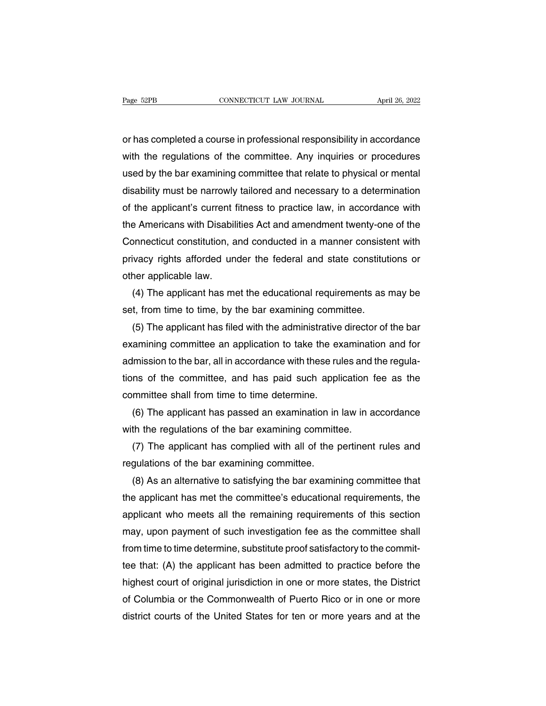Page 52PB CONNECTICUT LAW JOURNAL April 26, 2022<br>
or has completed a course in professional responsibility in accordance<br>
with the regulations of the committee. Any inquiries or procedures Page 52PB CONNECTICUT LAW JOURNAL April 26, 2022<br>
or has completed a course in professional responsibility in accordance<br>
with the regulations of the committee. Any inquiries or procedures<br>
used by the bar examining commit on the bar example between the bar southware to the committee or has completed a course in professional responsibility in accordance<br>with the regulations of the committee. Any inquiries or procedures<br>used by the bar examin or has completed a course in professional responsibility in accordance<br>with the regulations of the committee. Any inquiries or procedures<br>used by the bar examining committee that relate to physical or mental<br>disability mus or has completed a course in professional responsibility in accordance<br>with the regulations of the committee. Any inquiries or procedures<br>used by the bar examining committee that relate to physical or mental<br>disability mus with the regulations of the committee. Any inquiries or procedures<br>used by the bar examining committee that relate to physical or mental<br>disability must be narrowly tailored and necessary to a determination<br>of the applican used by the bar examining committee that relate to physical or mental<br>disability must be narrowly tailored and necessary to a determination<br>of the applicant's current fitness to practice law, in accordance with<br>the America disability must be narrowly tailored and necessary to a determination<br>of the applicant's current fitness to practice law, in accordance with<br>the Americans with Disabilities Act and amendment twenty-one of the<br>Connecticut c of the applicant's current the Americans with Disabil<br>Connecticut constitution, a<br>privacy rights afforded un<br>other applicable law.<br>(4) The applicant has me Exercicant Americans with Disabilities Act and amendment twenty-one of the<br>princeticut constitution, and conducted in a manner consistent with<br>ivacy rights afforded under the federal and state constitutions or<br>ner applicab Connecticut constitution, and conducted in a manner consiste<br>privacy rights afforded under the federal and state constitut<br>other applicable law.<br>(4) The applicant has met the educational requirements as i<br>set, from time to

ivacy rights afforded under the federal and state constitutions or<br>ner applicable law.<br>(4) The applicant has met the educational requirements as may be<br>t, from time to time, by the bar examining committee.<br>(5) The applican other applicable law.<br>
(4) The applicant has met the educational requirements as may be<br>
set, from time to time, by the bar examining committee.<br>
(5) The applicant has filed with the administrative director of the bar<br>
exa (4) The applicant has met the educational requirements as may be set, from time to time, by the bar examining committee.<br>
(5) The applicant has filed with the administrative director of the bar examining committee an appli set, from time to time, by the bar examining committee.<br>
(5) The applicant has filed with the administrative director of the bar<br>
examining committee an application to take the examination and for<br>
admission to the bar, al (5) The applicant has filed with the administrative<br>examining committee an application to take the ex<br>admission to the bar, all in accordance with these ru<br>tions of the committee, and has paid such appli<br>committee shall fr amining committee an application to take the examination and for<br>Imission to the bar, all in accordance with these rules and the regula-<br>ns of the committee, and has paid such application fee as the<br>mmittee shall from time admission to the bar, all in accordance with these rules and t<br>tions of the committee, and has paid such application f<br>committee shall from time to time determine.<br>(6) The applicant has passed an examining committee.<br>(7) T

ms of the committee, and has paid such application fee as the<br>mmittee shall from time to time determine.<br>(6) The applicant has passed an examination in law in accordance<br>th the regulations of the bar examining committee.<br>( committee shall from time to time determine.<br>
(6) The applicant has passed an examination in<br>
with the regulations of the bar examining committ<br>
(7) The applicant has complied with all of the p<br>
regulations of the bar exam

(6) The applicant has passed an examination in law in accordance<br>th the regulations of the bar examining committee.<br>(7) The applicant has complied with all of the pertinent rules and<br>gulations of the bar examining committ with the regulations of the bar examining committee.<br>
(7) The applicant has complied with all of the pertinent rules and<br>
regulations of the bar examining committee.<br>
(8) As an alternative to satisfying the bar examining c (7) The applicant has complied with all of the pertinent rules and<br>regulations of the bar examining committee.<br>(8) As an alternative to satisfying the bar examining committee that<br>the applicant has met the committee's educ regulations of the bar examining committee.<br>
(8) As an alternative to satisfying the bar examining committee that<br>
the applicant has met the committee's educational requirements, the<br>
applicant who meets all the remaining (8) As an alternative to satisfying the bar examining committee that<br>the applicant has met the committee's educational requirements, the<br>applicant who meets all the remaining requirements of this section<br>may, upon payment the applicant has met the committee's educational requirements, the<br>applicant who meets all the remaining requirements of this section<br>may, upon payment of such investigation fee as the committee shall<br>from time to time de applicant who meets all the remaining requirements of this section<br>may, upon payment of such investigation fee as the committee shall<br>from time to time determine, substitute proof satisfactory to the commit-<br>tee that: (A) may, upon payment of such investigation fee as the committee shall<br>from time to time determine, substitute proof satisfactory to the commit-<br>tee that: (A) the applicant has been admitted to practice before the<br>highest cour from time to time determine, substitute proof satisfactory to the commit-<br>tee that: (A) the applicant has been admitted to practice before the<br>highest court of original jurisdiction in one or more states, the District<br>of C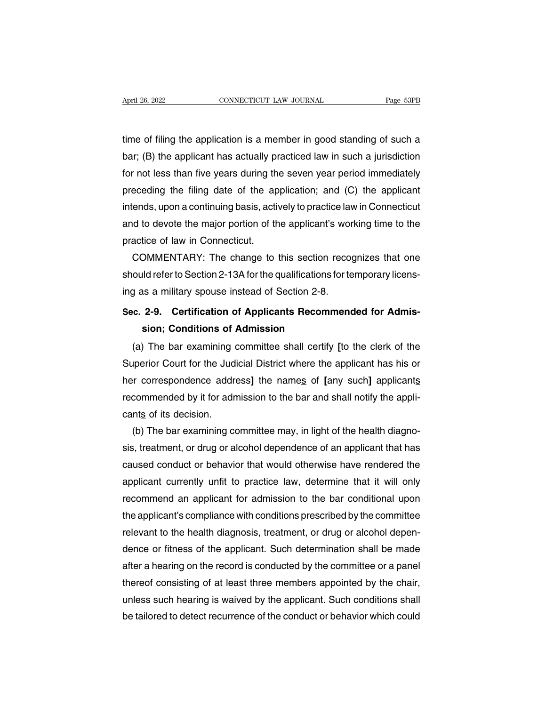April 26, 2022 CONNECTICUT LAW JOURNAL Page 53PB<br>time of filing the application is a member in good standing of such a<br>bar; (B) the applicant has actually practiced law in such a jurisdiction April 26, 2022 CONNECTICUT LAW JOURNAL Page 53PB<br>time of filing the application is a member in good standing of such a<br>bar; (B) the applicant has actually practiced law in such a jurisdiction<br>for not less than five years d frage 35FB<br>time of filing the application is a member in good standing of such a<br>bar; (B) the applicant has actually practiced law in such a jurisdiction<br>for not less than five years during the seven year period immediatel time of filing the application is a member in good standing of such a<br>bar; (B) the applicant has actually practiced law in such a jurisdiction<br>for not less than five years during the seven year period immediately<br>preceding time of filing the application is a member in good standing of such a<br>bar; (B) the applicant has actually practiced law in such a jurisdiction<br>for not less than five years during the seven year period immediately<br>preceding bar; (B) the applicant has actually practiced law in such a jurisdiction<br>for not less than five years during the seven year period immediately<br>preceding the filing date of the application; and (C) the applicant<br>intends, up for not less than five years during th<br>preceding the filing date of the ap<br>intends, upon a continuing basis, acti<br>and to devote the major portion of th<br>practice of law in Connecticut.<br>COMMENTARY: The change to eceding the filing date of the application; and (C) the applicant<br>ends, upon a continuing basis, actively to practice law in Connecticut<br>id to devote the major portion of the applicant's working time to the<br>actice of law i intends, upon a continuing basis, actively to practice law in Connecticut<br>and to devote the major portion of the applicant's working time to the<br>practice of law in Connecticut.<br>COMMENTARY: The change to this section recogn

and to devote the major portion of the applicant's wor<br>practice of law in Connecticut.<br>COMMENTARY: The change to this section recor<br>should refer to Section 2-13A for the qualifications for te<br>ing as a military spouse inste practice of law in Connecticut.<br>
COMMENTARY: The change to this section recognizes that one<br>
should refer to Section 2-13A for the qualifications for temporary licens-<br>
ing as a military spouse instead of Section 2-8.<br> **Se** JMMENTARY: The change to this section reald refer to Section 2-13A for the qualifications for the analy spouse instead of Section 2-8.<br>**2-9. Certification of Applicants Recomm sion; Conditions of Admission**<br>The bar examini

ould refer to Section 2-13A for the qualifications for temporary licens-<br>g as a military spouse instead of Section 2-8.<br>c. 2-9. Certification of Applicants Recommended for Admis-<br>sion; Conditions of Admission<br>(a) The bar e Superior Court for the Judicial District where the applicants<br>Superior Conditions of Admission<br>(a) The bar examining committee shall certify [to the clerk of the<br>Superior Court for the Judicial District where the applicant Sec. 2-9. Certification of Applicants Recommended for Admission; Conditions of Admission<br>
(a) The bar examining committee shall certify [to the clerk of the<br>
Superior Court for the Judicial District where the applicant has sion; Conditions of Admission<br>(a) The bar examining committee shall certify [to the clerk of the<br>Superior Court for the Judicial District where the applicant has his or<br>her correspondence address] the names of [any such] a (a) The bar examining of<br>Superior Court for the Jud<br>her correspondence addre<br>recommended by it for adr<br>cants of its decision.<br>(b) The bar examining co Superior Court for the Judicial District where the applicant has his or<br>her correspondence address] the names of [any such] applicants<br>recommended by it for admission to the bar and shall notify the appli-<br>cants of its dec

her correspondence address] the names of [any such] applicants<br>recommended by it for admission to the bar and shall notify the appli-<br>cants of its decision.<br>(b) The bar examining committee may, in light of the health diagn recommended by it for admission to the bar and shall notify the applicants of its decision.<br>
(b) The bar examining committee may, in light of the health diagnosis, treatment, or drug or alcohol dependence of an applicant t cants of its decision.<br>
(b) The bar examining committee may, in light of the health diagno-<br>
sis, treatment, or drug or alcohol dependence of an applicant that has<br>
caused conduct or behavior that would otherwise have rend (b) The bar examining committee may, in light of the health diagnosis, treatment, or drug or alcohol dependence of an applicant that has caused conduct or behavior that would otherwise have rendered the applicant currently sis, treatment, or drug or alcohol dependence of an applicant that has<br>caused conduct or behavior that would otherwise have rendered the<br>applicant currently unfit to practice law, determine that it will only<br>recommend an a caused conduct or behavior that would otherwise have rendered the<br>applicant currently unfit to practice law, determine that it will only<br>recommend an applicant for admission to the bar conditional upon<br>the applicant's comp applicant currently unfit to practice law, determine that it will only<br>recommend an applicant for admission to the bar conditional upon<br>the applicant's compliance with conditions prescribed by the committee<br>relevant to the recommend an applicant for admission to the bar conditional upon<br>the applicant's compliance with conditions prescribed by the committee<br>relevant to the health diagnosis, treatment, or drug or alcohol depen-<br>dence or fitnes the applicant's compliance with conditions prescribed by the committee<br>relevant to the health diagnosis, treatment, or drug or alcohol depen-<br>dence or fitness of the applicant. Such determination shall be made<br>after a hear relevant to the health diagnosis, treatment, or drug or alcohol dependence or fitness of the applicant. Such determination shall be made after a hearing on the record is conducted by the committee or a panel thereof consis dence or fitness of the applicant. Such determination shall be made<br>after a hearing on the record is conducted by the committee or a panel<br>thereof consisting of at least three members appointed by the chair,<br>unless such he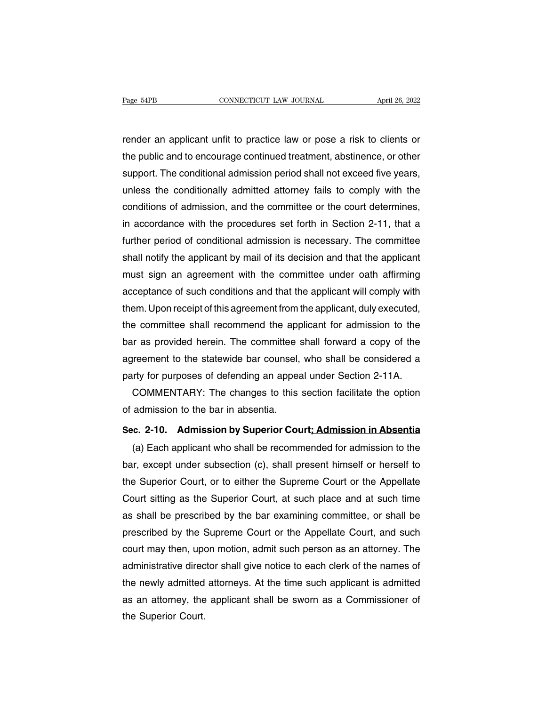Page 54PB CONNECTICUT LAW JOURNAL April 26, 2022<br>
render an applicant unfit to practice law or pose a risk to clients or<br>
the public and to encourage continued treatment, abstinence, or other The public and to encourage continued treatment, abstinence, or other<br>the public and to encourage continued treatment, abstinence, or other<br>support. The conditional admission period shall not exceed five years, rage support. The connectional admission period shall not exceed five years,<br>the public and to encourage continued treatment, abstinence, or other<br>support. The conditional admission period shall not exceed five years,<br>unle render an applicant unfit to practice law or pose a risk to clients or<br>the public and to encourage continued treatment, abstinence, or other<br>support. The conditional admission period shall not exceed five years,<br>unless the render an applicant unfit to practice law or pose a risk to clients or<br>the public and to encourage continued treatment, abstinence, or other<br>support. The conditional admission period shall not exceed five years,<br>unless the the public and to encourage continued treatment, abstinence, or other<br>support. The conditional admission period shall not exceed five years,<br>unless the conditionally admitted attorney fails to comply with the<br>conditions of support. The conditional admission period shall not exceed five years,<br>unless the conditionally admitted attorney fails to comply with the<br>conditions of admission, and the committee or the court determines,<br>in accordance w unless the conditionally admitted attorney fails to comply with the conditions of admission, and the committee or the court determines, in accordance with the procedures set forth in Section 2-11, that a further period of conditions of admission, and the committee or the court determines,<br>in accordance with the procedures set forth in Section 2-11, that a<br>further period of conditional admission is necessary. The committee<br>shall notify the a in accordance with the procedures set forth in Section 2-11, that a<br>further period of conditional admission is necessary. The committee<br>shall notify the applicant by mail of its decision and that the applicant<br>must sign an further period of conditional admission is necessary. The committee<br>shall notify the applicant by mail of its decision and that the applicant<br>must sign an agreement with the committee under oath affirming<br>acceptance of suc shall notify the applicant by mail of its decision and that the applicant<br>must sign an agreement with the committee under oath affirming<br>acceptance of such conditions and that the applicant will comply with<br>them. Upon rece must sign an agreement with the committee under oath affirming<br>acceptance of such conditions and that the applicant will comply with<br>them. Upon receipt of this agreement from the applicant, duly executed,<br>the committee sha acceptance of such conditions and that the applicant will comply with<br>them. Upon receipt of this agreement from the applicant, duly executed,<br>the committee shall recommend the applicant for admission to the<br>bar as provided them. Upon receipt of this agreement from the applicant, duly executed,<br>the committee shall recommend the applicant for admission to the<br>bar as provided herein. The committee shall forward a copy of the<br>agreement to the st e committee shall recommend the applicant for admission to the<br>ir as provided herein. The committee shall forward a copy of the<br>irement to the statewide bar counsel, who shall be considered a<br>irty for purposes of defending bar as provided herein. The committee s<br>agreement to the statewide bar counsel,<br>party for purposes of defending an appea<br>COMMENTARY: The changes to this<br>of admission to the bar in absentia.<br>**Sec. 2-10.** Admission by Superi

agreement to the statewide bar counsel, who shall be considered a<br>party for purposes of defending an appeal under Section 2-11A.<br>COMMENTARY: The changes to this section facilitate the option<br>of admission to the bar in abse

(a) Each applicant who shall be recommended for admission to the bar in absentia.<br> **COMMENTARY:** The changes to this section facilitate the option<br> **admission to the bar in absentia.**<br> **C. 2-10. Admission by Superior Cou** COMMENTARY: The changes to this section facilitate the option<br>of admission to the bar in absentia.<br>Sec. 2-10. Admission by Superior Court; Admission in Absentia<br>(a) Each applicant who shall be recommended for admission to Sec. 2-10. Admission by Superior Court; Admission in Absentia<br>
(a) Each applicant who shall be recommended for admission to the<br>
bar, except under subsection (c), shall present himself or herself to<br>
the Superior Court, or Sec. 2-10. Admission by Superior Court; Admission in Absentia<br>
(a) Each applicant who shall be recommended for admission to the<br>
bar, except under subsection (c), shall present himself or herself to<br>
the Superior Court, or (a) Each applicant who shall be recommended for admission to the<br>bar, except under subsection (c), shall present himself or herself to<br>the Superior Court, or to either the Supreme Court or the Appellate<br>Court sitting as th bar, except under subsection (c), shall present himself or herself to<br>the Superior Court, or to either the Supreme Court or the Appellate<br>Court sitting as the Superior Court, at such place and at such time<br>as shall be pres the Superior Court, or to either the Supreme Court or the Appellate<br>Court sitting as the Superior Court, at such place and at such time<br>as shall be prescribed by the bar examining committee, or shall be<br>prescribed by the S Court sitting as the Superior Court, at such place and at such time<br>as shall be prescribed by the bar examining committee, or shall be<br>prescribed by the Supreme Court or the Appellate Court, and such<br>court may then, upon m as shall be prescribed by the bar examining committee, or shall be<br>prescribed by the Supreme Court or the Appellate Court, and such<br>court may then, upon motion, admit such person as an attorney. The<br>administrative director prescribed by the Supreme Court or the Appellate Court, and such<br>court may then, upon motion, admit such person as an attorney. The<br>administrative director shall give notice to each clerk of the names of<br>the newly admitted court may then, upo<br>administrative direc<br>the newly admitted<br>as an attorney, the<br>the Superior Court.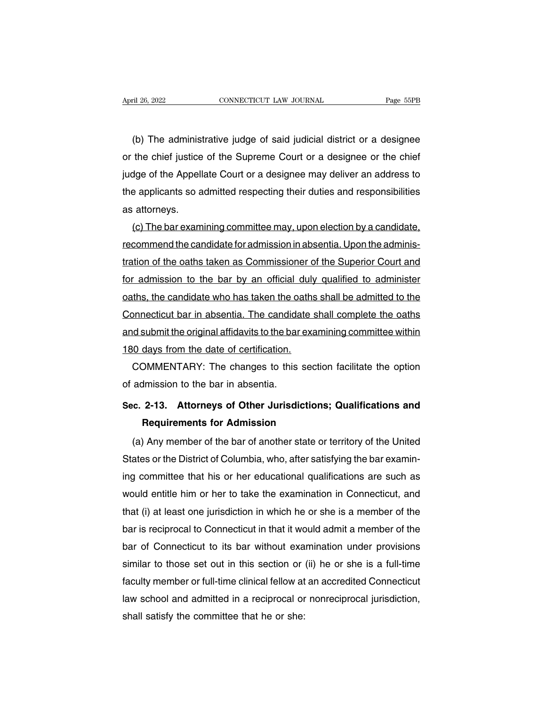(b) The administrative judge of said judicial district or a designee<br>the chief justice of the Supreme Court or a designee or the chief April 26, 2022 CONNECTICUT LAW JOURNAL Page 55PB<br>
(b) The administrative judge of said judicial district or a designee<br>
or the chief justice of the Supreme Court or a designee or the chief<br>
judge of the Appellate Court or (b) The administrative judge of said judicial district or a designee<br>or the chief justice of the Supreme Court or a designee or the chief<br>judge of the Appellate Court or a designee may deliver an address to<br>the applicants (b) The administrative judge of said judicial district or a designee or the chief justice of the Supreme Court or a designee or the chief judge of the Appellate Court or a designee may deliver an address to the applicants (b) The administ<br>or the chief justice<br>judge of the Appell<br>the applicants so a<br>as attorneys.<br>(c) The bar exam the chief justice of the Supreme Court or a designee or the chief<br>dge of the Appellate Court or a designee may deliver an address to<br>e applicants so admitted respecting their duties and responsibilities<br>attorneys.<br>(c) The

judge of the Appellate Court or a designee may deliver an address to<br>the applicants so admitted respecting their duties and responsibilities<br>as attorneys.<br>(c) The bar examining committee may, upon election by a candidate,<br> the applicants so admitted respecting their duties and responsibilities<br>as attorneys.<br>(c) The bar examining committee may, upon election by a candidate,<br>recommend the candidate for admission in absentia. Upon the adminis-<br> as attorneys.<br>
(c) The bar examining committee may, upon election by a candidate,<br>
recommend the candidate for admission in absentia. Upon the adminis-<br>
tration of the oaths taken as Commissioner of the Superior Court and<br> (c) The bar examining committee may, upon election by a candidate,<br>recommend the candidate for admission in absentia. Upon the adminis-<br>tration of the oaths taken as Commissioner of the Superior Court and<br>for admission to recommend the candidate for admission in absentia. Upon the administration of the oaths taken as Commissioner of the Superior Court and<br>for admission to the bar by an official duly qualified to administer<br>oaths, the candid tration of the oaths taken as Commissioner of the Superior Court and<br>for admission to the bar by an official duly qualified to administer<br>oaths, the candidate who has taken the oaths shall be admitted to the<br>Connecticut ba for admission to the bar by an official duly<br>oaths, the candidate who has taken the oaths<br>Connecticut bar in absentia. The candidate s<br>and submit the original affidavits to the bar exa<br>180 days from the date of certificati ths, the candidate who has taken the oaths shall be admitted to the<br>pnnecticut bar in absentia. The candidate shall complete the oaths<br>id submit the original affidavits to the bar examining committee within<br>0 days from the Connecticut bar in absentia. The candida<br>and submit the original affidavits to the bar<br>180 days from the date of certification.<br>COMMENTARY: The changes to this<br>of admission to the bar in absentia.<br>Sec. 2-13. Attorneys of O

**EXECT: EXECT: EXECT: COMMENTARY:** The changes to this section facilitate the option of admission to the bar in absentia.<br>**Sec.** 2-13. Attorneys of Other Jurisdictions; Qualifications and Requirements for Admission **Requirements for Admission Share Schemanding Share Share Share Share Share Share Share Share Share Share Share Share Share Share Share Share Share Share Share Share Share Share Share Share Share Share Share Share Share Sh** 

(a) Any member of the bar of another state or territory of the United<br>ates or the District of Columbia, who, after satisfying the bar examin-<br>ates or the District of Columbia, who, after satisfying the bar examin-Sec. 2-13. Attorneys of Other Jurisdictions; Qualifications and<br>Requirements for Admission<br>(a) Any member of the bar of another state or territory of the United<br>States or the District of Columbia, who, after satisfying the Sec. 2-13. Attorneys or Other Jurisdictions; Qualifications and<br>
Requirements for Admission<br>
(a) Any member of the bar of another state or territory of the United<br>
States or the District of Columbia, who, after satisfying Hequirements for Admission<br>
(a) Any member of the bar of another state or territory of the United<br>
States or the District of Columbia, who, after satisfying the bar examin-<br>
ing committee that his or her educational qualif (a) Any member of the bar of another state or territory of the United<br>States or the District of Columbia, who, after satisfying the bar examin-<br>ing committee that his or her educational qualifications are such as<br>would ent States or the District of Columbia, who, after satistying the bar examin-<br>ing committee that his or her educational qualifications are such as<br>would entitle him or her to take the examination in Connecticut, and<br>that (i) a ing committee that his or her educational qualifications are such as<br>would entitle him or her to take the examination in Connecticut, and<br>that (i) at least one jurisdiction in which he or she is a member of the<br>bar is reci would entitle him or her to take the examination in Connecticut, and<br>that (i) at least one jurisdiction in which he or she is a member of the<br>bar is reciprocal to Connecticut in that it would admit a member of the<br>bar of C that (i) at least one jurisdiction in which he or she is a member of the<br>bar is reciprocal to Connecticut in that it would admit a member of the<br>bar of Connecticut to its bar without examination under provisions<br>similar to bar is reciprocal to Connecticut in that it would admit a member of the<br>bar of Connecticut to its bar without examination under provisions<br>similar to those set out in this section or (ii) he or she is a full-time<br>faculty m bar of Connecticut to its bar without exa<br>similar to those set out in this section or<br>faculty member or full-time clinical fellow at<br>law school and admitted in a reciprocal or<br>shall satisfy the committee that he or she: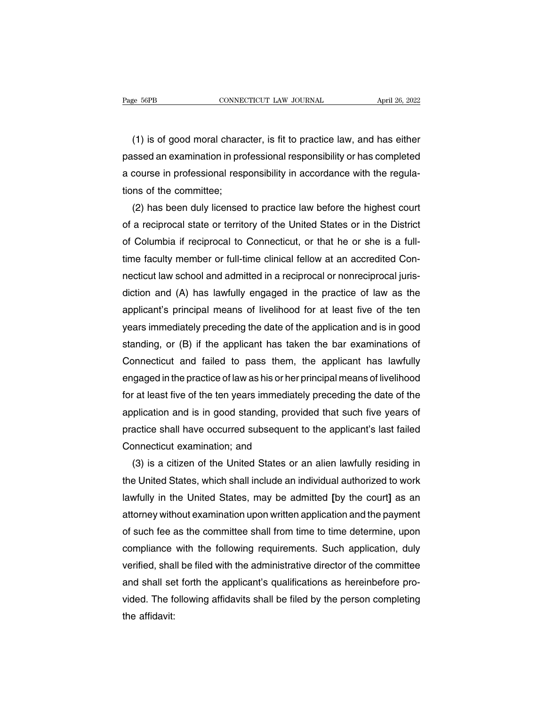(1) is of good moral character, is fit to practice law, and has either<br>Seed an examination in professional responsibility or has completed Page 56PB CONNECTICUT LAW JOURNAL April 26, 2022<br>
(1) is of good moral character, is fit to practice law, and has either<br>
passed an examination in professional responsibility or has completed<br>
a course in professional resp Tage sorb<br>
(1) is of good moral character, is fit to practice law, and has either<br>
passed an examination in professional responsibility or has completed<br>
a course in professional responsibility in accordance with the regul (1) is of good moral chara<br>passed an examination in pro<br>a course in professional resp<br>tions of the committee;<br>(2) has been duly licensed (1) is of good moral character, is fit to practice law, and has either<br>ssed an examination in professional responsibility or has completed<br>course in professional responsibility in accordance with the regula-<br>ns of the comm

passed an examination in professional responsibility or has completed<br>a course in professional responsibility in accordance with the regula-<br>tions of the committee;<br>(2) has been duly licensed to practice law before the hig a course in professional responsibility in accordance with the regulations of the committee;<br>
(2) has been duly licensed to practice law before the highest court<br>
of a reciprocal state or territory of the United States or tions of the committee;<br>
(2) has been duly licensed to practice law before the highest court<br>
of a reciprocal state or territory of the United States or in the District<br>
of Columbia if reciprocal to Connecticut, or that he (2) has been duly licensed to practice law before the highest court<br>of a reciprocal state or territory of the United States or in the District<br>of Columbia if reciprocal to Connecticut, or that he or she is a full-<br>time fac of a reciprocal state or territory of the United States or in the District<br>of Columbia if reciprocal to Connecticut, or that he or she is a full-<br>time faculty member or full-time clinical fellow at an accredited Con-<br>necti of Columbia if reciprocal to Connecticut, or that he or she is a full-<br>time faculty member or full-time clinical fellow at an accredited Con-<br>necticut law school and admitted in a reciprocal or nonreciprocal juris-<br>diction time faculty member or full-time clinical fellow at an accredited Con-<br>necticut law school and admitted in a reciprocal or nonreciprocal juris-<br>diction and (A) has lawfully engaged in the practice of law as the<br>applicant's necticut law school and admitted in a reciprocal or nonreciprocal juris-<br>diction and (A) has lawfully engaged in the practice of law as the<br>applicant's principal means of livelihood for at least five of the ten<br>years immed diction and (A) has lawfully engaged in the practice of law as the<br>applicant's principal means of livelihood for at least five of the ten<br>years immediately preceding the date of the application and is in good<br>standing, or applicant's principal means of livelihood for at least five of the ten<br>years immediately preceding the date of the application and is in good<br>standing, or (B) if the applicant has taken the bar examinations of<br>Connecticut years immediately preceding the date of the application and is in good<br>standing, or (B) if the applicant has taken the bar examinations of<br>Connecticut and failed to pass them, the applicant has lawfully<br>engaged in the prac standing, or (B) if the applicant has taken the bar examinations of<br>Connecticut and failed to pass them, the applicant has lawfully<br>engaged in the practice of law as his or her principal means of livelihood<br>for at least fi Connecticut and failed to pass them, the applicant has lawfully<br>engaged in the practice of law as his or her principal means of livelihood<br>for at least five of the ten years immediately preceding the date of the<br>applicatio engaged in the practice of law as his or her<br>for at least five of the ten years immediate<br>application and is in good standing, prov<br>practice shall have occurred subsequent<br>Connecticut examination; and<br>(3) is a citizen of t r at least five of the ten years immediately preceding the date of the plication and is in good standing, provided that such five years of actice shall have occurred subsequent to the applicant's last failed pnnecticut exa

application and is in good standing, provided that such five years of<br>practice shall have occurred subsequent to the applicant's last failed<br>Connecticut examination; and<br>(3) is a citizen of the United States or an alien la practice shall have occurred subsequent to the applicant's last failed<br>Connecticut examination; and<br>(3) is a citizen of the United States or an alien lawfully residing in<br>the United States, which shall include an individua Connecticut examination; and<br>
(3) is a citizen of the United States or an alien lawfully residing in<br>
the United States, which shall include an individual authorized to work<br>
lawfully in the United States, may be admitted (3) is a citizen of the United States or an alien lawfully residing in<br>the United States, which shall include an individual authorized to work<br>lawfully in the United States, may be admitted [by the court] as an<br>attorney wi the United States, which shall include an individual authorized to work<br>lawfully in the United States, may be admitted [by the court] as an<br>attorney without examination upon written application and the payment<br>of such fee lawfully in the United States, may be admitted [by the court] as an<br>attorney without examination upon written application and the payment<br>of such fee as the committee shall from time to time determine, upon<br>compliance with attorney without examination upon written application and the payment<br>of such fee as the committee shall from time to time determine, upon<br>compliance with the following requirements. Such application, duly<br>verified, shall of such fee as the committee shall from time to time determine, upon<br>compliance with the following requirements. Such application, duly<br>verified, shall be filed with the administrative director of the committee<br>and shall s compliance<br>verified, shal<br>and shall se<br>vided. The fo<br>the affidavit: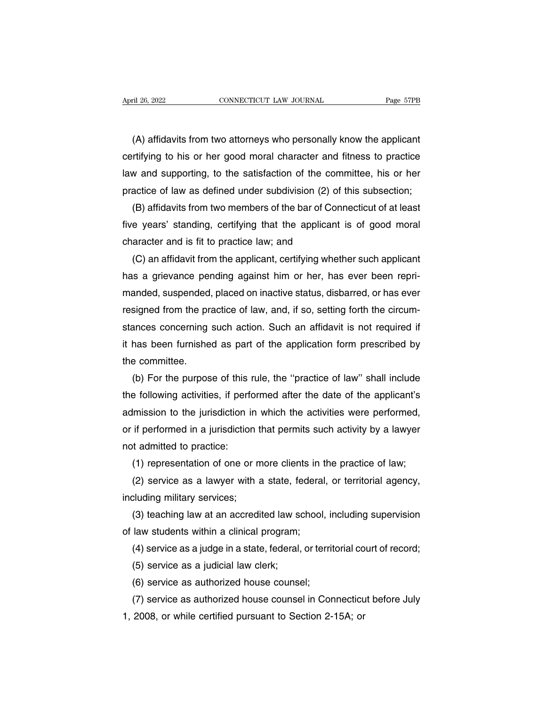(A) affidavits from two attorneys who personally know the applicant<br>
(A) affidavits from two attorneys who personally know the applicant<br>
rtifying to his or her good moral character and fitness to practice connecticut LAW JOURNAL Page 57PB<br>
(A) affidavits from two attorneys who personally know the applicant<br>
certifying to his or her good moral character and fitness to practice<br>
law and supporting, to the satisfaction of the (A) affidavits from two attorneys who personally know the applicant<br>certifying to his or her good moral character and fitness to practice<br>law and supporting, to the satisfaction of the committee, his or her<br>practice of law (A) affidavits from two attorneys who personally know the applicant certifying to his or her good moral character and fitness to practice law and supporting, to the satisfaction of the committee, his or her practice of la (A) affidavits from two attorneys who personally know the applicant<br>rtifying to his or her good moral character and fitness to practice<br>w and supporting, to the satisfaction of the committee, his or her<br>actice of law as de certifying to his or her good moral character and fitness to practice<br>law and supporting, to the satisfaction of the committee, his or her<br>practice of law as defined under subdivision (2) of this subsection;<br>(B) affidavits

law and supporting, to the satisfaction of the com<br>practice of law as defined under subdivision (2) of<br>(B) affidavits from two members of the bar of Con<br>five years' standing, certifying that the applicant<br>character and is actice of law as defined under subdivision (2) of this subsection;<br>(B) affidavits from two members of the bar of Connecticut of at least<br>e years' standing, certifying that the applicant is of good moral<br>aracter and is fit

(B) affidavits from two members of the bar of Connecticut of at least<br>five years' standing, certifying that the applicant is of good moral<br>character and is fit to practice law; and<br>(C) an affidavit from the applicant, cert five years' standing, certifying that the applicant is of good moral<br>character and is fit to practice law; and<br>(C) an affidavit from the applicant, certifying whether such applicant<br>has a grievance pending against him or h character and is fit to practice law; and<br>(C) an affidavit from the applicant, certifying whether such applicant<br>has a grievance pending against him or her, has ever been repri-<br>manded, suspended, placed on inactive status (C) an affidavit from the applicant, certifying whether such applicant<br>has a grievance pending against him or her, has ever been repri-<br>manded, suspended, placed on inactive status, disbarred, or has ever<br>resigned from the has a grievance pending against him or her, has ever been repri-<br>manded, suspended, placed on inactive status, disbarred, or has ever<br>resigned from the practice of law, and, if so, setting forth the circum-<br>stances concern manded, suspended<br>resigned from the pr<br>stances concerning<br>it has been furnishe<br>the committee.<br>(b) For the purpos signed from the practice of law, and, if so, setting forth the circum-<br>ances concerning such action. Such an affidavit is not required if<br>has been furnished as part of the application form prescribed by<br>e committee.<br>(b) Fo

stances concerning such action. Such an affidavit is not required if<br>it has been furnished as part of the application form prescribed by<br>the committee.<br>(b) For the purpose of this rule, the "practice of law" shall include<br> it has been furnished as part of the application form prescribed by<br>the committee.<br>(b) For the purpose of this rule, the "practice of law" shall include<br>the following activities, if performed after the date of the applican the committee.<br>
(b) For the purpose of this rule, the "practice of law" shall include<br>
the following activities, if performed after the date of the applicant's<br>
admission to the jurisdiction in which the activities were pe (b) For the purpose of this r<br>the following activities, if perfor<br>admission to the jurisdiction in<br>or if performed in a jurisdictior<br>not admitted to practice:<br>(1) representation of one or Expedience of the applicant's<br>
imission to the jurisdiction in which the activities were performed,<br>
if performed in a jurisdiction that permits such activity by a lawyer<br>
it admitted to practice:<br>
(1) representation of on Imission to the jurisdiction in which the activities were performed,<br>if performed in a jurisdiction that permits such activity by a lawyer<br>t admitted to practice:<br>(1) representation of one or more clients in the practice o or if performed in a jurisdiction t<br>not admitted to practice:<br>(1) representation of one or m<br>(2) service as a lawyer with a<br>including military services;<br>(3) teaching law at an accredi

(1) representation of one or more clients in t<br>
(2) service as a lawyer with a state, federal<br>
including military services;<br>
(3) teaching law at an accredited law school,<br>
of law students within a clinical program;<br>
(4) s

is admitted to practice:<br>
(1) representation of one or more clients in the practice of law;<br>
(2) service as a lawyer with a state, federal, or territorial agency,<br>
cluding military services;<br>
(3) teaching law at an accredi (2) service as a lawyer with a state, federal, or territorial agency,<br>cluding military services;<br>(3) teaching law at an accredited law school, including supervision<br>law students within a clinical program;<br>(4) service as a cluding military services;<br>(3) teaching law at an accredited law so<br>law students within a clinical program;<br>(4) service as a judge in a state, federal,<br>(5) service as a judicial law clerk;<br>(6) service as authorized house c (3) teaching law at an accredited law school, ir<br>law students within a clinical program;<br>(4) service as a judge in a state, federal, or territ<br>(5) service as a judicial law clerk;<br>(6) service as authorized house counsel;<br> law students within a clinical program;<br>(4) service as a judge in a state, federal, or territorial court of record;<br>(5) service as a judicial law clerk;<br>(6) service as authorized house counsel;<br>(7) service as authorized ho

(4) service as a judge in a state, federal, or territorial co<br>
(5) service as a judicial law clerk;<br>
(6) service as authorized house counsel;<br>
(7) service as authorized house counsel in Connecticu<br>
1, 2008, or while certi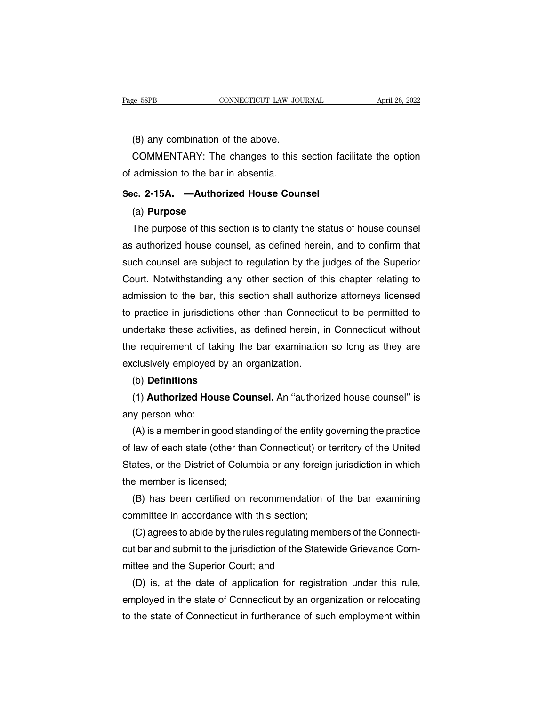e 58PB<br>
CONNECTICUT LAW JOU<br>
(8) any combination of the above.<br>
COMMENTARY: The changes to this s COMMENTARY: The changes to this section facilitate the option<br>admission to the bar in absentia. Page 58PB CONNECTICUT LAW JOURNAL April 26, 2022<br>
(8) any combination of the above.<br>
COMMENTARY: The changes to this section facilitate the option<br>
of admission to the bar in absentia.<br>
Sec. 2-15A. —Authorized House Counse (8) any combination of the above.<br>
COMMENTARY: The changes to this section fa<br>
of admission to the bar in absentia.<br> **Sec. 2-15A.** —Authorized House Counsel<br>
(a) Purpose

# (a) **Purpose**

COMMENTARY: The changes to this section facilitate the option<br>admission to the bar in absentia.<br>c. 2-15A. —Authorized House Counsel<br>(a) Purpose<br>The purpose of this section is to clarify the status of house counsel<br>authoriz Sec. 2-15A. —Authorized House Counsel<br>
(a) Purpose<br>
The purpose of this section is to clarify the status of house counsel<br>
as authorized house counsel, as defined herein, and to confirm that<br>
such counsel are subject to re Sec. 2-15A. —Authorized House Counsel<br>
(a) Purpose<br>
The purpose of this section is to clarify the status of house counsel<br>
as authorized house counsel, as defined herein, and to confirm that<br>
such counsel are subject to re (a) **Purpose**<br>The purpose of this section is to clarify the status of house counsel<br>as authorized house counsel, as defined herein, and to confirm that<br>such counsel are subject to regulation by the judges of the Superior<br>C The purpose of this section is to clarify the status of house counsel<br>as authorized house counsel, as defined herein, and to confirm that<br>such counsel are subject to regulation by the judges of the Superior<br>Court. Notwiths as authorized house counsel, as defined herein, and to confirm that<br>such counsel are subject to regulation by the judges of the Superior<br>Court. Notwithstanding any other section of this chapter relating to<br>admission to the such counsel are subject to regulation by the judges of the Superior<br>Court. Notwithstanding any other section of this chapter relating to<br>admission to the bar, this section shall authorize attorneys licensed<br>to practice in Court. Notwithstanding any other section of this chapter relating to<br>admission to the bar, this section shall authorize attorneys licensed<br>to practice in jurisdictions other than Connecticut to be permitted to<br>undertake th admission to the bar, this section shall authorito practice in jurisdictions other than Connection<br>undertake these activities, as defined herein, if<br>the requirement of taking the bar examination<br>exclusively employed by an dertake these activities, as defined herein, in Connecticut without<br>e requirement of taking the bar examination so long as they are<br>clusively employed by an organization.<br>(b) **Definitions**<br>(1) **Authorized House Counsel**. A the requirement of tak<br>exclusively employed l<br>(b) **Definitions**<br>(1) **Authorized Hou**<br>any person who:<br>(A) is a member in go

# (b) **Definitions**

clusively employed by an organization.<br>(b) **Definitions**<br>(1) **Authorized House Counsel**. An "authorized house counsel" is<br>y person who:<br>(A) is a member in good standing of the entity governing the practice<br>law of each stat (b) **Definitions**<br>
(1) **Authorized House Counsel**. An "authorized house counsel" is<br>
any person who:<br>
(A) is a member in good standing of the entity governing the practice<br>
of law of each state (other than Connecticut) or (1) **Authorized House Counsel**. An "authorized house counsel" is<br>any person who:<br>(A) is a member in good standing of the entity governing the practice<br>of law of each state (other than Connecticut) or territory of the Unite any person who:<br>
(A) is a member in good star<br>
of law of each state (other tha<br>
States, or the District of Colur<br>
the member is licensed;<br>
(B) has been certified on r (A) is a member in good standing of the entity governing the practice<br>law of each state (other than Connecticut) or territory of the United<br>ates, or the District of Columbia or any foreign jurisdiction in which<br>e member is of law of each state (other than Connecticut) or to<br>States, or the District of Columbia or any foreign<br>the member is licensed;<br>(B) has been certified on recommendation o<br>committee in accordance with this section;<br>(C) agree

ates, or the District of Columbia or any foreign jurisdiction in which<br>e member is licensed;<br>(B) has been certified on recommendation of the bar examining<br>mmittee in accordance with this section;<br>(C) agrees to abide by the the member is licensed;<br>
(B) has been certified on recommendation of the bar examining<br>
committee in accordance with this section;<br>
(C) agrees to abide by the rules regulating members of the Connecti-<br>
cut bar and submit t (B) has been certified on recommendation<br>committee in accordance with this section;<br>(C) agrees to abide by the rules regulating me<br>cut bar and submit to the jurisdiction of the State<br>mittee and the Superior Court; and<br>(D) mmittee in accordance with this section;<br>(C) agrees to abide by the rules regulating members of the Connecti-<br>t bar and submit to the jurisdiction of the Statewide Grievance Com-<br>ttee and the Superior Court; and<br>(D) is, at (C) agrees to abide by the rules regulating members of the Connecticut bar and submit to the jurisdiction of the Statewide Grievance Committee and the Superior Court; and<br>(D) is, at the date of application for registration

cut bar and submit to the jurisdiction of the Statewide Grievance Com-<br>mittee and the Superior Court; and<br>(D) is, at the date of application for registration under this rule,<br>employed in the state of Connecticut by an orga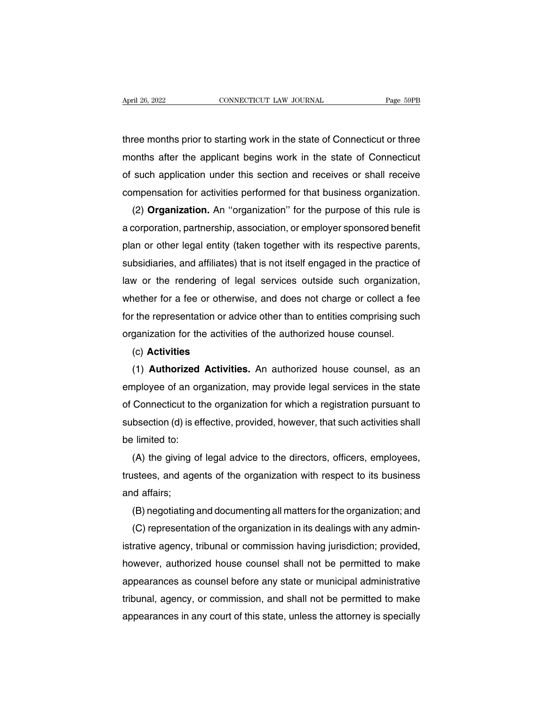April 26, 2022<br>
CONNECTICUT LAW JOURNAL<br>
three months prior to starting work in the state of Connecticut or three<br>
months after the applicant begins work in the state of Connecticut April 26, 2022 CONNECTICUT LAW JOURNAL Page 59PB<br>three months prior to starting work in the state of Connecticut or three<br>months after the applicant begins work in the state of Connecticut<br>of such application under this se of three months prior to starting work in the state of Connecticut or three<br>months after the applicant begins work in the state of Connecticut<br>of such application under this section and receives or shall receive<br>compensati three months prior to starting work in the state of Connecticut or three<br>months after the applicant begins work in the state of Connecticut<br>of such application under this section and receives or shall receive<br>compensation ree months prior to starting work in the state of Connecticut or three<br>onths after the applicant begins work in the state of Connecticut<br>such application under this section and receives or shall receive<br>mpensation for acti

months after the applicant begins work in the state of Connecticut<br>of such application under this section and receives or shall receive<br>compensation for activities performed for that business organization.<br>(2) **Organizatio** or such application under this section and receives or shall receive<br>compensation for activities performed for that business organization.<br>(2) **Organization**. An "organization" for the purpose of this rule is<br>a corporation compensation for activities performed for that business organization.<br>
(2) **Organization.** An "organization" for the purpose of this rule is<br>
a corporation, partnership, association, or employer sponsored benefit<br>
plan or (2) **Organization.** An "organization" for the purpose of this rule is<br>a corporation, partnership, association, or employer sponsored benefit<br>plan or other legal entity (taken together with its respective parents,<br>subsidiar a corporation, partnership, association, or employer sponsored benefit<br>plan or other legal entity (taken together with its respective parents,<br>subsidiaries, and affiliates) that is not itself engaged in the practice of<br>law plan or other legal entity (taken together with its respective parents,<br>subsidiaries, and affiliates) that is not itself engaged in the practice of<br>law or the rendering of legal services outside such organization,<br>whether subsidiaries, and attiliates) that is not itself engaged in the practice of<br>law or the rendering of legal services outside such organization,<br>whether for a fee or otherwise, and does not charge or collect a fee<br>for the rep nether for a fee or otherwise, and does not charge or collect a fee<br>
r the representation or advice other than to entities comprising such<br>
ganization for the activities of the authorized house counsel.<br>
(c) **Activities**<br>

# (c) **Activities**

for the representation or advice other than to entities comprising such<br>organization for the activities of the authorized house counsel.<br>(c) **Activities**<br>(1) **Authorized Activities.** An authorized house counsel, as an<br>empl organization for the activities of the authorized house counsel.<br>
(c) **Activities**<br>
(1) **Authorized Activities**. An authorized house counsel, as an<br>
employee of an organization, may provide legal services in the state<br>
of (c) **Activities**<br>(1) **Authorized Activities.** An authorized house counsel, as an<br>employee of an organization, may provide legal services in the state<br>of Connecticut to the organization for which a registration pursuant to<br> (1) **Authorized**<br>employee of an org<br>of Connecticut to the<br>subsection (d) is efferent limited to:<br>(A) the giving of hyloyee of an organization, may provide legal services in the state<br>Connecticut to the organization for which a registration pursuant to<br>bsection (d) is effective, provided, however, that such activities shall<br>limited to:<br>

or Connecticut to the organization for which a registration pursuant to<br>subsection (d) is effective, provided, however, that such activities shall<br>be limited to:<br>(A) the giving of legal advice to the directors, officers, e subsection (d) is different to:<br>be limited to:<br>(A) the giving different different different<br>and affairs;<br>(B) negotiating Filmited to:<br>(A) the giving of legal advice to the directors, officers, employees,<br>istees, and agents of the organization with respect to its business<br>id affairs;<br>(B) negotiating and documenting all matters for the organiz (A) the giving of legal advice to the directors, officers, employees,<br>istees, and agents of the organization with respect to its business<br>id affairs;<br>(B) negotiating and documenting all matters for the organization; and<br>(C

trustees, and agents of the organization with respect to its business<br>and affairs;<br>(B) negotiating and documenting all matters for the organization; and<br>(C) representation of the organization in its dealings with any admin and attairs;<br>
(B) negotiating and documenting all matters for the organization; and<br>
(C) representation of the organization in its dealings with any admin-<br>
istrative agency, tribunal or commission having jurisdiction; pro (B) negotiating and documenting all matters for the organization; and<br>
(C) representation of the organization in its dealings with any admin-<br>
istrative agency, tribunal or commission having jurisdiction; provided,<br>
howeve (C) representation of the organization in its dealings with any administrative agency, tribunal or commission having jurisdiction; provided, however, authorized house counsel shall not be permitted to make appearances as c istrative agency, tribunal or commission having jurisdiction; provided,<br>however, authorized house counsel shall not be permitted to make<br>appearances as counsel before any state or municipal administrative<br>tribunal, agency,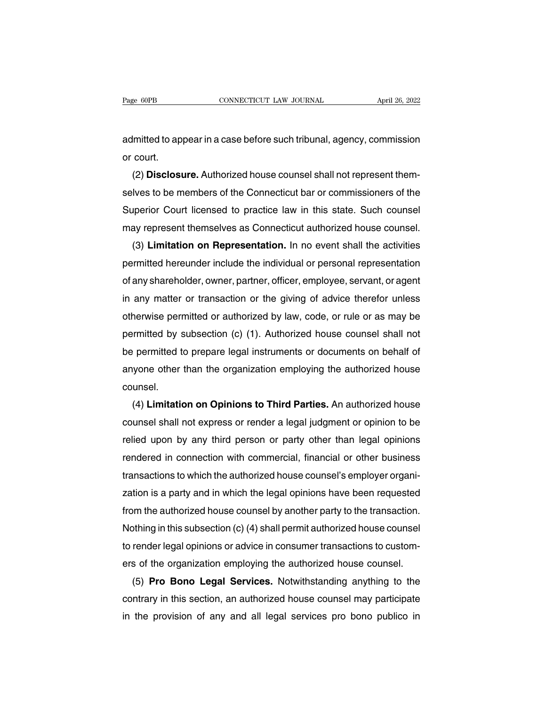Page 60PB CONNECTICUT LAW JOURNAL April 26, 2022<br>admitted to appear in a case before such tribunal, agency, commission<br>or court. Page 60PB<br>admitted to ap<br>or court.<br>(2) **Disclos**u

(2) Disclosure. Authorized house counsel shall not represent them-<br>Version court.<br>(2) Disclosure. Authorized house counsel shall not represent them-<br>Ves to be members of the Connecticut bar or commissioners of the admitted to appear in a case before such tribunal, agency, commission<br>or court.<br>(2) **Disclosure.** Authorized house counsel shall not represent them-<br>selves to be members of the Connecticut bar or commissioners of the<br>Super admitted to appear in a case before such tribunal, agency, commission<br>or court.<br>(2) **Disclosure.** Authorized house counsel shall not represent them-<br>selves to be members of the Connecticut bar or commissioners of the<br>Super or court.<br>
(2) **Disclosure.** Authorized house counsel shall not represent themselves to be members of the Connecticut bar or commissioners of the<br>
Superior Court licensed to practice law in this state. Such counsel<br>
may re (2) **Disclosure.** Authorized house counsel shall not represent them-<br>lves to be members of the Connecticut bar or commissioners of the<br>iperior Court licensed to practice law in this state. Such counsel<br>ay represent themsel

selves to be members of the Connecticut bar or commissioners of the<br>Superior Court licensed to practice law in this state. Such counsel<br>may represent themselves as Connecticut authorized house counsel.<br>(3) **Limitation on R** Superior Court licensed to practice law in this state. Such counsel<br>may represent themselves as Connecticut authorized house counsel.<br>(3) **Limitation on Representation**. In no event shall the activities<br>permitted hereunder may represent themselves as Connecticut authorized house counsel.<br>
(3) **Limitation on Representation**. In no event shall the activities<br>
permitted hereunder include the individual or personal representation<br>
of any shareho (3) **Limitation on Representation.** In no event shall the activities<br>permitted hereunder include the individual or personal representation<br>of any shareholder, owner, partner, officer, employee, servant, or agent<br>in any mat permitted hereunder include the individual or personal representation<br>of any shareholder, owner, partner, officer, employee, servant, or agent<br>in any matter or transaction or the giving of advice therefor unless<br>otherwise or any snarenolder, owner, partner, officer, employee, servant, or agent<br>in any matter or transaction or the giving of advice therefor unless<br>otherwise permitted or authorized by law, code, or rule or as may be<br>permitted b in any matter or transaction or the giving or advice therefor unless<br>otherwise permitted or authorized by law, code, or rule or as may be<br>permitted by subsection (c) (1). Authorized house counsel shall not<br>be permitted to counsel. Figure 10 in the counsel shall not<br>
permitted to prepare legal instruments or documents on behalf of<br>
yone other than the organization employing the authorized house<br>
unsel.<br>
(4) **Limitation on Opinions to Third Parties.**

be permitted to prepare legal instruments or documents on behalt of<br>anyone other than the organization employing the authorized house<br>counsel.<br>(4) **Limitation on Opinions to Third Parties.** An authorized house<br>counsel shal anyone other than the organization employing the authorized house<br>counsel.<br>(4) **Limitation on Opinions to Third Parties.** An authorized house<br>counsel shall not express or render a legal judgment or opinion to be<br>relied upo counsel.<br>
(4) **Limitation on Opinions to Third Parties.** An authorized house<br>
counsel shall not express or render a legal judgment or opinion to be<br>
relied upon by any third person or party other than legal opinions<br>
rende (4) **Limitation on Opinions to Third Parties.** An authorized nouse<br>counsel shall not express or render a legal judgment or opinion to be<br>relied upon by any third person or party other than legal opinions<br>rendered in connec counsel shall not express or render a legal judgment or opinion to be<br>relied upon by any third person or party other than legal opinions<br>rendered in connection with commercial, financial or other business<br>transactions to w relied upon by any third person or party other than legal opinions<br>rendered in connection with commercial, financial or other business<br>transactions to which the authorized house counsel's employer organi-<br>zation is a party rendered in connection with commercial, financial or other business<br>transactions to which the authorized house counsel's employer organi-<br>zation is a party and in which the legal opinions have been requested<br>from the autho transactions to which the authorized house counsel's employer organization is a party and in which the legal opinions have been requested<br>from the authorized house counsel by another party to the transaction.<br>Nothing in th zation is a party and in which the legal opinions have been requested<br>from the authorized house counsel by another party to the transaction.<br>Nothing in this subsection (c) (4) shall permit authorized house counsel<br>to rende m the authorized house counsel by another party to the transaction.<br>
Sthing in this subsection (c) (4) shall permit authorized house counsel<br>
render legal opinions or advice in consumer transactions to custom-<br>
s of the or

Nothing in this subsection (c) (4) shall permit authorized house counsel<br>to render legal opinions or advice in consumer transactions to custom-<br>ers of the organization employing the authorized house counsel.<br>(5) **Pro Bono** to render legal opinions or advice in consumer transactions to customers of the organization employing the authorized house counsel.<br>
(5) **Pro Bono Legal Services.** Notwithstanding anything to the contrary in this section,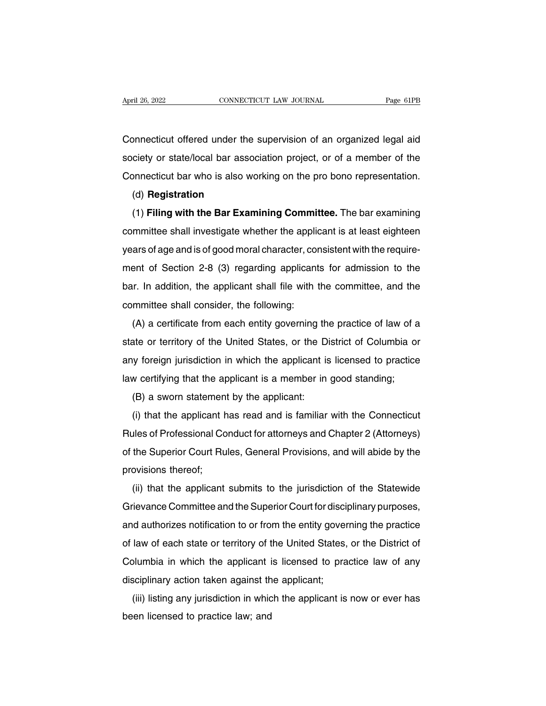April 26, 2022<br>CONNECTICUT LAW JOURNAL Page 61PB<br>Connecticut offered under the supervision of an organized legal aid<br>Society or state/local bar association project, or of a member of the Society or state/local bar association project, or of a member of the<br>Connecticut offered under the supervision of an organized legal aid<br>society or state/local bar association project, or of a member of the<br>Connecticut ba Connecticut offered under the supervision of an organized legal aid<br>society or state/local bar association project, or of a member of the<br>Connecticut bar who is also working on the pro bono representation.<br>(d) **Registratio** rimeticut offered under the supervision of an organized legal and<br>ciety or state/local bar association project, or of a member of the<br>pnnecticut bar who is also working on the pro bono representation.<br>(d) **Registration**<br>(1

(d) **Registration**

Connecticut bar who is also working on the pro bono representation.<br>
(d) **Registration**<br>
(1) **Filing with the Bar Examining Committee**. The bar examining<br>
committee shall investigate whether the applicant is at least eight (d) **Registration**<br>(d) **Registration**<br>(1) **Filing with the Bar Examining Committee**. The bar examining<br>committee shall investigate whether the applicant is at least eighteen<br>years of age and is of good moral character, con (1) Filing with the Bar Examining Committee. The bar examining<br>committee shall investigate whether the applicant is at least eighteen<br>years of age and is of good moral character, consistent with the require-<br>ment of Secti committee shall investigate whether the applicant is at least eighteen<br>years of age and is of good moral character, consistent with the require-<br>ment of Section 2-8 (3) regarding applicants for admission to the<br>bar. In ad bears of age and is of good moral character, committee shall investigate whener the applicant<br>ment of Section 2-8 (3) regarding applicant<br>bar. In addition, the applicant shall file with the<br>committee shall consider, the fo all solidge and is or good moral character, consistent with the require-<br>ent of Section 2-8 (3) regarding applicants for admission to the<br>ir. In addition, the applicant shall file with the committee, and the<br>mmittee shall

state or territory of the united States, or the District of Columbia or<br>any foreign jurisdiction in which the applicant is lied of the United States or territory of the United States, or the District of Columbia or<br>any for bar. In addition, the applicant shall life with the committee, and the committee shall consider, the following:<br>
(A) a certificate from each entity governing the practice of law of a<br>
state or territory of the United State (A) a certificate from each entity governing the practice of law of a<br>state or territory of the United States, or the District of Columbia or<br>any foreign jurisdiction in which the applicant is licensed to practice<br>law cert (A) a centricate non-each entity governing that<br>ate or territory of the United States, or the D<br>by foreign jurisdiction in which the applicant is<br>w certifying that the applicant is a member in<br>(B) a sworn statement by the (i) that the applicant is incensed to practice<br>w certifying that the applicant is a member in good standing;<br>(B) a sworn statement by the applicant:<br>(i) that the applicant has read and is familiar with the Connecticut<br>ules

Rules of Professional Conduct for attorneys and Chapter 2 (Attorneys)<br>(B) a sworn statement by the applicant:<br>(i) that the applicant has read and is familiar with the Connecticut<br>Rules of Professional Conduct for attorneys (B) a sworn statement by the applicant:<br>
(i) that the applicant has read and is familiar with the Connecticut<br>
Rules of Professional Conduct for attorneys and Chapter 2 (Attorneys)<br>
of the Superior Court Rules, General Pro (b) a sworn statement<br>(i) that the applicant h<br>Rules of Professional Co<br>of the Superior Court Ru<br>provisions thereof;<br>(ii) that the applicant (i) that the applicant has read and is familiar with the Connecticut<br>iles of Professional Conduct for attorneys and Chapter 2 (Attorneys)<br>the Superior Court Rules, General Provisions, and will abide by the<br>ovisions thereof

France Committee, General Provisions, and will abide by the<br>provisions thereof;<br>(ii) that the applicant submits to the jurisdiction of the Statewide<br>Grievance Committee and the Superior Court for disciplinary purposes,<br>and and authorizes notification to or from the entity governing the Distriction of the Statewide<br>Grievance Committee and the Superior Court for disciplinary purposes,<br>and authorizes notification to or from the entity governing (ii) that the applicant submits to the jurisdiction of the Statewide<br>Grievance Committee and the Superior Court for disciplinary purposes,<br>and authorizes notification to or from the entity governing the practice<br>of law of (ii) that the applicant submits to the jurisdiction of the statewide<br>Grievance Committee and the Superior Court for disciplinary purposes,<br>and authorizes notification to or from the entity governing the practice<br>of law of and authorizes notification to or from the entity gover<br>of law of each state or territory of the United States,<br>Columbia in which the applicant is licensed to pra<br>disciplinary action taken against the applicant;<br>(iii) list (iii) listing any jurisdiction in which the entity governing the plactice<br>Iaw of each state or territory of the United States, or the District of<br>Diumbia in which the applicant is licensed to practice law of any<br>sciplinary be law of each state of termory of the columbia in which the applicant is<br>disciplinary action taken against the (iii) listing any jurisdiction in which<br>been licensed to practice law; and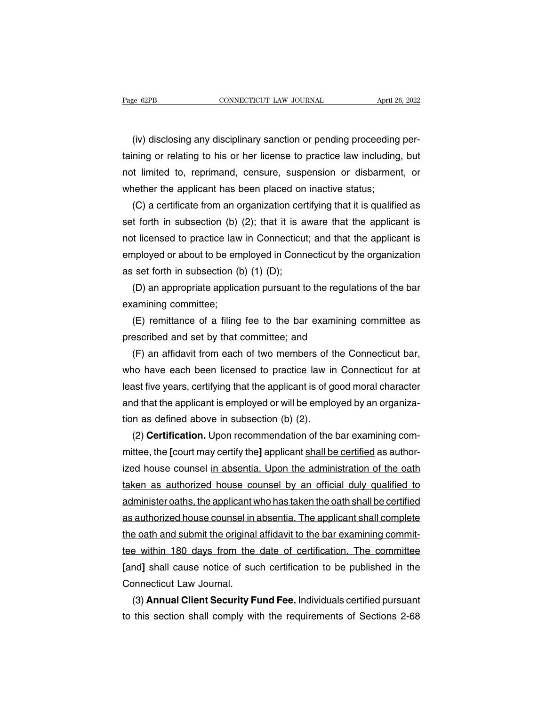(iv) disclosing any disciplinary sanction or pending proceeding per-<br>hing or relating to his or her license to practice law including, but The Game of the connect of the Multimary Sanction Columbia and April 26, 2022<br>(iv) disclosing any disciplinary sanction or pending proceeding per-<br>taining or relating to his or her license to practice law including, but<br>no Page 62FB<br>(iv) disclosing any disciplinary sanction or pending proceeding per-<br>taining or relating to his or her license to practice law including, but<br>not limited to, reprimand, censure, suspension or disbarment, or<br>wheth (iv) disclosing any disciplinary sanction or pending proceeding<br>taining or relating to his or her license to practice law including<br>not limited to, reprimand, censure, suspension or disbarmer<br>whether the applicant has been (iv) disclosing any disciplinary sanction or pending proceeding perning or relating to his or her license to practice law including, but<br>it limited to, reprimand, censure, suspension or disbarment, or<br>nether the applicant

taining or relating to his or her license to practice law including, but<br>not limited to, reprimand, censure, suspension or disbarment, or<br>whether the applicant has been placed on inactive status;<br>(C) a certificate from an not limited to, reprimand, censure, suspension or disbarment, or<br>whether the applicant has been placed on inactive status;<br>(C) a certificate from an organization certifying that it is qualified as<br>set forth in subsection ( whether the applicant has been placed on inactive status;<br>  $(C)$  a certificate from an organization certifying that it is qualified as<br>
set forth in subsection (b) (2); that it is aware that the applicant is<br>
not licensed (C) a certificate from an organization cer<br>set forth in subsection (b) (2); that it is a<br>not licensed to practice law in Connecticut<br>employed or about to be employed in Conn<br>as set forth in subsection (b) (1) (D);<br>(D) an t forth in subsection (b) (2); that it is aware that the applicant is<br>t licensed to practice law in Connecticut; and that the applicant is<br>nployed or about to be employed in Connecticut by the organization<br>set forth in sub not licensed to practice law<br>employed or about to be em<br>as set forth in subsection (t<br>(D) an appropriate applica<br>examining committee;<br>(E) remittance of a filing mployed or about to be employed in Connecticut by the organization<br>set forth in subsection (b) (1) (D);<br>(D) an appropriate application pursuant to the regulations of the bar<br>amining committee;<br>(E) remittance of a filing fe

as set forth in subsection (b) (1) (D);<br>(D) an appropriate application pursuant to the regula<br>examining committee;<br>(E) remittance of a filing fee to the bar examining<br>prescribed and set by that committee; and<br>(F) an affida

(D) an appropriate application pursuant to the regulations of the bar<br>amining committee;<br>(E) remittance of a filing fee to the bar examining committee as<br>escribed and set by that committee; and<br>(F) an affidavit from each o examining committee;<br>
(E) remittance of a filing fee to the bar examining committee as<br>
prescribed and set by that committee; and<br>
(F) an affidavit from each of two members of the Connecticut bar,<br>
who have each been licen (E) remittance of a filing fee to the bar examining committee as<br>prescribed and set by that committee; and<br>(F) an affidavit from each of two members of the Connecticut bar,<br>who have each been licensed to practice law in Co prescribed and set by that committee; and<br>
(F) an affidavit from each of two members of the Connecticut bar,<br>
who have each been licensed to practice law in Connecticut for at<br>
least five years, certifying that the applica (F) an affidavit from each of two members of t<br>who have each been licensed to practice law ir<br>least five years, certifying that the applicant is of g<br>and that the applicant is employed or will be emplo<br>tion as defined abo who have each been licensed to practice law in Connecticut for at least five years, certifying that the applicant is of good moral character and that the applicant is employed or will be employed by an organization as defi

least five years, certifying that the applicant is of good moral character<br>and that the applicant is employed or will be employed by an organiza-<br>tion as defined above in subsection (b) (2).<br>(2) **Certification.** Upon recom and that the applicant is employed or will be employed by an organization as defined above in subsection (b) (2).<br>
(2) **Certification**. Upon recommendation of the bar examining committee, the [court may certify the] applic tion as defined above in subsection (b) (2).<br>
(2) **Certification.** Upon recommendation of the bar examining com-<br>
mittee, the [court may certify the] applicant shall be certified as author-<br>
ized house counsel in absentia. (2) **Certification.** Upon recommendation of the bar examining committee, the [court may certify the] applicant shall be certified as authorized house counsel in absentia. Upon the administration of the oath taken as author mittee, the [court may certify the] applicant <u>shall be certified</u> as author-<br>ized house counsel <u>in absentia. Upon the administration of the oath</u><br>taken as authorized house counsel by an official duly qualified to<br>adminis ized house counsel in absentia. Upon the administration of the oath<br>taken as authorized house counsel by an official duly qualified to<br>administer oaths, the applicant who has taken the oath shall be certified<br>as authorized taken as authorized house counsel by an official duly qualified to<br>administer oaths, the applicant who has taken the oath shall be certified<br>as authorized house counsel in absentia. The applicant shall complete<br>the oath an administer oaths, the applicant who has taken the oath shall be certified<br>as authorized house counsel in absentia. The applicant shall complete<br>the oath and submit the original affidavit to the bar examining commit-<br>tee wi as authorized house counsel in<br>the oath and submit the original<br>tee within 180 days from the<br>[and] shall cause notice of sud<br>Connecticut Law Journal.<br>(3) **Annual Client Security F** (3) a beach and submit the original affidavit to the bar examining commit-<br>
(3) shall cause notice of such certification to be published in the<br>
ponnecticut Law Journal.<br>
(3) **Annual Client Security Fund Fee.** Individuals tee within 180 days from the date of certification. The committee [and] shall cause notice of such certification to be published in the Connecticut Law Journal.<br>(3) **Annual Client Security Fund Fee.** Individuals certified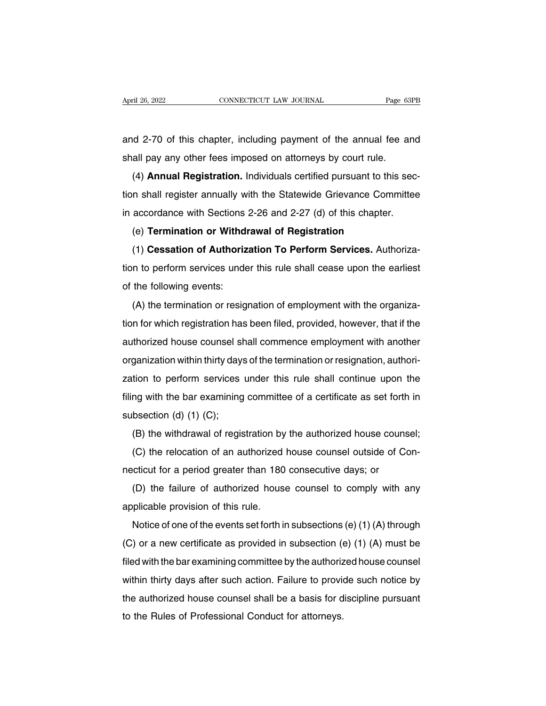April 26, 2022 CONNECTICUT LAW JOURNAL Page 63PB<br>and 2-70 of this chapter, including payment of the annual fee and<br>shall pay any other fees imposed on attorneys by court rule. April 26, 2022 CONNECTICUT LAW JOURNAL Page 63<br>and 2-70 of this chapter, including payment of the annual fee are<br>shall pay any other fees imposed on attorneys by court rule.<br>(4) **Annual Registration.** Individuals certified

(4) **Annual Registration.** Individuals certified pursuant to this sec-<br>
(4) **Annual Registration.** Individuals certified pursuant to this sec-<br>
(4) **Annual Registration.** Individuals certified pursuant to this sec-<br>
In sha and 2-70 of this chapter, including payment of the annual fee and<br>shall pay any other fees imposed on attorneys by court rule.<br>(4) **Annual Registration**. Individuals certified pursuant to this sec-<br>tion shall register annu shall pay any other fees imposed on attorneys by court rule.<br>
(4) **Annual Registration.** Individuals certified pursuant to this section shall register annually with the Statewide Grievance Committee<br>
in accordance with Sec (4) **Annual Registration.** Individuals certified pursuant to this<br>in shall register annually with the Statewide Grievance Comm<br>accordance with Sections 2-26 and 2-27 (d) of this chapter.<br>(e) **Termination or Withdrawal of R** (+) **Annuan negrstration:** mutuated certified pursuant to this sec-<br>in shall register annually with the Statewide Grievance Committee<br>accordance with Sections 2-26 and 2-27 (d) of this chapter.<br>(e) **Termination or Withdraw** 

tion shall register all maling with the Statewide Chevaltee Committee<br>in accordance with Sections 2-26 and 2-27 (d) of this chapter.<br>(e) **Termination or Withdrawal of Registration**<br>(1) **Cessation of Authorization To Perfor** (e) **Termination or Withdi**<br>
(1) **Cessation of Authoriz**<br>
tion to perform services unde<br>
of the following events:<br>
(A) the termination or resig (1) Cessation of Authorization To Perform Services. Authoriza-<br>n to perform services under this rule shall cease upon the earliest<br>the following events:<br>(A) the termination or resignation of employment with the organiza-<br>n

The following events:<br>
(A) the termination or resignation of employment with the organiza-<br>
(A) the termination or resignation of employment with the organiza-<br>
tion for which registration has been filed, provided, however abort to perform services ander this falle shall cease apont the earliest<br>of the following events:<br>(A) the termination or resignation of employment with the organiza-<br>tion for which registration has been filed, provided, h (A) the termination or resignation of employment with the organization for which registration has been filed, provided, however, that if the authorized house counsel shall commence employment with another organization with (A) the termination of resignation or employment with the organiza-<br>tion for which registration has been filed, provided, however, that if the<br>authorized house counsel shall commence employment with another<br>organization wi filing with the bare counsel shall commence employment with another organization within thirty days of the termination or resignation, authorization to perform services under this rule shall continue upon the filing with t additionzed house courser short<br>organization within thirty day.<br>zation to perform services<br>filing with the bar examining<br>subsection (d) (1) (C);<br>(B) the withdrawal of regis ganization within thirty days of the termination of resignation, addition-<br>tion to perform services under this rule shall continue upon the<br>ng with the bar examining committee of a certificate as set forth in<br>bsection (d) (d) (d) (d) (c);<br>(d) the bar examining committee of a certificate as set forth in<br>bsection (d) (1) (C);<br>(B) the withdrawal of registration by the authorized house counsel;<br>(C) the relocation of an authorized house counsel

ning with the bar examining committee of a centricate as set forth<br>subsection (d) (1) (C);<br>(B) the withdrawal of registration by the authorized house couns<br>(C) the relocation of an authorized house counsel outside of Conec

(B) the withdrawal of registration by the authorized house counsel;<br>(C) the relocation of an authorized house counsel outside of Con-<br>cticut for a period greater than 180 consecutive days; or<br>(D) the failure of authorized (B) the windlawal of registration by<br>
(C) the relocation of an authorized<br>
necticut for a period greater than 180<br>
(D) the failure of authorized hous<br>
applicable provision of this rule.<br>
Notice of one of the events set for

The relocation of an admonzed house courser outside of Con-<br>
cticut for a period greater than 180 consecutive days; or<br>
(D) the failure of authorized house counsel to comply with any<br>
plicable provision of this rule.<br>
Not (D) the failure of authorized house counsel to comply with any<br>applicable provision of this rule.<br>Notice of one of the events set forth in subsections (e) (1) (A) through<br>(C) or a new certificate as provided in subsection (b) the failure of authorized house counser to comply with any<br>applicable provision of this rule.<br>Notice of one of the events set forth in subsections (e) (1) (A) through<br>(C) or a new certificate as provided in subsection applicable provision of this rule.<br>
Notice of one of the events set forth in subsections (e) (1) (A) through<br>
(C) or a new certificate as provided in subsection (e) (1) (A) must be<br>
filed with the bar examining committee b The authorized house counsel in subsections (e) (1) (A) infought<br>(C) or a new certificate as provided in subsection (e) (1) (A) must be<br>filed with the bar examining committee by the authorized house counsel<br>within thirty  $(0, 0)$  of a flew certificate as provided in subsection ( $(0, 0)$  of a flew certificate as provided in subsection ( $(0, 0)$ ) filled with the bar examining committee by the authorized house counsel shall be a basis for d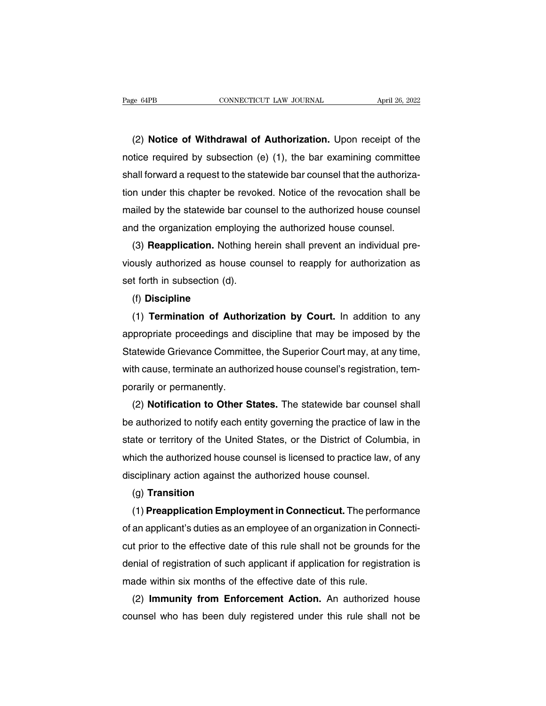EXEMBERT CONNECTICUT LAW JOURNAL THE April 26, 2022<br>(2) **Notice of Withdrawal of Authorization.** Upon receipt of the<br>tice required by subsection (e) (1), the bar examining committee Page 64PB CONNECTICUT LAW JOURNAL April 26, 2022<br>
(2) **Notice of Withdrawal of Authorization.** Upon receipt of the<br>
notice required by subsection (e) (1), the bar examining committee<br>
shall forward a request to the statewi (2) Notice of Withdrawal of Authorization. Upon receipt of the<br>notice required by subsection (e) (1), the bar examining committee<br>shall forward a request to the statewide bar counsel that the authoriza-<br>tion under this cha (2) **Notice of Withdrawal of Authorization.** Upon receipt of the notice required by subsection (e) (1), the bar examining committee shall forward a request to the statewide bar counsel that the authorization under this ch (2) **Notice or Withdrawal or Authorization.** Upon receipt of the notice required by subsection (e) (1), the bar examining committee shall forward a request to the statewide bar counsel that the authorization under this ch notice required by subsection (e) (1), the bar examining committee<br>shall forward a request to the statewide bar counsel that the authoriza-<br>tion under this chapter be revoked. Notice of the revocation shall be<br>mailed by th all forward a request to the statewide bar counsel that the authoriza-<br>n under this chapter be revoked. Notice of the revocation shall be<br>ailed by the statewide bar counsel to the authorized house counsel<br>d the organizatio

tion under this chapter be revoked. Notice of the revocation shall be<br>mailed by the statewide bar counsel to the authorized house counsel<br>and the organization employing the authorized house counsel.<br>(3) **Reapplication.** No malled by the statewide bar coul<br>and the organization employing<br>(3) **Reapplication**. Nothing he<br>viously authorized as house cou<br>set forth in subsection (d).<br>(f) **Discipline** (3) **Heapplication.** Nothing herein shall prevent an individual pre-<br>busly authorized as house counsel to reapply for authorization as<br>t forth in subsection (d).<br>(f) **Discipline**<br>(1) **Termination of Authorization by Court.** 

# (f) **Discipline**

viously authorized as house counsel to reapply for authorization as<br>set forth in subsection (d).<br>(f) **Discipline**<br>(1) **Termination of Authorization by Court.** In addition to any<br>appropriate proceedings and discipline that set forth in subsection (d).<br>
(f) **Discipline**<br>
(1) **Termination of Authorization by Court.** In addition to any<br>
appropriate proceedings and discipline that may be imposed by the<br>
Statewide Grievance Committee, the Superio (1) **Discipline**<br>
(1) **Termination of Authorization by Court.** In addition to any<br>
appropriate proceedings and discipline that may be imposed by the<br>
Statewide Grievance Committee, the Superior Court may, at any time,<br>
wit (1) **Termination of Autho**<br>appropriate proceedings and<br>Statewide Grievance Committ<br>with cause, terminate an autho<br>porarily or permanently.<br>(2) **Notification to Other S** propriate proceedings and discipline that may be imposed by the<br>atewide Grievance Committee, the Superior Court may, at any time,<br>th cause, terminate an authorized house counsel's registration, tem-<br>rarily or permanently.<br>

Statewide Grievance Committee, the Superior Court may, at any time,<br>with cause, terminate an authorized house counsel's registration, tem-<br>porarily or permanently.<br>(2) **Notification to Other States**. The statewide bar coun with cause, terminate an authorized house counsel's registration, tem-<br>porarily or permanently.<br>(2) **Notification to Other States**. The statewide bar counsel shall<br>be authorized to notify each entity governing the practice porarily or permanently.<br>
(2) **Notification to Other States.** The statewide bar counsel shall<br>
be authorized to notify each entity governing the practice of law in the<br>
state or territory of the United States, or the Distr (2) **Notification to Other States.** The statewide bar counse<br>be authorized to notify each entity governing the practice of law<br>state or territory of the United States, or the District of Colum<br>which the authorized house co ate or territory of the United States, or the Uistrict of Columbia, in<br>hich the authorized house counsel is licensed to practice law, of any<br>sciplinary action against the authorized house counsel.<br>(g) **Transition**<br>(1) **Pre** 

# (g) **Transition**

which the authorized house counsel is licensed to practice law, of any<br>disciplinary action against the authorized house counsel.<br>(g) **Transition**<br>(1) **Preapplication Employment in Connecticut**. The performance<br>of an applic disciplinary action against the authorized house counsel.<br>
(g) **Transition**<br>
(1) **Preapplication Employment in Connecticut**. The performance<br>
of an applicant's duties as an employee of an organization in Connecti-<br>
cut pri (g) **Transition**<br>
(1) **Preapplication Employment in Connecticut**. The performance<br>
of an applicant's duties as an employee of an organization in Connecti-<br>
cut prior to the effective date of this rule shall not be grounds (1) **Preapplication Employment in Connecticut.** The perform of an applicant's duties as an employee of an organization in Corocut prior to the effective date of this rule shall not be grounds denial of registration of such an applicant's duties as an employee of an organization in Connectity<br>
t prior to the effective date of this rule shall not be grounds for the<br>
rial of registration of such applicant if application for registration is<br>
ade cut prior to the effective date of this rule shall not be grounds for the<br>denial of registration of such applicant if application for registration is<br>made within six months of the effective date of this rule.<br>(2) **Immunity**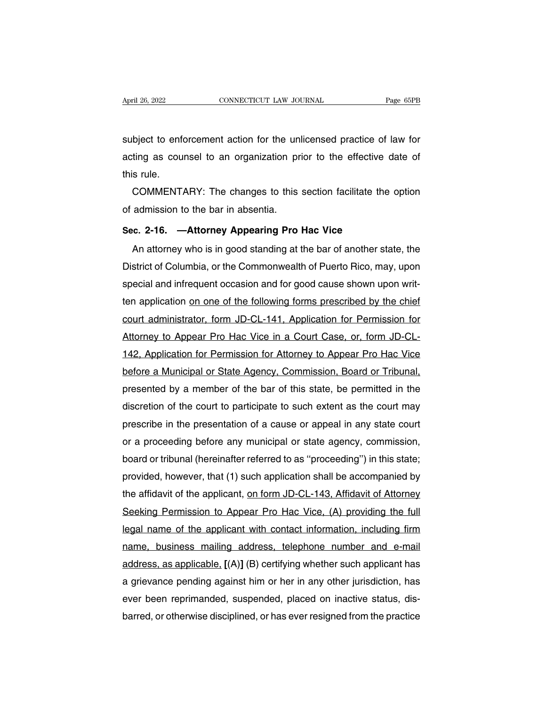April 26, 2022<br>
CONNECTICUT LAW JOURNAL<br>
Subject to enforcement action for the unlicensed practice of law for<br>
acting as counsel to an organization prior to the effective date of April 26, 2022 CONNECTICUT LAW JOURNAL Page 65PB<br>subject to enforcement action for the unlicensed practice of law for<br>acting as counsel to an organization prior to the effective date of<br>this rule. subject to enfortunating as counting as counting as the COMMENT. bject to enforcement action for the unlicensed practice of law for<br>ting as counsel to an organization prior to the effective date of<br>s rule.<br>COMMENTARY: The changes to this section facilitate the option<br>admission to the ba subject to enforcement action for the unl<br>acting as counsel to an organization pr<br>this rule.<br>COMMENTARY: The changes to this<br>of admission to the bar in absentia.<br>Sec. 2-16. —Attorney Appearing Pro

Acting as couriser to an organization phot to the enective of<br>this rule.<br>**COMMENTARY:** The changes to this section facilitate the<br>of admission to the bar in absentia.<br>**Sec. 2-16.** —**Attorney Appearing Pro Hac Vice**<br>An atto

COMMENTARY: The changes to this section facilitate the option<br>admission to the bar in absentia.<br>c. 2-16. —Attorney Appearing Pro Hac Vice<br>An attorney who is in good standing at the bar of another state, the<br>strict of Colum of admission to the bar in absentia.<br>Sec. 2-16. —Attorney Appearing Pro Hac Vice<br>An attorney who is in good standing at the bar of another state, the<br>District of Columbia, or the Commonwealth of Puerto Rico, may, upon<br>spec Sec. 2-16. —Attorney Appearing Pro Hac Vice<br>An attorney who is in good standing at the bar of another state, the<br>District of Columbia, or the Commonwealth of Puerto Rico, may, upon<br>special and infrequent occasion and for g Sec. 2-16. —Attorney Appearing Pro Hac Vice<br>An attorney who is in good standing at the bar of another state, the<br>District of Columbia, or the Commonwealth of Puerto Rico, may, upon<br>special and infrequent occasion and for g An attorney who is in good standing at the bar of another state, the<br>District of Columbia, or the Commonwealth of Puerto Rico, may, upon<br>special and infrequent occasion and for good cause shown upon writ-<br>ten application <u></u> District of Columbia, or the Commonwealth of Puerto Rico, may, upon<br>special and infrequent occasion and for good cause shown upon writ-<br>ten application <u>on one of the following forms prescribed by the chief</u><br>court administ special and infrequent occasion and for good cause shown upon writ-<br>ten application <u>on one of the following forms prescribed by the chief</u><br>court administrator, form JD-CL-141, Application for Permission for<br>Attorney to Ap ten application <u>on one of the following forms prescribed by the chief</u><br>court administrator, form JD-CL-141, Application for Permission for<br>Attorney to Appear Pro Hac Vice in a Court Case, or, form JD-CL-<br>142, Application court administrator, form JD-CL-141, Application for Permission for<br>Attorney to Appear Pro Hac Vice in a Court Case, or, form JD-CL-<br>142, Application for Permission for Attorney to Appear Pro Hac Vice<br>before a Municipal or Attorney to Appear Pro Hac Vice in a Court Case, or, form JD-CL-<br>142, Application for Permission for Attorney to Appear Pro Hac Vice<br>before a Municipal or State Agency, Commission, Board or Tribunal,<br>presented by a member 142, Application for Permission for Attorney to Appear Pro Hac Vice<br>before a Municipal or State Agency, Commission, Board or Tribunal,<br>presented by a member of the bar of this state, be permitted in the<br>discretion of the c before a Municipal or State Agency, Commission, Board or Tribunal,<br>presented by a member of the bar of this state, be permitted in the<br>discretion of the court to participate to such extent as the court may<br>prescribe in the presented by a member of the bar of this state, be permitted in the<br>discretion of the court to participate to such extent as the court may<br>prescribe in the presentation of a cause or appeal in any state court<br>or a proceedi discretion of the court to participate to such extent as the court may<br>prescribe in the presentation of a cause or appeal in any state court<br>or a proceeding before any municipal or state agency, commission,<br>board or tribun prescribe in the presentation of a cause or appeal in any state court<br>or a proceeding before any municipal or state agency, commission,<br>board or tribunal (hereinafter referred to as "proceeding") in this state;<br>provided, h or a proceeding before any municipal or state agency, commission,<br>board or tribunal (hereinafter referred to as "proceeding") in this state;<br>provided, however, that (1) such application shall be accompanied by<br>the affidavi board or tribunal (hereinatter reterred to as "proceeding") in this state;<br>provided, however, that (1) such application shall be accompanied by<br>the affidavit of the applicant, on form JD-CL-143, Affidavit of Attorney<br>Seeki provided, however, that (1) such application shall be accompanied by<br>the affidavit of the applicant, <u>on form JD-CL-143, Affidavit of Attorney</u><br>Seeking Permission to Appear Pro Hac Vice, (A) providing the full<br>legal name o the attidavit of the applicant, <u>on form JD-CL-143, Aftidavit of Attorney</u><br>Seeking Permission to Appear Pro Hac Vice, (A) providing the full<br>legal name of the applicant with contact information, including firm<br>name, busine Seeking Permission to Appear Pro Hac Vice, (A) providing the full<br>legal name of the applicant with contact information, including firm<br>name, business mailing address, telephone number and e-mail<br>address, as applicable, [(A legal name of the applicant with contact information, including firm<br>name, business mailing address, telephone number and e-mail<br>address, as applicable, [(A)] (B) certifying whether such applicant has<br>a grievance pending a name, business mailing address, telephone number and e-mail<br>address, as applicable, [(A)] (B) certifying whether such applicant has<br>a grievance pending against him or her in any other jurisdiction, has<br>ever been reprimande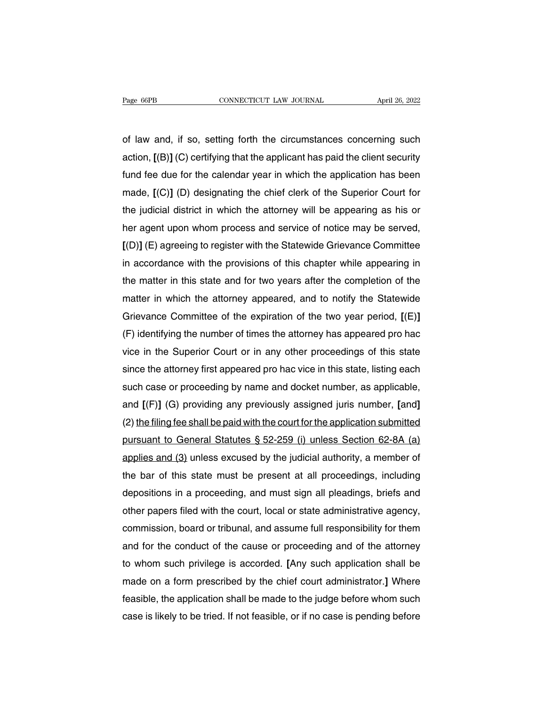Page 66PB CONNECTICUT LAW JOURNAL April 26, 2022<br>
of law and, if so, setting forth the circumstances concerning such<br>
action, [(B)] (C) certifying that the applicant has paid the client security Page 66PB **CONNECTICUT LAW JOURNAL** April 26, 2022<br>
of law and, if so, setting forth the circumstances concerning such<br>
action, [(B)] (C) certifying that the applicant has paid the client security<br>
fund fee due for the cal function for the contribution of law and, if so, setting forth the circumstances concerning such<br>action, [(B)] (C) certifying that the applicant has paid the client security<br>fund fee due for the calendar year in which the of law and, if so, setting forth the circumstances concerning such<br>action, [(B)] (C) certifying that the applicant has paid the client security<br>fund fee due for the calendar year in which the application has been<br>made, [(C or law and, it so, setting forth the circumstances concerning such<br>action, [(B)] (C) certifying that the applicant has paid the client security<br>fund fee due for the calendar year in which the application has been<br>made, [(C action, [(B)] (C) certifying that the applicant has paid the client security<br>fund fee due for the calendar year in which the application has been<br>made, [(C)] (D) designating the chief clerk of the Superior Court for<br>the ju fund fee due for the calendar year in which the application has been<br>made, [(C)] (D) designating the chief clerk of the Superior Court for<br>the judicial district in which the attorney will be appearing as his or<br>her agent u made,  $[(C)]$  (D) designating the chief clerk of the Superior Court for<br>the judicial district in which the attorney will be appearing as his or<br>her agent upon whom process and service of notice may be served,<br> $[(D)]$  (E) agree the judicial district in which the attorney will be appearing as his or<br>her agent upon whom process and service of notice may be served,<br>[(D)] (E) agreeing to register with the Statewide Grievance Committee<br>in accordance w her agent upon whom process and service of notice may be served,<br>[(D)] (E) agreeing to register with the Statewide Grievance Committee<br>in accordance with the provisions of this chapter while appearing in<br>the matter in this  $[ (D) ]$  (E) agreeing to register with the Statewide Grievance Committee<br>in accordance with the provisions of this chapter while appearing in<br>the matter in this state and for two years after the completion of the<br>matter in in accordance with the provisions of this chapter while appearing in<br>the matter in this state and for two years after the completion of the<br>matter in which the attorney appeared, and to notify the Statewide<br>Grievance Comm the matter in this state and for two years after the completion of the<br>matter in which the attorney appeared, and to notify the Statewide<br>Grievance Committee of the expiration of the two year period, [(E)]<br>(F) identifying matter in which the attorney appeared, and to notify the Statewide<br>Grievance Committee of the expiration of the two year period, [(E)]<br>(F) identifying the number of times the attorney has appeared pro hac<br>vice in the Super Grievance Committee of the expiration of the two year period,  $[(E)]$ <br>(F) identifying the number of times the attorney has appeared pro hac<br>vice in the Superior Court or in any other proceedings of this state<br>since the attor (F) identifying the number of times the attorney has appeared pro had<br>vice in the Superior Court or in any other proceedings of this state<br>since the attorney first appeared pro hac vice in this state, listing each<br>such cas vice in the Superior Court or in any other proceedings of this state<br>since the attorney first appeared pro hac vice in this state, listing each<br>such case or proceeding by name and docket number, as applicable,<br>and [(F)] (G since the attorney first appeared pro hac vice in this state, listing each<br>such case or proceeding by name and docket number, as applicable,<br>and [(F)] (G) providing any previously assigned juris number, [and]<br>(2) <u>the fili</u> such case or proceeding by name and docket number, as applicable,<br>and [(F)] (G) providing any previously assigned juris number, [and]<br>(2) <u>the filing fee shall be paid with the court for the application submitted</u><br>pursuant and [(F)] (G) providing any previously assigned juris number, [and]<br>(2) the filing fee shall be paid with the court for the application submitted<br>pursuant to General Statutes § 52-259 (i) unless Section 62-8A (a)<br>applies a (2) the filling fee shall be paid with the court for the application submitted<br>pursuant to General Statutes § 52-259 (i) unless Section 62-8A (a)<br>applies and (3) unless excused by the judicial authority, a member of<br>the b pursuant to General Statutes § 52-259 (I) unless Section 62-8A (a)<br>applies and (3) unless excused by the judicial authority, a member of<br>the bar of this state must be present at all proceedings, including<br>depositions in a applies and (3) unless excused by the judicial authority, a member of<br>the bar of this state must be present at all proceedings, including<br>depositions in a proceeding, and must sign all pleadings, briefs and<br>other papers fi the bar of this state must be present at all proceedings, including<br>depositions in a proceeding, and must sign all pleadings, briefs and<br>other papers filed with the court, local or state administrative agency,<br>commission, depositions in a proceeding, and must sign all pleadings, briefs and<br>other papers filed with the court, local or state administrative agency,<br>commission, board or tribunal, and assume full responsibility for them<br>and for t other papers filed with the court, local or state administrative agency,<br>commission, board or tribunal, and assume full responsibility for them<br>and for the conduct of the cause or proceeding and of the attorney<br>to whom suc commission, board or tribunal, and assume full responsibility for them<br>and for the conduct of the cause or proceeding and of the attorney<br>to whom such privilege is accorded. [Any such application shall be<br>made on a form pr and for the conduct of the cause or proceeding and of the attorney<br>to whom such privilege is accorded. [Any such application shall be<br>made on a form prescribed by the chief court administrator.] Where<br>feasible, the applica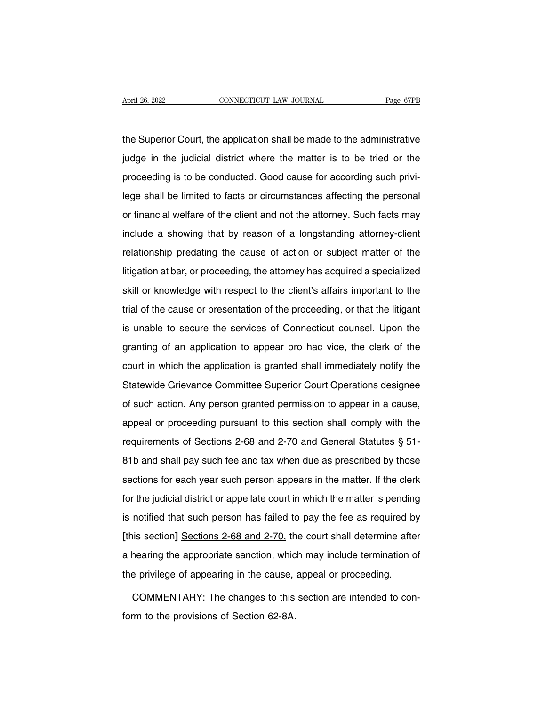April 26, 2022<br>
CONNECTICUT LAW JOURNAL<br>
Tage 67PB<br>
the Superior Court, the application shall be made to the administrative<br>
judge in the judicial district where the matter is to be tried or the April 26, 2022 CONNECTICUT LAW JOURNAL Page 67PB<br>the Superior Court, the application shall be made to the administrative<br>judge in the judicial district where the matter is to be tried or the<br>proceeding is to be conducted. the Superior Court, the application shall be made to the administrative<br>judge in the judicial district where the matter is to be tried or the<br>proceeding is to be conducted. Good cause for according such privi-<br>lege shall b the Superior Court, the application shall be made to the administrative<br>judge in the judicial district where the matter is to be tried or the<br>proceeding is to be conducted. Good cause for according such privi-<br>lege shall b ind district where the matter is to be tried or the proceeding is to be conducted. Good cause for according such privi-<br>lege shall be limited to facts or circumstances affecting the personal<br>or financial welfare of the cli proceeding is to be conducted. Good cause for according such privi-<br>lege shall be limited to facts or circumstances affecting the personal<br>or financial welfare of the client and not the attorney. Such facts may<br>include a s relationship is the conductionship cause of a discrement and profiling the personal or financial welfare of the client and not the attorney. Such facts may include a showing that by reason of a longstanding attorney-client litigation at bar, or proceeding, the attorney. Such facts may include a showing that by reason of a longstanding attorney-client relationship predating the cause of action or subject matter of the litigation at bar, or pr include a showing that by reason of a longstanding attorney-client<br>relationship predating the cause of action or subject matter of the<br>litigation at bar, or proceeding, the attorney has acquired a specialized<br>skill or know relationship predating the cause of action or subject matter of the litigation at bar, or proceeding, the attorney has acquired a specialized skill or knowledge with respect to the client's affairs important to the trial o Itigation at bar, or proceeding, the attorney has acquired a specialized<br>skill or knowledge with respect to the client's affairs important to the<br>trial of the cause or presentation of the proceeding, or that the litigant<br>i gance area, or proceeding, the antime) the appearance a specialized<br>skill or knowledge with respect to the client's affairs important to the<br>trial of the cause or presentation of the proceeding, or that the litigant<br>is una trial of the cause or presentation of the proceeding, or that the litigant<br>is unable to secure the services of Connecticut counsel. Upon the<br>granting of an application to appear pro hac vice, the clerk of the<br>court in whic Is unable to secure the services of Connecticut counsel. Upon the granting of an application to appear pro hac vice, the clerk of the court in which the application is granted shall immediately notify the Statewide Grievan granting of an application to appear pro hac vice, the clerk of the<br>court in which the application is granted shall immediately notify the<br>Statewide Grievance Committee Superior Court Operations designee<br>of such action. An grammy or an application is granted shall immediately notify the<br>Statewide Grievance Committee Superior Court Operations designee<br>of such action. Any person granted permission to appear in a cause,<br>appeal or proceeding pur Statewide Grievance Committee Superior Court Operations designee<br>of such action. Any person granted permission to appear in a cause,<br>appeal or proceeding pursuant to this section shall comply with the<br>requirements of Secti of such action. Any person granted permission to appear in a cause,<br>appeal or proceeding pursuant to this section shall comply with the<br>requirements of Sections 2-68 and 2-70 and General Statutes § 51-<br>81b and shall pay su section for each year such this section shall comply with the requirements of Sections 2-68 and 2-70 and General Statutes § 51-<br>81b and shall pay such fee and tax when due as prescribed by those sections for each year such for the judicial district or appellate court in which the matter is pending the sections for each year such person appears in the matter. If the clerk<br>for the judicial district or appellate court in which the matter is pen 81b and shall pay such fee and tax when due as prescribed by those<br>sections for each year such person appears in the matter. If the clerk<br>for the judicial district or appellate court in which the matter is pending<br>is notif **EXECUTE:** and shall pay sectives and anominate are presented by lives<br>sections for each year such person appears in the matter. If the clerk<br>for the judicial district or appellate court in which the matter is pending<br>is n for the judicial district or appellate court in which the matter is pending<br>is notified that such person has failed to pay the fee as required by<br>[this section] Sections 2-68 and 2-70, the court shall determine after<br>a hea It is notified that such person has failed to pay the fee as required by<br>
[this section] Sections 2-68 and 2-70, the court shall determine after<br>
a hearing the appropriate sanction, which may include termination of<br>
the pr is section] Sections 2-68 and 2-70, the court shall determine after<br>hearing the appropriate sanction, which may include termination of<br>e privilege of appearing in the cause, appeal or proceeding.<br>COMMENTARY: The changes to a hearing the appropriate sanction, whice<br>the privilege of appearing in the cause,<br>COMMENTARY: The changes to this<br>form to the provisions of Section 62-8A.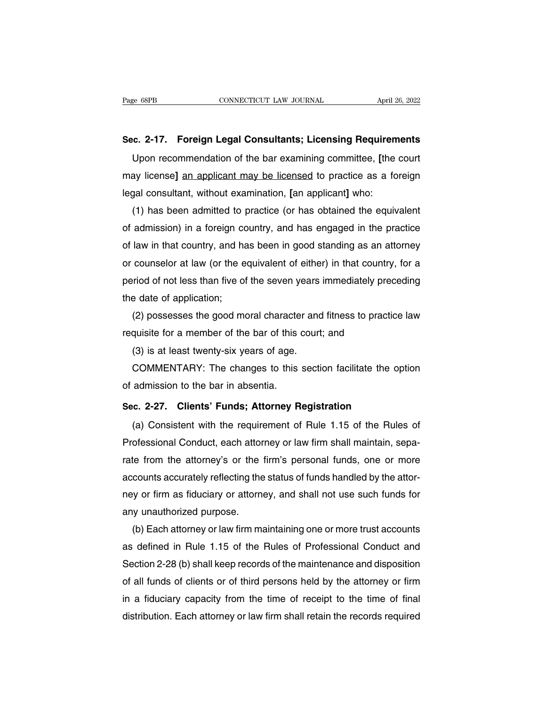Page 68PB CONNECTICUT LAW JOURNAL April 26, 2022<br> **Sec. 2-17. Foreign Legal Consultants; Licensing Requirements**<br>
Upon recommendation of the bar examining committee, [the court EXEMBLE CONNECTICUT LAW JOURNAL THE April 26, 2022<br> **EXECO 2-17. Foreign Legal Consultants; Licensing Requirements**<br>
Upon recommendation of the bar examining committee, [the court<br>
ay license] <u>an applicant may be licensed</u> Sec. 2-17. Foreign Legal Consultants; Licensing Requirements<br>
Upon recommendation of the bar examining committee, [the court<br>
may license] <u>an applicant may be licensed</u> to practice as a foreign<br>
legal consultant, without Sec. 2-17. Foreign Legal Consultants; Licensing Requirem<br>Upon recommendation of the bar examining committee, [the<br>may license] <u>an applicant may be licensed</u> to practice as a fo<br>legal consultant, without examination, [an a ic. 2-17. Foreign Legal Consultants; Licensing Requirements<br>Upon recommendation of the bar examining committee, [the court<br>ay license] <u>an applicant may be licensed</u> to practice as a foreign<br>gal consultant, without examina

Upon recommendation of the bar examining committee, [the court<br>may license] <u>an applicant may be licensed</u> to practice as a foreign<br>legal consultant, without examination, [an applicant] who:<br>(1) has been admitted to practi may license] an applicant may be licensed to practice as a toreign<br>legal consultant, without examination, [an applicant] who:<br>(1) has been admitted to practice (or has obtained the equivalent<br>of admission) in a foreign cou legal consultant, without examination, [an applicant] who:<br>
(1) has been admitted to practice (or has obtained the equivalent<br>
of admission) in a foreign country, and has engaged in the practice<br>
of law in that country, an (1) has been admitted to practice (or has obtained the equivalent<br>of admission) in a foreign country, and has engaged in the practice<br>of law in that country, and has been in good standing as an attorney<br>or counselor at law of admission) in a foreign cof<br>flaw in that country, and ha<br>or counselor at law (or the e<br>period of not less than five of<br>the date of application;<br>(2) possesses the good mo law in that country, and has been in good standing as an attorney<br>counselor at law (or the equivalent of either) in that country, for a<br>riod of not less than five of the seven years immediately preceding<br>e date of applicat or counselor at law (or the equivalent of either) in that country<br>period of not less than five of the seven years immediately pred<br>the date of application;<br>(2) possesses the good moral character and fitness to practic<br>requ

riod of not less than five of the seven years<br>e date of application;<br>(2) possesses the good moral character and<br>quisite for a member of the bar of this court<br>(3) is at least twenty-six years of age.<br>COMMENTARY: The changes

e date of application;<br>(2) possesses the good moral character and fitness to practice law<br>quisite for a member of the bar of this court; and<br>(3) is at least twenty-six years of age.<br>COMMENTARY: The changes to this section (2) possesses the good moral characte<br>requisite for a member of the bar of this  $(3)$  is at least twenty-six years of age.<br>COMMENTARY: The changes to this<br>of admission to the bar in absentia.<br>Sec. 2-27. Clients' Funds; At **Sec.** 2-27. **Clients' Funds; Attorney Registration**<br>
(a) COMMENTARY: The changes to this section facilitate the option<br>
of admission to the bar in absentia.<br> **Sec. 2-27. Clients' Funds; Attorney Registration**<br>
(a) Consist

(c) is at iddst twenty six years of dgc.<br>COMMENTARY: The changes to this section facilitate the option<br>admission to the bar in absentia.<br>c. 2-27. Clients' Funds; Attorney Registration<br>(a) Consistent with the requirement of SOMMENTANTE: The changes to this section facilitate the option<br>of admission to the bar in absentia.<br>Sec. 2-27. Clients' Funds; Attorney Registration<br>(a) Consistent with the requirement of Rule 1.15 of the Rules of<br>Professi Sec. 2-27. Clients' Funds; Attorney Registration<br>
(a) Consistent with the requirement of Rule 1.15 of the Rules of<br>
Professional Conduct, each attorney or law firm shall maintain, sepa-<br>
rate from the attorney's or the fir Sec. 2-27. Clients' Funds; Attorney Registration<br>
(a) Consistent with the requirement of Rule 1.15 of the Rules of<br>
Professional Conduct, each attorney or law firm shall maintain, sepa-<br>
rate from the attorney's or the fir (a) Consistent with the requirement of Rule 1.15 of the Rules of<br>Professional Conduct, each attorney or law firm shall maintain, sepa-<br>rate from the attorney's or the firm's personal funds, one or more<br>accounts accurately Protessional Conduct, each attor<br>rate from the attorney's or the<br>accounts accurately reflecting the<br>ney or firm as fiduciary or attorn<br>any unauthorized purpose.<br>(b) Each attorney or law firm ma te from the attorney's or the firm's personal funds, one or more<br>counts accurately reflecting the status of funds handled by the attor-<br>y or firm as fiduciary or attorney, and shall not use such funds for<br>y unauthorized pu

accounts accurately reflecting the status of funds handled by the attor-<br>ney or firm as fiduciary or attorney, and shall not use such funds for<br>any unauthorized purpose.<br>(b) Each attorney or law firm maintaining one or mor ney or firm as fiduciary or attorney, and shall not use such funds for<br>any unauthorized purpose.<br>(b) Each attorney or law firm maintaining one or more trust accounts<br>as defined in Rule 1.15 of the Rules of Professional Con any unauthorized purpose.<br>
(b) Each attorney or law firm maintaining one or more trust accounts<br>
as defined in Rule 1.15 of the Rules of Professional Conduct and<br>
Section 2-28 (b) shall keep records of the maintenance and (b) Each attorney or law firm maintaining one or more trust accounts<br>as defined in Rule 1.15 of the Rules of Professional Conduct and<br>Section 2-28 (b) shall keep records of the maintenance and disposition<br>of all funds of c as defined in Rule 1.15 of the Rules of Professional Conduct and<br>Section 2-28 (b) shall keep records of the maintenance and disposition<br>of all funds of clients or of third persons held by the attorney or firm<br>in a fiduciar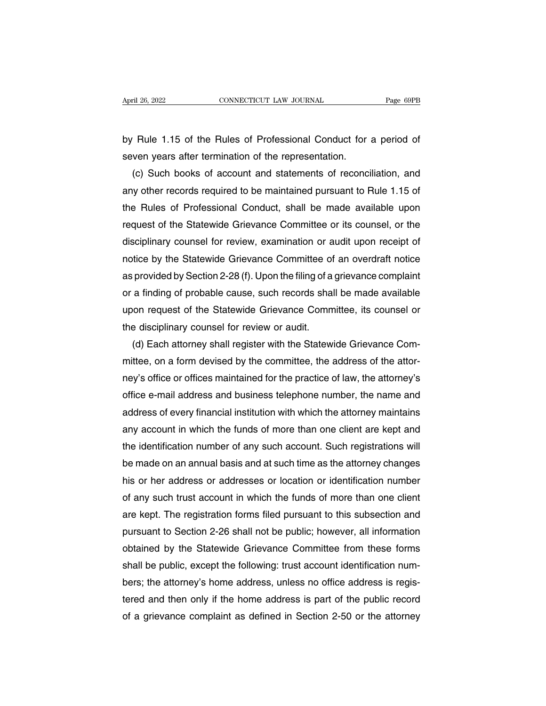April 26, 2022<br> **EXECUTE CONNECTICUT LAW JOURNAL**<br>
by Rule 1.15 of the Rules of Professional Conduct for a period of<br>
seven years after termination of the representation. Superil 26, 2022<br>Superil 26, 2022<br>By Rule 1.15 of the Rules of Professional Conduct for<br>Seven years after termination of the representation.<br>(c) Such books of account and statements of reconci

(c) Such books of account and statements of reconciliation, and we observe a state termination of the representation.<br>
(c) Such books of account and statements of reconciliation, and we other records required to be maintai by Rule 1.15 of the Rules of Professional Conduct for a period of<br>seven years after termination of the representation.<br>(c) Such books of account and statements of reconciliation, and<br>any other records required to be mainta by Rule 1.15 of the Rules of Professional Conduct for a period of<br>seven years after termination of the representation.<br>(c) Such books of account and statements of reconciliation, and<br>any other records required to be mainta seven years after termination of the representation.<br>
(c) Such books of account and statements of reconciliation, and<br>
any other records required to be maintained pursuant to Rule 1.15 of<br>
the Rules of Professional Conduct (c) Such books of account and statements of reconciliation, and<br>any other records required to be maintained pursuant to Rule 1.15 of<br>the Rules of Professional Conduct, shall be made available upon<br>request of the Statewide any other records required to be maintained pursuant to Rule 1.15 of<br>the Rules of Professional Conduct, shall be made available upon<br>request of the Statewide Grievance Committee or its counsel, or the<br>disciplinary counsel the Rules of Professional Conduct, shall be made available upon<br>request of the Statewide Grievance Committee or its counsel, or the<br>disciplinary counsel for review, examination or audit upon receipt of<br>notice by the Statew request of the Statewide Grievance Committee or its counsel, or the<br>disciplinary counsel for review, examination or audit upon receipt of<br>notice by the Statewide Grievance Committee of an overdraft notice<br>as provided by Se disciplinary counsel for review, examination or audit upon receipt of<br>notice by the Statewide Grievance Committee of an overdraft notice<br>as provided by Section 2-28 (f). Upon the filing of a grievance complaint<br>or a findin notice by the Statewide Grievance Committee of<br>as provided by Section 2-28 (f). Upon the filing of a<br>or a finding of probable cause, such records shal<br>upon request of the Statewide Grievance Comm<br>the disciplinary counsel f provided by Section 2-28 (f). Upon the filing of a grievance complaint<br>a finding of probable cause, such records shall be made available<br>on request of the Statewide Grievance Committee, its counsel or<br>e disciplinary counse

or a finding of probable cause, such records shall be made available<br>upon request of the Statewide Grievance Committee, its counsel or<br>the disciplinary counsel for review or audit.<br>(d) Each attorney shall register with the upon request of the Statewide Grievance Committee, its counsel or<br>the disciplinary counsel for review or audit.<br>(d) Each attorney shall register with the Statewide Grievance Com-<br>mittee, on a form devised by the committee, the disciplinary counsel for review or audit.<br>
(d) Each attorney shall register with the Statewide Grievance Com-<br>
mittee, on a form devised by the committee, the address of the attor-<br>
ney's office or offices maintained f (d) Each attorney shall register with the Statewide Grievance Com-<br>mittee, on a form devised by the committee, the address of the attor-<br>ney's office or offices maintained for the practice of law, the attorney's<br>office e-m mittee, on a form devised by the committee, the address of the attor-<br>ney's office or offices maintained for the practice of law, the attorney's<br>office e-mail address and business telephone number, the name and<br>address of ney's office or offices maintained for the practice of law, the attorney's<br>office e-mail address and business telephone number, the name and<br>address of every financial institution with which the attorney maintains<br>any acco office e-mail address and business telephone number, the name and<br>address of every financial institution with which the attorney maintains<br>any account in which the funds of more than one client are kept and<br>the identificat address of every financial institution with which the attorney maintains<br>any account in which the funds of more than one client are kept and<br>the identification number of any such account. Such registrations will<br>be made on any account in which the funds of more than one client are kept and<br>the identification number of any such account. Such registrations will<br>be made on an annual basis and at such time as the attorney changes<br>his or her addr the identification number of any such account. Such registrations will<br>be made on an annual basis and at such time as the attorney changes<br>his or her address or addresses or location or identification number<br>of any such tr be made on an annual basis and at such time as the attorney changes<br>his or her address or addresses or location or identification number<br>of any such trust account in which the funds of more than one client<br>are kept. The re his or her address or addresses or location or identification number<br>of any such trust account in which the funds of more than one client<br>are kept. The registration forms filed pursuant to this subsection and<br>pursuant to S of any such trust account in which the funds of more than one client<br>are kept. The registration forms filed pursuant to this subsection and<br>pursuant to Section 2-26 shall not be public; however, all information<br>obtained by are kept. The registration forms filed pursuant to this subsection and<br>pursuant to Section 2-26 shall not be public; however, all information<br>obtained by the Statewide Grievance Committee from these forms<br>shall be public, pursuant to Section 2-26 shall not be public; however, all information<br>obtained by the Statewide Grievance Committee from these forms<br>shall be public, except the following: trust account identification num-<br>bers; the attor obtained by the Statewide Grievance Committee from these forms<br>shall be public, except the following: trust account identification num-<br>bers; the attorney's home address, unless no office address is regis-<br>tered and then o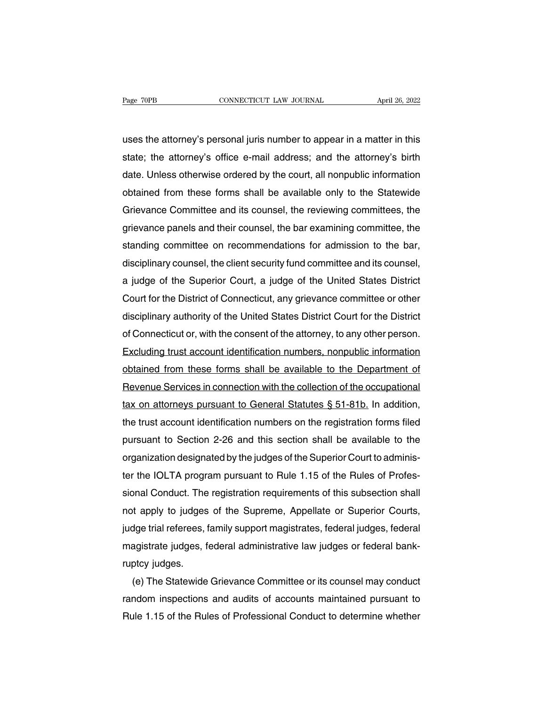Page 70PB CONNECTICUT LAW JOURNAL April 26, 2022<br>
uses the attorney's personal juris number to appear in a matter in this<br>
state; the attorney's office e-mail address; and the attorney's birth Fage 70PB CONNECTICUT LAW JOURNAL April 26, 2022<br>uses the attorney's personal juris number to appear in a matter in this<br>state; the attorney's office e-mail address; and the attorney's birth<br>date. Unless otherwise ordered dentity of the attorney's personal juris number to appear in a matter in this state; the attorney's office e-mail address; and the attorney's birth date. Unless otherwise ordered by the court, all nonpublic information obt uses the attorney's personal juris number to appear in a matter in this<br>state; the attorney's office e-mail address; and the attorney's birth<br>date. Unless otherwise ordered by the court, all nonpublic information<br>obtained uses the attorney's personal juris number to appear in a matter in this<br>state; the attorney's office e-mail address; and the attorney's birth<br>date. Unless otherwise ordered by the court, all nonpublic information<br>obtained state; the attorney's office e-mail address; and the attorney's birth<br>date. Unless otherwise ordered by the court, all nonpublic information<br>obtained from these forms shall be available only to the Statewide<br>Grievance Comm date. Unless otherwise ordered by the court, all nonpublic information<br>obtained from these forms shall be available only to the Statewide<br>Grievance Committee and its counsel, the reviewing committees, the<br>grievance panels obtained from these forms shall be available only to the Statewide<br>Grievance Committee and its counsel, the reviewing committees, the<br>grievance panels and their counsel, the bar examining committee, the<br>standing committee Grievance Committee and its counsel, the reviewing committees, the<br>grievance panels and their counsel, the bar examining committee, the<br>standing committee on recommendations for admission to the bar,<br>disciplinary counsel, grievance panels and their counsel, the bar examining committee, the<br>standing committee on recommendations for admission to the bar,<br>disciplinary counsel, the client security fund committee and its counsel,<br>a judge of the standing committee on recommendations for admission to the bar,<br>disciplinary counsel, the client security fund committee and its counsel,<br>a judge of the Superior Court, a judge of the United States District<br>Court for the D disciplinary counsel, the client security fund committee and its counsel,<br>a judge of the Superior Court, a judge of the United States District<br>Court for the District of Connecticut, any grievance committee or other<br>discipl a judge of the Superior Court, a judge of the United States District<br>Court for the District of Connecticut, any grievance committee or other<br>disciplinary authority of the United States District Court for the District<br>of Co Court for the District of Connecticut, any grievance committee or other<br>disciplinary authority of the United States District Court for the District<br>of Connecticut or, with the consent of the attorney, to any other person.<br> disciplinary authority of the United States District Court for the District<br>of Connecticut or, with the consent of the attorney, to any other person.<br>Excluding trust account identification numbers, nonpublic information<br>ob of Connecticut or, with the consent of the attorney, to any other person.<br>Excluding trust account identification numbers, nonpublic information<br>obtained from these forms shall be available to the Department of<br>Revenue Serv Excluding trust account identification numbers, nonpublic information<br>obtained from these forms shall be available to the Department of<br>Revenue Services in connection with the collection of the occupational<br>tax on attorney obtained from these forms shall be available to the Department of<br>Revenue Services in connection with the collection of the occupational<br>tax on attorneys pursuant to General Statutes § 51-81b. In addition,<br>the trust accoun Hevenue Services in connection with the collection of the occupational<br>tax on attorneys pursuant to General Statutes § 51-81b. In addition,<br>the trust account identification numbers on the registration forms filed<br>pursuant tax on attorneys pursuant to General Statutes § 51-81b. In addition,<br>the trust account identification numbers on the registration forms filed<br>pursuant to Section 2-26 and this section shall be available to the<br>organization the trust account identification numbers on the registration forms filed<br>pursuant to Section 2-26 and this section shall be available to the<br>organization designated by the judges of the Superior Court to adminis-<br>ter the I pursuant to Section 2-26 and this section shall be available to the<br>organization designated by the judges of the Superior Court to adminis-<br>ter the IOLTA program pursuant to Rule 1.15 of the Rules of Profes-<br>sional Conduct organization designated by the judges of the Superior Court to adminis-<br>ter the IOLTA program pursuant to Rule 1.15 of the Rules of Profes-<br>sional Conduct. The registration requirements of this subsection shall<br>not apply t ter the IOLTA program pursuant to Rule 1.15 of the Rules of Protessional Conduct. The registration requirements of this subsection shall not apply to judges of the Supreme, Appellate or Superior Courts, judge trial referee sional Conduct. The<br>not apply to judges<br>judge trial referees,<br>magistrate judges, f<br>ruptcy judges.<br>(e) The Statewide it apply to judges of the Supreme, Appellate or Superior Courts,<br>dge trial referees, family support magistrates, federal judges, federal<br>agistrate judges, federal administrative law judges or federal bank-<br>ptcy judges.<br>(e)

judge trial reterees, tamily support magistrates, tederal judges, tederal<br>magistrate judges, federal administrative law judges or federal bank-<br>ruptcy judges.<br>(e) The Statewide Grievance Committee or its counsel may conduc magistrate judges, federal administrative law judges or federal bank-<br>ruptcy judges.<br>(e) The Statewide Grievance Committee or its counsel may conduct<br>random inspections and audits of accounts maintained pursuant to<br>Rule 1.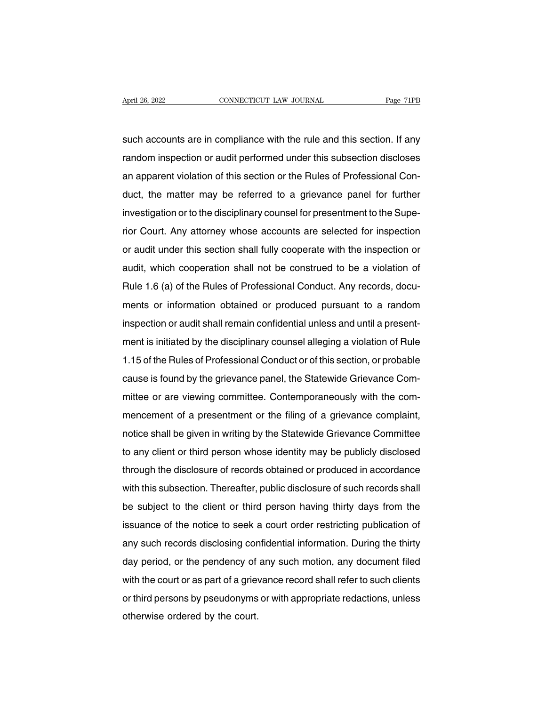April 26, 2022<br>
CONNECTICUT LAW JOURNAL<br>
Such accounts are in compliance with the rule and this section. If any<br>
random inspection or audit performed under this subsection discloses Figure 26, 2022<br>Such accounts are in compliance with the rule and this section. If any<br>random inspection or audit performed under this subsection discloses<br>an apparent violation of this section or the Rules of Professional such accounts are in compliance with the rule and this section. If any<br>random inspection or audit performed under this subsection discloses<br>an apparent violation of this section or the Rules of Professional Con-<br>duct, the such accounts are in compliance with the rule and this section. If any<br>random inspection or audit performed under this subsection discloses<br>an apparent violation of this section or the Rules of Professional Con-<br>duct, the Frandom inspection or audit performed under this subsection discloses<br>an apparent violation of this section or the Rules of Professional Con-<br>duct, the matter may be referred to a grievance panel for further<br>investigation random inspection of addit performed under this subsection discloses<br>an apparent violation of this section or the Rules of Professional Con-<br>duct, the matter may be referred to a grievance panel for further<br>investigation o an apparent violation of this section of the nutes of Frotessional Conduct, the matter may be referred to a grievance panel for further investigation or to the disciplinary counsel for presentment to the Superior Court. An investigation or to the disciplinary counsel for presentment to the Superior Court. Any attorney whose accounts are selected for inspection or audit under this section shall fully cooperate with the inspection or audit, wh investigation or to the disciplinary counsel for presentment to the Superior Court. Any attorney whose accounts are selected for inspection or audit under this section shall fully cooperate with the inspection or audit, wh nor Court. Any attorney whose accounts are selected for inspection<br>or audit under this section shall not be construed to be a violation of<br>Rule 1.6 (a) of the Rules of Professional Conduct. Any records, docu-<br>ments or info audit, which cooperation shall not be construed to be a violation of<br>audit, which cooperation shall not be construed to be a violation of<br>Rule 1.6 (a) of the Rules of Professional Conduct. Any records, docu-<br>ments or infor Rule 1.6 (a) of the Rules of Professional Conduct. Any records, documents or information obtained or produced pursuant to a random inspection or audit shall remain confidential unless and until a presentment is initiated b The Rules of Professional Conduct. Any recolds, documents or information obtained or produced pursuant to a random inspection or audit shall remain confidential unless and until a present-<br>ment is initiated by the discipli inspection or audit shall remain confidential unless and until a present-<br>ment is initiated by the disciplinary counsel alleging a violation of Rule<br>1.15 of the Rules of Professional Conduct or of this section, or probable ment is initiated by the disciplinary counsel alleging a violation of Rule<br>1.15 of the Rules of Professional Conduct or of this section, or probable<br>cause is found by the grievance panel, the Statewide Grievance Com-<br>mitte 1.15 of the Rules of Professional Conduct or of this section, or probable<br>cause is found by the grievance panel, the Statewide Grievance Com-<br>mittee or are viewing committee. Contemporaneously with the com-<br>mencement of a notice in the price soft foressional conduct of or this section, or probable<br>cause is found by the grievance panel, the Statewide Grievance Com-<br>mittee or are viewing committee. Contemporaneously with the com-<br>mencement of through the disclosure of records obtained or produced in accordance<br>through the disclosure in writing by the Statewide Grievance complaint,<br>notice shall be given in writing by the Statewide Grievance Committee<br>to any clie mintee or are viewing committee. Contemporarieously with the com-<br>mencement of a presentment or the filing of a grievance complaint,<br>notice shall be given in writing by the Statewide Grievance Committee<br>to any client or th mencement or a presentment or the ming or a gnevalice complaint,<br>notice shall be given in writing by the Statewide Grievance Committee<br>to any client or third person whose identity may be publicly disclosed<br>through the disc be shall be given in whilling by the statewide chievalitie committee<br>to any client or third person whose identity may be publicly disclosed<br>through the disclosure of records obtained or produced in accordance<br>with this sub is any client of third person whose identity hay be publicly disclosed<br>through the disclosure of records obtained or produced in accordance<br>with this subsection. Thereafter, public disclosure of such records shall<br>be subje any such the disclosure of records obtained or produced in accordance<br>with this subsection. Thereafter, public disclosure of such records shall<br>be subject to the client or third person having thirty days from the<br>issuance With this subsection. Therearter, public disclosure of such records shall<br>be subject to the client or third person having thirty days from the<br>issuance of the notice to seek a court order restricting publication of<br>any suc be subject to the cherit of third person having thirty days from the<br>issuance of the notice to seek a court order restricting publication of<br>any such records disclosing confidential information. During the thirty<br>day perio assuance of the notice to seek a court offer restricting publication of<br>any such records disclosing confidential information. During the thirty<br>day period, or the pendency of any such motion, any document filed<br>with the co any such records disclosing confidential information. During the thirty day period, or the pendency of any such motion, any document filed with the court or as part of a grievance record shall refer to such clients or thir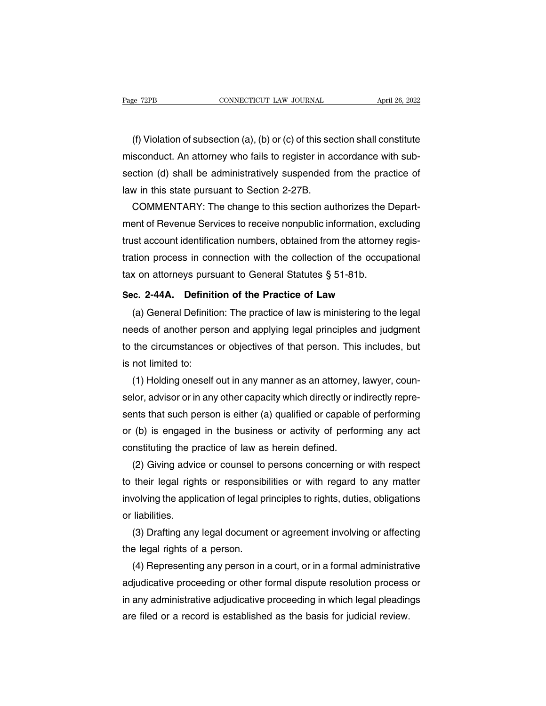(f) Violation of subsection (a), (b) or (c) of this section shall constitute<br>sconduct. An attorney who fails to register in accordance with sub-Page 72PB CONNECTICUT LAW JOURNAL April 26, 2022<br>
(f) Violation of subsection (a), (b) or (c) of this section shall constitute<br>
misconduct. An attorney who fails to register in accordance with sub-<br>
section (d) shall be ad Fage  $12FB$ <br>(f) Violation of subsection (a), (b) or (c) of this section shall constitute<br>misconduct. An attorney who fails to register in accordance with sub-<br>section (d) shall be administratively suspended from the practi (f) Violation of subsection (a), (b) or (c) of this sec<br>misconduct. An attorney who fails to register in ac<br>section (d) shall be administratively suspended f<br>law in this state pursuant to Section 2-27B.<br>COMMENTARY: The cha (f) Violation of subsection (a), (b) or (c) of this section shall constitute<br>sconduct. An attorney who fails to register in accordance with sub-<br>ction (d) shall be administratively suspended from the practice of<br>w in this

misconduct. An attorney who fails to register in accordance with subsection (d) shall be administratively suspended from the practice of<br>law in this state pursuant to Section 2-27B.<br>COMMENTARY: The change to this section a section (d) shall be administratively suspended from the practice of<br>law in this state pursuant to Section 2-27B.<br>COMMENTARY: The change to this section authorizes the Depart-<br>ment of Revenue Services to receive nonpublic law in this state pursuant to Section 2-27B.<br>COMMENTARY: The change to this section authorizes the Depart-<br>ment of Revenue Services to receive nonpublic information, excluding<br>trust account identification numbers, obtained COMMENTARY: The change to this section authorizes the I<br>ment of Revenue Services to receive nonpublic information, exatrust account identification numbers, obtained from the attorney<br>tration process in connection with the ment of Hevenue Services to receive nonpublic information, exclude<br>trust account identification numbers, obtained from the attorney re<br>tration process in connection with the collection of the occupation<br>tax on attorneys pu Sist account identification numbers, obtained from the attomey regis-<br>tion process in connection with the collection of the occupational<br>x on attorneys pursuant to General Statutes § 51-81b.<br>c. 2-44A. Definition of the Pra

ration process in connection with the collection of the occupational<br>tax on attorneys pursuant to General Statutes § 51-81b.<br>Sec. 2-44A. Definition of the Practice of Law<br>(a) General Definition: The practice of law is mini tax on attomeys pursuant to General Statutes § 51-610.<br>Sec. 2-44A. Definition of the Practice of Law<br>(a) General Definition: The practice of law is ministering to the legal<br>needs of another person and applying legal princi Sec. 2-44A. Definiti<br>
(a) General Definitio<br>
needs of another pers<br>
to the circumstances<br>
is not limited to:<br>
(1) Holding oneself (a) General Definition: The practice of law is ministering to the legal<br>reds of another person and applying legal principles and judgment<br>the circumstances or objectives of that person. This includes, but<br>not limited to:<br>(

needs of another person and applying legal principles and judgment<br>to the circumstances or objectives of that person. This includes, but<br>is not limited to:<br>(1) Holding oneself out in any manner as an attorney, lawyer, coun to the circumstances or objectives of that person. This includes, but<br>is not limited to:<br>(1) Holding oneself out in any manner as an attorney, lawyer, coun-<br>selor, advisor or in any other capacity which directly or indirec is not limited to:<br>
(1) Holding oneself out in any manner as an attorney, lawyer, coun-<br>
selor, advisor or in any other capacity which directly or indirectly repre-<br>
sents that such person is either (a) qualified or capabl (1) Holding oneself out in any manner as an attorney,<br>selor, advisor or in any other capacity which directly or in<br>sents that such person is either (a) qualified or capable<br>or (b) is engaged in the business or activity of (2) Ior, advisor or in any other capacity which directly or indirectly repre-<br>
ints that such person is either (a) qualified or capable of performing<br>
(b) is engaged in the business or activity of performing any act<br>
insti

sents that such person is either (a) qualified or capable of performing<br>or (b) is engaged in the business or activity of performing any act<br>constituting the practice of law as herein defined.<br>(2) Giving advice or counsel t or (b) is engaged in the business or activity of performing any act<br>constituting the practice of law as herein defined.<br>(2) Giving advice or counsel to persons concerning or with respect<br>to their legal rights or responsibi constituting the prosent<br>
(2) Giving advic<br>
to their legal righ<br>
involving the appli<br>
or liabilities.<br>
(3) Drafting any (2) Giving advice or counsel to persons concerning or with respect<br>their legal rights or responsibilities or with regard to any matter<br>volving the application of legal principles to rights, duties, obligations<br>liabilities. to their legal rights or responsib<br>involving the application of legal pi<br>or liabilities.<br>(3) Drafting any legal document<br>the legal rights of a person.<br>(4) Representing any person in

volving the application of legal principles to rights, duties, obligations<br>liabilities.<br>(3) Drafting any legal document or agreement involving or affecting<br>e legal rights of a person.<br>(4) Representing any person in a court or liabilities.<br>
(3) Drafting any legal document or agreement involving or affecting<br>
the legal rights of a person.<br>
(4) Representing any person in a court, or in a formal administrative<br>
adjudicative proceeding or other f (3) Drafting any legal document or agreement involving or affecting<br>the legal rights of a person.<br>(4) Representing any person in a court, or in a formal administrative<br>adjudicative proceeding or other formal dispute resolu the legal rights of a person.<br>
(4) Representing any person in a court, or in a formal administration<br>
adjudicative proceeding or other formal dispute resolution process<br>
in any administrative adjudicative proceeding in whi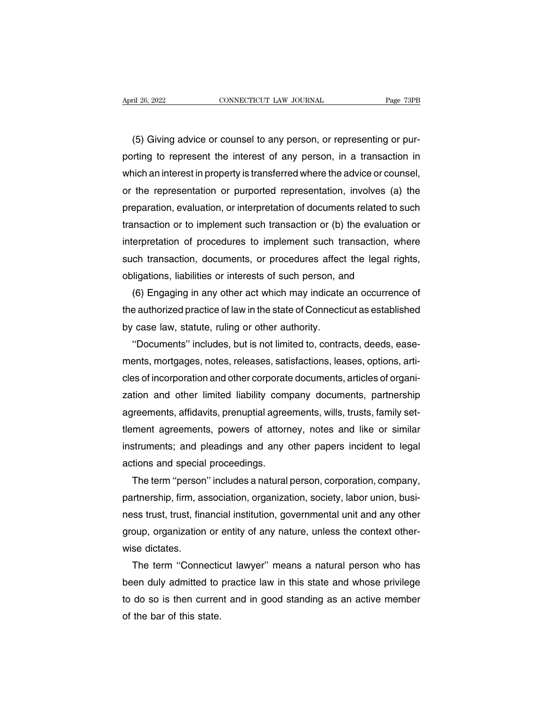(5) Giving advice or counsel to any person, or representing or pur-<br>
The total counsel to any person, or representing or pur-<br>
Thing to represent the interest of any person, in a transaction in April 26, 2022 CONNECTICUT LAW JOURNAL Page 73PB<br>
(5) Giving advice or counsel to any person, or representing or pur-<br>
porting to represent the interest of any person, in a transaction in<br>
which an interest in property is (5) Giving advice or counsel to any person, or representing or purporting to represent the interest of any person, in a transaction in which an interest in property is transferred where the advice or counsel, or the repre (5) Giving advice or counsel to any person, or representing or pur-<br>porting to represent the interest of any person, in a transaction in<br>which an interest in property is transferred where the advice or counsel,<br>or the repr (5) Giving advice or counsel to any person, or representing or pur-<br>porting to represent the interest of any person, in a transaction in<br>which an interest in property is transferred where the advice or counsel,<br>or the repr porting to represent the interest of any person, in a transaction in<br>which an interest in property is transferred where the advice or counsel,<br>or the representation or purported representation, involves (a) the<br>preparation which an interest in property is transferred where the advice or counsel,<br>or the representation or purported representation, involves (a) the<br>preparation, evaluation, or interpretation of documents related to such<br>transact or the representation or purported representation, involves (a) the<br>preparation, evaluation, or interpretation of documents related to such<br>transaction or to implement such transaction or (b) the evaluation or<br>interpretati preparation, evaluation, or interpretation of documents related to s<br>transaction or to implement such transaction or (b) the evaluatio<br>interpretation of procedures to implement such transaction, wh<br>such transaction, docume insaction or to implement such transaction or (b) the evaluation or<br>erpretation of procedures to implement such transaction, where<br>ch transaction, documents, or procedures affect the legal rights,<br>ligations, liabilities or

interpretation of procedures to implement such transaction, where<br>such transaction, documents, or procedures affect the legal rights,<br>obligations, liabilities or interests of such person, and<br>(6) Engaging in any other act such transaction, documents, or procedures affect<br>obligations, liabilities or interests of such person, at<br>(6) Engaging in any other act which may indicate<br>the authorized practice of law in the state of Connectio<br>by case l ligations, liabilities or interests of such person, and<br>(6) Engaging in any other act which may indicate an occurrence of<br>e authorized practice of law in the state of Connecticut as established<br>case law, statute, ruling or

(6) Engaging in any other act which may indicate an occurrence of<br>the authorized practice of law in the state of Connecticut as established<br>by case law, statute, ruling or other authority.<br>"Documents" includes, but is not the authorized practice of law in the state of Connecticut as established<br>by case law, statute, ruling or other authority.<br>"Documents" includes, but is not limited to, contracts, deeds, ease-<br>ments, mortgages, notes, relea by case law, statute, ruling or other authority.<br>
"Documents" includes, but is not limited to, contracts, deeds, ease-<br>
ments, mortgages, notes, releases, satisfactions, leases, options, arti-<br>
cles of incorporation and ot "Documents" includes, but is not limited to, contracts, deeds, ease-<br>ments, mortgages, notes, releases, satisfactions, leases, options, arti-<br>cles of incorporation and other corporate documents, articles of organi-<br>zation ments, mortgages, notes, releases, satisfactions, leases, options, articles of incorporation and other corporate documents, articles of organization and other limited liability company documents, partnership agreements, af cles of incorporation and other corporate documents, articles of organization and other limited liability company documents, partnership agreements, affidavits, prenuptial agreements, wills, trusts, family set-<br>tlement agr zation and other limited liability com<br>agreements, affidavits, prenuptial agree<br>tlement agreements, powers of attorr<br>instruments; and pleadings and any d<br>actions and special proceedings.<br>The term "person" includes a natura reements, affidavits, prenuptial agreements, wills, trusts, family set-<br>ment agreements, powers of attorney, notes and like or similar<br>struments; and pleadings and any other papers incident to legal<br>tions and special proce

tlement agreements, powers of attorney, notes and like or similar<br>instruments; and pleadings and any other papers incident to legal<br>actions and special proceedings.<br>The term "person" includes a natural person, corporation, instruments; and pleadings and any other papers incident to legal<br>actions and special proceedings.<br>The term "person" includes a natural person, corporation, company,<br>partnership, firm, association, organization, society, l actions and special proceedings.<br>The term "person" includes a natural person, corporation, company,<br>partnership, firm, association, organization, society, labor union, busi-<br>ness trust, trust, financial institution, govern The term "person<br>partnership, firm, as<br>ness trust, trust, fina<br>group, organization<br>wise dictates.<br>The term "Conne rtnership, firm, association, organization, society, labor union, busi-<br>ss trust, trust, financial institution, governmental unit and any other<br>oup, organization or entity of any nature, unless the context other-<br>se dictat

ness trust, trust, financial institution, governmental unit and any other<br>group, organization or entity of any nature, unless the context other-<br>wise dictates.<br>The term "Connecticut lawyer" means a natural person who has<br>b group, organization or entity of any nature, unless the context other-<br>wise dictates.<br>The term "Connecticut lawyer" means a natural person who has<br>been duly admitted to practice law in this state and whose privilege<br>to do wise dictates.<br>The term "Connectic<br>been duly admitted to<br>to do so is then currer<br>of the bar of this state.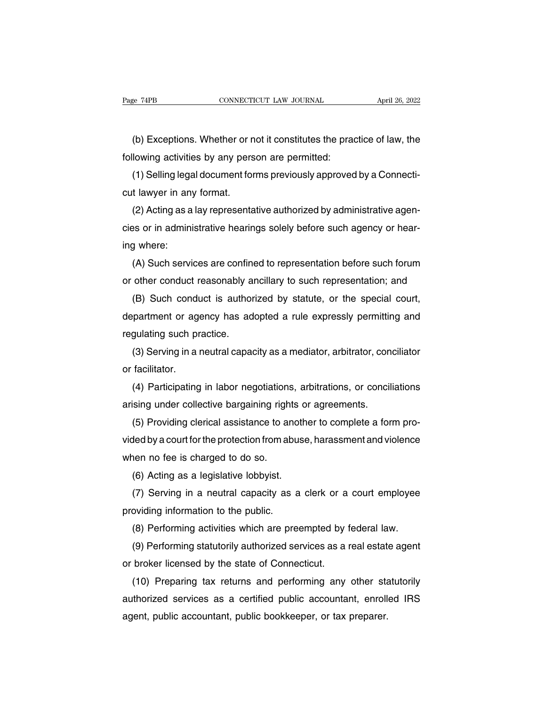(b) Exceptions. Whether or not it constitutes the practice of law, the<br>lowing activities by any person are permitted: Fage 74PB<br>CONNECTICUT LAW JOURNAL<br>(b) Exceptions. Whether or not it constitutes the practiculary<br>following activities by any person are permitted:<br>(1) Selling legal document forms previously approved

(b) Exceptions. Whether or not it constitutes the practice of law, the<br>lowing activities by any person are permitted:<br>(1) Selling legal document forms previously approved by a Connecti-<br>t lawyer in any format. (b) Exceptions. Whether or n<br>following activities by any pers<br>(1) Selling legal document for<br>cut lawyer in any format.<br>(2) Acting as a lay representa

(b) Exceptions. Whether or not it constitutes the practice of law, the<br>lowing activities by any person are permitted:<br>(1) Selling legal document forms previously approved by a Connecti-<br>t lawyer in any format.<br>(2) Acting a following activities by any person are permitted:<br>
(1) Selling legal document forms previously approved by a Connecti-<br>
cut lawyer in any format.<br>
(2) Acting as a lay representative authorized by administrative agen-<br>
cies (1) Selling lega<br>cut lawyer in an<br>(2) Acting as a<br>cies or in admin<br>ing where:<br>(A) Such servi t lawyer in any tormat.<br>(2) Acting as a lay representative authorized by administrative agen-<br>es or in administrative hearings solely before such agency or hear-<br>g where:<br>(A) Such services are confined to representation be (2) Acting as a lay representative authorized by administrative agencies or in administrative hearings solely before such agency or hearing where:<br>
(A) Such services are confined to representation before such forum<br>
or oth

between such agency or hear-<br>g where:<br>(A) Such services are confined to representation before such forum<br>other conduct reasonably ancillary to such representation; and<br>(B) Such conduct is authorized by statute, or the spec ing where:<br>
(A) Such services are confined to representation before such forum<br>
or other conduct reasonably ancillary to such representation; and<br>
(B) Such conduct is authorized by statute, or the special court,<br>
departmen (A) Such services are contin<br>or other conduct reasonably a<br>(B) Such conduct is author<br>department or agency has ad<br>regulating such practice.<br>(3) Serving in a neutral capad other conduct reasonably ancillary to such representation; and<br>(B) Such conduct is authorized by statute, or the special court,<br>partment or agency has adopted a rule expressly permitting and<br>gulating such practice.<br>(3) Ser (B) Such condidepartment or age<br>department or age<br>regulating such pr<br>(3) Serving in a l<br>or facilitator.<br>(4) Participating

partment or agency has adopted a rule expressly permitting and<br>gulating such practice.<br>(3) Serving in a neutral capacity as a mediator, arbitrator, conciliator<br>facilitator.<br>(4) Participating in labor negotiations, arbitrat regulating such practice.<br>
(3) Serving in a neutral capacity as a mediator, arbitrator, con<br>
or facilitator.<br>
(4) Participating in labor negotiations, arbitrations, or concil<br>
arising under collective bargaining rights or (3) Serving in a neutral capacity as a mediator, arbitrator, conciliator<br>or facilitator.<br>(4) Participating in labor negotiations, arbitrations, or conciliations<br>arising under collective bargaining rights or agreements.<br>(5)

or facilitator.<br>
(4) Participating in labor negotiations, arbitrations, or conciliations<br>
arising under collective bargaining rights or agreements.<br>
(5) Providing clerical assistance to another to complete a form pro-<br>
vid (4) Participating in labor negotiations<br>arising under collective bargaining righ<br>(5) Providing clerical assistance to ar<br>vided by a court for the protection from at<br>when no fee is charged to do so.<br>(6) Acting as a legislat sing under collective bargaining rights of<br>(5) Providing clerical assistance to anoth<br>ded by a court for the protection from abuse<br>nen no fee is charged to do so.<br>(6) Acting as a legislative lobbyist.<br>(7) Serving in a neut (5) Providing clerical assistance to another to complete a form pro-<br>ded by a court for the protection from abuse, harassment and violence<br>nen no fee is charged to do so.<br>(6) Acting as a legislative lobbyist.<br>(7) Serving i

vided by a court for the protection from abum<br>when no fee is charged to do so.<br>(6) Acting as a legislative lobbyist.<br>(7) Serving in a neutral capacity as a<br>providing information to the public.<br>(8) Performing activities whi Nen no tee is charged to do so.<br>
(6) Acting as a legislative lobbyist.<br>
(7) Serving in a neutral capacity as a clerk or a court employee<br>
oviding information to the public.<br>
(8) Performing activities which are preempted by (6) Acting as a legislative lobbyist.<br>
(7) Serving in a neutral capacity as a clerk or a court employee<br>
oviding information to the public.<br>
(8) Performing activities which are preempted by federal law.<br>
(9) Performing sta

(7) Serving in a neutral capacity as a clerk or a<br>providing information to the public.<br>(8) Performing activities which are preempted by  $(9)$  Performing statutorily authorized services as a<br>or broker licensed by the state

oviding information to the public.<br>
(8) Performing activities which are preempted by federal law.<br>
(9) Performing statutorily authorized services as a real estate agent<br>
broker licensed by the state of Connecticut.<br>
(10) P (8) Performing activities which are preempted by tederal law.<br>
(9) Performing statutorily authorized services as a real estate agent<br>
or broker licensed by the state of Connecticut.<br>
(10) Preparing tax returns and performi (9) Performing statutorily authorized services as a real estat<br>or broker licensed by the state of Connecticut.<br>(10) Preparing tax returns and performing any other statuthorized services as a certified public accountant, en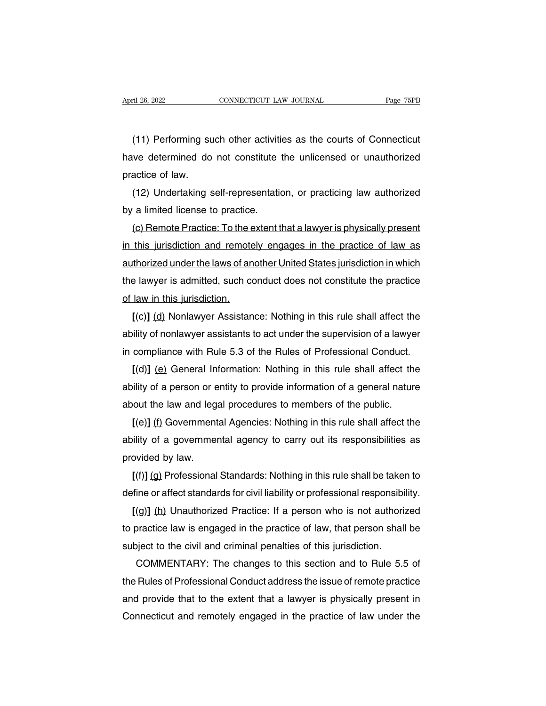The CONNECTICUT LAW JOURNAL THE Page 75PB<br>(11) Performing such other activities as the courts of Connecticut<br>The determined do not constitute the unlicensed or unauthorized April 26, 2022 CONNECTICUT LAW JOURNAL Page 75PB<br>
(11) Performing such other activities as the courts of Connecticut<br>
have determined do not constitute the unlicensed or unauthorized<br>
practice of law. (11) Performing su<br>have determined do<br>practice of law.<br>(12) Undertaking s (11) Performing such other activities as the courts of Connecticut<br>we determined do not constitute the unlicensed or unauthorized<br>actice of law.<br>(12) Undertaking self-representation, or practicing law authorized<br>a limited (11) Performing such other activitie<br>have determined do not constitute to<br>practice of law.<br>(12) Undertaking self-representation<br>by a limited license to practice.<br>(c) Remote Practice: To the extent to

We determined do not constitute the unlicensed or unauthorized<br>actice of law.<br>(12) Undertaking self-representation, or practicing law authorized<br>a limited license to practice.<br>(c) Remote Practice: To the extent that a lawy practice of law.<br>
(12) Undertaking self-representation, or practicing law authorized<br>
by a limited license to practice.<br>
(c) Remote Practice: To the extent that a lawyer is physically present<br>
in this jurisdiction and remo (12) Undertaking self-representation, or practicing law authorized<br>by a limited license to practice.<br>(c) Remote Practice: To the extent that a lawyer is physically present<br>in this jurisdiction and remotely engages in the p by a limited license to practice.<br>
(c) Remote Practice: To the extent that a lawyer is physically present<br>
in this jurisdiction and remotely engages in the practice of law as<br>
authorized under the laws of another United St (c) Hemote Practice: To the e<br>in this jurisdiction and remote<br>authorized under the laws of an<br>the lawyer is admitted, such co<br>of law in this jurisdiction.<br> $[(c)] (d)$  Nonlawyer Assistan this jurisdiction and remotely engages in the practice of law as<br>thorized under the laws of another United States jurisdiction in which<br>a lawyer is admitted, such conduct does not constitute the practice<br>law in this jurisd

authorized under the laws of another United States jurisdiction in which<br>the lawyer is admitted, such conduct does not constitute the practice<br>of law in this jurisdiction.<br>[(c)] (d) Nonlawyer Assistance: Nothing in this ru the lawyer is admitted, such conduct does not constitute the practice<br>of law in this jurisdiction.<br>[(c)] (d) Nonlawyer Assistance: Nothing in this rule shall affect the<br>ability of nonlawyer assistants to act under the supe Iaw in this jurisdiction.<br>
[(c)] (d) Nonlawyer Assistance: Nothing in this rule shall affect the<br>
ility of nonlawyer assistants to act under the supervision of a lawyer<br>
compliance with Rule 5.3 of the Rules of Professiona

 $[(c)]$  (d) Nonlawyer Assistance: Nothing in this rule shall affect the<br>ability of nonlawyer assistants to act under the supervision of a lawyer<br>in compliance with Rule 5.3 of the Rules of Professional Conduct.<br> $[(d)]$  (e) Ge ability of nonlawyer assistants to act under the supervision of a lawyer<br>in compliance with Rule 5.3 of the Rules of Professional Conduct.<br>[(d)] (e) General Information: Nothing in this rule shall affect the<br>ability of a p compliance with Hule 5.3 of the Hules of Professional Conduct.<br>
[(d)] (e) General Information: Nothing in this rule shall affect the<br>
ility of a person or entity to provide information of a general nature<br>
out the law and

 $[(d)]$  (e) General Information: Nothing in this rule shall affect the ability of a person or entity to provide information of a general nature about the law and legal procedures to members of the public.  $[(e)]$  (f) Governme ability of a person or e<br>about the law and lega<br>[(e)] <u>(f)</u> Government<br>ability of a governmen<br>provided by law.<br>[(f)] <u>(g</u>) Professional out the law and legal procedures to members of the public.<br>
[(e)] (f) Governmental Agencies: Nothing in this rule shall affect the<br>
ility of a governmental agency to carry out its responsibilities as<br>
poided by law.<br>
[(f)]  $I(e)$ ] (I) Governmental Agencies: Nothing in this rule shall affect the<br>ability of a governmental agency to carry out its responsibilities as<br>provided by law.<br> $I(f)$ ] (g) Professional Standards: Nothing in this rule shall

Firsty of a governmental agency to carry out its responsibilities as<br>povided by law.<br>**[(f)]** (g) Professional Standards: Nothing in this rule shall be taken to<br>fine or affect standards for civil liability or professional r provided by law.<br>
[(f)] (g) Professional Standards: Nothing in this rule shall be taken to<br>
define or affect standards for civil liability or professional responsibility.<br>
[(g)] (h) Unauthorized Practice: If a person who i  $\lfloor$ (f)] (g) Protessional Standards: Nothing in this rule shall be taken<br>define or affect standards for civil liability or professional responsibi<br> $\lfloor$ (g)] (h) Unauthorized Practice: If a person who is not authoriz<br>to p ine or affect standards for civil liability or professional responsibility.<br>
(g)] (h) Unauthorized Practice: If a person who is not authorized<br>
practice law is engaged in the practice of law, that person shall be<br>
pject to

 $I(g)$  (h) Unauthorized Practice: It a person who is not authorized<br>to practice law is engaged in the practice of law, that person shall be<br>subject to the civil and criminal penalties of this jurisdiction.<br>COMMENTARY: The to practice law is engaged in the practice of law, that person shall be<br>subject to the civil and criminal penalties of this jurisdiction.<br>COMMENTARY: The changes to this section and to Rule 5.5 of<br>the Rules of Professional subject to the civil and criminal penalties of this jurisdiction.<br>COMMENTARY: The changes to this section and to Rule 5.5 of<br>the Rules of Professional Conduct address the issue of remote practice<br>and provide that to the ex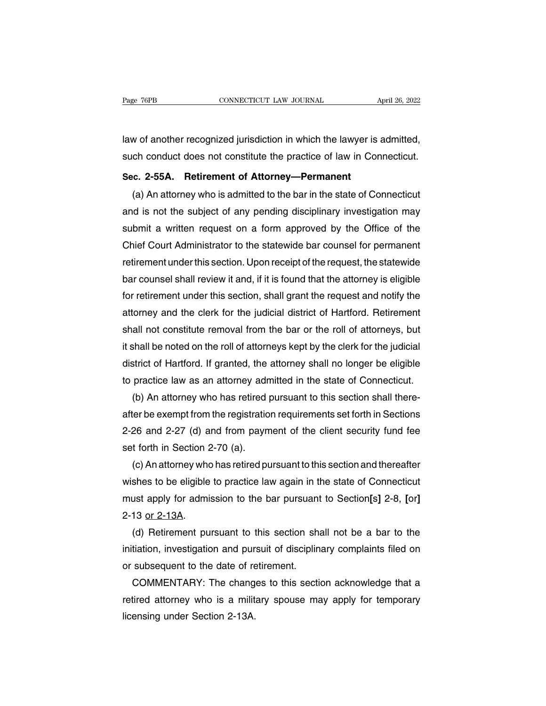Page 76PB CONNECTICUT LAW JOURNAL April 26, 2022<br>law of another recognized jurisdiction in which the lawyer is admitted,<br>such conduct does not constitute the practice of law in Connecticut. Page 76PB CONNECTICUT LAW JOURNAL April 26, 2022<br>
Such conduct does not constitute the practice of law in Connecticut.<br>
Sec. 2-55A. Retirement of Attorney—Permanent **Sec.** 2-55A. Retirement of Attorney—Permanent (a) An attorney who is admitted to the bar in the state of Co.

w of another recognized jurisdiction in which the lawyer is admitted,<br>ch conduct does not constitute the practice of law in Connecticut.<br>c. 2-55A. Retirement of Attorney—Permanent<br>(a) An attorney who is admitted to the bar and is not the subject of any pending disciplinary investigation may<br>such conduct does not constitute the practice of law in Connecticut.<br>Sec. 2-55A. Retirement of Attorney—Permanent<br>(a) An attorney who is admitted to the such conduct does not constitute the practice of law in Connecticut.<br>Sec. 2-55A. Retirement of Attorney—Permanent<br>(a) An attorney who is admitted to the bar in the state of Connecticut<br>and is not the subject of any pending Sec. 2-55A. Retirement of Attorney—Permanent<br>
(a) An attorney who is admitted to the bar in the state of Connecticut<br>
and is not the subject of any pending disciplinary investigation may<br>
submit a written request on a form (a) An attorney who is admitted to the bar in the state of Connecticut<br>and is not the subject of any pending disciplinary investigation may<br>submit a written request on a form approved by the Office of the<br>Chief Court Admin and is not the subject of any pending disciplinary investigation may<br>submit a written request on a form approved by the Office of the<br>Chief Court Administrator to the statewide bar counsel for permanent<br>retirement under th submit a written request on a form approved by the Office of the<br>Chief Court Administrator to the statewide bar counsel for permanent<br>retirement under this section. Upon receipt of the request, the statewide<br>bar counsel sh Chief Court Administrator to the statewide bar counsel for permanent<br>retirement under this section. Upon receipt of the request, the statewide<br>bar counsel shall review it and, if it is found that the attorney is eligible<br>f retirement under this section. Upon receipt of the request, the statewide<br>bar counsel shall review it and, if it is found that the attorney is eligible<br>for retirement under this section, shall grant the request and notify bar counsel shall review it and, if it is found that the attorney is eligible<br>for retirement under this section, shall grant the request and notify the<br>attorney and the clerk for the judicial district of Hartford. Retireme for retirement under this section, shall grant the request and notify the<br>attorney and the clerk for the judicial district of Hartford. Retirement<br>shall not constitute removal from the bar or the roll of attorneys, but<br>it attorney and the clerk for the judicial district of Hartford. Retirement<br>shall not constitute removal from the bar or the roll of attorneys, but<br>it shall be noted on the roll of attorneys kept by the clerk for the judicial all not constitute removal from the bar or the roll of attorneys, but<br>shall be noted on the roll of attorneys kept by the clerk for the judicial<br>strict of Hartford. If granted, the attorney shall no longer be eligible<br>prac

it shall be noted on the roll of attorneys kept by the clerk for the judicial<br>district of Hartford. If granted, the attorney shall no longer be eligible<br>to practice law as an attorney admitted in the state of Connecticut.<br> district of Hartford. If granted, the attorney shall no longer be eligible<br>to practice law as an attorney admitted in the state of Connecticut.<br>(b) An attorney who has retired pursuant to this section shall there-<br>after be to practice law as an attorney admitted in the state of Connecticut.<br>
(b) An attorney who has retired pursuant to this section shall there-<br>
after be exempt from the registration requirements set forth in Sections<br>
2-26 an (b) An attorney who has retired pursuant to this section shall there-<br>ter be exempt from the registration requirements set forth in Sections<br>26 and 2-27 (d) and from payment of the client security fund fee<br>t forth in Secti

after be exempt from the registration requirements set forth in Sections<br>2-26 and 2-27 (d) and from payment of the client security fund fee<br>set forth in Section 2-70 (a).<br>(c) An attorney who has retired pursuant to this se 2-26 and 2-27 (d) and from payment of the client security fund fee<br>set forth in Section 2-70 (a).<br>(c) An attorney who has retired pursuant to this section and thereafter<br>wishes to be eligible to practice law again in the s set forth in Section 2<br>
(c) An attorney who<br>
wishes to be eligible<br>
must apply for admi<br>
2-13 <u>or 2-13A</u>.<br>
(d) Retirement pu (c) An attorney who has retired pursuant to this section and thereafter<br>shes to be eligible to practice law again in the state of Connecticut<br>ust apply for admission to the bar pursuant to Section[s] 2-8, [or]<br>13 <u>or 2-13A</u> wishes to be eligible to practice law again in the state of Connecticut<br>must apply for admission to the bar pursuant to Section[s] 2-8, [or]<br>2-13 <u>or 2-13A</u>.<br>(d) Retirement pursuant to this section shall not be a bar to th

must apply for admission to the bar pursuant<br>2-13 <u>or 2-13A</u>.<br>(d) Retirement pursuant to this section shat<br>initiation, investigation and pursuit of disciplin<br>or subsequent to the date of retirement.<br>COMMENTARY: The changes 13 or 2-13A.<br>
(d) Retirement pursuant to this section shall not be a bar to the<br>
tiation, investigation and pursuit of disciplinary complaints filed on<br>
subsequent to the date of retirement.<br>
COMMENTARY: The changes to thi (d) Retirement pursuant to this section shall not be a bar to the initiation, investigation and pursuit of disciplinary complaints filed on or subsequent to the date of retirement.<br>COMMENTARY: The changes to this section a

initiation, investigation and pursuit of disciplinary complaints filed on<br>or subsequent to the date of retirement.<br>COMMENTARY: The changes to this section acknowledge that a<br>retired attorney who is a military spouse may ap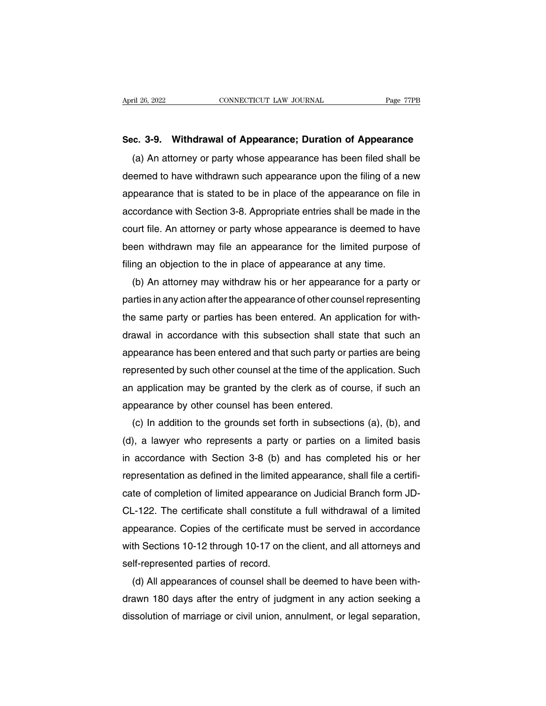April 26, 2022 **CONNECTICUT LAW JOURNAL** Page 77PB<br> **Sec. 3-9. Withdrawal of Appearance; Duration of Appearance**<br>
(a) An attorney or party whose appearance has been filed shall be (a) An attorney or party whose appearance; **Duration of Appearance**<br>(a) An attorney or party whose appearance has been filed shall be<br>eemed to have withdrawn such appearance upon the filing of a new Sec. 3-9. Withdrawal of Appearance; Duration of Appearance<br>(a) An attorney or party whose appearance has been filed shall be<br>deemed to have withdrawn such appearance upon the filing of a new<br>appearance that is stated to be Sec. 3-9. Withdrawal of Appearance; Duration of Appearance<br>
(a) An attorney or party whose appearance has been filed shall be<br>
deemed to have withdrawn such appearance upon the filing of a new<br>
appearance that is stated to sec. 3-9. Withdrawal or Appearance; Duration or Appearance<br>
(a) An attorney or party whose appearance has been filed shall be<br>
deemed to have withdrawn such appearance upon the filing of a new<br>
appearance that is stated to (a) An attorney or party whose appearance has been filed shall be<br>deemed to have withdrawn such appearance upon the filing of a new<br>appearance that is stated to be in place of the appearance on file in<br>accordance with Sect deemed to have withdrawn such appearance upon the filling of a new<br>appearance that is stated to be in place of the appearance on file in<br>accordance with Section 3-8. Appropriate entries shall be made in the<br>court file. An appearance that is stated to be in place of the appearance on file<br>accordance with Section 3-8. Appropriate entries shall be made in t<br>court file. An attorney or party whose appearance is deemed to ha<br>been withdrawn may fi cordance with Section 3-8. Appropriate entries shall be made in the<br>urt file. An attorney or party whose appearance is deemed to have<br>en withdrawn may file an appearance for the limited purpose of<br>ng an objection to the in

court file. An attorney or party whose appearance is deemed to have<br>been withdrawn may file an appearance for the limited purpose of<br>filing an objection to the in place of appearance at any time.<br>(b) An attorney may withdr been withdrawn may tile an appearance tor the limited purpose of<br>filing an objection to the in place of appearance at any time.<br>(b) An attorney may withdraw his or her appearance for a party or<br>parties in any action after filling an objection to the in place of appearance at any time.<br>
(b) An attorney may withdraw his or her appearance for a party or<br>
parties in any action after the appearance of other counsel representing<br>
the same party o (b) An attorney may withdraw his or her appearance for a party or<br>parties in any action after the appearance of other counsel representing<br>the same party or parties has been entered. An application for with-<br>drawal in acco parties in any action after the appearance of other counsel representing<br>the same party or parties has been entered. An application for with-<br>drawal in accordance with this subsection shall state that such an<br>appearance ha the same party or parties has been entered. An application for with-<br>drawal in accordance with this subsection shall state that such an<br>appearance has been entered and that such party or parties are being<br>represented by su drawal in accordance with this subsection shall state<br>appearance has been entered and that such party or parepresented by such other counsel at the time of the ap<br>an application may be granted by the clerk as of cou<br>appear presented by such other counsel at the time of the application. Such<br>presented by such other counsel at the time of the application. Such<br>application may be granted by the clerk as of course, if such an<br>pearance by other c

represented by such other counsel at the time of the application. Such<br>an application may be granted by the clerk as of course, if such an<br>appearance by other counsel has been entered.<br>(c) In addition to the grounds set fo an application may be granted by the clerk as of course, if such an<br>appearance by other counsel has been entered.<br>(c) In addition to the grounds set forth in subsections (a), (b), and<br>(d), a lawyer who represents a party o appearance by other counsel has been entered.<br>
(c) In addition to the grounds set forth in subsections (a), (b), and<br>
(d), a lawyer who represents a party or parties on a limited basis<br>
in accordance with Section 3-8 (b) a (c) In addition to the grounds set forth in subsections (a), (b), and<br>(d), a lawyer who represents a party or parties on a limited basis<br>in accordance with Section 3-8 (b) and has completed his or her<br>representation as de (d), a lawyer who represents a party or parties on a limited basis<br>in accordance with Section 3-8 (b) and has completed his or her<br>representation as defined in the limited appearance, shall file a certifi-<br>cate of completi in accordance with Section 3-8 (b) and has completed his or her<br>representation as defined in the limited appearance, shall file a certifi-<br>cate of completion of limited appearance on Judicial Branch form JD-<br>CL-122. The ce representation as defined in the limited appearance, shall file a certificate of completion of limited appearance on Judicial Branch form JD-CL-122. The certificate shall constitute a full withdrawal of a limited appearanc cate of completion of limited appearance<br>CL-122. The certificate shall constitute<br>appearance. Copies of the certificate m<br>with Sections 10-12 through 10-17 on th<br>self-represented parties of record.<br>(d) All appearances of c -122. The certificate shall constitute a full withdrawal of a limited<br>pearance. Copies of the certificate must be served in accordance<br>th Sections 10-12 through 10-17 on the client, and all attorneys and<br>lf-represented par

appearance. Copies of the certificate must be served in accordance<br>with Sections 10-12 through 10-17 on the client, and all attorneys and<br>self-represented parties of record.<br>(d) All appearances of counsel shall be deemed t with Sections 10-12 through 10-17 on the client, and all attorneys and<br>self-represented parties of record.<br>(d) All appearances of counsel shall be deemed to have been with-<br>drawn 180 days after the entry of judgment in any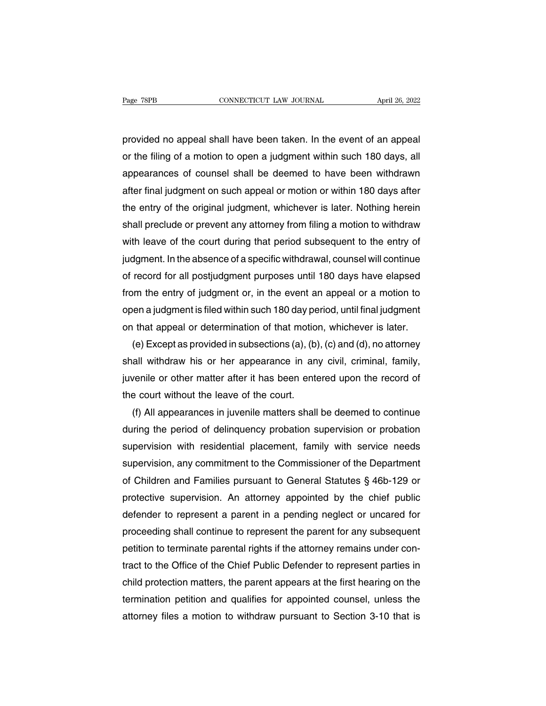Page 78PB<br>
cONNECTICUT LAW JOURNAL April 26, 2022<br>
provided no appeal shall have been taken. In the event of an appeal<br>
or the filing of a motion to open a judgment within such 180 days, all Page 78PB CONNECTICUT LAW JOURNAL April 26, 2022<br>provided no appeal shall have been taken. In the event of an appeal<br>or the filing of a motion to open a judgment within such 180 days, all<br>appearances of counsel shall be de apple 1868 and the convection Law 300 and Apple 20, 2022<br>provided no appeal shall have been taken. In the event of an appeal<br>or the filing of a motion to open a judgment within such 180 days, all<br>appearances of counsel sha provided no appeal shall have been taken. In the event of an appeal<br>or the filing of a motion to open a judgment within such 180 days, all<br>appearances of counsel shall be deemed to have been withdrawn<br>after final judgment provided no appeal shall have been taken. In the event of an appeal<br>or the filing of a motion to open a judgment within such 180 days, all<br>appearances of counsel shall be deemed to have been withdrawn<br>after final judgment or the filing of a motion to open a judgment within such 180 days, all<br>appearances of counsel shall be deemed to have been withdrawn<br>after final judgment on such appeal or motion or within 180 days after<br>the entry of the o appearances of counsel shall be deemed to have been withdrawn<br>after final judgment on such appeal or motion or within 180 days after<br>the entry of the original judgment, whichever is later. Nothing herein<br>shall preclude or after final judgment on such appeal or motion or within 180 days after<br>the entry of the original judgment, whichever is later. Nothing herein<br>shall preclude or prevent any attorney from filing a motion to withdraw<br>with lea the entry of the original judgment, whichever is later. Nothing herein<br>shall preclude or prevent any attorney from filing a motion to withdraw<br>with leave of the court during that period subsequent to the entry of<br>judgment. shall preclude or prevent any attorney from filing a motion to withdraw<br>with leave of the court during that period subsequent to the entry of<br>judgment. In the absence of a specific withdrawal, counsel will continue<br>of reco with leave of the court during that period subsequent to the entry of<br>judgment. In the absence of a specific withdrawal, counsel will continue<br>of record for all postjudgment purposes until 180 days have elapsed<br>from the en judgment. In the absence of a specific withdrawal, counsel will continue<br>of record for all postjudgment purposes until 180 days have elapsed<br>from the entry of judgment or, in the event an appeal or a motion to<br>open a judgm record for all postjudgment purposes until 180 days have elapsed<br>om the entry of judgment or, in the event an appeal or a motion to<br>en a judgment is filed within such 180 day period, until final judgment<br>that appeal or det

from the entry of judgment or, in the event an appeal or a motion to<br>open a judgment is filed within such 180 day period, until final judgment<br>on that appeal or determination of that motion, whichever is later.<br>(e) Except open a judgment is filed within such 180 day period, until final judgment<br>on that appeal or determination of that motion, whichever is later.<br>(e) Except as provided in subsections (a), (b), (c) and (d), no attorney<br>shall w on that appeal or determination of that motion<br>
(e) Except as provided in subsections (a), (b)<br>
shall withdraw his or her appearance in an<br>
juvenile or other matter after it has been ente<br>
the court without the leave of th (e) Except as provided in subsections (a), (b), (c) and (d), no attorney<br>all withdraw his or her appearance in any civil, criminal, family,<br>venile or other matter after it has been entered upon the record of<br>e court witho

shall withdraw his or her appearance in any civil, criminal, family,<br>juvenile or other matter after it has been entered upon the record of<br>the court without the leave of the court.<br>(f) All appearances in juvenile matters s invenile or other matter after it has been entered upon the record of<br>the court without the leave of the court.<br>(f) All appearances in juvenile matters shall be deemed to continue<br>during the period of delinquency probation the court without the leave of the court.<br>
(f) All appearances in juvenile matters shall be deemed to continue<br>
during the period of delinquency probation supervision or probation<br>
supervision with residential placement, (f) All appearances in juvenile matters shall be deemed to continue<br>during the period of delinquency probation supervision or probation<br>supervision with residential placement, family with service needs<br>supervision, any co during the period of delinquency probation supervision or probation<br>supervision with residential placement, family with service needs<br>supervision, any commitment to the Commissioner of the Department<br>of Children and Famili supervision with residential placement, family with service needs<br>supervision, any commitment to the Commissioner of the Department<br>of Children and Families pursuant to General Statutes § 46b-129 or<br>protective supervision. supervision, any commitment to the Commissioner of the Department<br>of Children and Families pursuant to General Statutes § 46b-129 or<br>protective supervision. An attorney appointed by the chief public<br>defender to represent a of Children and Families pursuant to General Statutes  $\S$  46b-129 or protective supervision. An attorney appointed by the chief public defender to represent a parent in a pending neglect or uncared for proceeding shall co protective supervision. An attorney appointed by the chief public<br>defender to represent a parent in a pending neglect or uncared for<br>proceeding shall continue to represent the parent for any subsequent<br>petition to terminat defender to represent a parent in a pending neglect or uncared for<br>proceeding shall continue to represent the parent for any subsequent<br>petition to terminate parental rights if the attorney remains under con-<br>tract to the proceeding shall continue to represent the parent for any subsequent<br>petition to terminate parental rights if the attorney remains under con-<br>tract to the Office of the Chief Public Defender to represent parties in<br>child p petition to terminate parental rights if the attorney remains under contract to the Office of the Chief Public Defender to represent parties in child protection matters, the parent appears at the first hearing on the termi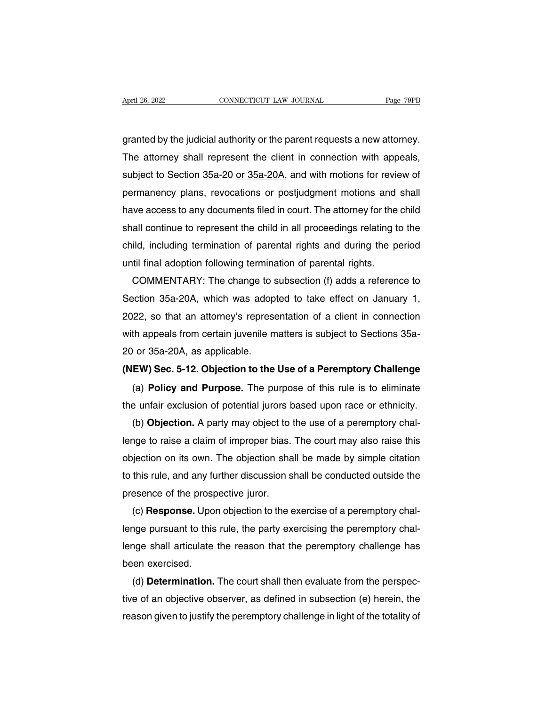April 26, 2022<br>
GONNECTICUT LAW JOURNAL<br>
granted by the judicial authority or the parent requests a new attorney.<br>
The attorney shall represent the client in connection with appeals, April 26, 2022 CONNECTICUT LAW JOURNAL Page 79PB<br>granted by the judicial authority or the parent requests a new attorney.<br>The attorney shall represent the client in connection with appeals,<br>subject to Section 35a-20 or 35a subject to Section 35a-20 or 35a-20A, and with motions and shall<br>pranted by the judicial authority or the parent requests a new attorney.<br>The attorney shall represent the client in connection with appeals,<br>subject to Secti granted by the judicial authority or the parent requests a new attorney.<br>The attorney shall represent the client in connection with appeals,<br>subject to Section 35a-20 <u>or 35a-20A,</u> and with motions for review of<br>permanency granted by the judicial authority or the parent requests a new attorney.<br>The attorney shall represent the client in connection with appeals,<br>subject to Section 35a-20 <u>or 35a-20A</u>, and with motions for review of<br>permanency The attorney shall represent the client in connection with appeals,<br>subject to Section 35a-20 <u>or 35a-20A</u>, and with motions for review of<br>permanency plans, revocations or postjudgment motions and shall<br>have access to any subject to Section 35a-20 <u>or 35a-20A</u>, and with motions for review of<br>permanency plans, revocations or postjudgment motions and shall<br>have access to any documents filed in court. The attorney for the child<br>shall continue permanency plans, revocations or postjudgment motions and<br>have access to any documents filed in court. The attorney for the<br>shall continue to represent the child in all proceedings relating to<br>child, including termination We access to any documents filed in court. The attorney for the child<br>all continue to represent the child in all proceedings relating to the<br>ild, including termination of parental rights and during the period<br>til final ado

shall continue to represent the child in all proceedings relating to the<br>child, including termination of parental rights and during the period<br>until final adoption following termination of parental rights.<br>COMMENTARY: The child, including termination of parental rights and during the period<br>until final adoption following termination of parental rights.<br>COMMENTARY: The change to subsection (f) adds a reference to<br>Section 35a-20A, which was a until final adoption following termination of parental rights.<br>COMMENTARY: The change to subsection (f) adds a reference to<br>Section 35a-20A, which was adopted to take effect on January 1,<br>2022, so that an attorney's repres COMMENTARY: The change to s<br>Section 35a-20A, which was adop<br>2022, so that an attorney's represe<br>with appeals from certain juvenile m<br>20 or 35a-20A, as applicable.<br>**(NEW) Sec. 5-12. Objection to the** Section 35a-20A, which was adopted to take effect on January 1,<br>2022, so that an attorney's representation of a client in connection<br>with appeals from certain juvenile matters is subject to Sections 35a-<br>20 or 35a-20A, as EXTER 35 That an attorney's representation of a client in connection<br>th appeals from certain juvenile matters is subject to Sections 35a-<br>or 35a-20A, as applicable.<br>**EW) Sec. 5-12. Objection to the Use of a Peremptory Chal** 

with appeals from certain juvenile matters is subject to Sections 35a-<br>20 or 35a-20A, as applicable.<br>(NEW) Sec. 5-12. Objection to the Use of a Peremptory Challenge<br>(a) Policy and Purpose. The purpose of this rule is to el

(b) **Sec. 5-12. Objection to the Use of a Peremptory Challenge**<br>(a) **Policy and Purpose.** The purpose of this rule is to eliminate<br>e unfair exclusion of potential jurors based upon race or ethnicity.<br>(b) **Objection.** A par (NEW) Sec. 5-12. Objection to the Use of a Peremptory Challenge<br>
(a) Policy and Purpose. The purpose of this rule is to eliminate<br>
the unfair exclusion of potential jurors based upon race or ethnicity.<br>
(b) Objection. A pa (a) **Policy and Purpose.** The purpose of this rule is to eliminate<br>the unfair exclusion of potential jurors based upon race or ethnicity.<br>(b) **Objection.** A party may object to the use of a peremptory chal-<br>lenge to raise the untair exclusion of potential jurors based upon race or ethnicity.<br>
(b) **Objection.** A party may object to the use of a peremptory chal-<br>
lenge to raise a claim of improper bias. The court may also raise this<br>
objectio (b) **Objection.** A party may object to the prospection change to raise a claim of improper bias.<br>
objection on its own. The objection shalo this rule, and any further discussion s<br>
presence of the prospective juror.<br>
(c) The court may also raise this<br>iection on its own. The objection shall be made by simple citation<br>this rule, and any further discussion shall be conducted outside the<br>esence of the prospective juror.<br>(c) **Response.** Upon ob

objection on its own. The objection shall be made by simple citation<br>to this rule, and any further discussion shall be conducted outside the<br>presence of the prospective juror.<br>(c) **Response.** Upon objection to the exercise to this rule, and any turther discussion shall be conducted outside the<br>presence of the prospective juror.<br>(c) **Response.** Upon objection to the exercise of a peremptory chal-<br>lenge pursuant to this rule, the party exercis presence of the prosp<br>
(c) **Response.** Upor<br>
lenge pursuant to this<br>
lenge shall articulate<br>
been exercised.<br>
(d) **Determination.** (c) **Response.** Upon objection to the exercise of a peremptory chal-<br>nge pursuant to this rule, the party exercising the peremptory chal-<br>nge shall articulate the reason that the peremptory challenge has<br>en exercised.<br>(d)

tenge pursuant to this rule, the party exercising the peremptory challenge shall articulate the reason that the peremptory challenge has<br>been exercised.<br>(d) **Determination.** The court shall then evaluate from the perspec-<br> reason that the peremptory challenge has<br>been exercised.<br>(d) **Determination.** The court shall then evaluate from the perspec-<br>tive of an objective observer, as defined in subsection (e) herein, the<br>reason given to justify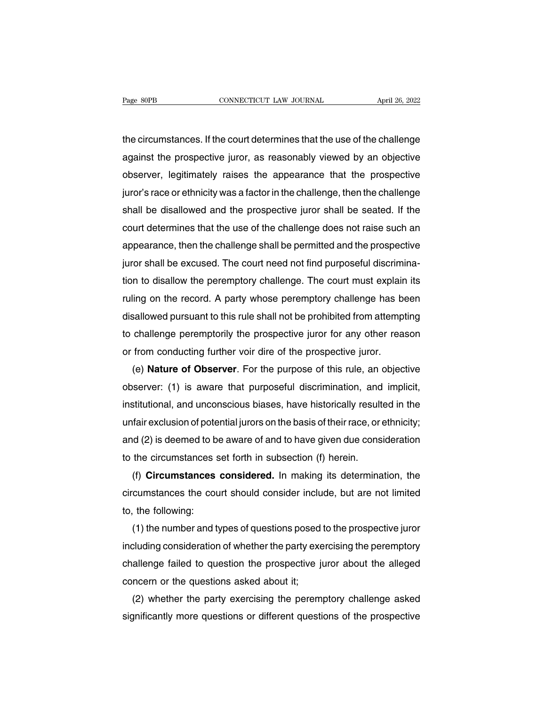The circumstances. If the court determines that the use of the challenge<br>against the prospective juror, as reasonably viewed by an objective Page 80PB CONNECTICUT LAW JOURNAL April 26, 2022<br>the circumstances. If the court determines that the use of the challenge<br>against the prospective juror, as reasonably viewed by an objective<br>observer, legitimately raises th observer, legitimately raises the appearance that the use of the challenge<br>against the prospective juror, as reasonably viewed by an objective<br>observer, legitimately raises the appearance that the prospective<br>juror's race the circumstances. If the court determines that the use of the challenge<br>against the prospective juror, as reasonably viewed by an objective<br>observer, legitimately raises the appearance that the prospective<br>juror's race or the circumstances. If the court determines that the use of the challenge<br>against the prospective juror, as reasonably viewed by an objective<br>observer, legitimately raises the appearance that the prospective<br>juror's race or against the prospective juror, as reasonably viewed by an objective<br>observer, legitimately raises the appearance that the prospective<br>juror's race or ethnicity was a factor in the challenge, then the challenge<br>shall be dis observer, legitimately raises the appearance that the prospective<br>juror's race or ethnicity was a factor in the challenge, then the challenge<br>shall be disallowed and the prospective juror shall be seated. If the<br>court dete juror's race or ethnicity was a factor in the challenge, then the challenge<br>shall be disallowed and the prospective juror shall be seated. If the<br>court determines that the use of the challenge does not raise such an<br>appear shall be disallowed and the prospective juror shall be seated. If the<br>court determines that the use of the challenge does not raise such an<br>appearance, then the challenge shall be permitted and the prospective<br>juror shall court determines that the use of the challenge does not raise such an<br>appearance, then the challenge shall be permitted and the prospective<br>juror shall be excused. The court need not find purposeful discrimina-<br>tion to dis appearance, then the challenge shall be permitted and the prospective<br>juror shall be excused. The court need not find purposeful discrimina-<br>tion to disallow the peremptory challenge. The court must explain its<br>ruling on t juror shall be excused. The court need not find purposeful discrimina-<br>tion to disallow the peremptory challenge. The court must explain its<br>ruling on the record. A party whose peremptory challenge has been<br>disallowed purs tion to disallow the peremptory challenge. The court must explain<br>ruling on the record. A party whose peremptory challenge has be<br>disallowed pursuant to this rule shall not be prohibited from attempt<br>to challenge peremptor Ing on the record. A party whose peremptory challenge has been<br>sallowed pursuant to this rule shall not be prohibited from attempting<br>challenge peremptorily the prospective juror for any other reason<br>from conducting furthe

disallowed pursuant to this rule shall not be prohibited from attempting<br>to challenge peremptorily the prospective juror for any other reason<br>or from conducting further voir dire of the prospective juror.<br>(e) **Nature of Ob** to challenge peremptorily the prospective juror tor any other reason<br>or from conducting further voir dire of the prospective juror.<br>(e) **Nature of Observer**. For the purpose of this rule, an objective<br>observer: (1) is awar or from conducting further voir dire of the prospective juror.<br>
(e) **Nature of Observer**. For the purpose of this rule, an objective<br>
observer: (1) is aware that purposeful discrimination, and implicit,<br>
institutional, and (e) **Nature of Observer**. For the purpose of this rule, an objective<br>observer: (1) is aware that purposeful discrimination, and implicit,<br>institutional, and unconscious biases, have historically resulted in the<br>unfair excl observer: (1) is aware that purposetul discrimination, and<br>institutional, and unconscious biases, have historically result<br>unfair exclusion of potential jurors on the basis of their race, or<br>and (2) is deemed to be aware o stitutional, and unconscious biases, have historically resulted in the<br>fair exclusion of potential jurors on the basis of their race, or ethnicity;<br>id (2) is deemed to be aware of and to have given due consideration<br>the ci

untair exclusion of potential jurors on the basis of their race, or ethnicity;<br>and (2) is deemed to be aware of and to have given due consideration<br>to the circumstances set forth in subsection (f) herein.<br>(f) **Circumstance** and (2) is deemed to b<br>to the circumstances  $s$ <br>(f) **Circumstances**<br>circumstances the cot<br>to, the following:<br>(1) the number and t the circumstances set forth in subsection (f) herein.<br>
(f) **Circumstances considered.** In making its determination, the<br>
cumstances the court should consider include, but are not limited<br>
the following:<br>
(1) the number and

(f) Circumstances considered. In making its determination, the<br>circumstances the court should consider include, but are not limited<br>to, the following:<br>(1) the number and types of questions posed to the prospective juror<br>in circumstances the court should consider include, but are not limited<br>to, the following:<br>(1) the number and types of questions posed to the prospective juror<br>including consideration of whether the party exercising the perem to, the following:<br>
(1) the number and types of questions posed<br>
including consideration of whether the party exe<br>
challenge failed to question the prospective ju<br>
concern or the questions asked about it;<br>
(2) whether the (1) the number and types of questions posed to the prospective juror<br>cluding consideration of whether the party exercising the peremptory<br>allenge failed to question the prospective juror about the alleged<br>ncern or the ques including consideration of whether the party exercising the peremptory<br>challenge failed to question the prospective juror about the alleged<br>concern or the questions asked about it;<br>(2) whether the party exercising the pere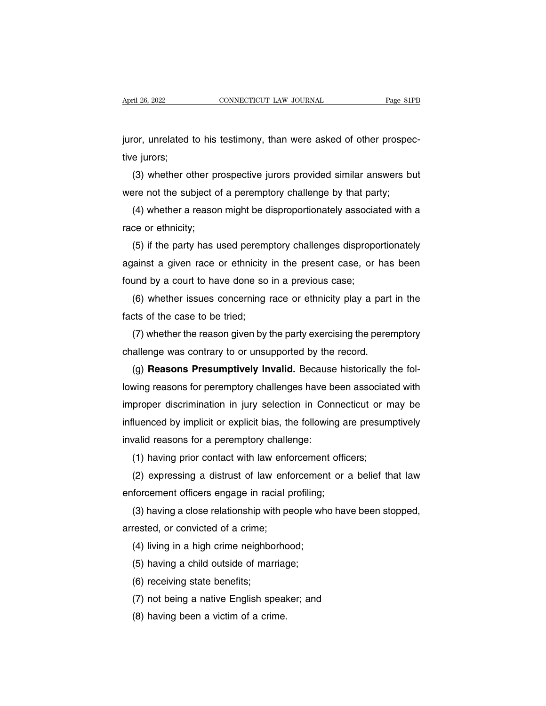April 26, 2022<br>
CONNECTICUT LAW JOURNAL<br>
juror, unrelated to his testimony, than were asked of other prospec-<br>
tive jurors; April 26, 2022<br>juror, unrelated<br>tive jurors;<br>(3) whether o (3) whether other prospective jurors provided similar answers but<br>there is interests:<br>(3) whether other prospective jurors provided similar answers but<br>are not the subject of a peremptory challenge by that party; juror, unrelated to his testimony, than were asked of other prospective jurors;<br>(3) whether other prospective jurors provided similar answers bot<br>were not the subject of a peremptory challenge by that party;<br>(4) whether a

for, unrelated to his testimony, than were asked of other prospec-<br>e jurors;<br>(3) whether other prospective jurors provided similar answers but<br>pre not the subject of a peremptory challenge by that party;<br>(4) whether a reas tive jurors;<br>(3) whether other pr<br>were not the subject o<br>(4) whether a reasor<br>race or ethnicity;<br>(5) if the party has u

(3) whether other prospective jurors provided similar answers but<br>ere not the subject of a peremptory challenge by that party;<br>(4) whether a reason might be disproportionately associated with a<br>ce or ethnicity;<br>(5) if the were not the subject of a peremptory challenge by that party;<br>
(4) whether a reason might be disproportionately associated with a<br>
race or ethnicity;<br>
(5) if the party has used peremptory challenges disproportionately<br>
aga (4) whether a reason might be disproportionately association<br>race or ethnicity;<br>(5) if the party has used peremptory challenges dispropor<br>against a given race or ethnicity in the present case, or<br>found by a court to have d (5) if the party has used peremptory challenges disproportionately<br>ainst a given race or ethnicity in the present case, or has been<br>und by a court to have done so in a previous case;<br>(6) whether issues concerning race or e (5) if the party has used perempagainst a given race or ethnicity<br>found by a court to have done so<br>(6) whether issues concerning l<br>facts of the case to be tried;<br>(7) whether the reason given by

found by a court to have done so in a previous case;<br>
(6) whether issues concerning race or ethnicity play a part<br>
facts of the case to be tried;<br>
(7) whether the reason given by the party exercising the perer<br>
challenge w

(3) and by a court to have done so in a previous case;<br>and by a court to have done so in a previous case;<br>(6) whether issues concerning race or ethnicity play a part in the<br>cts of the case to be tried;<br>(7) whether the reas

(6) whether issues concerning race or ethnicity play a part in the<br>cts of the case to be tried;<br>(7) whether the reason given by the party exercising the peremptory<br>allenge was contrary to or unsupported by the record.<br>(g) facts of the case to be tried;<br>
(7) whether the reason given by the party exercising the peremptory<br>
challenge was contrary to or unsupported by the record.<br>
(g) **Reasons Presumptively Invalid.** Because historically the fo (7) whether the reason given by the party exercising the peremptory<br>challenge was contrary to or unsupported by the record.<br>(g) **Reasons Presumptively Invalid.** Because historically the fol-<br>lowing reasons for peremptory c challenge was contrary to or unsupported by the record.<br>
(g) **Reasons Presumptively Invalid.** Because historically the fol-<br>
lowing reasons for peremptory challenges have been associated with<br>
improper discrimination in ju (g) **Reasons Presumptively Invalid.** Because<br>lowing reasons for peremptory challenges have be<br>improper discrimination in jury selection in Coni<br>influenced by implicit or explicit bias, the following<br>invalid reasons for a p wing reasons tor peremptory challenges have been associate<br>proper discrimination in jury selection in Connecticut or m<br>iluenced by implicit or explicit bias, the following are presum<br>valid reasons for a peremptory challeng proper discrimination in jury selection in Connecticut or may be<br>
iluenced by implicit or explicit bias, the following are presumptively<br>
valid reasons for a peremptory challenge:<br>
(1) having prior contact with law enforce

influenced by implicit or explicit bias, the following a<br>invalid reasons for a peremptory challenge:<br>(1) having prior contact with law enforcement offic<br>(2) expressing a distrust of law enforcement or a<br>enforcement officer

valld reasons for a peremptory challenge:<br>(1) having prior contact with law enforcement officers;<br>(2) expressing a distrust of law enforcement or a belief that law<br>forcement officers engage in racial profiling;<br>(3) having (1) having prior contact with law ento<br>
(2) expressing a distrust of law enforcement officers engage in racial p<br>
(3) having a close relationship with pe<br>
arrested, or convicted of a crime;<br>
(4) living in a high crime nei (2) expressing a distrust of law entorcemen<br>forcement officers engage in racial profiling;<br>(3) having a close relationship with people wherested, or convicted of a crime;<br>(4) living in a high crime neighborhood;<br>(5) having forcement officers engage in racial profiling;<br>(3) having a close relationship with people wl<br>rested, or convicted of a crime;<br>(4) living in a high crime neighborhood;<br>(5) having a child outside of marriage;<br>(6) receiving (3) having a close relationship wit<br>rested, or convicted of a crime;<br>(4) living in a high crime neighbo<br>(5) having a child outside of mari<br>(6) receiving state benefits;<br>(7) not being a native English sp

rested, or convicted of a crime;<br>(4) living in a high crime neighborhood;<br>(5) having a child outside of marriage;<br>(6) receiving state benefits;<br>(7) not being a native English speaker; and<br>(8) having been a victim of a crim (4) living in a high crime neighborhor<br>(5) having a child outside of marriag<br>(6) receiving state benefits;<br>(7) not being a native English speal<br>(8) having been a victim of a crime.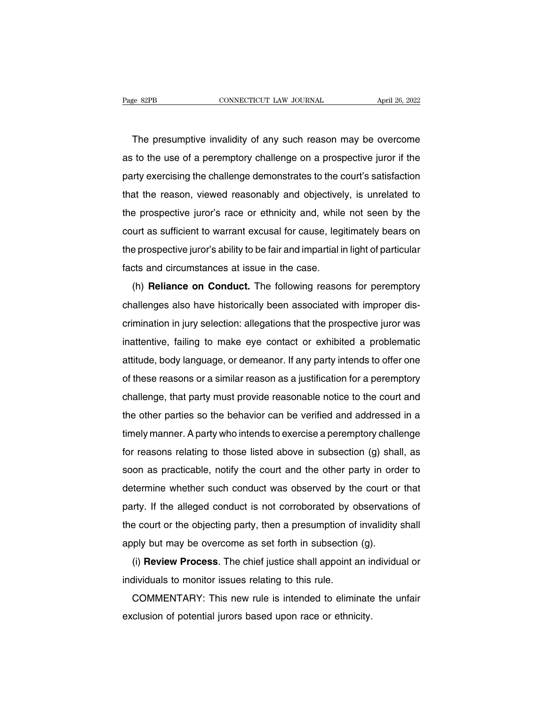The presumptive invalidity of any such reason may be overcome<br>to the use of a peremptory challenge on a prospective juror if the Fage 82PB CONNECTICUT LAW JOURNAL April 26, 2022<br>The presumptive invalidity of any such reason may be overcome<br>as to the use of a peremptory challenge on a prospective juror if the<br>party exercising the challenge demonstrat The presumptive invalidity of any such reason may be overcome<br>as to the use of a peremptory challenge on a prospective juror if the<br>party exercising the challenge demonstrates to the court's satisfaction<br>that the reason, v The presumptive invalidity of any such reason may be overcome<br>as to the use of a peremptory challenge on a prospective juror if the<br>party exercising the challenge demonstrates to the court's satisfaction<br>that the reason, v The presumplive invalidity of any such reason may be overcome<br>as to the use of a peremptory challenge on a prospective juror if the<br>party exercising the challenge demonstrates to the court's satisfaction<br>that the reason, v as to the use of a peremptory challenge on a prospective juror if the<br>party exercising the challenge demonstrates to the court's satisfaction<br>that the reason, viewed reasonably and objectively, is unrelated to<br>the prospect party exercising the challerige demonstrates to the court's satisfaction<br>that the reason, viewed reasonably and objectively, is unrelated to<br>the prospective juror's race or ethnicity and, while not seen by the<br>court as suf the prospective juror's race or ethnicity and objective<br>the prospective juror's race or ethnicity and, while<br>court as sufficient to warrant excusal for cause, legi<br>the prospective juror's ability to be fair and impartial i e prospective juror's late of emmittig and, while not seen by the<br>urt as sufficient to warrant excusal for cause, legitimately bears on<br>e prospective juror's ability to be fair and impartial in light of particular<br>ts and c

court as sumclem to warrant excusar for cause, regiminately bears on<br>the prospective juror's ability to be fair and impartial in light of particular<br>facts and circumstances at issue in the case.<br>(h) **Reliance on Conduct**. facts and circumstances at issue in the case.<br>(h) **Reliance on Conduct**. The following reasons for peremptory<br>challenges also have historically been associated with improper dis-<br>crimination in jury selection: allegations (h) **Reliance on Conduct**. The following reasons for peremptory challenges also have historically been associated with improper discrimination in jury selection: allegations that the prospective juror was inattentive, fail (ii) **Thenance on Conduct:** The following reasons for peremptory<br>challenges also have historically been associated with improper dis-<br>crimination in jury selection: allegations that the prospective juror was<br>inattentive, f crimination in jury selection: allegations that the prospective juror was<br>inattentive, failing to make eye contact or exhibited a problematic<br>attitude, body language, or demeanor. If any party intends to offer one<br>of these challenge, that party must provide reasonable notice to the court and the prospective jurid was<br>attitude, body language, or demeanor. If any party intends to offer one<br>of these reasons or a similar reason as a justificatio attitude, body language, or demeanor. If any party intends to offer one<br>of these reasons or a similar reason as a justification for a peremptory<br>challenge, that party must provide reasonable notice to the court and<br>the oth atification for a peremptory<br>of these reasons or a similar reason as a justification for a peremptory<br>challenge, that party must provide reasonable notice to the court and<br>the other parties so the behavior can be verified of these reasons of a similar reason as a justification for a peremptory<br>challenge, that party must provide reasonable notice to the court and<br>the other parties so the behavior can be verified and addressed in a<br>timely man the other parties so the behavior can be verified and addressed in a<br>timely manner. A party who intends to exercise a peremptory challenge<br>for reasons relating to those listed above in subsection (g) shall, as<br>soon as prac determine whether such conduct was observed by the court or that<br>pay manner. A party who intends to exercise a peremptory challenge<br>for reasons relating to those listed above in subsection (g) shall, as<br>soon as practicable for reasons relating to those listed above in subsection (g) shall, as<br>soon as practicable, notify the court and the other party in order to<br>determine whether such conduct was observed by the court or that<br>party. If the al for reasons relating to those listed above in subsection (g) shall, as<br>soon as practicable, notify the court and the other party in order to<br>determine whether such conduct was observed by the court or that<br>party. If the al soon as placticable, holdly the court and the other party in order<br>determine whether such conduct was observed by the court or<br>party. If the alleged conduct is not corroborated by observation<br>the court or the objecting par If the alleged conduct was observed by the court of that<br>try. If the alleged conduct is not corroborated by observations of<br>a court or the objecting party, then a presumption of invalidity shall<br>ply but may be overcome as party. It the alleged conduct is not conobotated by define the court or the objecting party, then a presumption of apply but may be overcome as set forth in subsection (i) **Review Process**. The chief justice shall appoint

E court of the objecting party, then a presumption of invalidity shall<br>ply but may be overcome as set forth in subsection (g).<br>(i) **Review Process**. The chief justice shall appoint an individual or<br>dividuals to monitor iss apply but may be overcome as set form in subsection (g)<br>(i) **Review Process**. The chief justice shall appoint an ir<br>individuals to monitor issues relating to this rule.<br>COMMENTARY: This new rule is intended to eliminate<br>ex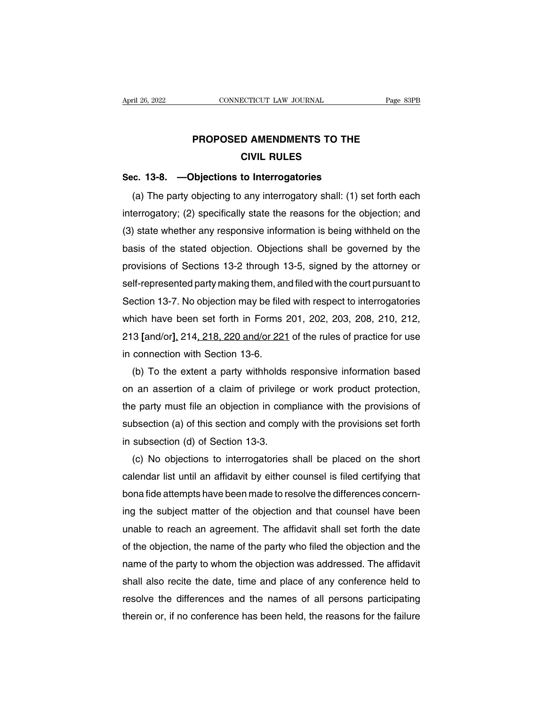## **PROPOSED AMENDMENTS TO THE<br>
CIVIL RULES ECTICUT LAW JOURNAL<br>D AMENDMENTS TO THE<br>CIVIL RULES<br>to Interrogatories PROPOSED AMENDMENTS TO THE<br>CIVIL RULES<br>Sec. 13-8. —Objections to Interrogatories<br>(a) The party objecting to any interrogatory shall: (1) se**

PROPOSED AMENDMENTS TO THE<br>
CIVIL RULES<br>
c. 13-8. —Objections to Interrogatories<br>
(a) The party objecting to any interrogatory shall: (1) set forth each<br>
errogatory; (2) specifically state the reasons for the objection; an **EIVIL RULES**<br> **EIVIL RULES**<br> **Sec. 13-8.** —**Objections to Interrogatories**<br>
(a) The party objecting to any interrogatory shall: (1) set forth each<br>
interrogatory; (2) specifically state the reasons for the objection; and<br> Sec. 13-8. —Objections to Interrogatories<br>
(a) The party objecting to any interrogatory shall: (1) set forth each<br>
interrogatory; (2) specifically state the reasons for the objection; and<br>
(3) state whether any responsive sec. 13-8. —**Objections to interrogatories**<br>
(a) The party objecting to any interrogatory shall: (1) set forth each<br>
interrogatory; (2) specifically state the reasons for the objection; and<br>
(3) state whether any responsiv (a) The party objecting to any interrogatory shall: (1) set forth each<br>interrogatory; (2) specifically state the reasons for the objection; and<br>(3) state whether any responsive information is being withheld on the<br>basis of interrogatory; (2) specifically state the reasons for the objection; and<br>(3) state whether any responsive information is being withheld on the<br>basis of the stated objection. Objections shall be governed by the<br>provisions o (3) state whether any responsive information is being withheld on the<br>basis of the stated objection. Objections shall be governed by the<br>provisions of Sections 13-2 through 13-5, signed by the attorney or<br>self-represented basis of the stated objection. Objections shall be governed by the<br>provisions of Sections 13-2 through 13-5, signed by the attorney or<br>self-represented party making them, and filed with the court pursuant to<br>Section 13-7. provisions of Sections 13-2 through 13-5, signed by the attorney or<br>self-represented party making them, and filed with the court pursuant to<br>Section 13-7. No objection may be filed with respect to interrogatories<br>which hav self-represented party making them, an<br>Section 13-7. No objection may be filed<br>which have been set forth in Forms :<br>213 [and/or], 214, 218, 220 and/or 221<br>in connection with Section 13-6.<br>(b) To the extent a party withhold ection 13-7. No objection may be filed with respect to interrogatories<br>
iich have been set forth in Forms 201, 202, 203, 208, 210, 212,<br>
3 [and/or], 214, 218, 220 and/or 221 of the rules of practice for use<br>
connection wit

which have been set forth in Forms 201, 202, 203, 208, 210, 212,<br>213 [and/or], 214, 218, 220 and/or 221 of the rules of practice for use<br>in connection with Section 13-6.<br>(b) To the extent a party withholds responsive infor 213 [and/or], 214, 218, 220 and/or 221 of the rules of practice for use<br>in connection with Section 13-6.<br>(b) To the extent a party withholds responsive information based<br>on an assertion of a claim of privilege or work prod in connection with Section 13-6.<br>
(b) To the extent a party withholds responsive information based<br>
on an assertion of a claim of privilege or work product protection,<br>
the party must file an objection in compliance with t (b) To the extent a party withholds in an assertion of a claim of privilege<br>the party must file an objection in com<br>subsection (a) of this section and comp<br>in subsection (d) of Section 13-3.<br>(c) No objections to interrogat (a) an assertion of a claim of privilege or work product protection,<br>
e party must file an objection in compliance with the provisions of<br>
bsection (a) of this section and comply with the provisions set forth<br>
subsection (

the party must file an objection in compliance with the provisions of<br>subsection (a) of this section and comply with the provisions set forth<br>in subsection (d) of Section 13-3.<br>(c) No objections to interrogatories shall be subsection (a) of this section and comply with the provisions set forth<br>in subsection (d) of Section 13-3.<br>(c) No objections to interrogatories shall be placed on the short<br>calendar list until an affidavit by either counse in subsection (d) of Section 13-3.<br>
(c) No objections to interrogatories shall be placed on the short<br>
calendar list until an affidavit by either counsel is filed certifying that<br>
bona fide attempts have been made to resol (c) No objections to interrogatories shall be placed on the short<br>calendar list until an affidavit by either counsel is filed certifying that<br>bona fide attempts have been made to resolve the differences concern-<br>ing the su calendar list until an attidavit by either counsel is tiled certitying that<br>bona fide attempts have been made to resolve the differences concern-<br>ing the subject matter of the objection and that counsel have been<br>unable to bona fide attempts have been made to resolve the differences concerning the subject matter of the objection and that counsel have been unable to reach an agreement. The affidavit shall set forth the date of the objection, ing the subject matter of the objection and that counsel have been<br>unable to reach an agreement. The affidavit shall set forth the date<br>of the objection, the name of the party who filed the objection and the<br>name of the pa unable to reach an agreement. The attidavit shall set forth the date<br>of the objection, the name of the party who filed the objection and the<br>name of the party to whom the objection was addressed. The affidavit<br>shall also r of the objection, the name of the party who filed the objection and the<br>name of the party to whom the objection was addressed. The affidavit<br>shall also recite the date, time and place of any conference held to<br>resolve the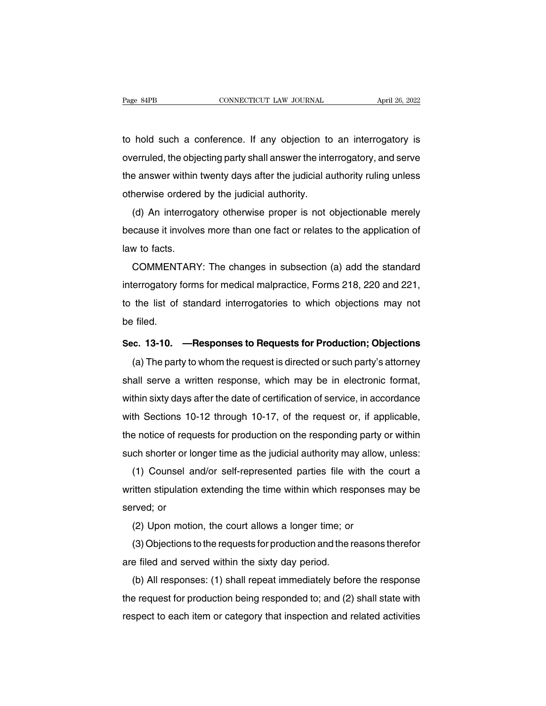The Bage S4PB<br>to hold such a conference. If any objection to an interrogatory is<br>overruled, the objecting party shall answer the interrogatory, and serve Page 84PB CONNECTICUT LAW JOURNAL April 26, 2022<br>to hold such a conference. If any objection to an interrogatory is<br>overruled, the objecting party shall answer the interrogatory, and serve<br>the answer within twenty days aft to hold such a conference. If any objection to an interrogatory is<br>overruled, the objecting party shall answer the interrogatory, and serve<br>the answer within twenty days after the judicial authority ruling unless<br>otherwise to hold such a conference. If any objection to<br>overruled, the objecting party shall answer the inte<br>the answer within twenty days after the judicial au<br>otherwise ordered by the judicial authority.<br>(d) An interrogatory othe Frold such a conference. It any objection to an interrogatory is<br>erruled, the objecting party shall answer the interrogatory, and serve<br>e answer within twenty days after the judicial authority ruling unless<br>nerwise ordered

because it involves more than one fact or relates to the application of<br>law to factors in interrogatory otherwise proper is not objectionable merely<br>because it involves more than one fact or relates to the application of<br>l The answer winniner<br>otherwise ordered<br>(d) An interroga<br>because it involve<br>law to facts.<br>COMMENTARY The continuity.<br>
(d) An interrogatory otherwise proper is not objectionable merely<br>
cause it involves more than one fact or relates to the application of<br>
w to facts.<br>
COMMENTARY: The changes in subsection (a) add the stan

(a) An interrogatory otherwise proper is not objectionable merety<br>because it involves more than one fact or relates to the application of<br>law to facts.<br>COMMENTARY: The changes in subsection (a) add the standard<br>interrogato because it involves more than one fact of relates to the application of<br>law to facts.<br>COMMENTARY: The changes in subsection (a) add the standard<br>interrogatory forms for medical malpractice, Forms 218, 220 and 221,<br>to the l raw to facts.<br>COMMENT<br>interrogatory f<br>to the list of<br>be filed.<br>Sec. 13-10. interrogatory forms for medical malpractice, Forms 218, 220 and 221,<br>to the list of standard interrogatories to which objections may not<br>be filed.<br>Sec. 13-10. —Responses to Requests for Production; Objections<br>(a) The party the list of standard interrogatories to which objections may not<br>filed.<br>c. 13-10. —Responses to Requests for Production; Objections<br>(a) The party to whom the request is directed or such party's attorney<br>all serve a written

be filed.<br>Sec. 13-10. —Responses to Requests for Production; Objections<br>(a) The party to whom the request is directed or such party's attorney<br>shall serve a written response, which may be in electronic format,<br>within sixty Sec. 13-10. —Responses to Requests for Production; Objections<br>
(a) The party to whom the request is directed or such party's attorney<br>
shall serve a written response, which may be in electronic format,<br>
within sixty days a (a) The party to whom the request is directed or such party's attorney<br>shall serve a written response, which may be in electronic format,<br>within sixty days after the date of certification of service, in accordance<br>with Sec (a) The party to whom the request is differed of such party s attorney<br>shall serve a written response, which may be in electronic format,<br>within sixty days after the date of certification of service, in accordance<br>with Sec shall serve a whiteh response, which hay be in electronic format,<br>within sixty days after the date of certification of service, in accordance<br>with Sections 10-12 through 10-17, of the request or, if applicable,<br>the notice Infirit sixty days after the date of certification of service, in accordance<br>th Sections 10-12 through 10-17, of the request or, if applicable,<br>e notice of requests for production on the responding party or within<br>ch short

which sections 10-12 throught 10-17, or the request of, it applicable,<br>the notice of requests for production on the responding party or within<br>such shorter or longer time as the judicial authority may allow, unless:<br>(1) Co such shorter or lot<br>
(1) Counsel a<br>
written stipulation<br>
served; or<br>
(2) Upon motic such shorter or longer time as the judicial authority may allow, unless:<br>
(1) Counsel and/or self-represented parties file with the court a<br>
written stipulation extending the time within which responses may be<br>
served; or<br> (1) Counser and/or sen-represented parties file with the court a<br>itten stipulation extending the time within which responses may be<br>rved; or<br>(2) Upon motion, the court allows a longer time; or<br>(3) Objections to the reques

written supulation exterioing the time within written rest<br>served; or<br>(2) Upon motion, the court allows a longer time; or<br>(3) Objections to the requests for production and the r<br>are filed and served within the sixty day pe

(2) Upon motion, the court allows a longer time; or<br>(3) Objections to the requests for production and the reasons therefor<br>e filed and served within the sixty day period.<br>(b) All responses: (1) shall repeat immediately bef (2) Open motion, the court allows a longer time, or<br>
(3) Objections to the requests for production and the reasons therefor<br>
are filed and served within the sixty day period.<br>
(b) All responses: (1) shall repeat immediate (3) Objections to the requests for production and the reasons therefore<br>are filed and served within the sixty day period.<br>(b) All responses: (1) shall repeat immediately before the response<br>the request for production being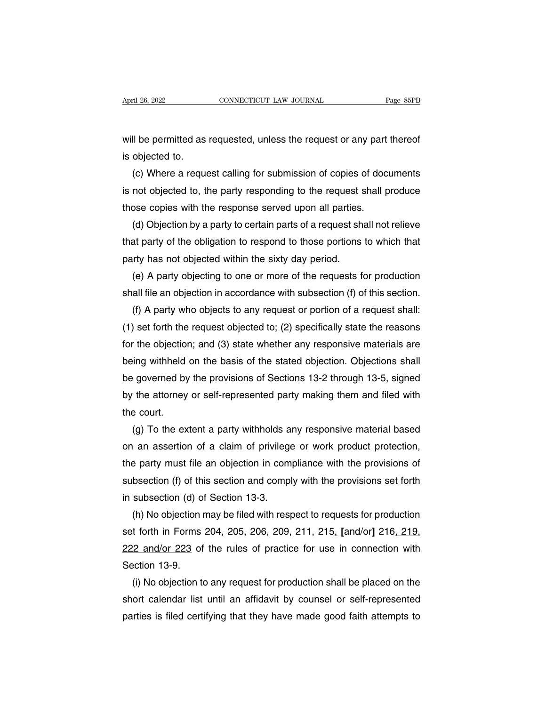April 26, 2022<br>
CONNECTICUT LAW JOURNAL<br>
Will be permitted as requested, unless the request or any part thereof<br>
is objected to. April 26, 2022<br>Will be permitted as<br>is objected to.<br>(c) Where a reque

(c) Where a requested, unless the request or any part thereof<br>(c) Where a request calling for submission of copies of documents<br>not objected to, the party responding to the request shall produce will be permitted as requested, unless the request or any part thereof<br>is objected to.<br>(c) Where a request calling for submission of copies of documents<br>is not objected to, the party responding to the request shall produce will be permitted as requested, unless the request or any part<br>is objected to.<br>(c) Where a request calling for submission of copies of doc<br>is not objected to, the party responding to the request shall p<br>those copies with t objected to.<br>(c) Where a request calling for submission of copies of documents<br>not objected to, the party responding to the request shall produce<br>ose copies with the response served upon all parties.<br>(d) Objection by a par (c) Where a request calling for submission of copies of documents<br>is not objected to, the party responding to the request shall produce<br>those copies with the response served upon all parties.<br>(d) Objection by a party to ce

is not objected to, the party responding to the request s<br>those copies with the response served upon all parties.<br>(d) Objection by a party to certain parts of a request sha<br>that party of the obligation to respond to those ose copies with the response served upon all parties.<br>
(d) Objection by a party to certain parts of a request shall not relieve<br>
at party of the obligation to respond to those portions to which that<br>
(r) has not objected w (d) Objection by a party to certain parts of a request shall not relieve<br>that party of the obligation to respond to those portions to which that<br>party has not objected within the sixty day period.<br>(e) A party objecting to

(f) at party of the obligation to respond to those portions to which that<br>
(r) A party objecting to one or more of the requests for production<br>
(f) A party objecting to one or more of the requests for production<br>
(f) A par party has not objected within the sixty day period.<br>
(e) A party objecting to one or more of the requests for production<br>
shall file an objection in accordance with subsection (f) of this section.<br>
(f) A party who objects (e) A party objecting to one or more of the requests for production<br>shall file an objection in accordance with subsection (f) of this section.<br>(f) A party who objects to any request or portion of a request shall:<br>(1) set f shall file an objection in accordance with subsection (f) of this section.<br>
(f) A party who objects to any request or portion of a request shall:<br>
(1) set forth the request objected to; (2) specifically state the reasons<br> (f) A party who objects to any request or portion of a request shall:<br>
(1) set forth the request objected to; (2) specifically state the reasons<br>
for the objection; and (3) state whether any responsive materials are<br>
bein (1) set forth the request objected to; (2) specifically state the reasons<br>for the objection; and (3) state whether any responsive materials are<br>being withheld on the basis of the stated objection. Objections shall<br>be gove for the objection<br>being withheld<br>be governed by<br>by the attorney<br>the court.<br>(g) To the ex ing withheld on the basis of the stated objection. Objections shall<br>
governed by the provisions of Sections 13-2 through 13-5, signed<br>
the attorney or self-represented party making them and filed with<br>
gourt.<br>
(g) To the e

be governed by the provisions of Sections 13-2 through 13-5, signed<br>by the attorney or self-represented party making them and filed with<br>the court.<br>(g) To the extent a party withholds any responsive material based<br>on an as by the attorney or self-represented party making them and filed with<br>the court.<br>(g) To the extent a party withholds any responsive material based<br>on an assertion of a claim of privilege or work product protection,<br>the part the court.<br>
(g) To the extent a party withholds any responsive material based<br>
on an assertion of a claim of privilege or work product protection,<br>
the party must file an objection in compliance with the provisions of<br>
sub (g) To the extent a party withholds any responsive material based<br>on an assertion of a claim of privilege or work product protection,<br>the party must file an objection in compliance with the provisions of<br>subsection (f) of (a) an assertion of a claim of privilege or work product protection,<br>  $\epsilon$  party must file an objection in compliance with the provisions of<br>
bsection (f) of this section and comply with the provisions set forth<br>
subsecti

the party must file an objection in compliance with the provisions of<br>subsection (f) of this section and comply with the provisions set forth<br>in subsection (d) of Section 13-3.<br>(h) No objection may be filed with respect to subsection (f) of this section and comply with the provisions set forth<br>in subsection (d) of Section 13-3.<br>(h) No objection may be filed with respect to requests for production<br>set forth in Forms 204, 205, 206, 209, 211, 2 in subsection (d) of<br>
(h) No objection r<br>
set forth in Forms<br>
222 and/or 223 of<br>
Section 13-9.<br>
(i) No objection to (h) No objection may be filed with respect to requests for production<br>t forth in Forms 204, 205, 206, 209, 211, 215,  $[and/or]$  216, 219,<br> $\frac{12 \text{ and/or } 223}$  of the rules of practice for use in connection with<br>ection 13-9.<br>(i) set forth in Forms 204, 205, 206, 209, 211, 215, [and/or] 216, 219,<br>222 and/or 223 of the rules of practice for use in connection with<br>Section 13-9.<br>(i) No objection to any request for production shall be placed on the<br>sho

222 and/or 223 of the rules of practice for use in connection with<br>Section 13-9.<br>(i) No objection to any request for production shall be placed on the<br>short calendar list until an affidavit by counsel or self-represented<br>p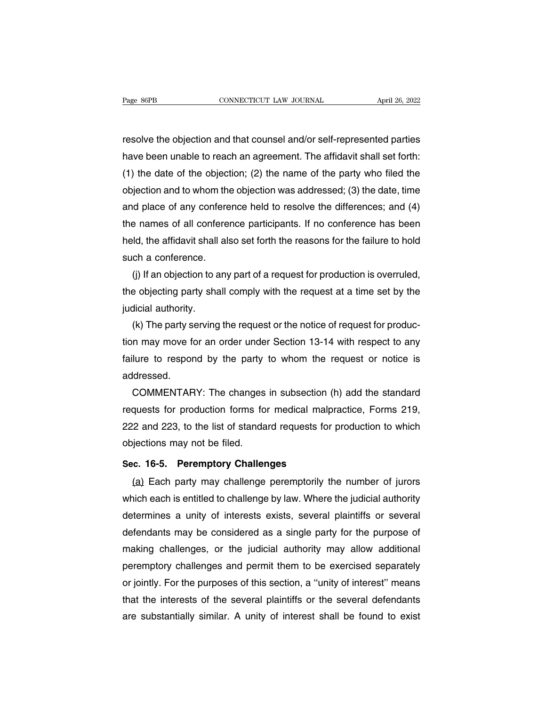Page 86PB<br>
connecticut LAW JOURNAL<br>
resolve the objection and that counsel and/or self-represented parties<br>
have been unable to reach an agreement. The affidavit shall set forth: have 86PB<br>
have been unable to reach an agreement. The affidavit shall set forth:<br>
The date of the objection; (2) the name of the party who filed the<br>
(1) the date of the objection; (2) the name of the party who filed the (1) the date of the objection and that counsel and/or self-represented parties<br>have been unable to reach an agreement. The affidavit shall set forth:<br>(1) the date of the objection; (2) the name of the party who filed the<br>o resolve the objection and that counsel and/or self-represented parties<br>have been unable to reach an agreement. The affidavit shall set forth:<br>(1) the date of the objection; (2) the name of the party who filed the<br>objection resolve the objection and that counsel and/or self-represented parties<br>have been unable to reach an agreement. The affidavit shall set forth:<br>(1) the date of the objection; (2) the name of the party who filed the<br>objection have been unable to reach an agreement. The affidavit shall set forth:<br>(1) the date of the objection; (2) the name of the party who filed the<br>objection and to whom the objection was addressed; (3) the date, time<br>and place (1) the date of the objection; (2) the name of the party who filed the objection and to whom the objection was addressed; (3) the date, time and place of any conference held to resolve the differences; and (4) the names o objection and to whom the<br>and place of any confere<br>the names of all confere<br>held, the affidavit shall als<br>such a conference.<br>(j) If an objection to any (4) degree of any conference held to resolve the differences; and (4) a rames of all conference participants. If no conference has been ld, the affidavit shall also set forth the reasons for the failure to hold ch a confer the names of all conference participants. If no conference has been<br>held, the affidavit shall also set forth the reasons for the failure to hold<br>such a conference.<br>(j) If an objection to any part of a request for productio

held, the affidavit shall<br>such a conference.<br>(j) If an objection to a<br>the objecting party sha<br>judicial authority.<br>(k) The party serving (i) If an objection to any part of a request for production is overruled,<br>a objecting party shall comply with the request at a time set by the<br>dicial authority.<br>(k) The party serving the request or the notice of request fo

(j) If an objection to any part of a request for production is overruled,<br>the objecting party shall comply with the request at a time set by the<br>judicial authority.<br>(k) The party serving the request or the notice of reque the objecting party shall comply with the request at a time set by the judicial authority.<br>
(k) The party serving the request or the notice of request for production may move for an order under Section 13-14 with respect t addressed. (k) The party serving the request or the notice of request for produc-<br>n may move for an order under Section 13-14 with respect to any<br>lure to respond by the party to whom the request or notice is<br>idressed.<br>COMMENTARY: The

tion may move for an order under Section 13-14 with respect to any<br>failure to respond by the party to whom the request or notice is<br>addressed.<br>COMMENTARY: The changes in subsection (h) add the standard<br>requests for product failure to respond by the party to whom the request or notice is<br>addressed.<br>COMMENTARY: The changes in subsection (h) add the standard<br>requests for production forms for medical malpractice, Forms 219,<br>222 and 223, to the l addressed.<br>COMMENTARY: The changes<br>requests for production forms fo<br>222 and 223, to the list of standa<br>objections may not be filed.<br>Sec. 16-5. Peremptory Challer COMMENTARY: The changes in subsection (requests for production forms for medical malpr<br>222 and 223, to the list of standard requests for<br>objections may not be filed.<br>**Sec. 16-5. Peremptory Challenges**<br>(a) Each party may ch (a) Each party may challenge by law. Where the judicial authority<br>inclusions may not be filed.<br>(a) Each party may challenge peremptorily the number of jurors<br>(a) Each party may challenge peremptorily the number of jurors<br>a

222 and 223, to the list of standard requests for production to which<br>objections may not be filed.<br>Sec. 16-5. Peremptory Challenges<br>(a) Each party may challenge peremptorily the number of jurors<br>which each is entitled to c determines a unity of the mediations objections may not be mediations.<br>
Sec. 16-5. Peremptory Challenge peremptorily the number of jurors<br>
which each is entitled to challenge by law. Where the judicial authority<br>
determine Sec. 16-5. Peremptory Challenges<br>
(a) Each party may challenge peremptorily the number of jurors<br>
which each is entitled to challenge by law. Where the judicial authority<br>
determines a unity of interests exists, several pl (a) Each party may challenge peremptorily the number of jurors<br>which each is entitled to challenge by law. Where the judicial authority<br>determines a unity of interests exists, several plaintiffs or several<br>defendants may b which each is entitled to challenge by law. Where the judicial authority<br>determines a unity of interests exists, several plaintiffs or several<br>defendants may be considered as a single party for the purpose of<br>making challe determines a unity of interests exists, several plaintiffs or several<br>defendants may be considered as a single party for the purpose of<br>making challenges, or the judicial authority may allow additional<br>peremptory challenge defendants may be considered as a single party for the purpose of<br>making challenges, or the judicial authority may allow additional<br>peremptory challenges and permit them to be exercised separately<br>or jointly. For the purpo making challenges, or the judicial authority may allow additional<br>peremptory challenges and permit them to be exercised separately<br>or jointly. For the purposes of this section, a "unity of interest" means<br>that the interest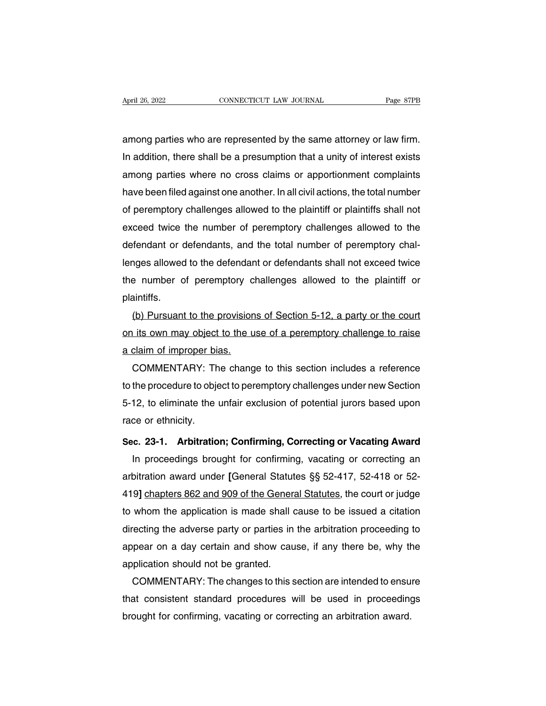April 26, 2022<br> **EXECUTE CONNECTICUT LAW JOURNAL**<br> **EADILY AND AREAD CONNECTICUT LAW JOURNAL**<br> **EADILY AND AREAD AREAD AND AREAD AREAD AND AREAD AND AREAD AND AREAD AND AREAD AND AREAD AND AREAD AND AREAD AND AREAD AND ARE** In addition, there shall be a presumption that a unity of interest exists<br>among parties who are represented by the same attorney or law firm.<br>In addition, there shall be a presumption that a unity of interest exists<br>among among parties who are represented by the same attorney or law firm.<br>In addition, there shall be a presumption that a unity of interest exists<br>among parties where no cross claims or apportionment complaints<br>have been filed among parties who are represented by the same attorney or law firm.<br>In addition, there shall be a presumption that a unity of interest exists<br>among parties where no cross claims or apportionment complaints<br>have been filed among parties who are represented by the same attorney or law firm.<br>In addition, there shall be a presumption that a unity of interest exists<br>among parties where no cross claims or apportionment complaints<br>have been filed In addition, there shall be a presumption that a unity of interest exists<br>among parties where no cross claims or apportionment complaints<br>have been filed against one another. In all civil actions, the total number<br>of perem among parties where no cross claims or apportionment complaints<br>have been filed against one another. In all civil actions, the total number<br>of peremptory challenges allowed to the plaintiff or plaintiffs shall not<br>exceed t have been filed against one another. In all civil actions, the total number<br>of peremptory challenges allowed to the plaintiff or plaintiffs shall not<br>exceed twice the number of peremptory challenges allowed to the<br>defendan of peremptory challenges allowed to the plaintiff or plaintiffs shall not<br>exceed twice the number of peremptory challenges allowed to the<br>defendant or defendants, and the total number of peremptory chal-<br>lenges allowed to plaintiffs. Frendant or detendants, and the total number of peremptory chal-<br>nges allowed to the defendant or defendants shall not exceed twice<br>e number of peremptory challenges allowed to the plaintiff or<br>aintiffs.<br>(b) Pursuant to th

lenges allowed to the detendant or detendants shall not exceed twice<br>the number of peremptory challenges allowed to the plaintiff or<br>plaintiffs.<br>(b) Pursuant to the provisions of Section 5-12, a party or the court<br>on its o the number of peremptory c<br>plaintiffs.<br>(b) Pursuant to the provision<br>on its own may object to the u<br>a claim of improper bias.<br>COMMENTARY: The chang antiffs.<br>
(b) Pursuant to the provisions of Section 5-12, a party or the court<br>
its own may object to the use of a peremptory challenge to raise<br>
claim of improper bias.<br>
COMMENTARY: The change to this section includes a r

(b) Pursuant to the provisions of Section 5-12, a party or the court<br>on its own may object to the use of a peremptory challenge to raise<br>a claim of improper bias.<br>COMMENTARY: The change to this section includes a reference on its own may object to the use of a peremptory challenge to raise<br>a claim of improper bias.<br>COMMENTARY: The change to this section includes a reference<br>to the procedure to object to peremptory challenges under new Sectio a claim of improper bias.<br>COMMENTARY: The change to this section includes a reference<br>to the procedure to object to peremptory challenges under new Section<br>5-12, to eliminate the unfair exclusion of potential jurors based **SECRIPT TO THE CONDEXECT THE CONDEXECT THE CONDEXECT TO THE CONDEXECT TO A SECT OF THE CONDEXECT AND SECT OF 5-12, to eliminate the unfair exclusion of potential jurors based upon race or ethnicity.<br>Sec. 23-1. Arbitration** In proceeding to object to peremptory changings and the west on the proceeding or confirming, confirming, Correcting or Vacating Award<br>In proceedings brought for confirming, vacating or Vacating Award<br>In proceedings brough

3-12, to eliminate the unital exclusion of potential juliors based upon<br>race or ethnicity.<br>**Sec. 23-1.** Arbitration; Confirming, Correcting or Vacating Award<br>In proceedings brought for confirming, vacating or correcting an Sec. 23-1. Arbitration; Confirming, Correcting or Vacating Award<br>
In proceedings brought for confirming, vacating or correcting an<br>
arbitration award under [General Statutes §§ 52-417, 52-418 or 52-<br>
419] chapters 862 and Sec. 23-1. Arbitration; Confirming, Correcting or Vacating Award<br>
In proceedings brought for confirming, vacating or correcting an<br>
arbitration award under [General Statutes §§ 52-417, 52-418 or 52-<br>
419] chapters 862 and In proceedings brought for confirming, vacating or correcting an arbitration award under [General Statutes  $\S$  52-417, 52-418 or 52-419] chapters  $862$  and  $909$  of the General Statutes, the court or judge to whom the app arbitration award under [General Statutes §§ 52-417, 52-418 or 52-419] chapters 862 and 909 of the General Statutes, the court or judge to whom the application is made shall cause to be issued a citation directing the adve 419] chapters 862 and 909 of the Generato whom the application is made shall directing the adverse party or parties in appear on a day certain and show cau application should not be granted.<br>COMMENTARY: The changes to this whom the application is made shall cause to be issued a citation<br>recting the adverse party or parties in the arbitration proceeding to<br>pear on a day certain and show cause, if any there be, why the<br>plication should not be

directing the adverse party or parties in the arbitration proceeding to<br>appear on a day certain and show cause, if any there be, why the<br>application should not be granted.<br>COMMENTARY: The changes to this section are intend appear on a day certain and show cause, if any there be, why the<br>pplication should not be granted.<br>COMMENTARY: The changes to this section are intended to ensu<br>that consistent standard procedures will be used in proceeding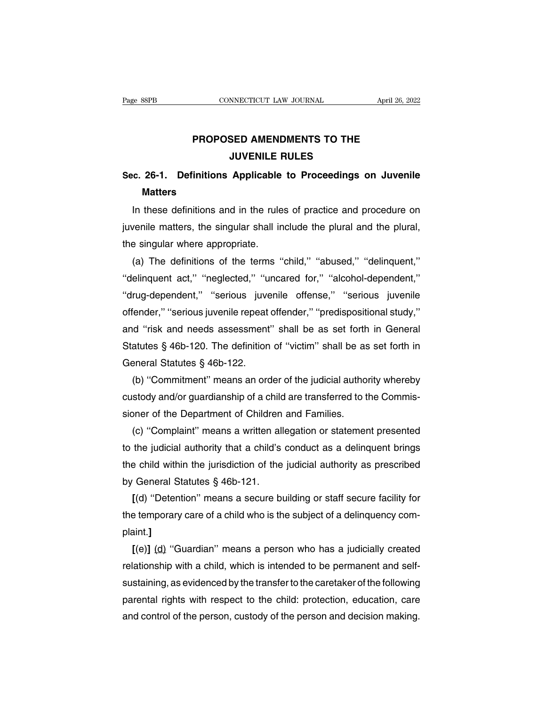# **PROPOSED AMENDMENTS TO THE<br>
JUVENILE RULES NNECTICUT LAW JOURNAL<br>SED AMENDMENTS TO THE<br>JUVENILE RULES<br>Applicable to Proceedings o**

## **SEC. 26-1. Definitions Applicable to Proceedings on Juvenile**<br>Matters **Matters**

PROPOSED AMENDMENTS TO THE<br>
JUVENILE RULES<br>
C. 26-1. Definitions Applicable to Proceedings on Juvenile<br>
Matters<br>
In these definitions and in the rules of practice and procedure on<br>
venile matters, the singular shall includ JUVENILE HULES<br>Sec. 26-1. Definitions Applicable to Proceedings on Juvenile<br>Matters<br>In these definitions and in the rules of practice and procedure on<br>juvenile matters, the singular shall include the plural and the plural, Sec. 26-1. Definitions Applicable<br>Matters<br>In these definitions and in the rule<br>juvenile matters, the singular shall in<br>the singular where appropriate.<br>(a) The definitions of the terms " Matters<br>
In these definitions and in the rules of practice and procedure on<br>
venile matters, the singular shall include the plural and the plural,<br>
a singular where appropriate.<br>
(a) The definitions of the terms "child," "

In these definitions and in the rules of practice and procedure on<br>juvenile matters, the singular shall include the plural and the plural,<br>the singular where appropriate.<br>(a) The definitions of the terms "child," "abused," ||illemattern, the singular shall include the plural and the plural,<br>
the singular where appropriate.<br>
(a) The definitions of the terms "child," "abused," "delinquent,"<br>
"delinquent act," "neglected," "uncared for," "alcoh the singular where appropriate.<br>
(a) The definitions of the terms "child," "abused," "delinquent,"<br>
"delinquent act," "neglected," "uncared for," "alcohol-dependent,"<br>
"drug-dependent," "serious juvenile offense," "serious (a) The definitions of the terms "child," "abused," "delinquent,"<br>
"delinquent act," "neglected," "uncared for," "alcohol-dependent,"<br>
"drug-dependent," "serious juvenile offense," "serious juvenile<br>
offender," "serious j "delinquent act," "neglected," "uncared for," "alcohol-dependent,"<br>"drug-dependent," "serious juvenile offense," "serious juvenile<br>offender," "serious juvenile repeat offender," "predispositional study,"<br>and "risk and need "drug-dependent," "serious juve<br>offender," "serious juvenile repeat<br>and "risk and needs assessment<br>Statutes § 46b-120. The definition<br>General Statutes § 46b-122.<br>(b) "Commitment" means an orc Fender," "serious juvenile repeat offender," "predispositional study,"<br>
d "risk and needs assessment" shall be as set forth in General<br>
atutes § 46b-120. The definition of "victim" shall be as set forth in<br>
peneral Statut and "risk and needs assessment" shall be as set forth in General<br>Statutes § 46b-120. The definition of "victim" shall be as set forth in<br>General Statutes § 46b-122.<br>(b) "Commitment" means an order of the judicial authority

Statutes § 46b-120. The definition of "victim" shall be as<br>General Statutes § 46b-122.<br>(b) "Commitment" means an order of the judicial author<br>custody and/or guardianship of a child are transferred to the<br>sioner of the Depa eneral Statutes § 46b-122.<br>
(b) "Commitment" means an order of the judicial authority whereby<br>
stody and/or guardianship of a child are transferred to the Commis-<br>
oner of the Department of Children and Families.<br>
(c) "Com

(b) "Commitment" means an order of the judicial authority whereby<br>custody and/or guardianship of a child are transferred to the Commis-<br>sioner of the Department of Children and Families.<br>(c) "Complaint" means a written all custody and/or guardianship of a child are transferred to the Commissioner of the Department of Children and Families.<br>
(c) "Complaint" means a written allegation or statement presented<br>
to the judicial authority that a ch sioner of the Department of Children<br>
(c) "Complaint" means a written all<br>
to the judicial authority that a child's<br>
the child within the jurisdiction of the<br>
by General Statutes § 46b-121.<br>
[(d) "Detention" means a secure (c) "Complaint" means a written allegation or statement presented<br>the judicial authority that a child's conduct as a delinquent brings<br>e child within the jurisdiction of the judicial authority as prescribed<br>General Statute to the judicial authority that a child's conduct as a delinquent brings<br>the child within the jurisdiction of the judicial authority as prescribed<br>by General Statutes § 46b-121.<br>[(d) "Detention" means a secure building or s

plaint.**] [(d) "Detention" means a secure building or staff secure facility for<br>
<b>[(d) "Detention" means a secure building or staff secure facility for**<br> **a** temporary care of a child who is the subject of a delinquency com-<br> **a** i

 $[(d)$  "Detention" means a secure building or staff secure facility for<br>the temporary care of a child who is the subject of a delinquency com-<br>plaint.]<br> $[(e)] (d)$  "Guardian" means a person who has a judicially created<br>relati the temporary care of a child who is the subject of a delinquency com-<br>plaint.]<br>[(e)] (d) "Guardian" means a person who has a judicially created<br>relationship with a child, which is intended to be permanent and self-<br>sustai plaint.]<br>
[(e)] (d) "Guardian" means a person who has a judicially created<br>
relationship with a child, which is intended to be permanent and self-<br>
sustaining, as evidenced by the transfer to the caretaker of the following  $[(e)]$  (d) "Guardian" means a person who has a judicially created relationship with a child, which is intended to be permanent and self-sustaining, as evidenced by the transfer to the caretaker of the following parental ri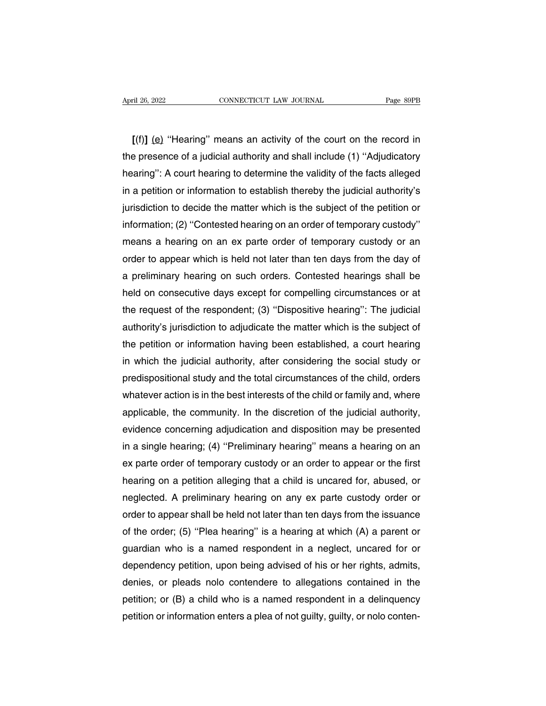<sup>ril 26, 2022<br> **EXECUTE CONNECTICUT LAW JOURNAL**<br> **EXECUTE:** Page 89PB<br> **[(f)]** (e) "Hearing" means an activity of the court on the record in<br>
presence of a judicial authority and shall include (1) "Adjudicatory</sup> April 26, 2022 CONNECTICUT LAW JOURNAL Page 89PB<br>
[(f)] (e) "Hearing" means an activity of the court on the record in<br>
the presence of a judicial authority and shall include (1) "Adjudicatory<br>
hearing": A court hearing to  $\frac{1}{\text{age } \text{asib}}$ <br>  $\left[\text{(f)}\right]$  (e) "Hearing" means an activity of the court on the record in<br>
the presence of a judicial authority and shall include (1) "Adjudicatory<br>
hearing": A court hearing to determine the validity [(f)] (e) "Hearing" means an activity of the court on the record in<br>the presence of a judicial authority and shall include (1) "Adjudicatory<br>hearing": A court hearing to determine the validity of the facts alleged<br>in a pet [(f)] (e) "Hearing" means an activity of the court on the record in<br>the presence of a judicial authority and shall include (1) "Adjudicatory<br>hearing": A court hearing to determine the validity of the facts alleged<br>in a pe the presence of a judicial authority and shall include (1) "Adjudicatory<br>hearing": A court hearing to determine the validity of the facts alleged<br>in a petition or information to establish thereby the judicial authority's<br>j hearing": A court hearing to determine the validity of the facts alleged<br>in a petition or information to establish thereby the judicial authority's<br>jurisdiction to decide the matter which is the subject of the petition or<br> in a petition or information to establish thereby the judicial authority's<br>jurisdiction to decide the matter which is the subject of the petition or<br>information; (2) "Contested hearing on an order of temporary custody"<br>mea jurisdiction to decide the matter which is the subject of the petition or<br>information; (2) "Contested hearing on an order of temporary custody"<br>means a hearing on an ex parte order of temporary custody or an<br>order to appea information; (2) "Contested hearing on an order of temporary custody"<br>means a hearing on an ex parte order of temporary custody or an<br>order to appear which is held not later than ten days from the day of<br>a preliminary hear means a hearing on an ex parte order of temporary custody or an<br>order to appear which is held not later than ten days from the day of<br>a preliminary hearing on such orders. Contested hearings shall be<br>held on consecutive da order to appear which is held not later than ten days from the day of<br>a preliminary hearing on such orders. Contested hearings shall be<br>held on consecutive days except for compelling circumstances or at<br>the request of the a preliminary hearing on such orders. Contested hearings shall be<br>held on consecutive days except for compelling circumstances or at<br>the request of the respondent; (3) "Dispositive hearing": The judicial<br>authority's jurisd held on consecutive days except for compelling circumstances or at<br>the request of the respondent; (3) "Dispositive hearing": The judicial<br>authority's jurisdiction to adjudicate the matter which is the subject of<br>the petiti the request of the respondent; (3) "Dispositive hearing": The judicial<br>authority's jurisdiction to adjudicate the matter which is the subject of<br>the petition or information having been established, a court hearing<br>in which authority's jurisdiction to adjudicate the matter which is the subject of<br>the petition or information having been established, a court hearing<br>in which the judicial authority, after considering the social study or<br>predispo the petition or information having been established, a court hearing<br>in which the judicial authority, after considering the social study or<br>predispositional study and the total circumstances of the child, orders<br>whatever a in which the judicial authority, after considering the social study or<br>predispositional study and the total circumstances of the child, orders<br>whatever action is in the best interests of the child or family and, where<br>appl predispositional study and the total circumstances of the child, orders<br>whatever action is in the best interests of the child or family and, where<br>applicable, the community. In the discretion of the judicial authority,<br>evi whatever action is in the best interests of the child or family and, where applicable, the community. In the discretion of the judicial authority, evidence concerning adjudication and disposition may be presented in a sing applicable, the community. In the discretion of the judicial authority,<br>evidence concerning adjudication and disposition may be presented<br>in a single hearing; (4) "Preliminary hearing" means a hearing on an<br>ex parte order evidence concerning adjudication and disposition may be presented<br>in a single hearing; (4) "Preliminary hearing" means a hearing on an<br>ex parte order of temporary custody or an order to appear or the first<br>hearing on a pet in a single hearing; (4) "Preliminary hearing" means a hearing on an<br>ex parte order of temporary custody or an order to appear or the first<br>hearing on a petition alleging that a child is uncared for, abused, or<br>neglected. ex parte order of temporary custody or an order to appear or the first<br>hearing on a petition alleging that a child is uncared for, abused, or<br>neglected. A preliminary hearing on any ex parte custody order or<br>order to appea hearing on a petition alleging that a child is uncared for, abused, or<br>neglected. A preliminary hearing on any ex parte custody order or<br>order to appear shall be held not later than ten days from the issuance<br>of the order; neglected. A preliminary hearing on any ex parte custody order or<br>order to appear shall be held not later than ten days from the issuance<br>of the order; (5) "Plea hearing" is a hearing at which (A) a parent or<br>guardian who order to appear shall be held not later than ten days from the issuance<br>of the order; (5) "Plea hearing" is a hearing at which (A) a parent or<br>guardian who is a named respondent in a neglect, uncared for or<br>dependency peti of the order; (5) "Plea hearing" is a hearing at which (A) a parent or<br>guardian who is a named respondent in a neglect, uncared for or<br>dependency petition, upon being advised of his or her rights, admits,<br>denies, or pleads guardian who is a named respondent in a neglect, uncared for or dependency petition, upon being advised of his or her rights, admits, denies, or pleads nolo contendere to allegations contained in the petition; or (B) a chi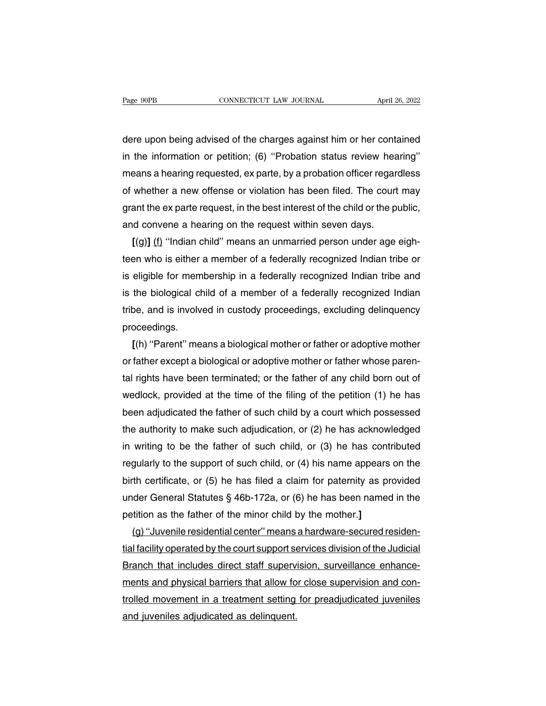Page 90PB CONNECTICUT LAW JOURNAL April 26, 2022<br>dere upon being advised of the charges against him or her contained<br>in the information or petition; (6) "Probation status review hearing" Page 90PB CONNECTICUT LAW JOURNAL April 26, 2022<br>dere upon being advised of the charges against him or her contained<br>in the information or petition; (6) "Probation status review hearing"<br>means a hearing requested, ex parte dere upon being advised of the charges against him or her contained<br>in the information or petition; (6) "Probation status review hearing"<br>means a hearing requested, ex parte, by a probation officer regardless<br>of whether a dere upon being advised of the charges against him or her contained<br>in the information or petition; (6) "Probation status review hearing"<br>means a hearing requested, ex parte, by a probation officer regardless<br>of whether a dere upon being advised of the charges against him or her contained<br>in the information or petition; (6) "Probation status review hearing"<br>means a hearing requested, ex parte, by a probation officer regardless<br>of whether a in the information or petition; (6) "Probation status review heameans a hearing requested, ex parte, by a probation officer regare of whether a new offense or violation has been filed. The court grant the ex parte request eans a hearing requested, ex parte, by a probation officer regardless<br>whether a new offense or violation has been filed. The court may<br>ant the ex parte request, in the best interest of the child or the public,<br>id convene a

of whether a new offense or violation has been filed. The court may<br>grant the ex parte request, in the best interest of the child or the public,<br>and convene a hearing on the request within seven days.<br>[(g)] (f) "Indian chi grant the ex parte request, in the best interest of the child or the public,<br>and convene a hearing on the request within seven days.<br>[(g)] (f) "Indian child" means an unmarried person under age eigh-<br>teen who is either a m and convene a hearing on the request within seven days.<br>
[(g)] (f) "Indian child" means an unmarried person under age eigh-<br>
teen who is either a member of a federally recognized Indian tribe or<br>
is eligible for membership  $[(g)]$  (f) "Indian child" means an unmarried person under age eighteen who is either a member of a federally recognized Indian tribe or is eligible for membership in a federally recognized Indian tribe and is the biologica proceedings. eligible for membership in a federally recognized Indian tribe and<br>the biological child of a member of a federally recognized Indian<br>pe, and is involved in custody proceedings, excluding delinquency<br>poceedings.<br>[(h) "Paren

is the biological child of a member of a federally recognized Indian<br>tribe, and is involved in custody proceedings, excluding delinquency<br>proceedings.<br>[(h) "Parent" means a biological mother or father or adoptive mother<br>or tribe, and is involved in custody proceedings, excluding delinquency<br>proceedings.<br>[(h) "Parent" means a biological mother or father or adoptive mother<br>or father except a biological or adoptive mother or father whose parenproceedings.<br>
[(h) "Parent" means a biological mother or father or adoptive mother<br>
or father except a biological or adoptive mother or father whose paren-<br>
tal rights have been terminated; or the father of any child born  $I(h)$  "Parent" means a biological mother or father or adoptive mother<br>or father except a biological or adoptive mother or father whose paren-<br>tal rights have been terminated; or the father of any child born out of<br>wedlock or father except a biological or adoptive mother or father whose parental rights have been terminated; or the father of any child born out of wedlock, provided at the time of the filing of the petition (1) he has been adju tal rights have been terminated; or the father of any child born out of<br>wedlock, provided at the time of the filing of the petition (1) he has<br>been adjudicated the father of such child by a court which possessed<br>the author wedlock, provided at the time of the filing of the petition (1) he has<br>been adjudicated the father of such child by a court which possessed<br>the authority to make such adjudication, or (2) he has acknowledged<br>in writing to been adjudicated the father of such child by a court which possessed<br>the authority to make such adjudication, or (2) he has acknowledged<br>in writing to be the father of such child, or (3) he has contributed<br>regularly to the the authority to make such adjudication, or (2) he has acknowledged<br>in writing to be the father of such child, or (3) he has contributed<br>regularly to the support of such child, or (4) his name appears on the<br>birth certifi in writing to be the father of such child, or (3) he has cont regularly to the support of such child, or (4) his name appears birth certificate, or (5) he has filed a claim for paternity as pr under General Statutes  $\S$  4 gularly to the support of such child, or (4) his name appears on the<br>th certificate, or (5) he has filed a claim for paternity as provided<br>der General Statutes § 46b-172a, or (6) he has been named in the<br>tition as the fath

birth certificate, or (5) he has filed a claim for paternity as provided<br>under General Statutes § 46b-172a, or (6) he has been named in the<br>petition as the father of the minor child by the mother.]<br>(g) "Juvenile residentia under General Statutes § 46b-172a, or (6) he has been named in the<br>petition as the father of the minor child by the mother.]<br>(g) "Juvenile residential center" means a hardware-secured residen-<br>tial facility operated by the petition as the father of the minor child by the mother.]<br>(g) "Juvenile residential center" means a hardware-secured residen-<br>tial facility operated by the court support services division of the Judicial<br>Branch that includ (g) "Juvenile residential center" means a hardware-secured residential facility operated by the court support services division of the Judicial Branch that includes direct staff supervision, surveillance enhance-<br>ments and tial facility operated by the court support se<br>Branch that includes direct staff superv<br>ments and physical barriers that allow fo<br>trolled movement in a treatment setting<br>and juveniles adjudicated as delinquent.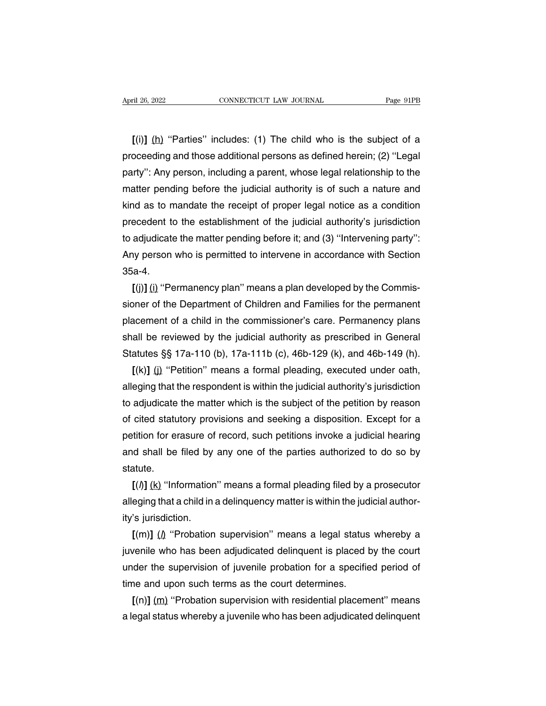<sup>ril 26, 2022<br> **EXECUTE CONNECTICUT LAW JOURNAL**<br> **EXECUTE:** CONNECTICUT LAW JOURNAL<br> **EXECUTE:** Page 91PB<br> **EXECUTE:** Page 91PB<br> **EXECUTE:** Page 91PB<br> **EXECUTE:** Page 91PB<br> **EXECUTE:** Page 91PB<br> **EXECUTE:** Page 91PB<br> **EXE</sup>** April 26, 2022 CONNECTICUT LAW JOURNAL Page 91PB<br>
[(i)] (h) "Parties" includes: (1) The child who is the subject of a<br>
proceeding and those additional persons as defined herein; (2) "Legal<br>
party": Any person, including a party'': Any person, includes: (1) The child who is the subject of a<br>proceeding and those additional persons as defined herein; (2) "Legal<br>party": Any person, including a parent, whose legal relationship to the<br>matter pend  $\lbrack$ (i)] (h) "Parties" includes: (1) The child who is the subject of a proceeding and those additional persons as defined herein; (2) "Legal party": Any person, including a parent, whose legal relationship to the matter  $\lbrack$  (i)] (h) "Parties" includes: (1) The child who is the subject of a proceeding and those additional persons as defined herein; (2) "Legal party": Any person, including a parent, whose legal relationship to the matte proceeding and those additional persons as defined herein; (2) "Legal<br>party": Any person, including a parent, whose legal relationship to the<br>matter pending before the judicial authority is of such a nature and<br>kind as to party": Any person, including a parent, whose legal relationship to the<br>matter pending before the judicial authority is of such a nature and<br>kind as to mandate the receipt of proper legal notice as a condition<br>precedent to matter pending before the judicial authority is of such a nature and<br>kind as to mandate the receipt of proper legal notice as a condition<br>precedent to the establishment of the judicial authority's jurisdiction<br>to adjudicat 35a-4. precedent to the establishment of the judicial authority's jurisdiction<br>to adjudicate the matter pending before it; and (3) "Intervening party":<br>Any person who is permitted to intervene in accordance with Section<br>35a-4.<br>[(

to adjudicate the matter pending before it; and (3) "Intervening party":<br>Any person who is permitted to intervene in accordance with Section<br>35a-4.<br>[(j)] (i) "Permanency plan" means a plan developed by the Commis-<br>sioner o Any person who is permitted to intervene in accordance with Section<br>35a-4.<br>[(j)] (i) "Permanency plan" means a plan developed by the Commis-<br>sioner of the Department of Children and Families for the permanent<br>placement of 35a-4.<br>
[(j)] (i) "Permanency plan" means a plan developed by the Commissioner of the Department of Children and Families for the permanent<br>
placement of a child in the commissioner's care. Permanency plans<br>
shall be revie  $[(j)]$  (i) "Permanency plan" means a plan developed by the Commissioner of the Department of Children and Families for the permanent placement of a child in the commissioner's care. Permanency plans shall be reviewed by th be oner of the Department of Children and Families for the permanent<br>acement of a child in the commissioner's care. Permanency plans<br>all be reviewed by the judicial authority as prescribed in General<br>atutes §§ 17a-110 (b), placement of a child in the commissioner's care. Permanency plans<br>shall be reviewed by the judicial authority as prescribed in General<br>Statutes §§ 17a-110 (b), 17a-111b (c), 46b-129 (k), and 46b-149 (h).<br>[(k)] (j) "Petitio

shall be reviewed by the judicial authority as prescribed in General<br>Statutes §§ 17a-110 (b), 17a-111b (c), 46b-129 (k), and 46b-149 (h).<br>[(k)] (j) "Petition" means a formal pleading, executed under oath,<br>alleging that the Statutes §§ 17a-110 (b), 17a-111b (c), 46b-129 (k), and 46b-149 (h).<br>
[(k)] (j) "Petition" means a formal pleading, executed under oath,<br>
alleging that the respondent is within the judicial authority's jurisdiction<br>
to adj  $[(k)]$  (i) "Petition" means a formal pleading, executed under oath, alleging that the respondent is within the judicial authority's jurisdiction to adjudicate the matter which is the subject of the petition by reason of ci alleging that the respondent is within the judicial authority's jurisdiction<br>to adjudicate the matter which is the subject of the petition by reason<br>of cited statutory provisions and seeking a disposition. Except for a<br>pet statute. cited statutory provisions and seeking a disposition. Except for a<br>tition for erasure of record, such petitions invoke a judicial hearing<br>id shall be filed by any one of the parties authorized to do so by<br>atute.<br> $[(*h*$ petition for erasure of record, such petitions invoke a judicial hearing<br>and shall be filed by any one of the parties authorized to do so by<br>statute.<br> $[(\textit{l})]$  (k) "Information" means a formal pleading filed by a prosecut

and shall be filed by<br>statute.<br> $[(*h*)] (k)$  "Information<br>alleging that a child in<br>ity's jurisdiction.<br> $[(*m*)] (*h*$  "Probation atute.<br>[(/)] <u>(k)</u> "Information" means a formal pleading filed by a prosecutor<br>eging that a child in a delinquency matter is within the judicial author-<br>'s jurisdiction.<br>[(m)] ( $\mu$  "Probation supervision" means a legal st

 $[(h)] (k)$  "Information" means a formal pleading filed by a prosecutor<br>alleging that a child in a delinquency matter is within the judicial author-<br>ity's jurisdiction.<br> $[(m)] (h)$  "Probation supervision" means a legal status w alleging that a child in a delinquency matter is within the judicial authority's jurisdiction.<br>  $[(m)] (\hat{\mu}$  "Probation supervision" means a legal status whereby a<br>
juvenile who has been adjudicated delinquent is placed by ity's jurisdiction.<br>  $[(m)] (\underline{\Lambda}$  "Probation supervision" means a legal status<br>
juvenile who has been adjudicated delinquent is placed t<br>
under the supervision of juvenile probation for a specifie<br>
time and upon such terms  $[(m)]$  ( $\mu$  "Probation supervision" means a legal status whereby a venile who has been adjudicated delinquent is placed by the court der the supervision of juvenile probation for a specified period of ne and upon such ter juvenile who has been adjudicated delinquent is placed by the court<br>under the supervision of juvenile probation for a specified period of<br>time and upon such terms as the court determines.<br> $[(n)] (m)$  "Probation supervision wi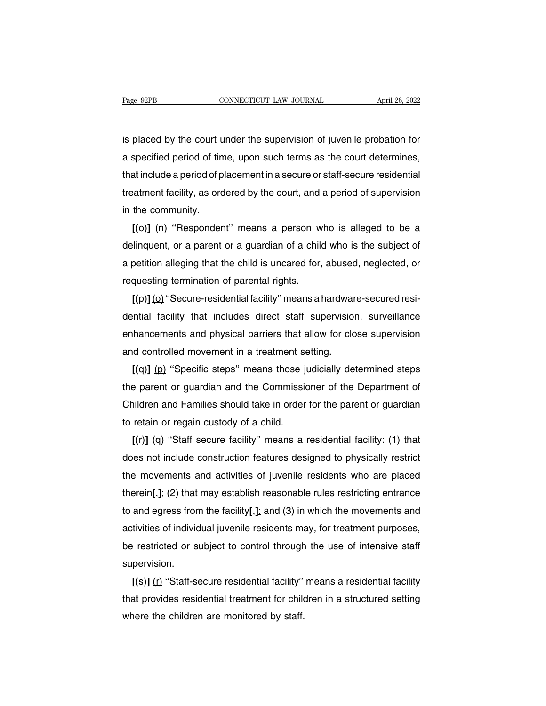Fage 92PB CONNECTICUT LAW JOURNAL April 26, 2022<br>is placed by the court under the supervision of juvenile probation for<br>a specified period of time, upon such terms as the court determines, Page 92PB CONNECTICUT LAW JOURNAL April 26, 2022<br>is placed by the court under the supervision of juvenile probation for<br>a specified period of time, upon such terms as the court determines,<br>that include a period of placemen that include a period of time, upon such terms as the court determines,<br>that include a period of time, upon such terms as the court determines,<br>that include a period of placement in a secure or staff-secure residential<br>tre is placed by the court under the supervision of juvenile probation for<br>a specified period of time, upon such terms as the court determines,<br>that include a period of placement in a secure or staff-secure residential<br>treatme is placed by the court u<br>a specified period of tin<br>that include a period of p<br>treatment facility, as ord<br>in the community.<br>[(o)] (<u>n</u>) "Responder specified period of time, upon such terms as the court determines,<br>at include a period of placement in a secure or staff-secure residential<br>tatment facility, as ordered by the court, and a period of supervision<br>the communi

that include a period of placement in a secure or staff-secure residential<br>treatment facility, as ordered by the court, and a period of supervision<br>in the community.<br> $[(o)] (n)$  "Respondent" means a person who is alleged to b treatment facility, as ordered by the court, and a period of supervision<br>in the community.<br>
[(o)] (n) "Respondent" means a person who is alleged to be a<br>
delinquent, or a parent or a guardian of a child who is the subject in the community.<br>  $[(o)] (n)$  "Respondent" means a person w<br>
delinquent, or a parent or a guardian of a child<br>
a petition alleging that the child is uncared for,<br>
requesting termination of parental rights.<br>  $[(p)] (o)$  "Secure  $[(o)]$  (n) "Hespondent" means a person who is alleged to be a linquent, or a parent or a guardian of a child who is the subject of petition alleging that the child is uncared for, abused, neglected, or questing termination

delinquent, or a parent or a guardian of a child who is the subject of<br>a petition alleging that the child is uncared for, abused, neglected, or<br>requesting termination of parental rights.<br> $[(p)] (Q)$  "Secure-residential facili a petition alleging that the child is uncared for, abused, neglected, or<br>requesting termination of parental rights.<br> $[(p)] (o)$  "Secure-residential facility" means a hardware-secured resi-<br>dential facility that includes direc requesting termination or parental rights.<br>  $[(p)] (o)$  "Secure-residential facility" means a hardwar<br>
dential facility that includes direct staff supervision<br>
enhancements and physical barriers that allow for clo<br>
and contro  $[$ (p)] (o) "Secure-residential facility" means a nardware-secured resi-<br>
intial facility that includes direct staff supervision, surveillance<br>
hancements and physical barriers that allow for close supervision<br>
d controll

dential facility that includes direct staff supervision, surveillance<br>enhancements and physical barriers that allow for close supervision<br>and controlled movement in a treatment setting.<br> $[(q)] (p)$  "Specific steps" means thos enhancements and physical barriers that allow tor close supervision<br>and controlled movement in a treatment setting.<br>
[(q)] (p) "Specific steps" means those judicially determined steps<br>
the parent or guardian and the Commis and controlled movement in a treatment setting.<br>  $[(q)] (p)$  "Specific steps" means those judicially determined steps<br>
the parent or guardian and the Commissioner of the Department of<br>
Children and Families should take in or  $[(q)]$  (p) "Specific steps" means those judicially determined steps<br>
a parent or guardian and the Commissioner of the Department of<br>
iildren and Families should take in order for the parent or guardian<br>
retain or regain cu

the parent or guardian and the Commissioner of the Department of<br>Children and Families should take in order for the parent or guardian<br>to retain or regain custody of a child.<br> $[(r)] (q)$  "Staff secure facility" means a reside Children and Families should take in order tor the parent or guardian<br>to retain or regain custody of a child.<br>
[(r)] (q) "Staff secure facility" means a residential facility: (1) that<br>does not include construction features to retain or regain custody of a child.<br>
[(r)] (q) "Staff secure facility" means a residential facility: (1) that<br>
does not include construction features designed to physically restrict<br>
the movements and activities of juv  $I(r)$  (q) "Staff secure facility" means a residential facility: (1) that<br>does not include construction features designed to physically restrict<br>the movements and activities of juvenile residents who are placed<br>therein[,]; does not include construction teatures designed to physically restrict<br>the movements and activities of juvenile residents who are placed<br>therein[,]; (2) that may establish reasonable rules restricting entrance<br>to and egres the movements and activities of juvenile residents who are placed<br>therein[,]; (2) that may establish reasonable rules restricting entrance<br>to and egress from the facility[,]; and (3) in which the movements and<br>activities o supervision. and egress from the facility[, []; and (3) in which the movements and<br>tivities of individual juvenile residents may, for treatment purposes,<br>restricted or subject to control through the use of intensive staff<br>pervision.<br>[(

activities of individual juvenile residents may, tor treatment purposes,<br>be restricted or subject to control through the use of intensive staff<br>supervision.<br>[(s)] (r) "Staff-secure residential facility" means a residential be restricted or subject to control through<br>supervision.<br> $[(s)] (r)$  "Staff-secure residential facility"<br>that provides residential treatment for child<br>where the children are monitored by staff.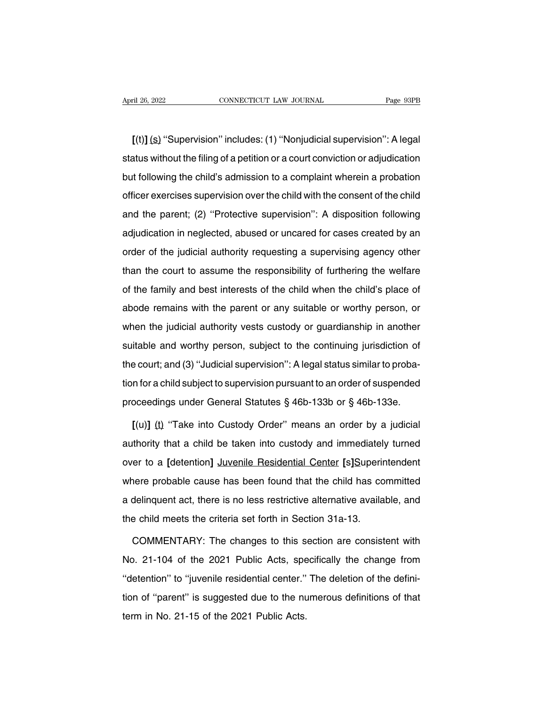**[**(t)**]** (s) ''Supervision'' includes: (1) ''Nonjudicial supervision'': A legal Status Without the filing of a petition or a court conviction or adjudication<br>
Let us without the filing of a petition or a court conviction or adjudication<br>
but following the child's admission to a complaint wherein a pro [(t)] (s) "Supervision" includes: (1) "Nonjudicial supervision": A legal<br>status without the filing of a petition or a court conviction or adjudication<br>but following the child's admission to a complaint wherein a probation<br>  $[(t)]$  (s) "Supervision" includes: (1) "Nonjudicial supervision": A legal<br>status without the filing of a petition or a court conviction or adjudication<br>but following the child's admission to a complaint wherein a probation status without the filing of a petition or a court conviction or adjudication<br>but following the child's admission to a complaint wherein a probation<br>officer exercises supervision over the child with the consent of the chi but following the child's admission to a complaint wherein a probation<br>officer exercises supervision over the child with the consent of the child<br>and the parent; (2) "Protective supervision": A disposition following<br>adjudi officer exercises supervision over the child with the consent of the child<br>and the parent; (2) "Protective supervision": A disposition following<br>adjudication in neglected, abused or uncared for cases created by an<br>order of and the parent; (2) "Protective supervision": A disposition following<br>adjudication in neglected, abused or uncared for cases created by an<br>order of the judicial authority requesting a supervising agency other<br>than the cour adjudication in neglected, abused or uncared for cases created by an order of the judicial authority requesting a supervising agency other than the court to assume the responsibility of furthering the welfare of the famil adjaced of the judicial authority requesting a supervising agency other<br>than the court to assume the responsibility of furthering the welfare<br>of the family and best interests of the child when the child's place of<br>abode re than the court to assume the responsibility of furthering the welfare<br>of the family and best interests of the child when the child's place of<br>abode remains with the parent or any suitable or worthy person, or<br>when the judi of the family and best interests of the child when the child's place of abode remains with the parent or any suitable or worthy person, or when the judicial authority vests custody or guardianship in another suitable and w ation dimity and seet interests of the child when the child e place of abode remains with the parent or any suitable or worthy person, or when the judicial authority vests custody or guardianship in another suitable and wo when the judicial authority vests custody or guardianship in another<br>suitable and worthy person, subject to the continuing jurisdiction of<br>the court; and (3) "Judicial supervision": A legal status similar to proba-<br>tion fo suitable and worthy person, subject to the continuing jurisdiction of<br>the court; and (3) "Judicial supervision": A legal status similar to proba-<br>tion for a child subject to supervision pursuant to an order of suspended<br>p **Example 2014** Court; and (3) "Judicial supervision": A legal status similar to proba-<br>
in for a child subject to supervision pursuant to an order of suspended<br>
oceedings under General Statutes § 46b-133b or § 46b-133e.<br>
[

tion for a child subject to supervision pursuant to an order of suspended<br>proceedings under General Statutes § 46b-133b or § 46b-133e.<br>[(u)] (t) "Take into Custody Order" means an order by a judicial<br>authority that a child proceedings under General Statutes § 46b-133b or § 46b-133e.<br>
[(u)] (t) "Take into Custody Order" means an order by a judicial<br>
authority that a child be taken into custody and immediately turned<br>
over to a [detention] Juv  $[(u)]$  (t) "Take into Custody Order" means an order by a judicial<br>authority that a child be taken into custody and immediately turned<br>over to a [detention] Juvenile Residential Center [s]Superintendent<br>where probable cause authority that a child be taken into custody and immediately turned<br>over to a [detention] Juvenile Residential Center [s]Superintendent<br>where probable cause has been found that the child has committed<br>a delinquent act, th over to a [detention] Juvenile Residential Center [s]Superinty where probable cause has been found that the child has co a delinquent act, there is no less restrictive alternative availa the child meets the criteria set fo nere probable cause has been found that the child has committed<br>delinquent act, there is no less restrictive alternative available, and<br>e child meets the criteria set forth in Section 31a-13.<br>COMMENTARY: The changes to thi

a delinquent act, there is no less restrictive alternative available, and<br>the child meets the criteria set forth in Section 31a-13.<br>COMMENTARY: The changes to this section are consistent with<br>No. 21-104 of the 2021 Public the child meets the criteria set forth in Section 31a-13.<br>
COMMENTARY: The changes to this section are consistent with<br>
No. 21-104 of the 2021 Public Acts, specifically the change from<br>
"detention" to "juvenile residential COMMENTARY: The changes to this section are consistent with<br>No. 21-104 of the 2021 Public Acts, specifically the change from<br>"detention" to "juvenile residential center." The deletion of the defini-<br>tion of "parent" is sug No. 21-104 of the 2021 Public Acts, spe<br>
"detention" to "juvenile residential center."<br>
tion of "parent" is suggested due to the nu<br>
term in No. 21-15 of the 2021 Public Acts.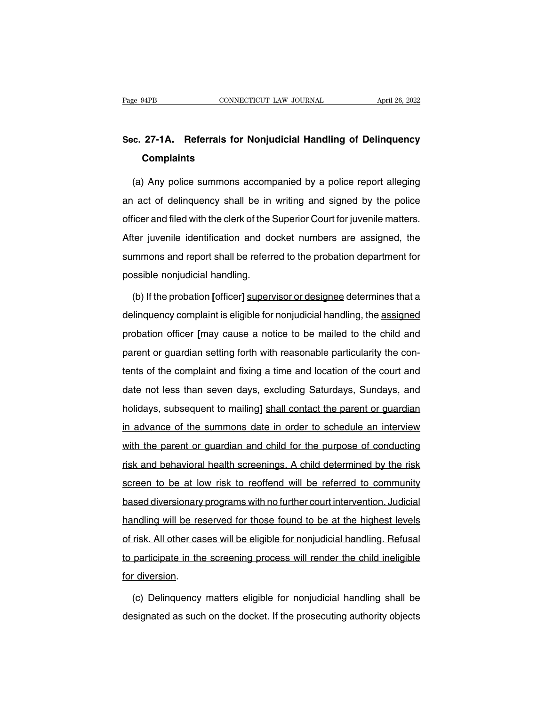## Page 94PB **CONNECTICUT LAW JOURNAL** April 26, 2022<br> **Sec. 27-1A. Referrals for Nonjudicial Handling of Delinquency**<br> **Complaints Complaints**

(a) Any police summons accompanied by a police report alleging<br>(a) Any police summons accompanied by a police report alleging<br>act of delinquency shall be in writing and signed by the police Sec. 27-1A. Referrals for Nonjudicial Handling of Delinquency<br>Complaints<br>(a) Any police summons accompanied by a police report alleging<br>an act of delinquency shall be in writing and signed by the police<br>officer and filed w **Complaints**<br>
(a) Any police summons accompanied by a police report alleging<br>
an act of delinquency shall be in writing and signed by the police<br>
officer and filed with the clerk of the Superior Court for juvenile matters. (a) Any police summons accompanied by a police report alleging<br>an act of delinquency shall be in writing and signed by the police<br>officer and filed with the clerk of the Superior Court for juvenile matters.<br>After juvenile (a) Any period data interest accompanied by a period report and ging<br>an act of delinquency shall be in writing and signed by the police<br>officer and filed with the clerk of the Superior Court for juvenile matters.<br>After juv an act or demiquency shall be in<br>officer and filed with the clerk of the S<br>After juvenile identification and do<br>summons and report shall be referre<br>possible nonjudicial handling.<br>(b) If the probation [officer] supery ter juvenile identification and docket numbers are assigned, the<br>mmons and report shall be referred to the probation department for<br>ssible nonjudicial handling.<br>(b) If the probation [officer] supervisor or designee determi

summons and report shall be referred to the probation department for<br>possible nonjudicial handling.<br>(b) If the probation [officer] supervisor or designee determines that a<br>delinquency complaint is eligible for nonjudicial possible nonjudicial handling.<br>
(b) If the probation [officer] supervisor or designee determines that a<br>
delinquency complaint is eligible for nonjudicial handling, the <u>assigned</u><br>
probation officer [may cause a notice to (b) If the probation [officer] supervisor or designee determines that a delinquency complaint is eligible for nonjudicial handling, the assigned probation officer [may cause a notice to be mailed to the child and parent or delinquency complaint is eligible for nonjudicial handling, the assigned<br>probation officer [may cause a notice to be mailed to the child and<br>parent or guardian setting forth with reasonable particularity the con-<br>tents of probation officer [may cause a notice to be mailed to the child and<br>parent or guardian setting forth with reasonable particularity the con-<br>tents of the complaint and fixing a time and location of the court and<br>date not le parent or guardian setting forth with reasonable particularity the contents of the complaint and fixing a time and location of the court and date not less than seven days, excluding Saturdays, Sundays, and holidays, subseq parent or gaardian botting form with beachdone particularly the born<br>tents of the complaint and fixing a time and location of the court and<br>date not less than seven days, excluding Saturdays, Sundays, and<br>holidays, subsequ date not less than seven days, excluding Saturdays, Sundays, and<br>holidays, subsequent to mailing] shall contact the parent or guardian<br>in advance of the summons date in order to schedule an interview<br>with the parent or gua risk and behavioral health screenings, based and behaviors, subsequent to mailing] shall contact the parent or guardian<br>in advance of the summons date in order to schedule an interview<br>with the parent or guardian and child in advance of the summons date in order to schedule an interview<br>with the parent or guardian and child for the purpose of conducting<br>risk and behavioral health screenings. A child determined by the risk<br>screen to be at low with the parent or guardian and child for the purpose of conducting<br>risk and behavioral health screenings. A child determined by the risk<br>screen to be at low risk to reoffend will be referred to community<br>based diversionar handling will be referred to community<br>screen to be at low risk to reoffend will be referred to community<br>based diversionary programs with no further court intervention. Judicial<br>handling will be reserved for those found t of and behavioral neath selectings. A shind determined by the hext<br>screen to be at low risk to reoffend will be referred to community<br>based diversionary programs with no further court intervention. Judicial<br>handling will b based diversionary programs with no further court intervention. Judicial<br>handling will be reserved for those found to be at the highest levels<br>of risk. All other cases will be eligible for nonjudicial handling. Refusal<br>to handling will be reasonally<br>handling will be reason<br>to participate in the<br>for diversion.<br>(c) Delinguency risk. All other cases will be eligible for nonjudicial handling. Refusal<br>participate in the screening process will render the child ineligible<br>for diversion.<br>(c) Delinquency matters eligible for nonjudicial handling shall to participate in the screening process will render the child ineligible<br>for diversion.<br>(c) Delinquency matters eligible for nonjudicial handling shall be<br>designated as such on the docket. If the prosecuting authority obje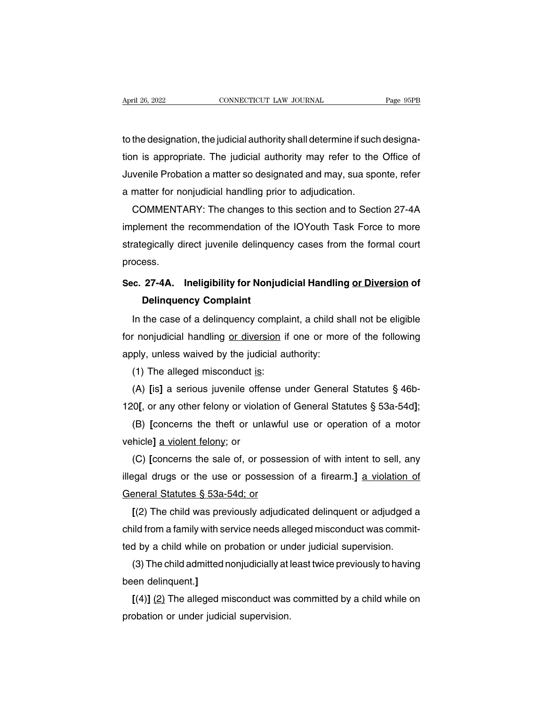April 26, 2022<br>CONNECTICUT LAW JOURNAL Page 95PB<br>to the designation, the judicial authority shall determine if such designa-<br>tion is appropriate. The judicial authority may refer to the Office of April 26, 2022 CONNECTICUT LAW JOURNAL Page 95PB<br>to the designation, the judicial authority shall determine if such designa-<br>tion is appropriate. The judicial authority may refer to the Office of<br>Juvenile Probation a matte In the designation, the judicial authority shall determine if such designa-<br>tion is appropriate. The judicial authority may refer to the Office of<br>Juvenile Probation a matter so designated and may, sua sponte, refer<br>a matt to the designation, the judicial authority shall determine if such<br>tion is appropriate. The judicial authority may refer to the<br>Juvenile Probation a matter so designated and may, sua spo<br>a matter for nonjudicial handling p the designation, the judicial authority shall determine if such designa-<br>n is appropriate. The judicial authority may refer to the Office of<br>venile Probation a matter so designated and may, sua sponte, refer<br>matter for non

tion is appropriate. The judicial authority may refer to the Office of<br>Juvenile Probation a matter so designated and may, sua sponte, refer<br>a matter for nonjudicial handling prior to adjudication.<br>COMMENTARY: The changes t Juvenile Probation a matter so designated and may, sua sponte, reter<br>a matter for nonjudicial handling prior to adjudication.<br>COMMENTARY: The changes to this section and to Section 27-4A<br>implement the recommendation of the process. **EXECUTE INTERTATE IS THE CHANGES TO THE SECTION AND TO SECTION 27-4A.**<br>
Implement the recommendation of the IOYouth Task Force to more<br>
strategically direct juvenile delinquency cases from the formal court<br>
process.<br> **Sec** Einent the recommendation of the<br>egically direct juvenile delinquent<br>ess.<br>**27-4A.** Ineligibility for Nonju<br>Delinquency Complaint<br>the case of a delinquency comp

ocess.<br>
C. 27-4A. Ineligibility for Nonjudicial Handling or Diversion of<br>
Delinquency Complaint<br>
In the case of a delinquency complaint, a child shall not be eligible<br>
In onjudicial handling <u>or diversion</u> if one or more o Sec. 27-4A. Ineligibility for Nonjudicial Handling <u>or Diversion</u> of<br>Delinquency Complaint<br>In the case of a delinquency complaint, a child shall not be eligible<br>for nonjudicial handling <u>or diversion</u> if one or more of the Sec. 27-4A. Ineilgibility for Nonjudicial Handling<br>Delinquency Complaint<br>In the case of a delinquency complaint, a child st<br>for nonjudicial handling <u>or diversion</u> if one or more<br>apply, unless waived by the judicial author **Delinquency Complaint**<br>In the case of a delinquency compla<br>r nonjudicial handling <u>or diversion</u> if<br>ply, unless waived by the judicial at<br>(1) The alleged misconduct <u>is</u>:<br>(A) [is] a serious juvenile offense u In the case of a delinquency complaint, a child shall not be eligible<br>
r nonjudicial handling <u>or diversion</u> if one or more of the following<br>
ply, unless waived by the judicial authority:<br>
(1) The alleged misconduct <u>is</u>:<br>

for nonjudicial handling <u>or diversion</u> if one or more of the following<br>apply, unless waived by the judicial authority:<br>(1) The alleged misconduct <u>is:</u><br>(A) [is] a serious juvenile offense under General Statutes § 46b-<br>120

ply, unless waived by the judicial authority:<br>(1) The alleged misconduct <u>is:</u><br>(A) [is] a serious juvenile offense under General Statutes § 46b-<br>0[, or any other felony or violation of General Statutes § 53a-54d];<br>(B) [con (1) The alleged misconduct is:<br>
(A) [is] a serious juvenile offen<br>
120[, or any other felony or violation<br>
(B) [concerns the theft or unla<br>
vehicle] <u>a violent felony</u>; or<br>
(C) [concerns the sale of, or po

(A) [is] a serious juvenile offense under General Statutes  $\S$  46b-0[, or any other felony or violation of General Statutes  $\S$  53a-54d];<br>(B) [concerns the theft or unlawful use or operation of a motor<br>hicle] <u>a violent f</u> 120[, or any other telony or violation of General Statutes § 53a-54d];<br>
(B) [concerns the theft or unlawful use or operation of a motor<br>
vehicle] <u>a violent felony</u>; or<br>
(C) [concerns the sale of, or possession of with int (B) [concerns the theft or unlawful<br>vehicle] <u>a violent felony</u>; or<br>(C) [concerns the sale of, or posses<br>illegal drugs or the use or possessic<br>General Statutes § 53a-54d; or<br>[(2) The child was previously adjudie hicle] <u>a violent telony</u>; or<br>(C) [concerns the sale of, or possession of with intent to sell, any<br>egal drugs or the use or possession of a firearm.] <u>a violation of</u><br>eneral Statutes § 53a-54d; or<br>[(2) The child was previo

(C) [concerns the sale of, or possession of with intent to sell, any<br>illegal drugs or the use or possession of a firearm.] <u>a violation of</u><br>General Statutes § 53a-54d; or<br> $[(2)$  The child was previously adjudicated delinqu illegal drugs or the use or possession of a firearm.] <u>a violation of</u><br>General Statutes § 53a-54d; or<br>[(2) The child was previously adjudicated delinquent or adjudged a<br>child from a family with service needs alleged miscon eneral Statutes § 53a-54d; or<br>[(2) The child was previously adjudicated delinquent or adjudged a<br>ild from a family with service needs alleged misconduct was commit-<br>d by a child while on probation or under judicial supervi  $\lfloor (2) \rfloor$  The child was pre<br>child from a family with se<br>ted by a child while on p<br>(3) The child admitted r<br>been delinquent.]<br> $\lfloor (4) \rfloor$  (2) The alleged m

ild from a family with service needs alleged misconduct was commit-<br>d by a child while on probation or under judicial supervision.<br>(3) The child admitted nonjudicially at least twice previously to having<br>en delinquent.]<br>[( ted by a child while on probation or un<br>
(3) The child admitted nonjudicially at l<br>
been delinquent.]<br>
[(4)] <u>(2)</u> The alleged misconduct was<br>
probation or under judicial supervision.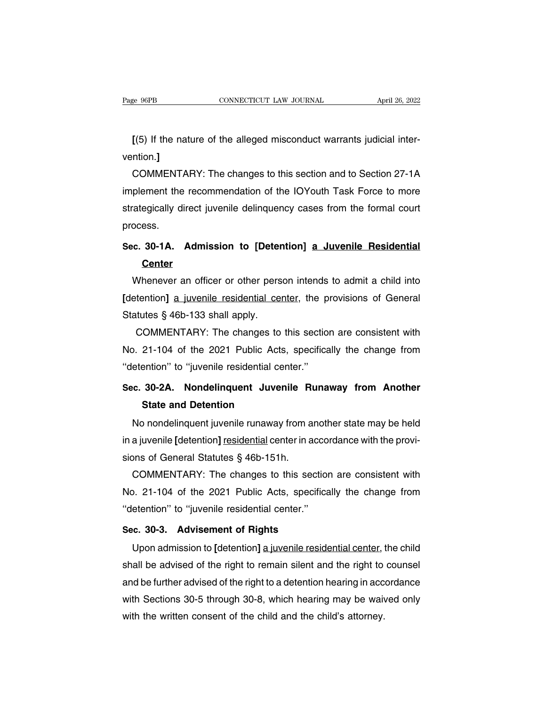**EXECUTE:** CONNECTICUT LAW JOURNAL April 26, 2022<br> **[(5)** If the nature of the alleged misconduct warrants judicial inter-<br>
ntion.] vention.**]**

COMMENTARY: The changes to this section and to Section 27-1A<br>plement the recommendation of the IOYouth Task Force to more [(5) If the nature of the alleged misconduct warrants judicial inter-<br>vention.]<br>COMMENTARY: The changes to this section and to Section 27-1A<br>implement the recommendation of the IOYouth Task Force to more<br>strategically dire [(5) If the nature of the alleged misconduct warrants judicial inter-<br>vention.]<br>COMMENTARY: The changes to this section and to Section 27-1A<br>implement the recommendation of the IOYouth Task Force to more<br>strategically dire process. **SECTION SECTION 27-1A**<br>
Section and to Section 27-1A<br>
implement the recommendation of the IOYouth Task Force to more<br>
strategically direct juvenile delinquency cases from the formal court<br>
process.<br>
Sec. 30-1A. Admission

### **Center**

degically direct juvenile delinquency cases from the formal court<br>ocess.<br>c. 30-1A. Admission to [Detention] a Juvenile Residential<br>Center<br>Whenever an officer or other person intends to admit a child into<br>etention] a juveni **[Detention]** a **Juvenile Residential**<br> **Center**<br>
Whenever an officer or other person intends to admit a child into<br>
[detention] <u>a juvenile residential center</u>, the provisions of General<br>
Statutes § 46b-133 shall apply. Sec. 30-1A. Admission to [Detention] a Juvenile Residential<br>Center<br>Whenever an officer or other person intends to admit a child into<br>[detention] a juvenile residential center, the provisions of General<br>Statutes § 46b-133 s Commeter an officer or other person intends to admit a child into<br>tention] a juvenile residential center, the provisions of General<br>tutes § 46b-133 shall apply.<br>COMMENTARY: The changes to this section are consistent with<br>2

Whenever an officer or other person intends to admit a child into<br>
[detention] a juvenile residential center, the provisions of General<br>
Statutes § 46b-133 shall apply.<br>
COMMENTARY: The changes to this section are consiste COMMENTARY: The changes to this section are consistent with<br>
No. 21-104 of the 2021 Public Acts, specifically the change from<br>
"detention" to "juvenile residential center."<br>
Sec. 30-2A. Nondelinguent Juvenile Runaway from Statutes § 460-133 shall apply.<br>
COMMENTARY: The changes to this section are consistent with<br>
No. 21-104 of the 2021 Public Acts, specifically the change from<br>
"detention" to "juvenile residential center."<br> **Sec. 30-2A. No State and Detention**<br> **State and Detention**<br> **State and Detention**<br> **State and Detention**<br> **State and Detention**<br> **State and Detention** 

 $2.21-104$  of the 2021 Fublic Acts, specifically the change non-<br>etention" to "juvenile residential center."<br>c. 30-2A. Nondelinquent Juvenile Runaway from Another<br>State and Detention<br>No nondelinquent juvenile runaway from Sec. 30-2A. Nondelinquent Juvenile Runaway from Another<br>State and Detention<br>No nondelinquent juvenile runaway from another state may be held<br>in a juvenile [detention] <u>residential</u> center in accordance with the provi-<br>sion Sec. 30-2A. Nondelinquent Juvenile Research State and Detention<br>No nondelinquent juvenile runaway from a<br>in a juvenile [detention] residential center in a<br>sions of General Statutes § 46b-151h.<br>COMMENTARY: The changes to th State and Detention<br>No nondelinquent juvenile runaway from another state may be held<br>a juvenile [detention] residential center in accordance with the provi-<br>ons of General Statutes § 46b-151h.<br>COMMENTARY: The changes to th No nondelinquent juvenile runaway from another state may be held<br>in a juvenile [detention] residential center in accordance with the provi-<br>sions of General Statutes § 46b-151h.<br>COMMENTARY: The changes to this section are

in a juvenile [detention] residential center in acco<br>
sions of General Statutes § 46b-151h.<br>
COMMENTARY: The changes to this sectio<br>
No. 21-104 of the 2021 Public Acts, specifica<br>
"detention" to "juvenile residential cente sions of General Statutes § 460-1511.<br>
COMMENTARY: The changes to this sectio<br>
No. 21-104 of the 2021 Public Acts, specifica<br>
"detention" to "juvenile residential center."<br> **Sec. 30-3. Advisement of Rights**<br>
Upon admission Upon admission to **[**detention] a juvenile residential center."<br> **Example 1968** and the change from etention" to "juvenile residential center."<br> **C. 30-3. Advisement of Rights**<br>
Upon admission to [detention] a juvenile res

shall be advised of the right to remain silential center."<br>Sec. 30-3. Advisement of Rights<br>Upon admission to [detention] a juvenile residential center, the child<br>shall be advised of the right to remain silent and the righ Sec. 30-3. Advisement of Rights<br>Upon admission to [detention] a juvenile residential center, the child<br>shall be advised of the right to remain silent and the right to counsel<br>and be further advised of the right to a detent Sec. 30-3. Advisement of Rights<br>Upon admission to [detention] <u>a juvenile residential center</u>, the child<br>shall be advised of the right to remain silent and the right to counsel<br>and be further advised of the right to a dete Upon admission to [detention] a juvenile residential center, thall be advised of the right to remain silent and the right to and be further advised of the right to a detention hearing in acc with Sections 30-5 through 30-8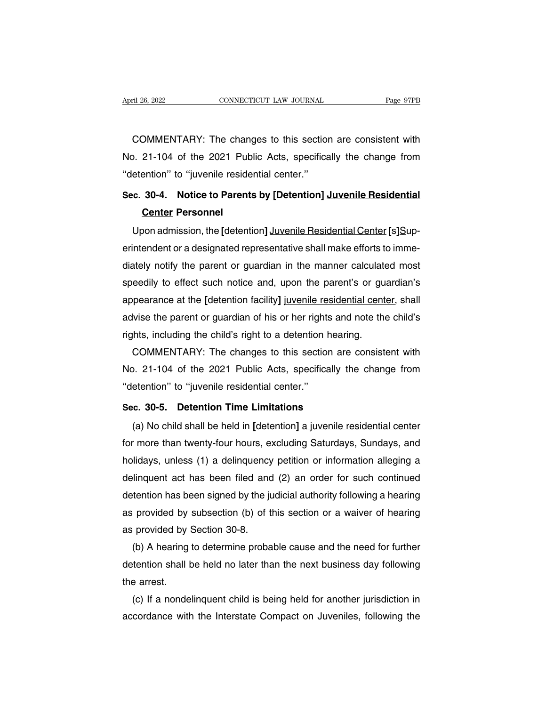ril 26, 2022 CONNECTICUT LAW JOURNAL Page 97PB<br>COMMENTARY: The changes to this section are consistent with<br>21-104 of the 2021 Public Acts, specifically the change from April 26, 2022 CONNECTICUT LAW JOURNAL Page 97PB<br>
COMMENTARY: The changes to this section are consistent with<br>
No. 21-104 of the 2021 Public Acts, specifically the change from<br>
"detention" to "juvenile residential center." COMMENTARY: The changes to this section<br>No. 21-104 of the 2021 Public Acts, specificated the center.''<br>"detention" to "juvenile residential center."<br>Sec. 30-4. Notice to Parents by [Detention], COMMENTARY: The changes to this section are consistent with<br>No. 21-104 of the 2021 Public Acts, specifically the change from<br>"detention" to "juvenile residential center."<br>Sec. 30-4. Notice to Parents by [Detention] Juvenil Divilent Art F. The Grian<br>21-104 of the 2021 Pu<br>ention" to "juvenile resid<br>**30-4. Notice to Paren**<br>Center Personnel<br>pon admission, the [deten

Letter and the *LUZT Tablic Acts*, specifically the change from electrion' to "juvenile residential center."<br>
Center Personnel<br>
Upon admission, the [detention] Juvenile Residential Center [s]Sup-<br>
Intendent or a designated Sec. 30-4. Notice to Parents by [Detention] Juvenile Residential<br>Center Personnel<br>Upon admission, the [detention] Juvenile Residential Center [s]Sup-<br>erintendent or a designated representative shall make efforts to imme-<br>d Sec. 30-4. Notice to Parents by [Detention] Juvenile Residential<br>
Center Personnel<br>
Upon admission, the [detention] Juvenile Residential Center [s]Sup-<br>
erintendent or a designated representative shall make efforts to imme **Center Personnel**<br>Upon admission, the [detention] Juvenile Residential Center [s]Sup-<br>erintendent or a designated representative shall make efforts to imme-<br>diately notify the parent or guardian in the manner calculated m Upon admission, the [detention] Juvenile Residential Center [s]Superintendent or a designated representative shall make efforts to immediately notify the parent or guardian in the manner calculated most speedily to effect erintendent or a designated representative shall make efforts to imme-<br>diately notify the parent or guardian in the manner calculated most<br>speedily to effect such notice and, upon the parent's or guardian's<br>appearance at t diately notify the parent or guardian in the manner calculate<br>speedily to effect such notice and, upon the parent's or gu<br>appearance at the [detention facility] juvenile residential cent<br>advise the parent or guardian of hi eedily to effect such notice and, upon the parent's or guardian's<br>pearance at the [detention facility] juvenile residential center, shall<br>lvise the parent or guardian of his or her rights and note the child's<br>lnts, includi appearance at the [detention facility] juvenile residential center, shall<br>advise the parent or guardian of his or her rights and note the child's<br>rights, including the child's right to a detention hearing.<br>COMMENTARY: The

advise the parent or guardian of his or her right<br>
rights, including the child's right to a detention |<br>
COMMENTARY: The changes to this sectio<br>
No. 21-104 of the 2021 Public Acts, specifica<br>
"detention" to "juvenile resid **Sec.** 30-5. Detention Time Limitation COMMENTARY: The changes to this section are No. 21-104 of the 2021 Public Acts, specifically the "detention" to "juvenile residential center."<br>Sec. 30-5. Detention Time Limitations (a (a) No child shall be held in **[detention]** a juvenile residential center."<br>
(a) No child shall be held in **[detention]** a juvenile residential center<br>
(a) No child shall be held in **[detention]** a juvenile residential cen

for more than twentier residential center."<br>Sec. 30-5. Detention Time Limitations<br>(a) No child shall be held in [detention] a juvenile residential center<br>for more than twenty-four hours, excluding Saturdays, Sundays, and<br>h Sec. 30-5. Detention Time Limitations<br>
(a) No child shall be held in [detention] <u>a juvenile residential center</u><br>
for more than twenty-four hours, excluding Saturdays, Sundays, and<br>
holidays, unless (1) a delinquency petit Sec. 30-5. Detention Time Limitations<br>
(a) No child shall be held in [detention] <u>a juvenile residential center</u><br>
for more than twenty-four hours, excluding Saturdays, Sundays, and<br>
holidays, unless (1) a delinquency petit (a) No child shall be held in [detention]  $\underline{a}$  juvenile residential center<br>for more than twenty-four hours, excluding Saturdays, Sundays, and<br>holidays, unless (1) a delinquency petition or information alleging a<br>delin for more than twenty-four hours, excluding Saturdays, Sundays, and<br>holidays, unless (1) a delinquency petition or information alleging a<br>delinquent act has been filed and (2) an order for such continued<br>detention has been holidays, unless (1) a delinquency petition or information alleging a delinquent act has been filed and (2) an order for such continued detention has been signed by the judicial authority following a hearing as provided by linquent act has been filed and (2) an order for such continued<br>tention has been signed by the judicial authority following a hearing<br>provided by subsection (b) of this section or a waiver of hearing<br>provided by Section 30

detention has been signed by the judicial authority following a hearing<br>as provided by subsection (b) of this section or a waiver of hearing<br>as provided by Section 30-8.<br>(b) A hearing to determine probable cause and the ne as provided by<br>as provided by :<br>(b) A hearing<br>detention shall t<br>the arrest.<br>(c) If a nonde provided by Section 30-8.<br>
(b) A hearing to determine probable cause and the need for further<br>
tention shall be held no later than the next business day following<br>
e arrest.<br>
(c) If a nondelinquent child is being held for (b) A hearing to determine probable cause and the need for further<br>detention shall be held no later than the next business day following<br>the arrest.<br>(c) If a nondelinquent child is being held for another jurisdiction in<br>ac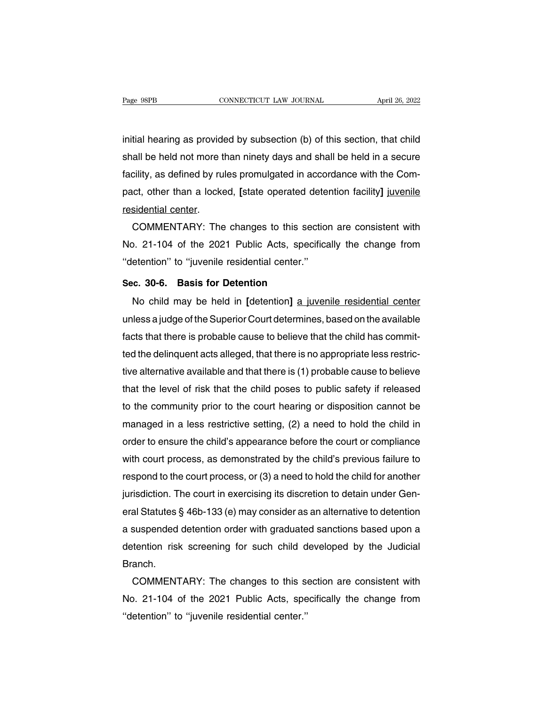Fage 98PB<br>initial hearing as provided by subsection (b) of this section, that child<br>shall be held not more than ninety days and shall be held in a secure Fage 98PB CONNECTICUT LAW JOURNAL April 26, 2022<br>initial hearing as provided by subsection (b) of this section, that child<br>shall be held not more than ninety days and shall be held in a secure<br>facility, as defined by rules fact of the conductive train sociality is the complication initial hearing as provided by subsection (b) of this section, that child shall be held not more than ninety days and shall be held in a secure facility, as define initial hearing as provided by subsection (b) of this section, that child<br>shall be held not more than ninety days and shall be held in a secure<br>facility, as defined by rules promulgated in accordance with the Com-<br>pact, ot initial hearing as provide<br>shall be held not more t<br>facility, as defined by ru<br>pact, other than a locke<br>residential center.<br>COMMENTARY: The all be held not more than ninety days and shall be held in a secure<br>cility, as defined by rules promulgated in accordance with the Com-<br>ct, other than a locked, [state operated detention facility] juvenile<br>sidential center

facility, as defined by rules promulgated in accordance with the Compact, other than a locked, [state operated detention facility] juvenile<br>residential center.<br>COMMENTARY: The changes to this section are consistent with<br>No pact, other than a locked, [state operated dete<br>
residential center.<br>
COMMENTARY: The changes to this sectio<br>
No. 21-104 of the 2021 Public Acts, specifica<br>
"detention" to "juvenile residential center."<br>
Sec. 30-6. Basis f **COMMENTARY:** The changes to this section.<br>
No. 21-104 of the 2021 Public Acts, specifit<br>
"detention" to "juvenile residential center."<br>
Sec. 30-6. Basis for Detention<br>
No child may be held in [detention] a juve No. 21-104 of the 2021 Public Acts, specifically the change from<br>etention<sup>9</sup> to "juvenile residential center."<br>**C. 30-6. Basis for Detention**<br>No child may be held in [detention] <u>a juvenile residential center</u><br>less a judge

We see the Superior Court Traditionary and Shango non-<br>
"detention" to "juvenile residential center."<br>
Sec. 30-6. Basis for Detention<br>
No child may be held in [detention] <u>a juvenile residential center</u><br>
unless a judge of Sec. 30-6. Basis for Detention<br>No child may be held in [detention] a juvenile residential center<br>unless a judge of the Superior Court determines, based on the available<br>facts that there is probable cause to believe that th Sec. 30-6. Basis for Detention<br>No child may be held in [detention] <u>a juvenile residential center</u><br>unless a judge of the Superior Court determines, based on the available<br>facts that there is probable cause to believe that No child may be held in [detention] a juvenile residential center<br>unless a judge of the Superior Court determines, based on the available<br>facts that there is probable cause to believe that the child has commit-<br>ted the del unless a judge of the Superior Court determines, based on the available<br>facts that there is probable cause to believe that the child has commit-<br>ted the delinquent acts alleged, that there is no appropriate less restric-<br>t facts that there is probable cause to believe that the child has commit-<br>ted the delinquent acts alleged, that there is no appropriate less restric-<br>tive alternative available and that there is (1) probable cause to believ ted the delinquent acts alleged, that there is no appropriate less restrictive alternative available and that there is (1) probable cause to believe<br>that the level of risk that the child poses to public safety if released<br> tive alternative available and that there is (1) probable cause to believe<br>that the level of risk that the child poses to public safety if released<br>to the community prior to the court hearing or disposition cannot be<br>manag that the level of risk that the child poses to public safety if released<br>to the community prior to the court hearing or disposition cannot be<br>managed in a less restrictive setting, (2) a need to hold the child in<br>order to to the community prior to the court hearing or disposition cannot be<br>managed in a less restrictive setting, (2) a need to hold the child in<br>order to ensure the child's appearance before the court or compliance<br>with court p managed in a less restrictive setting, (2) a need to hold the child in<br>order to ensure the child's appearance before the court or compliance<br>with court process, as demonstrated by the child's previous failure to<br>respond to order to ensure the child's appearance betore the court or compliance<br>with court process, as demonstrated by the child's previous failure to<br>respond to the court process, or (3) a need to hold the child for another<br>jurisdi with court process, as demonstrated by the child's previous tailure to<br>respond to the court process, or (3) a need to hold the child for another<br>jurisdiction. The court in exercising its discretion to detain under Gen-<br>era respond to the court process, or (3) a need to hold the child for another<br>jurisdiction. The court in exercising its discretion to detain under Gen-<br>eral Statutes § 46b-133 (e) may consider as an alternative to detention<br>a Branch. al Statutes § 46b-133 (e) may consider as an alternative to detention<br>suspended detention order with graduated sanctions based upon a<br>tention risk screening for such child developed by the Judicial<br>anch.<br>COMMENTARY: The ch

a suspended detention order with graduated sanctions based upon a<br>detention risk screening for such child developed by the Judicial<br>Branch.<br>COMMENTARY: The changes to this section are consistent with<br>No. 21-104 of the 2021 detention risk screening for such child d<br>Branch.<br>COMMENTARY: The changes to this se<br>No. 21-104 of the 2021 Public Acts, spe<br>"detention" to "juvenile residential center."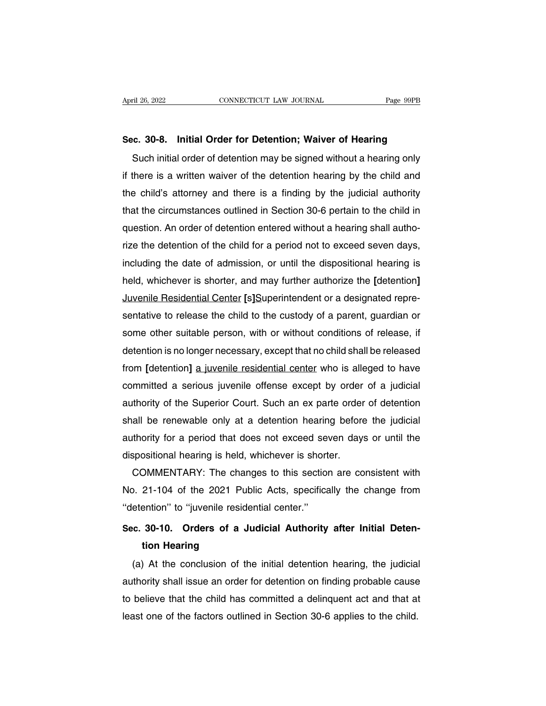April 26, 2022<br> **Sec. 30-8. Initial Order for Detention; Waiver of Hearing**<br>
Such initial order of detention may be signed without a hearing only Fil 26, 2022 CONNECTICUT LAW JOURNAL Page 99PB<br> **C. 30-8. Initial Order for Detention; Waiver of Hearing**<br>
Such initial order of detention may be signed without a hearing only<br>
there is a written waiver of the detention he Sec. 30-8. Initial Order for Detention; Waiver of Hearing<br>Such initial order of detention may be signed without a hearing only<br>if there is a written waiver of the detention hearing by the child and<br>the child's attorney and Sec. 30-8. Initial Order for Detention; Waiver of Hearing<br>Such initial order of detention may be signed without a hearing only<br>if there is a written waiver of the detention hearing by the child and<br>the child's attorney and Sec. 30-8. Initial Order for Detention; walver or Hearing<br>Such initial order of detention may be signed without a hearing only<br>if there is a written waiver of the detention hearing by the child and<br>the child's attorney and Such initial order of detention may be signed without a hearing only<br>if there is a written waiver of the detention hearing by the child and<br>the child's attorney and there is a finding by the judicial authority<br>that the cir if there is a written waiver of the detention hearing by the child and<br>the child's attorney and there is a finding by the judicial authority<br>that the circumstances outlined in Section 30-6 pertain to the child in<br>question. the child's attorney and there is a finding by the judicial authority<br>that the circumstances outlined in Section 30-6 pertain to the child in<br>question. An order of detention entered without a hearing shall autho-<br>rize the that the circumstances outlined in Section 30-6 pertain to the child in<br>question. An order of detention entered without a hearing shall autho-<br>rize the detention of the child for a period not to exceed seven days,<br>includin question. An order of detention entered without a hearing shall autho-<br>rize the detention of the child for a period not to exceed seven days,<br>including the date of admission, or until the dispositional hearing is<br>held, whi rize the detention of the child for a period not to exceed seven days,<br>including the date of admission, or until the dispositional hearing is<br>held, whichever is shorter, and may further authorize the [detention]<br>Juvenile R including the date of admission, or until the dispositional hearing is<br>held, whichever is shorter, and may further authorize the [detention]<br>Juvenile Residential Center [s]Superintendent or a designated repre-<br>sentative to held, whichever is shorter, and may further authorize the [detention]<br>Juvenile Residential Center [s]Superintendent or a designated repre-<br>sentative to release the child to the custody of a parent, guardian or<br>some other s Juvenile Residential Center [s]Superintendent or a designated representative to release the child to the custody of a parent, guardian or some other suitable person, with or without conditions of release, if detention is n sentative to release the child to the custody of a parent, guardian or<br>some other suitable person, with or without conditions of release, if<br>detention is no longer necessary, except that no child shall be released<br>from [de some other suitable person, with or without conditions of release, if<br>detention is no longer necessary, except that no child shall be released<br>from [detention] <u>a juvenile residential center</u> who is alleged to have<br>committ detention is no longer necessary, except that no child shall be released<br>from [detention] <u>a juvenile residential center</u> who is alleged to have<br>committed a serious juvenile offense except by order of a judicial<br>authority from [detention] <u>a juvenile residential center</u> who is alleged to have<br>committed a serious juvenile offense except by order of a judicial<br>authority of the Superior Court. Such an ex parte order of detention<br>shall be renew committed a serious juvenile offense except by order<br>authority of the Superior Court. Such an ex parte order<br>shall be renewable only at a detention hearing before<br>authority for a period that does not exceed seven days<br>disp thority of the Superior Court. Such an ex parte order of detention<br>all be renewable only at a detention hearing before the judicial<br>thority for a period that does not exceed seven days or until the<br>spositional hearing is h shall be renewable only at a detention hearing before the judicial<br>authority for a period that does not exceed seven days or until the<br>dispositional hearing is held, whichever is shorter.<br>COMMENTARY: The changes to this se

authority for a period that does not exceed seven days or until the dispositional hearing is held, whichever is shorter.<br>
COMMENTARY: The changes to this section are consistent with<br>
No. 21-104 of the 2021 Public Acts, spe COMMENTARY: The changes to this section are consistent with<br>No. 21-104 of the 2021 Public Acts, specifically the change from<br>"detention" to "juvenile residential center."<br>Sec. 30-10. Orders of a Judicial Authority after In 21-104 of the 2021 Pub<br>
21-104 of the 2021 Pub<br>
ention" to "juvenile reside<br> **30-10. Orders of a Jule 10.**<br> **tion Hearing**<br>
At the conclusion of the

(a) At the conclusion of the initial detention hearing (a) At the conclusion of the initial detention hearing, the judicial thority shall issue an order for detention on finding probable cause Sec. 30-10. Orders of a Judicial Authority after Initial Detention Hearing<br>
(a) At the conclusion of the initial detention hearing, the judicial<br>
authority shall issue an order for detention on finding probable cause<br>
to b Sec. 30-10. Orders of a Judicial Authority after initial Detention Hearing<br>tion Hearing<br>(a) At the conclusion of the initial detention hearing, the judicial<br>authority shall issue an order for detention on finding probable tion Hearing<br>
(a) At the conclusion of the initial detention hearing, the judicia<br>
authority shall issue an order for detention on finding probable cause<br>
to believe that the child has committed a delinquent act and that a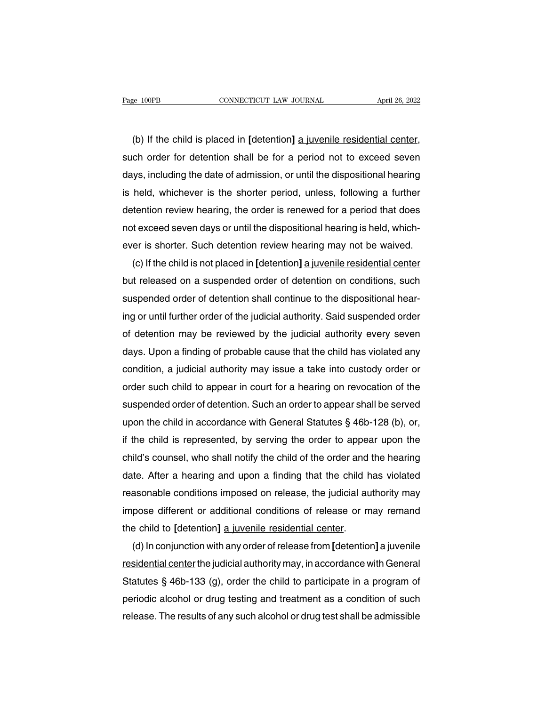(b) If the child is placed in **[**detention**]** a juvenile residential center,<br>
(b) If the child is placed in **[**detention**]** a juvenile residential center,<br>
ch order for detention shall be for a period not to exceed seven Fage 100PB CONNECTICUT LAW JOURNAL April 26, 2022<br>(b) If the child is placed in [detention] <u>a juvenile residential center</u>,<br>such order for detention shall be for a period not to exceed seven<br>days, including the date of ad (b) If the child is placed in [detention] a juvenile residential center,<br>such order for detention shall be for a period not to exceed seven<br>days, including the date of admission, or until the dispositional hearing<br>is held, (b) If the child is placed in [detention] a juvenile residential center, such order for detention shall be for a period not to exceed seven days, including the date of admission, or until the dispositional hearing is held, (b) If the child is placed in [detention] a juvenile residential center,<br>such order for detention shall be for a period not to exceed seven<br>days, including the date of admission, or until the dispositional hearing<br>is held, such order tor detention shall be tor a period not to exceed seven<br>days, including the date of admission, or until the dispositional hearing<br>is held, whichever is the shorter period, unless, following a further<br>detention r days, including the date of admission, or until the dispositional hearing<br>is held, whichever is the shorter period, unless, following a further<br>detention review hearing, the order is renewed for a period that does<br>not exce held, whichever is the shorter period, unless, following a further<br>tention review hearing, the order is renewed for a period that does<br>t exceed seven days or until the dispositional hearing is held, which-<br>er is shorter. S

detention review hearing, the order is renewed for a period that does<br>not exceed seven days or until the dispositional hearing is held, which-<br>ever is shorter. Such detention review hearing may not be waived.<br>(c) If the ch not exceed seven days or until the dispositional hearing is held, which-<br>ever is shorter. Such detention review hearing may not be waived.<br>(c) If the child is not placed in [detention] <u>a juvenile residential center</u><br>but r ever is shorter. Such detention review hearing may not be waived.<br>
(c) If the child is not placed in [detention] a juvenile residential center<br>
but released on a suspended order of detention on conditions, such<br>
suspended (c) if the child is not placed in [detention] a juvenile residential center<br>but released on a suspended order of detention on conditions, such<br>suspended order of detention shall continue to the dispositional hear-<br>ing or u but released on a suspended order of detention on conditions, such<br>suspended order of detention shall continue to the dispositional hear-<br>ing or until further order of the judicial authority. Said suspended order<br>of detent suspended order of detention shall continue to the dispositional hear-<br>ing or until further order of the judicial authority. Said suspended order<br>of detention may be reviewed by the judicial authority every seven<br>days. Upo ing or until further order of the judicial authority. Said suspended order<br>of detention may be reviewed by the judicial authority every seven<br>days. Upon a finding of probable cause that the child has violated any<br>condition of detention may be reviewed by the judicial authority every seven<br>days. Upon a finding of probable cause that the child has violated any<br>condition, a judicial authority may issue a take into custody order or<br>order such ch days. Upon a finding of probable cause that the child has violated any<br>condition, a judicial authority may issue a take into custody order or<br>order such child to appear in court for a hearing on revocation of the<br>suspende condition, a judicial authority may issue a take into custody order or<br>order such child to appear in court for a hearing on revocation of the<br>suspended order of detention. Such an order to appear shall be served<br>upon the c order such child to appear in court for a hearing on revocation of the<br>suspended order of detention. Such an order to appear shall be served<br>upon the child in accordance with General Statutes § 46b-128 (b), or,<br>if the chil suspended order of detention. Such an order to appear snall be served<br>upon the child in accordance with General Statutes § 46b-128 (b), or,<br>if the child is represented, by serving the order to appear upon the<br>child's couns upon the child in accordance with General Statutes § 46b-128 (b), or,<br>if the child is represented, by serving the order to appear upon the<br>child's counsel, who shall notify the child of the order and the hearing<br>date. Afte if the child is represented, by serving the order to appear upon the<br>child's counsel, who shall notify the child of the order and the hearing<br>date. After a hearing and upon a finding that the child has violated<br>reasonable child's counsel, who shall notity the child of the order and<br>date. After a hearing and upon a finding that the child h<br>reasonable conditions imposed on release, the judicial au<br>impose different or additional conditions of te. After a hearing and upon a finding that the child has violated<br>asonable conditions imposed on release, the judicial authority may<br>pose different or additional conditions of release or may remand<br>e child to [detention]

reasonable conditions imposed on release, the judicial authority may<br>impose different or additional conditions of release or may remand<br>the child to [detention] <u>a juvenile residential center</u>.<br>(d) In conjunction with any impose different or additional conditions of release or may remand<br>the child to [detention] <u>a juvenile residential center</u>.<br>(d) In conjunction with any order of release from [detention] a juvenile<br>residential center the j the child to [detention] <u>a juvenile residential center</u>.<br>
(d) In conjunction with any order of release from [detention] <u>a juvenile</u><br>
<u>residential center</u> the judicial authority may, in accordance with General<br>
Statutes § (d) In conjunction with any order of release from [detention] a juvenile residential center the judicial authority may, in accordance with General Statutes  $\S$  46b-133 (g), order the child to participate in a program of p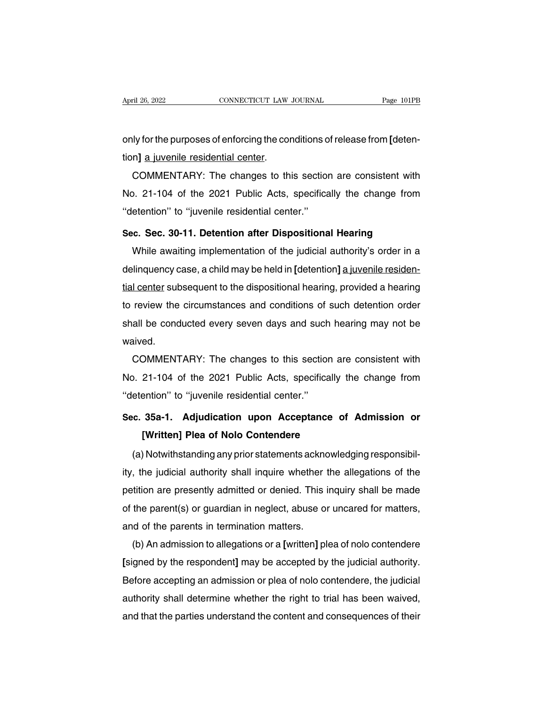April 26, 2022<br> **CONNECTICUT LAW JOURNAL**<br> **Page 101PB**<br> **Only for the purposes of enforcing the conditions of release from [deten-**<br> **tion]** <u>**a** juvenile residential center</u>. April 26, 2022<br> **CONNECTICUT LAW**<br> **CONNENTARY:** The changes to the<br> **COMMENTARY:** The changes to the

In the purposes of enforcing the conditions of release from [deten-<br>
n] a juvenile residential center.<br>
COMMENTARY: The changes to this section are consistent with<br>
D. 21-104 of the 2021 Public Acts, specifically the chang only for the purposes of enforcing the conditions of release from [detention] a juvenile residential center.<br>COMMENTARY: The changes to this section are consistent with<br>No. 21-104 of the 2021 Public Acts, specifically the only for the purposes of emorcing the conditions of<br>
tion] a juvenile residential center.<br>
COMMENTARY: The changes to this sectio<br>
No. 21-104 of the 2021 Public Acts, specifica<br>
"detention" to "juvenile residential center. **COMMENTARY:** The changes to this section are consistent with<br>No. 21-104 of the 2021 Public Acts, specifically the change from<br>"detention" to "juvenile residential center."<br>Sec. Sec. 30-11. Detention after Dispositional He Mo. 21-104 of the 2021 Public Acts, specifically the change from<br>etention" to "juvenile residential center."<br>c. Sec. 30-11. Detention after Dispositional Hearing<br>While awaiting implementation of the judicial authority's or

No. 21-104 of the 2021 Public Acts, specifically the change from<br>
"detention" to "juvenile residential center."<br> **Sec. Sec. 30-11. Detention after Dispositional Hearing**<br>
While awaiting implementation of the judicial autho Sec. Sec. 30-11. Detention after Dispositional Hearing<br>While awaiting implementation of the judicial authority's order in a<br>delinquency case, a child may be held in [detention] a juvenile residen-<br>tial center subsequent to Sec. Sec. 30-11. Detention after Dispositional Hearing<br>While awaiting implementation of the judicial authority's order in a<br>delinquency case, a child may be held in [detention] a juvenile residen-<br>tial center subsequent to wrille awalling implementation of the judicial authority's order in a<br>delinquency case, a child may be held in [detention] <u>a juvenile residen-<br>tial center</u> subsequent to the dispositional hearing, provided a hearing<br>to re waived. Tremer subsequent to the dispositional hearing, provided a hearing<br>review the circumstances and conditions of such detention order<br>all be conducted every seven days and such hearing may not be<br>aived.<br>COMMENTARY: The change

In the conducted every seven days and such hearing may not be<br>
waived.<br>
COMMENTARY: The changes to this section are consistent with<br>
No. 21-104 of the 2021 Public Acts, specifically the change from<br>
"detention" to "juvenil shall be conducted every seven days and such<br>
waived.<br>
COMMENTARY: The changes to this sectio<br>
No. 21-104 of the 2021 Public Acts, specifica<br>
"detention" to "juvenile residential center."<br>
Sec. 35a-1. Adjudication upon Acc **COMMENTARY:** The changes to this section are consistent with<br>No. 21-104 of the 2021 Public Acts, specifically the change from<br>"detention" to "juvenile residential center."<br>Sec. 35a-1. Adjudication upon Acceptance of Admis **Example 19 and Schools (21-104 of the 2021 Public Acts, specifically thermion" to "juvenile residential center."**<br>**35a-1. Adjudication upon Acceptance of [Written] Plea of Nolo Contendere**<br>Notwithstanding any prior statem

etention" to "juvenile residential center."<br>
c. 35a-1. Adjudication upon Acceptance of Admission or<br>
[Written] Plea of Nolo Contendere<br>
(a) Notwithstanding any prior statements acknowledging responsibil-<br>
the judicial auth Sec. 35a-1. Adjudication upon Acceptance of Admission or<br>
[Written] Plea of Nolo Contendere<br>
(a) Notwithstanding any prior statements acknowledging responsibil-<br>
ity, the judicial authority shall inquire whether the allega petition are presently admitted or denied. This inquiry shall be made of the parent(s) or guardian in neglect, abuse or uncared for matters, (a) Notwithstanding any prior statements acknowledging responsibility, the judicial authority shall inquire whether the allegations of the petition are presently admitted or denied. This inquiry shall be made of the parent (a) Notwithstanding any prior statements acknow<br>ity, the judicial authority shall inquire whether the<br>petition are presently admitted or denied. This if<br>of the parent(s) or guardian in neglect, abuse or<br>and of the parents (b) An admission to allegations or a further the allegations of the tition are presently admitted or denied. This inquiry shall be made<br>the parent(s) or guardian in neglect, abuse or uncared for matters,<br>d of the parents i

petition are presently admitted or defiled. This inquiry shall be made<br>of the parent(s) or guardian in neglect, abuse or uncared for matters,<br>and of the parents in termination matters.<br>(b) An admission to allegations or a or the parent(s) or guardian in hegiect, abuse or uncared for matters,<br>and of the parents in termination matters.<br>(b) An admission to allegations or a [written] plea of nolo contendere<br>[signed by the respondent] may be acc and of the parents in termination matters.<br>
(b) An admission to allegations or a [written] plea of nolo contendere<br>
[signed by the respondent] may be accepted by the judicial authority.<br>
Before accepting an admission or pl (b) An admission to allegations or a [written] plea of nolo contendere<br>[signed by the respondent] may be accepted by the judicial authority.<br>Before accepting an admission or plea of nolo contendere, the judicial<br>authority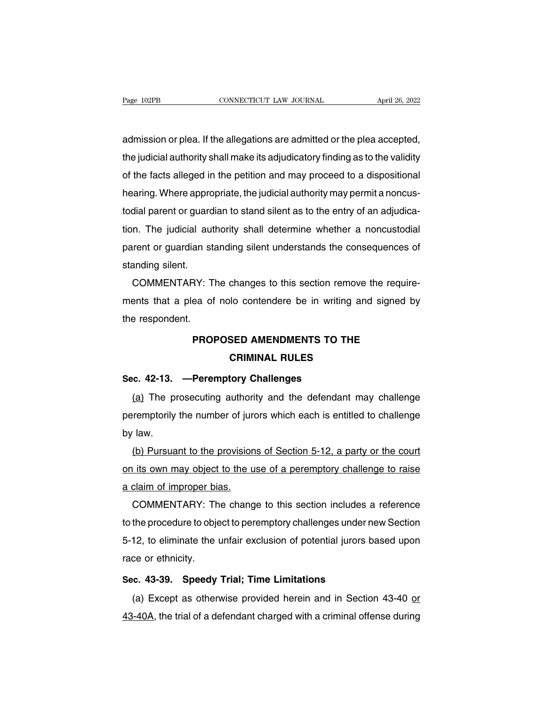admission or plea. If the allegations are admitted or the plea accepted, The gase 102PB<br>
the judicial authority shall make its adjudicatory finding as to the validity<br>
the judicial authority shall make its adjudicatory finding as to the validity<br>
of the facts alleged in the petition and may pro of the facts allegations are admitted or the plea accepted,<br>the judicial authority shall make its adjudicatory finding as to the validity<br>of the facts alleged in the petition and may proceed to a dispositional<br>hearing. Whe admission or plea. If the allegations are admitted or the plea accepted,<br>the judicial authority shall make its adjudicatory finding as to the validity<br>of the facts alleged in the petition and may proceed to a dispositional admission or piea. If the allegations are admitted or the piea accepted,<br>the judicial authority shall make its adjudicatory finding as to the validity<br>of the facts alleged in the petition and may proceed to a dispositional the judicial authority shall make its adjudicatory finding as to the validity<br>of the facts alleged in the petition and may proceed to a dispositional<br>hearing. Where appropriate, the judicial authority may permit a noncus-<br> or the facts alleged in the petition and may proceed to a dispositional<br>hearing. Where appropriate, the judicial authority may permit a noncus-<br>todial parent or guardian to stand silent as to the entry of an adjudica-<br>tion nearing. where appro<br>todial parent or guard<br>tion. The judicial au<br>parent or guardian st<br>standing silent.<br>COMMENTARY: T alal parent or guardian to stand silent as to the entry or an adjudica-<br>n. The judicial authority shall determine whether a noncustodial<br>trent or guardian standing silent understands the consequences of<br>anding silent.<br>COMM

tion. The judicial authority shall determine whether a honcustodial<br>parent or guardian standing silent understands the consequences of<br>standing silent.<br>COMMENTARY: The changes to this section remove the require-<br>ments that parent or guardian standing silent.<br>standing silent.<br>COMMENTARY: T<br>ments that a plea of<br>the respondent.<br>PROI **PROPOSED AMENDMENTS TO THE<br>CRIMINAL RULES Changes to the economic morter**<br>**CRIMINAL RULES<br>CRIMINAL RULES**<br>CRIMINAL RULES

# the respondent.<br> **PROPOSED AMENDMENTS TO TH**<br> **CRIMINAL RULES**<br>
Sec. 42-13. —Peremptory Challenges<br>
<u>(a</u>) The prosecuting authority and the defendant

PROPOSED AMENDMENTS TO THE<br>
CRIMINAL RULES<br>
C. 42-13. —Peremptory Challenges<br>
(a) The prosecuting authority and the defendant may challenge<br>
remptorily the number of jurors which each is entitled to challenge **PERMINAL RULES**<br> **Peremptory Challenges**<br>
(a) The prosecuting authority and the defendant may challenge<br>
peremptorily the number of jurors which each is entitled to challenge<br>
by law. **Sec. 42-13.**<br>(a) The pr<br>peremptorily<br>by law.<br>(b) Pursua (a) The prosecuting authority and the defendant may challenge<br>remptorily the number of jurors which each is entitled to challenge<br>law.<br>(b) Pursuant to the provisions of Section 5-12, a party or the court<br>its own may objec

(a) The prosecuting authority and the defendant may challenge<br>peremptorily the number of jurors which each is entitled to challenge<br>by law.<br>(b) Pursuant to the provisions of Section 5-12, a party or the court<br>on its own ma peremptorily the number of jure<br>by law.<br>(b) Pursuant to the provision<br>on its own may object to the u<br>a claim of improper bias.<br>COMMENTARY: The chang Taw.<br>
(b) Pursuant to the provisions of Section 5-12, a party or the court<br>
Lits own may object to the use of a peremptory challenge to raise<br>
claim of improper bias.<br>
COMMENTARY: The change to this section includes a refe

(b) Pursuant to the provisions of Section 5-12, a party or the court<br>on its own may object to the use of a peremptory challenge to raise<br>a claim of improper bias.<br>COMMENTARY: The change to this section includes a referenc on its own may object to the use of a peremptory challenge to raise<br>a claim of improper bias.<br>COMMENTARY: The change to this section includes a reference<br>to the procedure to object to peremptory challenges under new Sectio a claim of improper biangle COMMENTARY: The comment of the procedure to objet<br>5-12, to eliminate the race or ethnicity.<br>Sec. 43-39. Speedy **EXECREDITED INTERNALLY THE STARGE OF AND SECTABLE ASSESSION**<br> **45-12, to eliminate the unfair exclusion of potential jurors brace or ethnicity.**<br> **5ec.** 43-39. Speedy Trial; Time Limitations<br>
(a) Except as otherwise provi 12, to eliminate the unfair exclusion of potential jurors based upon<br>ce or ethnicity.<br>c. 43-39. Speedy Trial; Time Limitations<br>(a) Except as otherwise provided herein and in Section 43-40 <u>or</u><br> $\frac{1-40A}$ , the trial of a

Frace or ethnicity.<br>
Sec. 43-39. Speedy Trial; Time Limitations<br>
(a) Except as otherwise provided herein and in Section 43-40 or<br>
43-40A, the trial of a defendant charged with a criminal offense during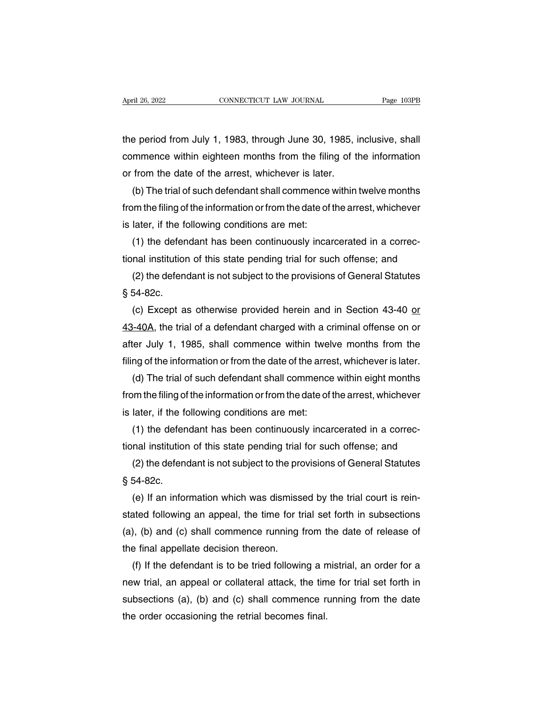April 26, 2022<br>
CONNECTICUT LAW JOURNAL<br>
the period from July 1, 1983, through June 30, 1985, inclusive, shall<br>
commence within eighteen months from the filing of the information Example 26, 2022 CONNECTICUT LAW JOURNAL Page 103PB<br>the period from July 1, 1983, through June 30, 1985, inclusive, shall<br>commence within eighteen months from the filing of the information<br>or from the date of the arrest, w or from the period from July 1, 1983, through June 30, 1985, if commence within eighteen months from the filing of the arrest, whichever is later.<br>(b) The trial of such defendant shall commence within (b) The trial of such defendant shall commence within eighteen months from the filing of the information<br>from the date of the arrest, whichever is later.<br>(b) The trial of such defendant shall commence within twelve months<br>

the period from July 1, 1983, through June 30, 1985, inclusive, shall<br>commence within eighteen months from the filing of the information<br>or from the date of the arrest, whichever is later.<br>(b) The trial of such defendant s commence within eighteen months from the filir<br>or from the date of the arrest, whichever is later<br>(b) The trial of such defendant shall commence<br>from the filing of the information or from the date of<br>is later, if the follo from the date of the arrest, whichever is later.<br>
(b) The trial of such defendant shall commence within twelve months<br>
om the filing of the information or from the date of the arrest, whichever<br>
later, if the following con (b) The trial of such defendant shall commence within twelve months<br>from the filing of the information or from the date of the arrest, whichever<br>is later, if the following conditions are met:<br>(1) the defendant has been con om the filing of the information or from the date of the arrest, whichever<br>later, if the following conditions are met:<br>(1) the defendant has been continuously incarcerated in a correc-<br>nal institution of this state pending

is later, if the form  $(1)$  the defentional institution<br> $(2)$  the defentional institution<br> $\S 54-82c.$ <br> $(c)$  Except as

(1) the defendant has been continuously incarcerated in a correc-<br>nal institution of this state pending trial for such offense; and<br>(2) the defendant is not subject to the provisions of General Statutes<br>54-82c.<br>(c) Except tional institution of this state pending trial for such offense; and<br>
(2) the defendant is not subject to the provisions of General Statutes<br>  $\S$  54-82c.<br>
(c) Except as otherwise provided herein and in Section 43-40 <u>or</u><br> (2) the defendant is not subject to the provisions of General Statutes  $\S$  54-82c.<br>
(c) Except as otherwise provided herein and in Section 43-40 <u>or</u><br>
43-40A, the trial of a defendant charged with a criminal offense on or § 54-82c.<br>
(c) Except as otherwise provided herein and in Section 43-40 <u>or</u><br>
43-40A, the trial of a defendant charged with a criminal offense on or<br>
after July 1, 1985, shall commence within twelve months from the<br>
filing (c) Except as otherwise provided herein and in Section 43-40 <u>or</u><br>  $\frac{1}{40A}$ , the trial of a defendant charged with a criminal offense on or<br>
ter July 1, 1985, shall commence within twelve months from the<br>
ng of the inf 43-40A, the trial of a defendant charged with a criminal offense on or<br>after July 1, 1985, shall commence within twelve months from the<br>filing of the information or from the date of the arrest, whichever is later.<br>(d) The

after July 1, 1985, shall commence within twel<br>filing of the information or from the date of the arre<br>(d) The trial of such defendant shall commence<br>from the filing of the information or from the date of<br>is later, if the f ng of the information or from the date of the arrest, whichever is later.<br>(d) The trial of such defendant shall commence within eight months<br>om the filing of the information or from the date of the arrest, whichever<br>later, (d) The trial of such defendant shall commence within eight months<br>from the filing of the information or from the date of the arrest, whichever<br>is later, if the following conditions are met:<br>(1) the defendant has been cont om the filing of the information or from the date of the arrest, whichever<br>later, if the following conditions are met:<br>(1) the defendant has been continuously incarcerated in a correc-<br>nal institution of this state pending

is later, if the form that is defend<br>tional institution<br>(2) the defend<br> $\S 54-82c.$ <br>(e) If an inform

(1) the defendant has been continuously incarcerated in a correc-<br>nal institution of this state pending trial for such offense; and<br>(2) the defendant is not subject to the provisions of General Statutes<br>54-82c.<br>(e) If an i tional institution of this state pending trial for such offense; and<br>
(2) the defendant is not subject to the provisions of General Statutes<br>
§ 54-82c.<br>
(e) If an information which was dismissed by the trial court is rein-(2) the defendant is not subject to the provisions of General Statutes  $\S$  54-82c.<br>(e) If an information which was dismissed by the trial court is reinstated following an appeal, the time for trial set forth in subsection § 54-82c.<br>
(e) If an information which was dismiss<br>
stated following an appeal, the time for t<br>
(a), (b) and (c) shall commence running<br>
the final appellate decision thereon.<br>
(f) If the defendant is to be tried followin (e) If an information which was dismissed by the trial court is reinated following an appeal, the time for trial set forth in subsections<br>), (b) and (c) shall commence running from the date of release of<br>e final appellate

stated following an appeal, the time for trial set forth in subsections<br>(a), (b) and (c) shall commence running from the date of release of<br>the final appellate decision thereon.<br>(f) If the defendant is to be tried followin (a), (b) and (c) shall commence running from the date of release of<br>the final appellate decision thereon.<br>(f) If the defendant is to be tried following a mistrial, an order for a<br>new trial, an appeal or collateral attack, the final appellate decision thereon.<br>
(f) If the defendant is to be tried following a n<br>
new trial, an appeal or collateral attack, the tin<br>
subsections (a), (b) and (c) shall commence ri<br>
the order occasioning the retria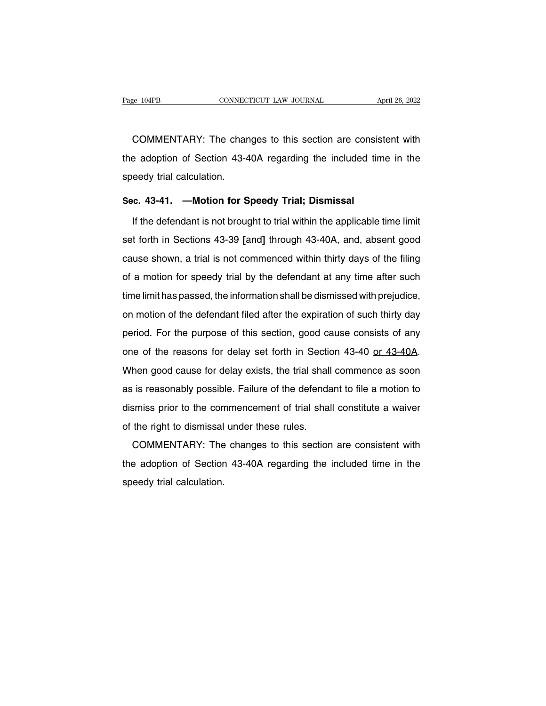EXEMBERTARY: The changes to this section are consistent with<br>COMMENTARY: The changes to this section are consistent with<br>a adoption of Section 43-40A regarding the included time in the The adoption of Section 43-40A regarding the included time in the speedy trial calculation. COMMENTARY: The chart<br>the adoption of Section 43-4<br>speedy trial calculation.<br>Sec. 43-41 —Motion for S COMMENTARY: The changes to this section are consist<br>the adoption of Section 43-40A regarding the included tir<br>speedy trial calculation.<br>**Sec. 43-41. —Motion for Speedy Trial; Dismissal**<br>If the defendant is not brought to t If adoption of Section 43-40A regarding the included time in the<br>
If the defendant is not brought to trial within the applicable time limit<br>
If the defendant is not brought to trial within the applicable time limit<br>
If for

speedy trial calculation.<br>
Sec. 43-41. —Motion for Speedy Trial; Dismissal<br>
If the defendant is not brought to trial within the applicable time limit<br>
set forth in Sections 43-39 [and] through 43-40A, and, absent good<br>
cau Sec. 43-41. —Motion for Speedy Trial; Dismissal<br>If the defendant is not brought to trial within the applicable time limit<br>set forth in Sections 43-39 [and] through 43-40A, and, absent good<br>cause shown, a trial is not comme If the defendant is not brought to trial within the applicable time limit<br>set forth in Sections 43-39 [and] through 43-40A, and, absent good<br>cause shown, a trial is not commenced within thirty days of the filing<br>of a motio It are detendent to for brought to that whilm the approache time limit<br>set forth in Sections 43-39 [and] through 43-40A, and, absent good<br>cause shown, a trial is not commenced within thirty days of the filing<br>of a motion f cause shown, a trial is not commenced within thirty days of the filing<br>of a motion for speedy trial by the defendant at any time after such<br>time limit has passed, the information shall be dismissed with prejudice,<br>on motio period. For the purpose of this section, good cause consists of any time after such<br>time limit has passed, the information shall be dismissed with prejudice,<br>on motion of the defendant filed after the expiration of such th or a motion for opeoay that by the defendant at any time diter caon<br>time limit has passed, the information shall be dismissed with prejudice,<br>on motion of the defendant filed after the expiration of such thirty day<br>period. and motion of the defendant filed after the expiration of such thirty day<br>period. For the purpose of this section, good cause consists of any<br>one of the reasons for delay set forth in Section 43-40 <u>or 43-40A</u>.<br>When good c period. For the purpose of this section, good cause consists of any<br>one of the reasons for delay set forth in Section 43-40 <u>or 43-40A</u>.<br>When good cause for delay exists, the trial shall commence as soon<br>as is reasonably p one of the reasons for delay set forth in Section 43-40 or 43-40A.<br>When good cause for delay exists, the trial shall commence as soon<br>as is reasonably possible. Failure of the defendant to file a motion to<br>dismiss prior to When good cause for delay exists, the trial shall<br>as is reasonably possible. Failure of the defenda<br>dismiss prior to the commencement of trial shal<br>of the right to dismissal under these rules.<br>COMMENTARY: The changes to th Then good cades for dollay sixted, the that shall constitute as occinently possible. Failure of the defendant to file a motion to smiss prior to the commencement of trial shall constitute a waiver the right to dismissal un

dismiss prior to the commencement of trial shall constitute a waiver<br>of the right to dismissal under these rules.<br>COMMENTARY: The changes to this section are consistent with<br>the adoption of Section 43-40A regarding the inc dismiss prior to the commencement of trial shall constitute a waiver<br>of the right to dismissal under these rules.<br>COMMENTARY: The changes to this section are consistent with<br>the adoption of Section 43-40A regarding the inc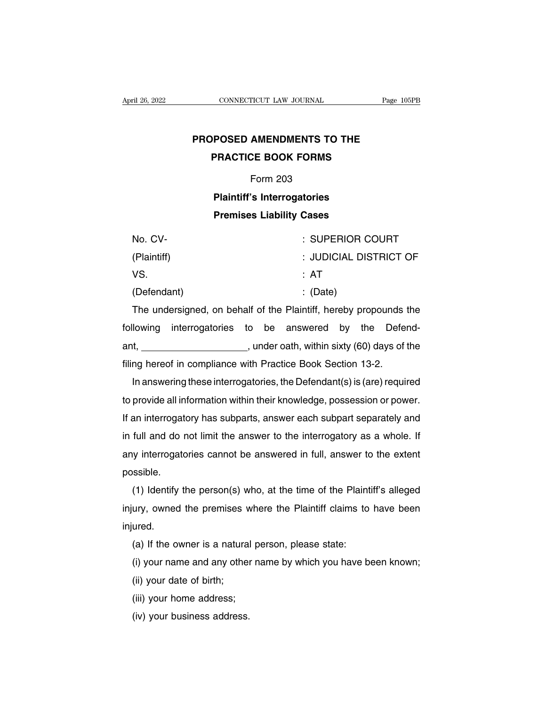## **Page 105PE**<br> **PROPOSED AMENDMENTS TO THE<br>
PRACTICE BOOK FORMS PRACTICUT LAW JOURNAL** PRACTICE **PRACTICE BOOK FORMS**<br>**PRACTICE BOOK FORMS**<br>Form 203 AMENDMENTS TO<br>CE BOOK FORMS<br>Form 203<br>'s Interrogatories **POSED AMENDMENTS TO THE<br>PRACTICE BOOK FORMS<br>Form 203<br>Plaintiff's Interrogatories<br>Premises Liability Cases PRACTICE BOOK FORMS**<br>Form 203<br>**Plaintiff's Interrogatories**<br>Premises Liability Cases<br>RIPERIOR CO

|                                                                   |                                | Form 203 |     |                        |     |         |  |  |
|-------------------------------------------------------------------|--------------------------------|----------|-----|------------------------|-----|---------|--|--|
| <b>Plaintiff's Interrogatories</b>                                |                                |          |     |                        |     |         |  |  |
| <b>Premises Liability Cases</b>                                   |                                |          |     |                        |     |         |  |  |
| No. CV-                                                           |                                |          |     | : SUPERIOR COURT       |     |         |  |  |
| (Plaintiff)                                                       |                                |          |     | : JUDICIAL DISTRICT OF |     |         |  |  |
| VS.                                                               |                                |          | :AT |                        |     |         |  |  |
| (Defendant)                                                       |                                |          |     | $\therefore$ (Date)    |     |         |  |  |
| The undersigned, on behalf of the Plaintiff, hereby propounds the |                                |          |     |                        |     |         |  |  |
| llowing                                                           | interrogatories to be answered |          |     | by                     | the | Defend- |  |  |

Fraintin) : JUDICIAL DISTRICT OF<br>VS. : AT<br>(Defendant) : (Date)<br>The undersigned, on behalf of the Plaintiff, hereby propounds the<br>following interrogatories to be answered by the Defend-<br>ant, \_\_\_\_\_\_\_\_\_\_\_\_\_\_\_\_\_\_\_\_, under oath vs.<br>
(Defendant) : (Date)<br>
The undersigned, on behalf of the Plaintiff, hereby propounds the<br>
following interrogatories to be answered by the Defend-<br>
ant, \_\_\_\_\_\_\_\_\_\_\_\_\_\_\_, under oath, within sixty (60) days of the<br>
filing (Detertuant)<br>
The undersigned, on behalf of the Plaintiff, hereby propounds<br>
following interrogatories to be answered by the Defet<br>
ant, \_\_\_\_\_\_\_\_\_\_\_\_\_\_\_\_, under oath, within sixty (60) days of<br>
filing hereof in compliance In an undersighted, on behand of the Plantinit, hereby propounds the<br>lowing interrogatories to be answered by the Defend-<br>t, \_\_\_\_\_\_\_\_\_\_\_\_\_\_\_\_, under oath, within sixty (60) days of the<br>ng hereof in compliance with Practice

to be answered by the betend-<br>ant, \_\_\_\_\_\_\_\_\_\_\_\_\_\_\_, under oath, within sixty (60) days of the<br>filing hereof in compliance with Practice Book Section 13-2.<br>In answering these interrogatories, the Defendant(s) is (are) requi If an interrogatories, the Defendant (s) is (are) required<br>In answering these interrogatories, the Defendant (s) is (are) required<br>to provide all information within their knowledge, possession or power.<br>If an interrogatory ining nereor in compilance with Practice Book Section 13-2.<br>In answering these interrogatories, the Defendant(s) is (are) required<br>to provide all information within their knowledge, possession or power.<br>If an interrogatory In aniswering these interrogatories, the Detendant(s) is (are) required<br>to provide all information within their knowledge, possession or power.<br>If an interrogatory has subparts, answer each subpart separately and<br>in full a possible. In interrogatory has subparts, answer each subpart separately and<br>full and do not limit the answer to the interrogatory as a whole. If<br>y interrogatories cannot be answered in full, answer to the extent<br>ssible.<br>(1) Identify

in iuli and do not limit the answer to the interrogatory as a whole. If<br>any interrogatories cannot be answered in full, answer to the extent<br>possible.<br>(1) Identify the person(s) who, at the time of the Plaintiff's alleged<br> injured. (1) Identify the person(s) who, at the time of the Plaintiff's alleged<br>injury, owned the premises where the Plaintiff claims to have been<br>injured.<br>(a) If the owner is a natural person, please state:<br>(i) your name and any (1) identify the person(s) who, at the time of the Plaintiff s aneged<br>ury, owned the premises where the Plaintiff claims to have been<br>ured.<br>(a) If the owner is a natural person, please state:<br>(i) your name and any other na (iii) your date of birth;<br>(iii) your name and any othe<br>(ii) your name and any othe<br>(iii) your date of birth;<br>(iiii) your home address;

(a) If the owner is a natural p<br>(i) your name and any other n<br>(ii) your date of birth;<br>(iii) your home address;<br>(iv) your business address.

(a) it the owner is a hatura<br>(i) your name and any other<br>(ii) your date of birth;<br>(iii) your home address;<br>(iv) your business address.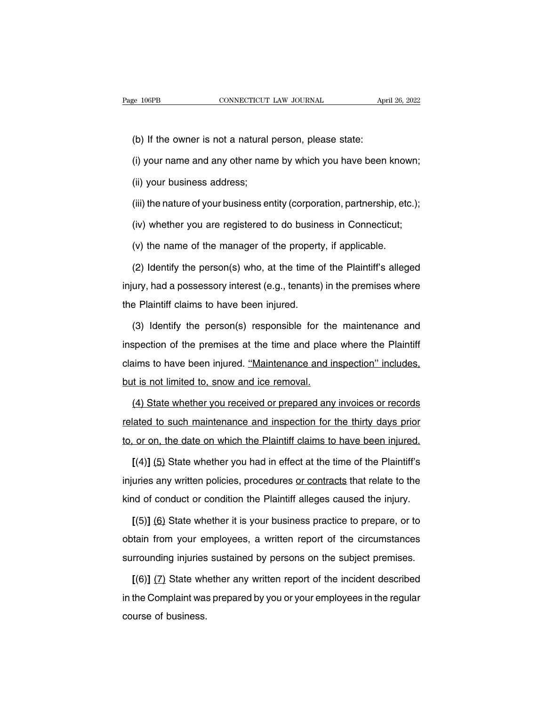(b) If the owner is not a natural person, please state:<br>(b) If the owner is not a natural person, please state:<br>(i) your name and any other name by which you have been

(i) your name and any other name by which you have been known;<br>
(i) your name and any other name by which you have been known;<br>
(ii) your business address; (b) If the owner is not a natural<br>(i) your name and any other nam<br>(ii) your business address;<br>(iii) the nature of your business er

(b) If the owner is not a natural person, please state:<br>
(i) your name and any other name by which you have been known;<br>
(ii) your business address;<br>
(iii) the nature of your business entity (corporation, partnership, etc. (i) your name and any other name by which you have been known;<br>(ii) your business address;<br>(iii) the nature of your business entity (corporation, partnership, etc.);<br>(iv) whether you are registered to do business in Connec (ii) your business address;<br>(iii) the nature of your business entity (corporation, partnership, etc<br>(iv) whether you are registered to do business in Connecticut;<br>(v) the name of the manager of the property, if applicable.

(iii) the nature of your business entity (corporation, partnership, etc.);<br>(iv) whether you are registered to do business in Connecticut;<br>(v) the name of the manager of the property, if applicable.<br>(2) Identify the person( (iv) whether you are registered to do business in Connecticut;<br>
(v) the name of the manager of the property, if applicable.<br>
(2) Identify the person(s) who, at the time of the Plaintiff's alleged<br>
injury, had a possessory (v) the name of the manager of the property<br>
(2) Identify the person(s) who, at the time o<br>
injury, had a possessory interest (e.g., tenants)<br>
the Plaintiff claims to have been injured.<br>
(3) Identify the person(s) respons (2) Identify the person(s) who, at the time of the Plaintiff's alleged<br>ury, had a possessory interest (e.g., tenants) in the premises where<br>e Plaintiff claims to have been injured.<br>(3) Identify the person(s) responsible fo

injury, had a possessory interest (e.g., tenants) in the premises where<br>the Plaintiff claims to have been injured.<br>(3) Identify the person(s) responsible for the maintenance and<br>inspection of the premises at the time and p the Plaintiff claims to have been injured.<br>
(3) Identify the person(s) responsible for the maintenance and inspection of the premises at the time and place where the Plaintiff claims to have been injured. "Maintenance and (3) Identify the person(s) responsible for the<br>inspection of the premises at the time and place<br>claims to have been injured. "Maintenance and in<br>but is not limited to, snow and ice removal.<br>(4) State whether you received spection of the premises at the time and place where the Plaintiff<br>aims to have been injured. "Maintenance and inspection" includes,<br>it is not limited to, snow and ice removal.<br>(4) State whether you received or prepared an

relations to have been injured. "Maintenance and inspection" includes,<br>but is not limited to, snow and ice removal.<br>(4) State whether you received or prepared any invoices or records<br>related to such maintenance and inspect but is not limited to, snow and ice removal.<br>
(4) State whether you received or prepared any invoices or records<br>
related to such maintenance and inspection for the thirty days prior<br>
to, or on, the date on which the Plain (4) State whether you received or prepared any invoices or records<br>lated to such maintenance and inspection for the thirty days prior<br>or on, the date on which the Plaintiff claims to have been injured.<br>[(4)] (5) State whet

ingled to such maintenance and inspection for the thirty days prior<br>to, or on, the date on which the Plaintiff claims to have been injured.<br>[(4)] (5) State whether you had in effect at the time of the Plaintiff's<br>injuries to, or on, the date on which the Plaintiff claims to have been injured.<br>  $[(4)] (5)$  State whether you had in effect at the time of the Plaintiff's<br>
injuries any written policies, procedures <u>or contracts</u> that relate to the [(4)] (5) State whether you had in effect at the time of the Plaintiff's uries any written policies, procedures or contracts that relate to the nd of conduct or condition the Plaintiff alleges caused the injury.<br>[(5)] (6)

injuries any written policies, procedures or contracts that relate to the<br>kind of conduct or condition the Plaintiff alleges caused the injury.<br>[(5)] (6) State whether it is your business practice to prepare, or to<br>obtain kind of conduct or condition the Plaintiff alleges caused the injury.<br>  $[(5)]$  (6) State whether it is your business practice to prepare, or to<br>
obtain from your employees, a written report of the circumstances<br>
surrounding [(5)] (6) State whether it is your business practice to prepare, or to<br>tain from your employees, a written report of the circumstances<br>rrounding injuries sustained by persons on the subject premises.<br>[(6)] (7) State whethe

in the Complaint from your employees, a written report of the circumstances<br>surrounding injuries sustained by persons on the subject premises.<br>[(6)] (7) State whether any written report of the incident described<br>in the Com surrounding injuries<br>
[(6)] (7) State wh<br>
in the Complaint was<br>
course of business.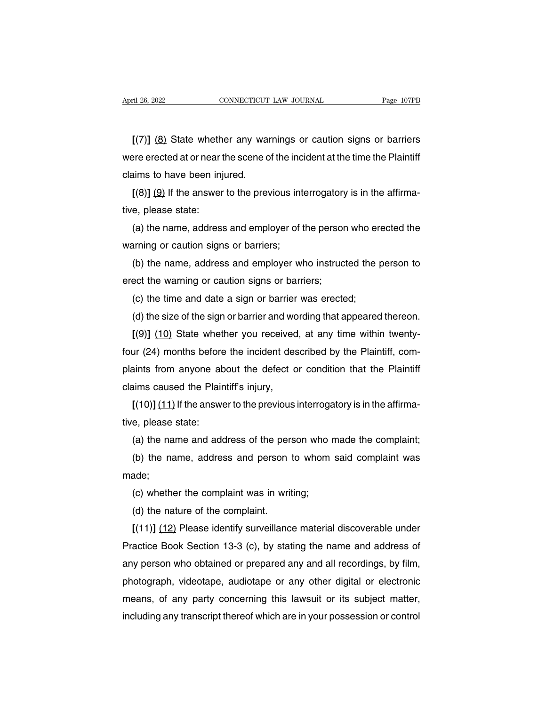**[**(7)**]** (8) State whether any warnings or caution signs or barriers April 26, 2022 CONNECTICUT LAW JOURNAL Page 107PB<br>
[(7)] (8) State whether any warnings or caution signs or barriers<br>
were erected at or near the scene of the incident at the time the Plaintiff<br>
claims to have been injured  $[(7)]$   $(8)$  State whether any ware<br>were erected at or near the scene of<br>claims to have been injured.<br> $[(8)]$   $(9)$  If the answer to the prev  $[ (7)] (8)$  State whether any warnings or caution signs or barriers<br>ere erected at or near the scene of the incident at the time the Plaintiff<br>aims to have been injured.<br> $[ (8)] (9)$  if the answer to the previous interrogatory  $[(7)]$  (8) State wheth<br>were erected at or near t<br>claims to have been inj<br> $[(8)]$  (9) If the answer<br>tive, please state:<br>(a) the name, addres

Fre erected at or near the scene of the incident at the time the Plaintiff<br>aims to have been injured.<br>[(8)] (9) If the answer to the previous interrogatory is in the affirma-<br>e, please state:<br>(a) the name, address and empl claims to have been injured.<br>  $[(8)] (9)$  If the answer to the previous interview, please state:<br>
(a) the name, address and employer of the warning or caution signs or barriers;<br>
(b) the name, address and employer where

[(8)] (9) It the answer to the previous interrogatory is in the affirma-<br>e, please state:<br>(a) the name, address and employer of the person who erected the<br>arning or caution signs or barriers;<br>(b) the name, address and emp tive, please state:<br>
(a) the name, address and employer of the persor<br>
warning or caution signs or barriers;<br>
(b) the name, address and employer who instruct<br>
erect the warning or caution signs or barriers;<br>
(c) the time a (a) the name, address and employer of the person who erarning or caution signs or barriers;<br>(b) the name, address and employer who instructed the p<br>ect the warning or caution signs or barriers;<br>(c) the time and date a sign arning or caution signs or barriers;<br>(b) the name, address and employer who instructed the person to<br>ect the warning or caution signs or barriers;<br>(c) the time and date a sign or barrier was erected;<br>(d) the size of the si

(b) the name, address and employer who instructed the person to<br>ect the warning or caution signs or barriers;<br>(c) the time and date a sign or barrier was erected;<br>(d) the size of the sign or barrier and wording that appear erect the warning or caution signs or barriers;<br>
(c) the time and date a sign or barrier was erected;<br>
(d) the size of the sign or barrier and wording that appeared thereon.<br>
[(9)] (10) State whether you received, at any t (c) the time and date a sign or barrier was erected;<br>
(d) the size of the sign or barrier and wording that appeared thereon.<br>
[(9)]  $(10)$  State whether you received, at any time within twenty-<br>
four (24) months before th (d) the size of the sign or barrier and wordly  $[(9)]$  (10) State whether you received<br>four (24) months before the incident des<br>plaints from anyone about the defect of<br>claims caused the Plaintiff's injury,<br> $[(10)]$  (11) If th [(9)] (10) State whether you received, at any time within twenty-<br>ur (24) months before the incident described by the Plaintiff, com-<br>aints from anyone about the defect or condition that the Plaintiff<br>aims caused the Plai four (24) months before the incident described by the Plaintiff, complaints from anyone about the defect or condition that the Plaintiff claims caused the Plaintiff's injury,<br> $[(10)] (11)$  If the answer to the previous inter

Figure 2011 and the defect or condition that the Plaintiff<br>
in the same and address of the previous interrogatory is in the affirma-<br>
e, please state:<br>
(a) the name and address of the person who made the complaint;<br>
(b) t

alms caused the Plaintiff's injury,<br>
[(10)] (11) If the answer to the previous interrogatory is in the affirma-<br>
e, please state:<br>
(a) the name and address of the person who made the complaint;<br>
(b) the name, address and p made; e, please state:<br>(a) the name and address of the person who r<br>(b) the name, address and person to whom<br>ade;<br>(c) whether the complaint was in writing;<br>(d) the nature of the complaint. (a) the name and address of the pers<br>(b) the name, address and person<br>ade;<br>(c) whether the complaint was in writ<br>(d) the nature of the complaint.<br>[(11)] (12) Please identify surveillanc

(b) the name, address and person to whom said complaint was<br>ade;<br>(c) whether the complaint was in writing;<br>(d) the nature of the complaint.<br>[(11)] (12) Please identify surveillance material discoverable under<br>actice Book S made;<br>
(c) whether the complaint was in writing;<br>
(d) the nature of the complaint.<br>
[(11)] (12) Please identify surveillance material discoverable under<br>
Practice Book Section 13-3 (c), by stating the name and address of<br> (c) whether the complaint was in writing;<br>
(d) the nature of the complaint.<br>  $[(11)] (12)$  Please identify surveillance material discoverable under<br>
Practice Book Section 13-3 (c), by stating the name and address of<br>
any per (d) the nature of the complaint.<br>
[(11)] (12) Please identify surveillance material discoverable under<br>
Practice Book Section 13-3 (c), by stating the name and address of<br>
any person who obtained or prepared any and all re [(11)]  $(12)$  Please identity surveillance material discoverable under<br>Practice Book Section 13-3 (c), by stating the name and address of<br>any person who obtained or prepared any and all recordings, by film,<br>photograph, vi Practice Book Section 13-3 (c), by stating the name and address of<br>any person who obtained or prepared any and all recordings, by film,<br>photograph, videotape, audiotape or any other digital or electronic<br>means, of any part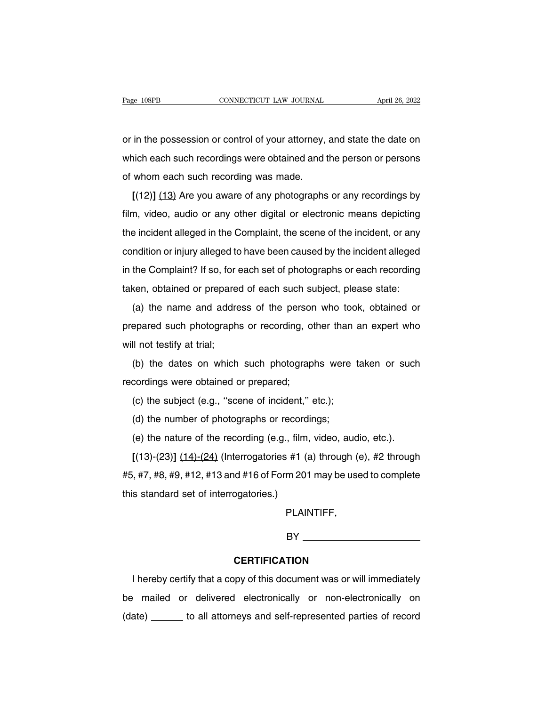Page 108PB<br>
connectricut LAW JOURNAL<br>
or in the possession or control of your attorney, and state the date on<br>
which each such recordings were obtained and the person or persons Page 108PB CONNECTICUT LAW JOURNAL April 26, 2022<br>
or in the possession or control of your attorney, and state the date on<br>
which each such recordings were obtained and the person or persons<br>
of whom each such recording wa or in the possession or control of your attorney,<br>which each such recordings were obtained and to<br>of whom each such recording was made.<br>[(12)] (13) Are you aware of any photographs in the possession or control of your attorney, and state the date on<br>hich each such recordings were obtained and the person or persons<br>whom each such recording was made.<br>[(12)] (13) Are you aware of any photographs or any

which each such recordings were obtained and the person or persons<br>of whom each such recording was made.<br>[(12)] (13) Are you aware of any photographs or any recordings by<br>film, video, audio or any other digital or electron of whom each such recordings were sistened and the person of persons<br>of whom each such recording was made.<br>[(12)] (13) Are you aware of any photographs or any recordings by<br>film, video, audio or any other digital or electr  $[(12)]$   $(13)$  Are you aware of any photographs or any recordings by<br>film, video, audio or any other digital or electronic means depicting<br>the incident alleged in the Complaint, the scene of the incident, or any<br>condition film, video, audio or any other digital or electronic means depicting<br>the incident alleged in the Complaint, the scene of the incident, or any<br>condition or injury alleged to have been caused by the incident alleged<br>in the film, video, audio or any other digital or electronic means depicting<br>the incident alleged in the Complaint, the scene of the incident, or any<br>condition or injury alleged to have been caused by the incident alleged<br>in the Indition or injury alleged to have been caused by the incident alleged<br>the Complaint? If so, for each set of photographs or each recording<br>ken, obtained or prepared of each such subject, please state:<br>(a) the name and addr

behalter or highly alleged to have been classed by the includint alleged<br>in the Complaint? If so, for each set of photographs or each recording<br>taken, obtained or prepared of each such subject, please state:<br>(a) the name a taken, obtained or prepared of each such subject, please state:<br>
(a) the name and address of the person who took, obtained or<br>
prepared such photographs or recording, other than an expert who<br>
will not testify at trial;<br>
( (a) the name and address of the person who took, obtained or<br>epared such photographs or recording, other than an expert who<br>II not testify at trial;<br>(b) the dates on which such photographs were taken or such<br>cordings were repared such photographs or recording, of<br>will not testify at trial;<br>(b) the dates on which such photograp<br>recordings were obtained or prepared;<br>(c) the subject (e.g., "scene of incident," (e

If not testify at trial;<br>
(b) the dates on which such photographs were the cordings were obtained or prepared;<br>
(c) the subject (e.g., "scene of incident," etc.);<br>
(d) the number of photographs or recordings; (b) the dates on which such photographs were<br>cordings were obtained or prepared;<br>(c) the subject (e.g., "scene of incident," etc.);<br>(d) the number of photographs or recordings;<br>(e) the nature of the recording (e.g., film, (e) the dates of mind such photographs were taken of each<br>cordings were obtained or prepared;<br>(c) the subject (e.g., "scene of incident," etc.);<br>(d) the number of photographs or recordings;<br>(e) the nature of the recording

(c) the subject (e.g., "scene of incident," etc.);<br>
(d) the number of photographs or recordings;<br>
(e) the nature of the recording (e.g., film, video, audio, etc.).<br>
[(13)-(23)] (14)-(24) (Interrogatories #1 (a) through (e) (d) the number of photographs or recordings;<br>
(e) the nature of the recording (e.g., film, video, audio, etc.).<br>
[(13)-(23)] (14)-(24) (Interrogatories #1 (a) through (e), #2 through<br>
#5, #7, #8, #9, #12, #13 and #16 of F (d) the number of photographs or recordings;<br>
(e) the nature of the recording (e.g., film, video, audio, etc.).<br>  $[(13)-(23)] (14)-(24)$  (Interrogatories #1 (a) through (e), #2 through<br>
#5, #7, #8, #9, #12, #13 and #16 of Form 2

PLAINTIFF,

BY **Example 20** 

### **CERTIFICATION**

I hereby certify that a copy of this document was or will immediately BY<br>
CERTIFICATION<br>
I hereby certify that a copy of this document was or will immediately<br>
be mailed or delivered electronically or non-electronically on<br>
(date) \_\_\_\_\_\_\_ to all attorneys and self-represented parties of reco I hereby certify that a copy of this document was or will immediately<br>be mailed or delivered electronically or non-electronically on<br>(date) \_\_\_\_\_\_\_ to all attorneys and self-represented parties of record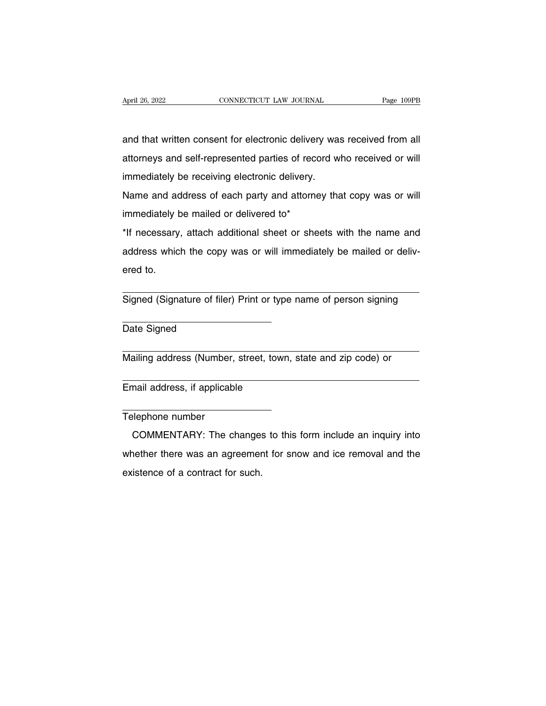April 26, 2022<br> **EXECUTE CONNECTICUT LAW JOURNAL**<br>
and that written consent for electronic delivery was received from all<br>
attorneys and self-represented parties of record who received or will April 26, 2022 CONNECTICUT LAW JOURNAL Page 109PB<br>and that written consent for electronic delivery was received from all<br>attorneys and self-represented parties of record who received or will<br>immediately be receiving electr April 26, 2022 CONNECTICUT LAW JOURNAL Page 109PB<br>and that written consent for electronic delivery was received from all<br>attorneys and self-represented parties of record who received or will<br>immediately be receiving electr and that written consent for electronic delivery was received from all<br>attorneys and self-represented parties of record who received or will<br>immediately be receiving electronic delivery.<br>Name and address of each party and attorneys and self-represented parties of record who received or will<br>immediately be receiving electronic delivery.<br>Name and address of each party and attorney that copy was or will<br>immediately be mailed or delivered to\*<br>\*

immediately be mailed or delivered to\*

immediately be receiving electronic delivery.<br>
Name and address of each party and attorney that copy was or will<br>
immediately be mailed or delivered to\*<br>
\*If necessary, attach additional sheet or sheets with the name and<br> Name and address of each party and attorney that copy was or will<br>immediately be mailed or delivered to\*<br>\*If necessary, attach additional sheet or sheets with the name and<br>address which the copy was or will immediately be \*If necessary, attach additional sheet or sheets with the name and<br>address which the copy was or will immediately be mailed or deliv-<br>ered to.<br>Signed (Signature of filer) Print or type name of person signing

Signed (Signature of filer) Print or type name of person signing<br>Date Signed Signed (Signature of filer) Print or type name of person signing<br>
Date Signed<br>
Mailing address (Number, street, town, state and zip code) or

Mailing address (Number, street, town, state and zip code) or<br>
Email address, if applicable<br>
Telephone number

Email address, if applicable<br>
Telephone number<br>
COMMENTARY: The changes to this form include an inquiry into mail address, if applicable<br>
elephone number<br>
COMMENTARY: The changes to this form include an inquiry into<br>
nether there was an agreement for snow and ice removal and the Email address, if applicable<br>
Telephone number<br>
COMMENTARY: The changes to this form include an inquiry into<br>
whether there was an agreement for snow and ice removal and the<br>
existence of a contract for such. Telephone number<br>COMMENTARY: The changes<br>whether there was an agreemer<br>existence of a contract for such.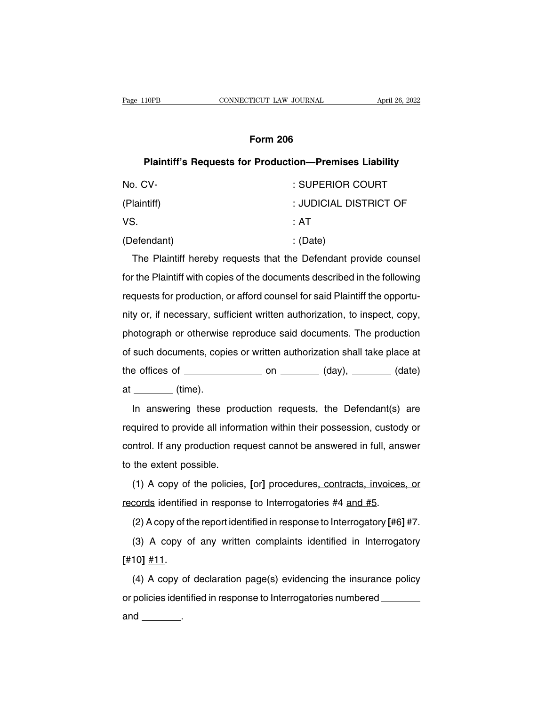## Plaintiff's Requests for Production-Premises Liability

| Page 110PB                                                                | CONNECTICUT LAW JOURNAL | April 26, 2022         |
|---------------------------------------------------------------------------|-------------------------|------------------------|
|                                                                           |                         |                        |
| <b>Form 206</b>                                                           |                         |                        |
| <b>Plaintiff's Requests for Production-Premises Liability</b>             |                         |                        |
| No. CV-                                                                   |                         | : SUPERIOR COURT       |
| (Plaintiff)                                                               |                         | : JUDICIAL DISTRICT OF |
| VS.                                                                       |                         | : AT                   |
| (Defendant)                                                               |                         | : (Date)               |
| The Plaintiff hereby requests that the Defendant provide counsel          |                         |                        |
| for the Plaintiff with copies of the documents described in the following |                         |                        |

For the Plaintiff with copies of the documents described in the following<br>
For the Plaintiff hereby requests that the Defendant provide counsel<br>
for the Plaintiff with copies of the documents described in the following<br>
re requests for production, or afford counsel is that the Defendant provide counsel<br>for the Plaintiff with copies of the documents described in the following<br>requests for production, or afford counsel for said Plaintiff the o The Plaintiff hereby requests that the Defendant provide counsel<br>for the Plaintiff with copies of the documents described in the following<br>requests for production, or afford counsel for said Plaintiff the opportu-<br>nity or, Frie Trainin Horsey Tequeste that the Berendam previde economic<br>for the Plaintiff with copies of the documents described in the following<br>requests for production, or afford counsel for said Plaintiff the opportu-<br>nity or, requests for production, or afford counsel for said Plaintiff the opportunity or, if necessary, sufficient written authorization, to inspect, copy, photograph or otherwise reproduce said documents. The production of such d The offices of production, or anota coancertor called hamilin the opportunity or, if necessary, sufficient written authorization, to inspect, copy, photograph or otherwise reproduce said documents. The production of such d at (time). such documents, copies or written authorization shall take place at<br>
a offices of \_\_\_\_\_\_\_\_\_ on \_\_\_\_\_\_ (day), \_\_\_\_\_\_ (date)<br>
In answering these production requests, the Defendant(s) are<br>
quired to provide all information wi

required to provide all information within their possession, custody or<br>control. If any production requests, the Defendant(s) are<br>required to provide all information within their possession, custody or<br>control. If any prod at \_\_\_\_\_\_\_ (time).<br>at \_\_\_\_\_\_\_ (time).<br>In answering these production requests, the Defendant(s) are<br>required to provide all information within their possession, custody or<br>control. If any production request cannot be answer In answering these prod<br>required to provide all inform<br>control. If any production red<br>to the extent possible.<br>(1) A copy of the policies m and the production requests, the Bershaming production<br>quired to provide all information within their possession, custody or<br>ntrol. If any production request cannot be answered in full, answer<br>the extent possible.<br>(1) A required to premise an intermalism minimum and persected in full, and<br>control. If any production request cannot be answered in full, ans<br>to the extent possible.<br>(1) A copy of the policies, [or] procedures, contracts, invo

(1) A copy of the policies, [or] procedures, contracts, invoices, or<br>cords identified in response to Interrogatories #4 and #5.<br>(2) A copy of the report identified in response to Interrogatory [#6] <u>#7</u>.<br>(3) A copy of any (1) A copy of the policies, [or] procedures, contracts, invoices, or<br>cords identified in response to Interrogatories #4 and #5.<br>(2) A copy of the report identified in response to Interrogatory [#6] <u>#7</u>.<br>(3) A copy of any

**[**#10**]** #11.

(2) A copy of the report identified in response to Interrogatory [#6]  $\frac{\#Z}{\#1}$ .<br>
(3) A copy of any written complaints identified in Interrogatory<br>
10]  $\frac{\#11}{\#11}$ .<br>
(4) A copy of declaration page(s) evidencing the (3) A copy of any written complaints identified in Interrogatory<br>  $[#10] \#11$ .<br>
(4) A copy of declaration page(s) evidencing the insurance policy<br>
or policies identified in response to Interrogatories numbered \_\_\_\_\_\_\_\_\_\_\_  $[#10] \underline{#11}$ .<br>
(4) A copy or policies ider<br>
and \_\_\_\_\_\_\_\_.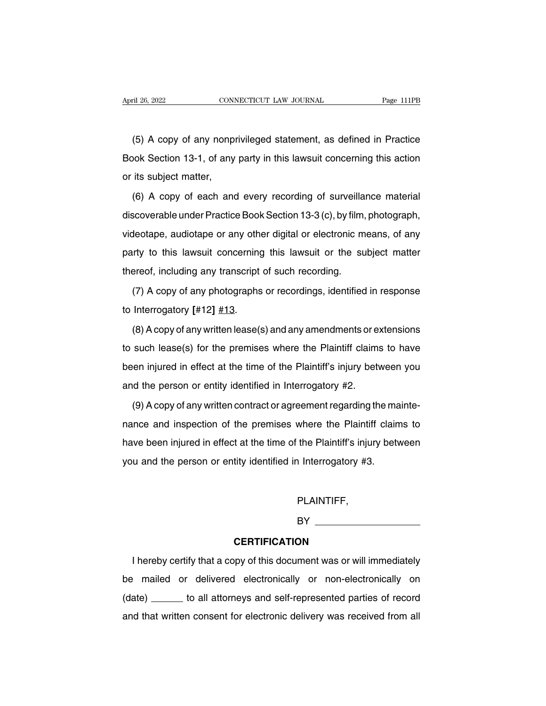The CONNECTICUT LAW JOURNAL That the Magner 111PB<br>(5) A copy of any nonprivileged statement, as defined in Practice<br>bok Section 13-1, of any party in this lawsuit concerning this action April 26, 2022 CONNECTICUT LAW JOURNAL Page 111PB<br>
(5) A copy of any nonprivileged statement, as defined in Practice<br>
Book Section 13-1, of any party in this lawsuit concerning this action<br>
or its subject matter, (5) A copy of any nonpin<br>Book Section 13-1, of any<br>or its subject matter,<br>(6) A copy of each and (5) A copy of any nonprivileged statement, as defined in Practice<br>bok Section 13-1, of any party in this lawsuit concerning this action<br>its subject matter,<br>(6) A copy of each and every recording of surveillance material<br>s

Book Section 13-1, of any party in this lawsuit concerning this action<br>or its subject matter,<br>(6) A copy of each and every recording of surveillance material<br>discoverable under Practice Book Section 13-3 (c), by film, pho or its subject matter,<br>
(6) A copy of each and every recording of surveillance material<br>
discoverable under Practice Book Section 13-3 (c), by film, photograph,<br>
videotape, audiotape or any other digital or electronic mean (6) A copy of each and every recording of surveillance material<br>discoverable under Practice Book Section 13-3 (c), by film, photograph,<br>videotape, audiotape or any other digital or electronic means, of any<br>party to this l (6) A copy of each and every recording of surveillance material<br>discoverable under Practice Book Section 13-3 (c), by film, photograph,<br>videotape, audiotape or any other digital or electronic means, of any<br>party to this l deotape, audiotape or any other digital or electronic means, of any<br>try to this lawsuit concerning this lawsuit or the subject matter<br>ereof, including any transcript of such recording.<br>(7) A copy of any photographs or rec naty to this lawsuit concerning<br>party to this lawsuit concerning<br>thereof, including any transcript<br>(7) A copy of any photographs<br>to Interrogatory [#12] <u>#13</u>.<br>(8) A copy of any written lease(s)

ereof, including any transcript of such recording.<br>
(7) A copy of any photographs or recordings, identified in response<br>
Interrogatory [#12] <u>#13</u>.<br>
(8) A copy of any written lease(s) and any amendments or extensions<br>
such (7) A copy of any photographs or recordings, identified in response<br>to Interrogatory [#12]  $\#13$ .<br>(8) A copy of any written lease(s) and any amendments or extensions<br>to such lease(s) for the premises where the Plaintiff to Interrogatory [#12]  $#13$ .<br>
(8) A copy of any written lease(s) and any amendments or extensions<br>
to such lease(s) for the premises where the Plaintiff claims to have<br>
been injured in effect at the time of the Plaintiff (8) A copy of any written lease(s) and any amendments or exton such lease(s) for the premises where the Plaintiff claims<br>been injured in effect at the time of the Plaintiff's injury betwand the person or entity identified such lease(s) for the premises where the Plaintiff claims to have<br>en injured in effect at the time of the Plaintiff's injury between you<br>d the person or entity identified in Interrogatory #2.<br>(9) A copy of any written con

been injured in effect at the time of the Plaintiff's injury between you<br>and the person or entity identified in Interrogatory #2.<br>(9) A copy of any written contract or agreement regarding the mainte-<br>nance and inspection o and the person or entity identified in Interrogatory #2.<br>
(9) A copy of any written contract or agreement regarding the mainte-<br>
nance and inspection of the premises where the Plaintiff claims to<br>
have been injured in effe (9) A copy of any written contract or agreement regarding the mance and inspection of the premises where the Plaintiff clain have been injured in effect at the time of the Plaintiff's injury bety you and the person or ent

PLAINTIFF,

BY **Example 2008** 

## **CERTIFICATION**

PLAINTIFF,<br>
BY<br>
CERTIFICATION<br>
I hereby certify that a copy of this document was or will immediately<br>
immediately<br>
imailed or delivered electronically or non-electronically on BY<br> **CERTIFICATION**<br>
I hereby certify that a copy of this document was or will immediately<br>
be mailed or delivered electronically or non-electronically on<br>
(date) \_\_\_\_\_\_\_ to all attorneys and self-represented parties of re CERTIFICATION<br>
I hereby certify that a copy of this document was or will immediately<br>
be mailed or delivered electronically or non-electronically on<br>
(date) \_\_\_\_\_\_\_ to all attorneys and self-represented parties of record<br> I hereby certify that a copy of this document was or will immediately<br>be mailed or delivered electronically or non-electronically on<br>(date) \_\_\_\_\_\_\_ to all attorneys and self-represented parties of record<br>and that written c